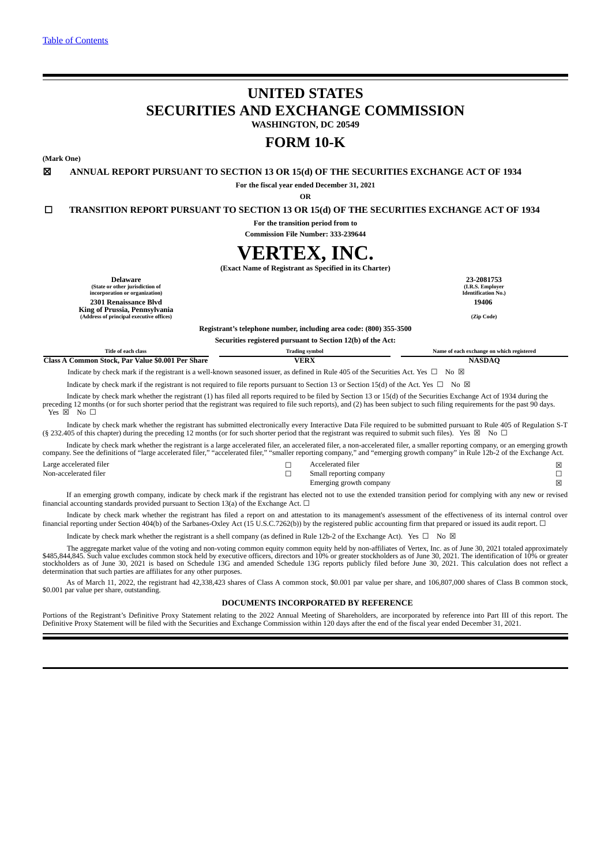# **UNITED STATES SECURITIES AND EXCHANGE COMMISSION WASHINGTON, DC 20549**

# **FORM 10-K**

**(Mark One)**

☒ **ANNUAL REPORT PURSUANT TO SECTION 13 OR 15(d) OF THE SECURITIES EXCHANGE ACT OF 1934**

**For the fiscal year ended December 31, 2021**

**OR**

☐ **TRANSITION REPORT PURSUANT TO SECTION 13 OR 15(d) OF THE SECURITIES EXCHANGE ACT OF 1934**

**For the transition period from to**

**Commission File Number: 333-239644**

# **VERTEX, INC.**

**(Exact Name of Registrant as Specified in its Charter)**

| Delaware<br>(State or other jurisdiction of<br>incorporation or organization) |                                                                    | 23-2081753<br>(I.R.S. Employer<br><b>Identification No.)</b> |
|-------------------------------------------------------------------------------|--------------------------------------------------------------------|--------------------------------------------------------------|
| 2301 Renaissance Blvd                                                         |                                                                    | 19406                                                        |
| King of Prussia, Pennsylvania<br>(Address of principal executive offices)     |                                                                    | (Zip Code)                                                   |
|                                                                               | Registrant's telephone number, including area code: (800) 355-3500 |                                                              |
|                                                                               | Securities registered pursuant to Section 12(b) of the Act:        |                                                              |

| Title of each class                               | <b>Trading symbol</b> | Name of each exchange on which registered |  |  |  |
|---------------------------------------------------|-----------------------|-------------------------------------------|--|--|--|
| Class A Common Stock, Par Value \$0.001 Per Share | <b>VERX</b>           | <b>NASDAC</b>                             |  |  |  |

Indicate by check mark if the registrant is a well-known seasoned issuer, as defined in Rule 405 of the Securities Act. Yes  $\Box$  No  $\boxtimes$ 

Indicate by check mark if the registrant is not required to file reports pursuant to Section 13 or Section 15(d) of the Act. Yes  $\Box$  No  $\boxtimes$ 

Indicate by check mark whether the registrant (1) has filed all reports required to be filed by Section 13 or 15(d) of the Securities Exchange Act of 1934 during the preceding 12 months (or for such shorter period that the registrant was required to file such reports), and (2) has been subject to such filing requirements for the past 90 days. Yes  $\boxtimes$  No  $\square$ 

Indicate by check mark whether the registrant has submitted electronically every Interactive Data File required to be submitted pursuant to Rule 405 of Regulation S-T (§ 232.405 of this chapter) during the preceding 12 months (or for such shorter period that the registrant was required to submit such files). Yes  $\boxtimes$  No  $\Box$ 

Indicate by check mark whether the registrant is a large accelerated filer, an accelerated filer, a non-accelerated filer, a smaller reporting company, or an emerging growth company. See the definitions of "large accelerated filer," "accelerated filer," "smaller reporting company," and "emerging growth company" in Rule 12b-2 of the Exchange Act.

| Large accelerated mer |  |
|-----------------------|--|
| Non-accelerated filer |  |

| Large accelerated filer | Accelerated filer       | ⊠ |
|-------------------------|-------------------------|---|
| Non-accelerated filer   | Small reporting company |   |
|                         | Emerging growth company | X |
|                         |                         |   |

If an emerging growth company, indicate by check mark if the registrant has elected not to use the extended transition period for complying with any new or revised financial accounting standards provided pursuant to Section 13(a) of the Exchange Act.  $\Box$ 

Indicate by check mark whether the registrant has filed a report on and attestation to its management's assessment of the effectiveness of its internal control over financial reporting under Section 404(b) of the Sarbanes-Oxley Act (15 U.S.C.7262(b)) by the registered public accounting firm that prepared or issued its audit report. ☐

Indicate by check mark whether the registrant is a shell company (as defined in Rule 12b-2 of the Exchange Act). Yes  $\Box$  No  $\boxtimes$ 

The aggregate market value of the voting and non-voting common equity common equity held by non-affiliates of Vertex, Inc. as of June 30, 2021 totaled approximately \$485,844,845. Such value excludes common stock held by executive officers, directors and 10% or greater stockholders as of June 30, 2021. The identification of 10% or greater stockholders as of June 30, 2021 is based on Schedule 13G and amended Schedule 13G reports publicly filed before June 30, 2021. This calculation does not reflect a determination that such parties are affiliates for any other purposes.

As of March 11, 2022, the registrant had 42,338,423 shares of Class A common stock, \$0.001 par value per share, and 106,807,000 shares of Class B common stock, \$0.001 par value per share, outstanding.

#### **DOCUMENTS INCORPORATED BY REFERENCE**

Portions of the Registrant's Definitive Proxy Statement relating to the 2022 Annual Meeting of Shareholders, are incorporated by reference into Part III of this report. The<br>Definitive Proxy Statement will be filed with the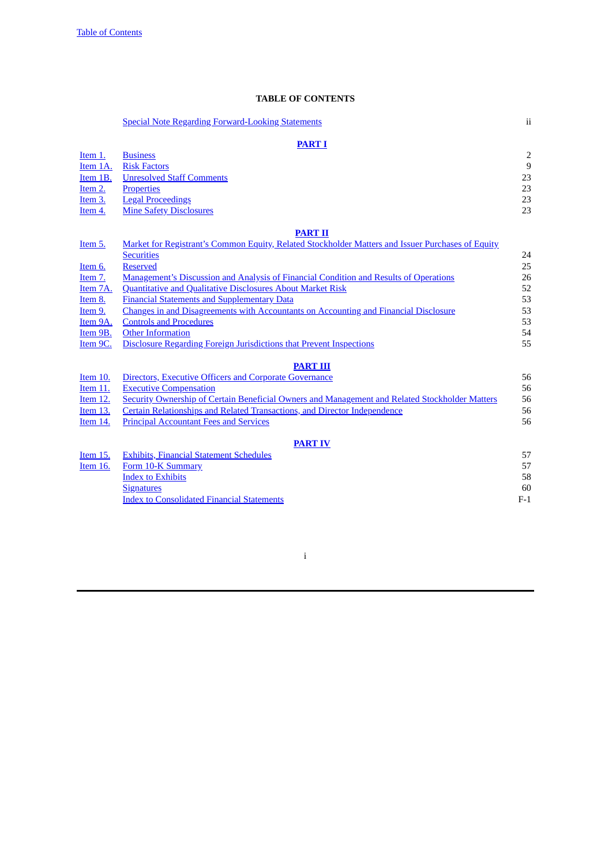## **TABLE OF CONTENTS**

<span id="page-1-0"></span>

|          | <b>Special Note Regarding Forward-Looking Statements</b> | $\overline{\mathbf{u}}$ |
|----------|----------------------------------------------------------|-------------------------|
|          | <b>PART I</b>                                            |                         |
| Item 1.  | <b>Business</b>                                          |                         |
| Item 1A. | <b>Risk Factors</b>                                      | 9                       |

|                | Item 1B. Unresolved Staff Comments |           | 23 |
|----------------|------------------------------------|-----------|----|
| <u>Item 2.</u> | <b>Properties</b>                  |           | 23 |
| <u>Item 3.</u> | <b>Legal Proceedings</b>           |           | 23 |
| Item 4.        | <b>Mine Safety Disclosures</b>     |           | 23 |
|                |                                    |           |    |
|                |                                    | --------- |    |

## **[PART](#page-25-0) II**

| Item 5.  | Market for Registrant's Common Equity, Related Stockholder Matters and Issuer Purchases of Equity |     |
|----------|---------------------------------------------------------------------------------------------------|-----|
|          | <b>Securities</b>                                                                                 | 24  |
| Item 6.  | Reserved                                                                                          | 25  |
| Item 7.  | <b>Management's Discussion and Analysis of Financial Condition and Results of Operations</b>      | 26  |
| Item 7A. | <b>Quantitative and Qualitative Disclosures About Market Risk</b>                                 | 52  |
| Item 8.  | <b>Financial Statements and Supplementary Data</b>                                                | 53  |
| Item 9.  | <b>Changes in and Disagreements with Accountants on Accounting and Financial Disclosure</b>       | 53  |
| Item 9A. | <b>Controls and Procedures</b>                                                                    | 53  |
| Item 9B. | <b>Other Information</b>                                                                          | 54  |
| Item 9C. | Disclosure Regarding Foreign Jurisdictions that Prevent Inspections                               | 55. |
|          |                                                                                                   |     |

## **[PART](#page-57-0) III**

| Item $10$ .     | Directors, Executive Officers and Corporate Governance                                         | 56 |
|-----------------|------------------------------------------------------------------------------------------------|----|
| <u>Item 11.</u> | <b>Executive Compensation</b>                                                                  | 56 |
| Item $12.$      | Security Ownership of Certain Beneficial Owners and Management and Related Stockholder Matters | 56 |
| Item 13.        | <b>Certain Relationships and Related Transactions, and Director Independence</b>               | 56 |
| Item $14$ .     | <b>Principal Accountant Fees and Services</b>                                                  | 56 |
|                 | <b>PART IV</b>                                                                                 |    |
| <b>Item 15.</b> | <b>Exhibits, Financial Statement Schedules</b>                                                 | 57 |

|            | -------                                           |       |
|------------|---------------------------------------------------|-------|
|            | Item 15. Exhibits, Financial Statement Schedules  | 57    |
| Item $16.$ | Form 10-K Summary                                 | 57    |
|            | <b>Index to Exhibits</b>                          | 58    |
|            | <b>Signatures</b>                                 | 60    |
|            | <b>Index to Consolidated Financial Statements</b> | $F-1$ |
|            |                                                   |       |

# i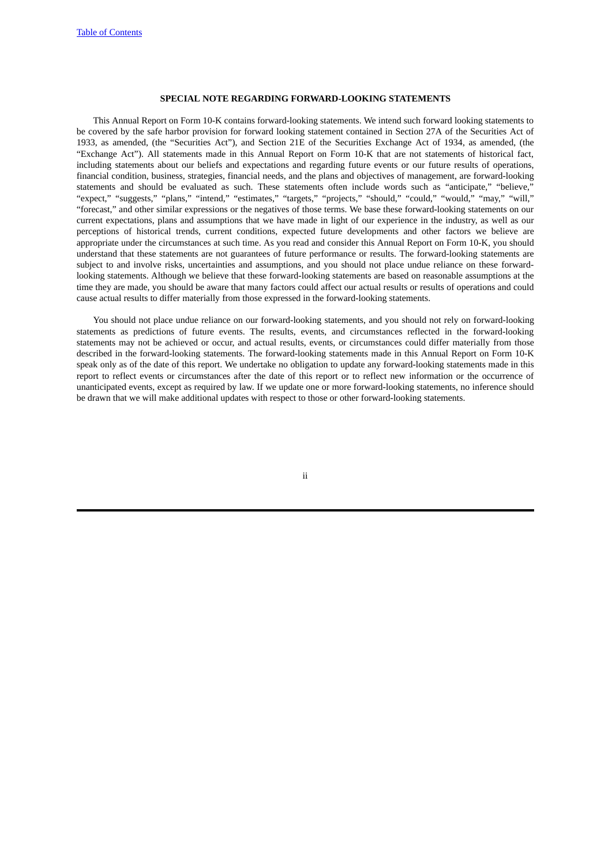## **SPECIAL NOTE REGARDING FORWARD-LOOKING STATEMENTS**

<span id="page-2-0"></span>This Annual Report on Form 10-K contains forward-looking statements. We intend such forward looking statements to be covered by the safe harbor provision for forward looking statement contained in Section 27A of the Securities Act of 1933, as amended, (the "Securities Act"), and Section 21E of the Securities Exchange Act of 1934, as amended, (the "Exchange Act"). All statements made in this Annual Report on Form 10-K that are not statements of historical fact, including statements about our beliefs and expectations and regarding future events or our future results of operations, financial condition, business, strategies, financial needs, and the plans and objectives of management, are forward-looking statements and should be evaluated as such. These statements often include words such as "anticipate," "believe," "expect," "suggests," "plans," "intend," "estimates," "targets," "projects," "should," "could," "would," "may," "will," "forecast," and other similar expressions or the negatives of those terms. We base these forward-looking statements on our current expectations, plans and assumptions that we have made in light of our experience in the industry, as well as our perceptions of historical trends, current conditions, expected future developments and other factors we believe are appropriate under the circumstances at such time. As you read and consider this Annual Report on Form 10-K, you should understand that these statements are not guarantees of future performance or results. The forward-looking statements are subject to and involve risks, uncertainties and assumptions, and you should not place undue reliance on these forwardlooking statements. Although we believe that these forward-looking statements are based on reasonable assumptions at the time they are made, you should be aware that many factors could affect our actual results or results of operations and could cause actual results to differ materially from those expressed in the forward-looking statements.

You should not place undue reliance on our forward-looking statements, and you should not rely on forward-looking statements as predictions of future events. The results, events, and circumstances reflected in the forward-looking statements may not be achieved or occur, and actual results, events, or circumstances could differ materially from those described in the forward-looking statements. The forward-looking statements made in this Annual Report on Form 10-K speak only as of the date of this report. We undertake no obligation to update any forward-looking statements made in this report to reflect events or circumstances after the date of this report or to reflect new information or the occurrence of unanticipated events, except as required by law. If we update one or more forward-looking statements, no inference should be drawn that we will make additional updates with respect to those or other forward-looking statements.

## ii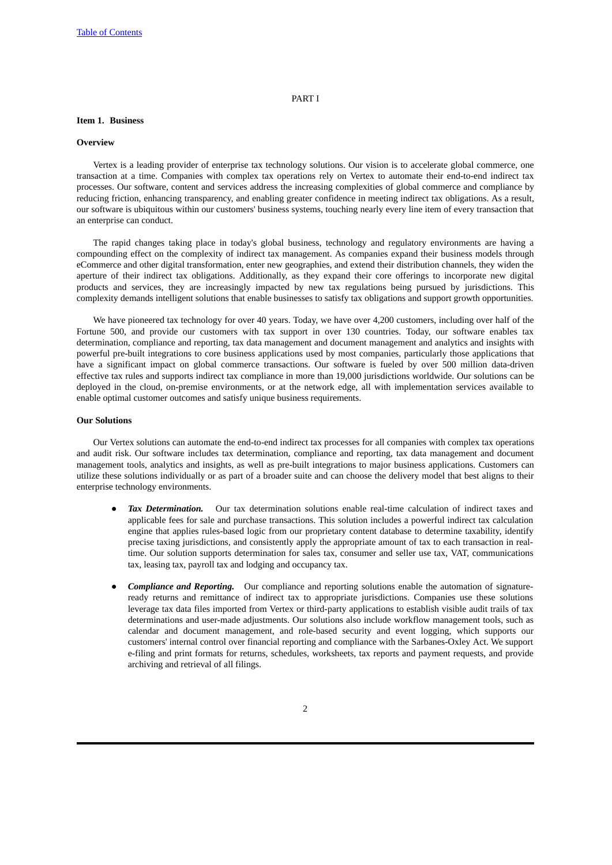## PART I

#### <span id="page-3-1"></span><span id="page-3-0"></span>**Item 1. Business**

#### **Overview**

Vertex is a leading provider of enterprise tax technology solutions. Our vision is to accelerate global commerce, one transaction at a time. Companies with complex tax operations rely on Vertex to automate their end-to-end indirect tax processes. Our software, content and services address the increasing complexities of global commerce and compliance by reducing friction, enhancing transparency, and enabling greater confidence in meeting indirect tax obligations. As a result, our software is ubiquitous within our customers' business systems, touching nearly every line item of every transaction that an enterprise can conduct.

The rapid changes taking place in today's global business, technology and regulatory environments are having a compounding effect on the complexity of indirect tax management. As companies expand their business models through eCommerce and other digital transformation, enter new geographies, and extend their distribution channels, they widen the aperture of their indirect tax obligations. Additionally, as they expand their core offerings to incorporate new digital products and services, they are increasingly impacted by new tax regulations being pursued by jurisdictions. This complexity demands intelligent solutions that enable businesses to satisfy tax obligations and support growth opportunities.

We have pioneered tax technology for over 40 years. Today, we have over 4,200 customers, including over half of the Fortune 500, and provide our customers with tax support in over 130 countries. Today, our software enables tax determination, compliance and reporting, tax data management and document management and analytics and insights with powerful pre-built integrations to core business applications used by most companies, particularly those applications that have a significant impact on global commerce transactions. Our software is fueled by over 500 million data-driven effective tax rules and supports indirect tax compliance in more than 19,000 jurisdictions worldwide. Our solutions can be deployed in the cloud, on-premise environments, or at the network edge, all with implementation services available to enable optimal customer outcomes and satisfy unique business requirements.

#### **Our Solutions**

Our Vertex solutions can automate the end-to-end indirect tax processes for all companies with complex tax operations and audit risk. Our software includes tax determination, compliance and reporting, tax data management and document management tools, analytics and insights, as well as pre-built integrations to major business applications. Customers can utilize these solutions individually or as part of a broader suite and can choose the delivery model that best aligns to their enterprise technology environments.

- *Tax Determination.* Our tax determination solutions enable real-time calculation of indirect taxes and applicable fees for sale and purchase transactions. This solution includes a powerful indirect tax calculation engine that applies rules-based logic from our proprietary content database to determine taxability, identify precise taxing jurisdictions, and consistently apply the appropriate amount of tax to each transaction in realtime. Our solution supports determination for sales tax, consumer and seller use tax, VAT, communications tax, leasing tax, payroll tax and lodging and occupancy tax.
- *Compliance and Reporting.* Our compliance and reporting solutions enable the automation of signatureready returns and remittance of indirect tax to appropriate jurisdictions. Companies use these solutions leverage tax data files imported from Vertex or third-party applications to establish visible audit trails of tax determinations and user-made adjustments. Our solutions also include workflow management tools, such as calendar and document management, and role-based security and event logging, which supports our customers' internal control over financial reporting and compliance with the Sarbanes-Oxley Act. We support e-filing and print formats for returns, schedules, worksheets, tax reports and payment requests, and provide archiving and retrieval of all filings.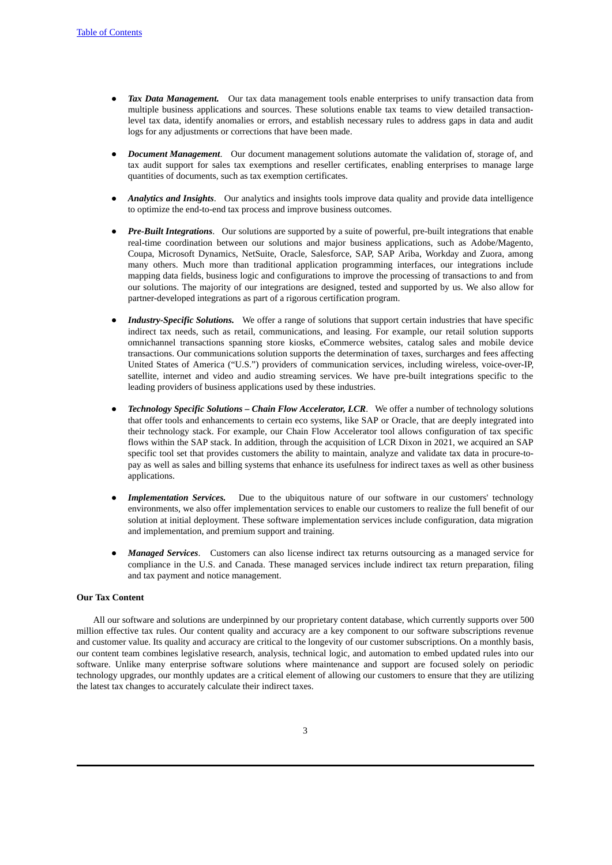- *Tax Data Management.* Our tax data management tools enable enterprises to unify transaction data from multiple business applications and sources. These solutions enable tax teams to view detailed transactionlevel tax data, identify anomalies or errors, and establish necessary rules to address gaps in data and audit logs for any adjustments or corrections that have been made.
- **Document Management**. Our document management solutions automate the validation of, storage of, and tax audit support for sales tax exemptions and reseller certificates, enabling enterprises to manage large quantities of documents, such as tax exemption certificates.
- *Analytics and Insights*. Our analytics and insights tools improve data quality and provide data intelligence to optimize the end-to-end tax process and improve business outcomes.
- *Pre-Built Integrations*. Our solutions are supported by a suite of powerful, pre-built integrations that enable real-time coordination between our solutions and major business applications, such as Adobe/Magento, Coupa, Microsoft Dynamics, NetSuite, Oracle, Salesforce, SAP, SAP Ariba, Workday and Zuora, among many others. Much more than traditional application programming interfaces, our integrations include mapping data fields, business logic and configurations to improve the processing of transactions to and from our solutions. The majority of our integrations are designed, tested and supported by us. We also allow for partner-developed integrations as part of a rigorous certification program.
- *Industry-Specific Solutions.* We offer a range of solutions that support certain industries that have specific indirect tax needs, such as retail, communications, and leasing. For example, our retail solution supports omnichannel transactions spanning store kiosks, eCommerce websites, catalog sales and mobile device transactions. Our communications solution supports the determination of taxes, surcharges and fees affecting United States of America ("U.S.") providers of communication services, including wireless, voice-over-IP, satellite, internet and video and audio streaming services. We have pre-built integrations specific to the leading providers of business applications used by these industries.
- *Technology Specific Solutions – Chain Flow Accelerator, LCR*. We offer a number of technology solutions that offer tools and enhancements to certain eco systems, like SAP or Oracle, that are deeply integrated into their technology stack. For example, our Chain Flow Accelerator tool allows configuration of tax specific flows within the SAP stack. In addition, through the acquisition of LCR Dixon in 2021, we acquired an SAP specific tool set that provides customers the ability to maintain, analyze and validate tax data in procure-topay as well as sales and billing systems that enhance its usefulness for indirect taxes as well as other business applications.
- **Implementation Services.** Due to the ubiquitous nature of our software in our customers' technology environments, we also offer implementation services to enable our customers to realize the full benefit of our solution at initial deployment. These software implementation services include configuration, data migration and implementation, and premium support and training.
- *Managed Services*. Customers can also license indirect tax returns outsourcing as a managed service for compliance in the U.S. and Canada. These managed services include indirect tax return preparation, filing and tax payment and notice management.

## **Our Tax Content**

All our software and solutions are underpinned by our proprietary content database, which currently supports over 500 million effective tax rules. Our content quality and accuracy are a key component to our software subscriptions revenue and customer value. Its quality and accuracy are critical to the longevity of our customer subscriptions. On a monthly basis, our content team combines legislative research, analysis, technical logic, and automation to embed updated rules into our software. Unlike many enterprise software solutions where maintenance and support are focused solely on periodic technology upgrades, our monthly updates are a critical element of allowing our customers to ensure that they are utilizing the latest tax changes to accurately calculate their indirect taxes.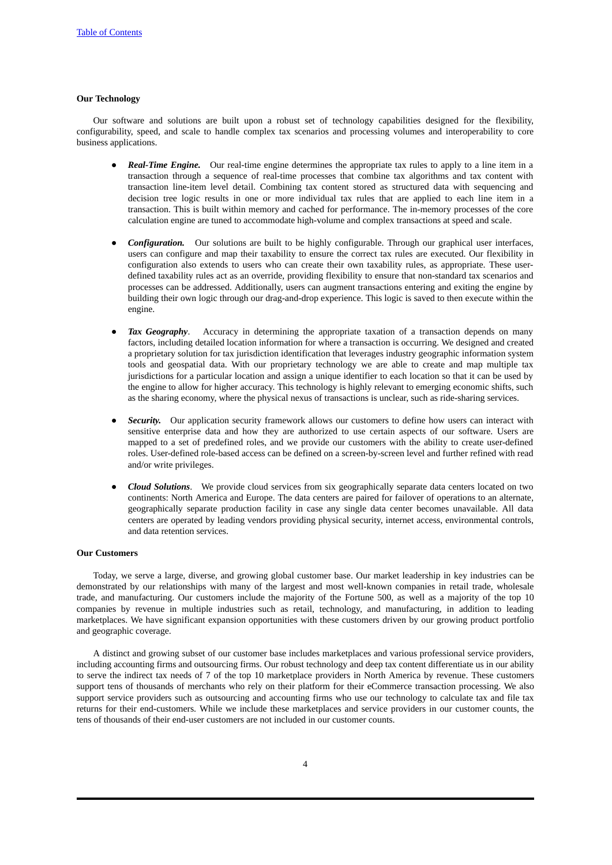## **Our Technology**

Our software and solutions are built upon a robust set of technology capabilities designed for the flexibility, configurability, speed, and scale to handle complex tax scenarios and processing volumes and interoperability to core business applications.

- *Real-Time Engine.* Our real-time engine determines the appropriate tax rules to apply to a line item in a transaction through a sequence of real-time processes that combine tax algorithms and tax content with transaction line-item level detail. Combining tax content stored as structured data with sequencing and decision tree logic results in one or more individual tax rules that are applied to each line item in a transaction. This is built within memory and cached for performance. The in-memory processes of the core calculation engine are tuned to accommodate high-volume and complex transactions at speed and scale.
- *Configuration.* Our solutions are built to be highly configurable. Through our graphical user interfaces, users can configure and map their taxability to ensure the correct tax rules are executed. Our flexibility in configuration also extends to users who can create their own taxability rules, as appropriate. These userdefined taxability rules act as an override, providing flexibility to ensure that non-standard tax scenarios and processes can be addressed. Additionally, users can augment transactions entering and exiting the engine by building their own logic through our drag-and-drop experience. This logic is saved to then execute within the engine.
- **Tax Geography.** Accuracy in determining the appropriate taxation of a transaction depends on many factors, including detailed location information for where a transaction is occurring. We designed and created a proprietary solution for tax jurisdiction identification that leverages industry geographic information system tools and geospatial data. With our proprietary technology we are able to create and map multiple tax jurisdictions for a particular location and assign a unique identifier to each location so that it can be used by the engine to allow for higher accuracy. This technology is highly relevant to emerging economic shifts, such as the sharing economy, where the physical nexus of transactions is unclear, such as ride-sharing services.
- Security. Our application security framework allows our customers to define how users can interact with sensitive enterprise data and how they are authorized to use certain aspects of our software. Users are mapped to a set of predefined roles, and we provide our customers with the ability to create user-defined roles. User-defined role-based access can be defined on a screen-by-screen level and further refined with read and/or write privileges.
- *Cloud Solutions.* We provide cloud services from six geographically separate data centers located on two continents: North America and Europe. The data centers are paired for failover of operations to an alternate, geographically separate production facility in case any single data center becomes unavailable. All data centers are operated by leading vendors providing physical security, internet access, environmental controls, and data retention services.

## **Our Customers**

Today, we serve a large, diverse, and growing global customer base. Our market leadership in key industries can be demonstrated by our relationships with many of the largest and most well-known companies in retail trade, wholesale trade, and manufacturing. Our customers include the majority of the Fortune 500, as well as a majority of the top 10 companies by revenue in multiple industries such as retail, technology, and manufacturing, in addition to leading marketplaces. We have significant expansion opportunities with these customers driven by our growing product portfolio and geographic coverage.

A distinct and growing subset of our customer base includes marketplaces and various professional service providers, including accounting firms and outsourcing firms. Our robust technology and deep tax content differentiate us in our ability to serve the indirect tax needs of 7 of the top 10 marketplace providers in North America by revenue. These customers support tens of thousands of merchants who rely on their platform for their eCommerce transaction processing. We also support service providers such as outsourcing and accounting firms who use our technology to calculate tax and file tax returns for their end-customers. While we include these marketplaces and service providers in our customer counts, the tens of thousands of their end-user customers are not included in our customer counts.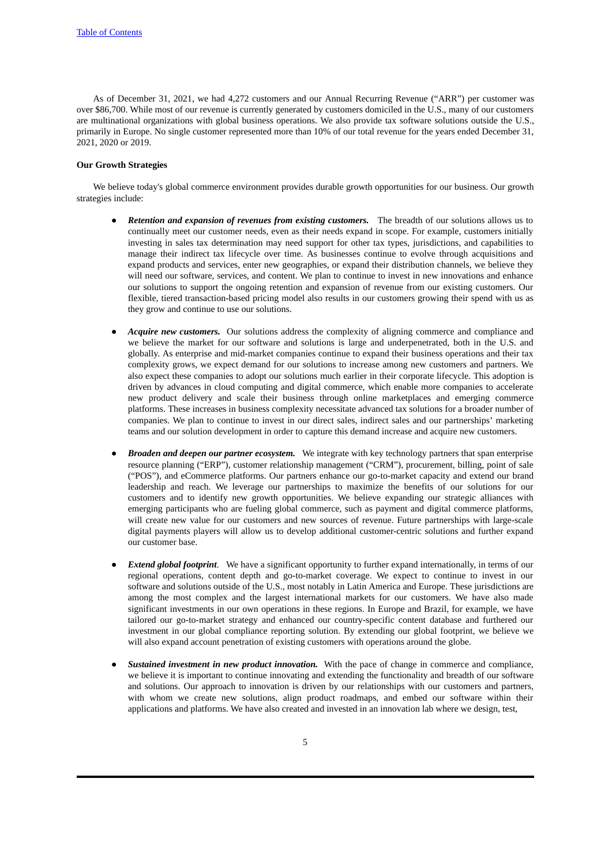As of December 31, 2021, we had 4,272 customers and our Annual Recurring Revenue ("ARR") per customer was over \$86,700. While most of our revenue is currently generated by customers domiciled in the U.S., many of our customers are multinational organizations with global business operations. We also provide tax software solutions outside the U.S., primarily in Europe. No single customer represented more than 10% of our total revenue for the years ended December 31, 2021, 2020 or 2019.

## **Our Growth Strategies**

We believe today's global commerce environment provides durable growth opportunities for our business. Our growth strategies include:

- *Retention and expansion of revenues from existing customers.* The breadth of our solutions allows us to continually meet our customer needs, even as their needs expand in scope. For example, customers initially investing in sales tax determination may need support for other tax types, jurisdictions, and capabilities to manage their indirect tax lifecycle over time. As businesses continue to evolve through acquisitions and expand products and services, enter new geographies, or expand their distribution channels, we believe they will need our software, services, and content. We plan to continue to invest in new innovations and enhance our solutions to support the ongoing retention and expansion of revenue from our existing customers. Our flexible, tiered transaction-based pricing model also results in our customers growing their spend with us as they grow and continue to use our solutions.
- *Acquire new customers.* Our solutions address the complexity of aligning commerce and compliance and we believe the market for our software and solutions is large and underpenetrated, both in the U.S. and globally. As enterprise and mid-market companies continue to expand their business operations and their tax complexity grows, we expect demand for our solutions to increase among new customers and partners. We also expect these companies to adopt our solutions much earlier in their corporate lifecycle. This adoption is driven by advances in cloud computing and digital commerce, which enable more companies to accelerate new product delivery and scale their business through online marketplaces and emerging commerce platforms. These increases in business complexity necessitate advanced tax solutions for a broader number of companies. We plan to continue to invest in our direct sales, indirect sales and our partnerships' marketing teams and our solution development in order to capture this demand increase and acquire new customers.
- *Broaden and deepen our partner ecosystem.* We integrate with key technology partners that span enterprise resource planning ("ERP"), customer relationship management ("CRM"), procurement, billing, point of sale ("POS"), and eCommerce platforms. Our partners enhance our go-to-market capacity and extend our brand leadership and reach. We leverage our partnerships to maximize the benefits of our solutions for our customers and to identify new growth opportunities. We believe expanding our strategic alliances with emerging participants who are fueling global commerce, such as payment and digital commerce platforms, will create new value for our customers and new sources of revenue. Future partnerships with large-scale digital payments players will allow us to develop additional customer-centric solutions and further expand our customer base.
- *Extend global footprint.* We have a significant opportunity to further expand internationally, in terms of our regional operations, content depth and go-to-market coverage. We expect to continue to invest in our software and solutions outside of the U.S., most notably in Latin America and Europe. These jurisdictions are among the most complex and the largest international markets for our customers. We have also made significant investments in our own operations in these regions. In Europe and Brazil, for example, we have tailored our go-to-market strategy and enhanced our country-specific content database and furthered our investment in our global compliance reporting solution. By extending our global footprint, we believe we will also expand account penetration of existing customers with operations around the globe.
- *Sustained investment in new product innovation.* With the pace of change in commerce and compliance, we believe it is important to continue innovating and extending the functionality and breadth of our software and solutions. Our approach to innovation is driven by our relationships with our customers and partners, with whom we create new solutions, align product roadmaps, and embed our software within their applications and platforms. We have also created and invested in an innovation lab where we design, test,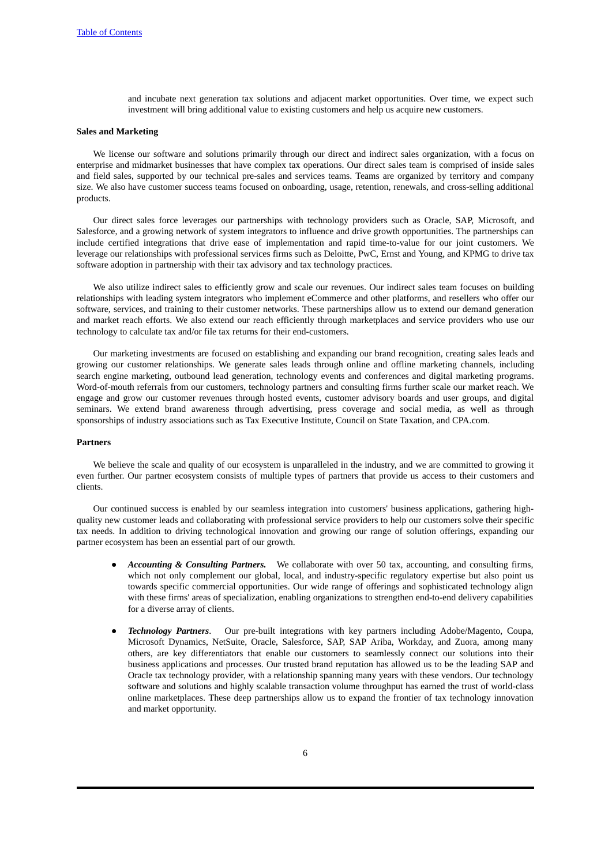and incubate next generation tax solutions and adjacent market opportunities. Over time, we expect such investment will bring additional value to existing customers and help us acquire new customers.

#### **Sales and Marketing**

We license our software and solutions primarily through our direct and indirect sales organization, with a focus on enterprise and midmarket businesses that have complex tax operations. Our direct sales team is comprised of inside sales and field sales, supported by our technical pre-sales and services teams. Teams are organized by territory and company size. We also have customer success teams focused on onboarding, usage, retention, renewals, and cross-selling additional products.

Our direct sales force leverages our partnerships with technology providers such as Oracle, SAP, Microsoft, and Salesforce, and a growing network of system integrators to influence and drive growth opportunities. The partnerships can include certified integrations that drive ease of implementation and rapid time-to-value for our joint customers. We leverage our relationships with professional services firms such as Deloitte, PwC, Ernst and Young, and KPMG to drive tax software adoption in partnership with their tax advisory and tax technology practices.

We also utilize indirect sales to efficiently grow and scale our revenues. Our indirect sales team focuses on building relationships with leading system integrators who implement eCommerce and other platforms, and resellers who offer our software, services, and training to their customer networks. These partnerships allow us to extend our demand generation and market reach efforts. We also extend our reach efficiently through marketplaces and service providers who use our technology to calculate tax and/or file tax returns for their end-customers.

Our marketing investments are focused on establishing and expanding our brand recognition, creating sales leads and growing our customer relationships. We generate sales leads through online and offline marketing channels, including search engine marketing, outbound lead generation, technology events and conferences and digital marketing programs. Word-of-mouth referrals from our customers, technology partners and consulting firms further scale our market reach. We engage and grow our customer revenues through hosted events, customer advisory boards and user groups, and digital seminars. We extend brand awareness through advertising, press coverage and social media, as well as through sponsorships of industry associations such as Tax Executive Institute, Council on State Taxation, and CPA.com.

#### **Partners**

We believe the scale and quality of our ecosystem is unparalleled in the industry, and we are committed to growing it even further. Our partner ecosystem consists of multiple types of partners that provide us access to their customers and clients.

Our continued success is enabled by our seamless integration into customers' business applications, gathering highquality new customer leads and collaborating with professional service providers to help our customers solve their specific tax needs. In addition to driving technological innovation and growing our range of solution offerings, expanding our partner ecosystem has been an essential part of our growth.

- *Accounting & Consulting Partners.* We collaborate with over 50 tax, accounting, and consulting firms, which not only complement our global, local, and industry-specific regulatory expertise but also point us towards specific commercial opportunities. Our wide range of offerings and sophisticated technology align with these firms' areas of specialization, enabling organizations to strengthen end-to-end delivery capabilities for a diverse array of clients.
- *Technology Partners*. Our pre-built integrations with key partners including Adobe/Magento, Coupa, Microsoft Dynamics, NetSuite, Oracle, Salesforce, SAP, SAP Ariba, Workday, and Zuora, among many others, are key differentiators that enable our customers to seamlessly connect our solutions into their business applications and processes. Our trusted brand reputation has allowed us to be the leading SAP and Oracle tax technology provider, with a relationship spanning many years with these vendors. Our technology software and solutions and highly scalable transaction volume throughput has earned the trust of world-class online marketplaces. These deep partnerships allow us to expand the frontier of tax technology innovation and market opportunity.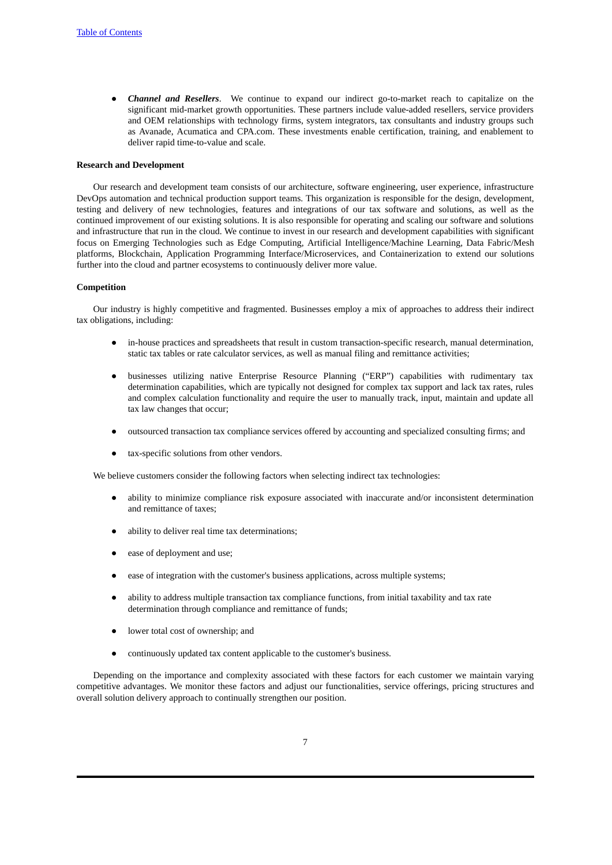● *Channel and Resellers*. We continue to expand our indirect go-to-market reach to capitalize on the significant mid-market growth opportunities. These partners include value-added resellers, service providers and OEM relationships with technology firms, system integrators, tax consultants and industry groups such as Avanade, Acumatica and CPA.com. These investments enable certification, training, and enablement to deliver rapid time-to-value and scale.

## **Research and Development**

Our research and development team consists of our architecture, software engineering, user experience, infrastructure DevOps automation and technical production support teams. This organization is responsible for the design, development, testing and delivery of new technologies, features and integrations of our tax software and solutions, as well as the continued improvement of our existing solutions. It is also responsible for operating and scaling our software and solutions and infrastructure that run in the cloud. We continue to invest in our research and development capabilities with significant focus on Emerging Technologies such as Edge Computing, Artificial Intelligence/Machine Learning, Data Fabric/Mesh platforms, Blockchain, Application Programming Interface/Microservices, and Containerization to extend our solutions further into the cloud and partner ecosystems to continuously deliver more value.

## **Competition**

Our industry is highly competitive and fragmented. Businesses employ a mix of approaches to address their indirect tax obligations, including:

- in-house practices and spreadsheets that result in custom transaction-specific research, manual determination, static tax tables or rate calculator services, as well as manual filing and remittance activities;
- businesses utilizing native Enterprise Resource Planning ("ERP") capabilities with rudimentary tax determination capabilities, which are typically not designed for complex tax support and lack tax rates, rules and complex calculation functionality and require the user to manually track, input, maintain and update all tax law changes that occur;
- outsourced transaction tax compliance services offered by accounting and specialized consulting firms; and
- tax-specific solutions from other vendors.

We believe customers consider the following factors when selecting indirect tax technologies:

- ability to minimize compliance risk exposure associated with inaccurate and/or inconsistent determination and remittance of taxes;
- ability to deliver real time tax determinations;
- ease of deployment and use;
- ease of integration with the customer's business applications, across multiple systems;
- ability to address multiple transaction tax compliance functions, from initial taxability and tax rate determination through compliance and remittance of funds;
- lower total cost of ownership; and
- continuously updated tax content applicable to the customer's business.

Depending on the importance and complexity associated with these factors for each customer we maintain varying competitive advantages. We monitor these factors and adjust our functionalities, service offerings, pricing structures and overall solution delivery approach to continually strengthen our position.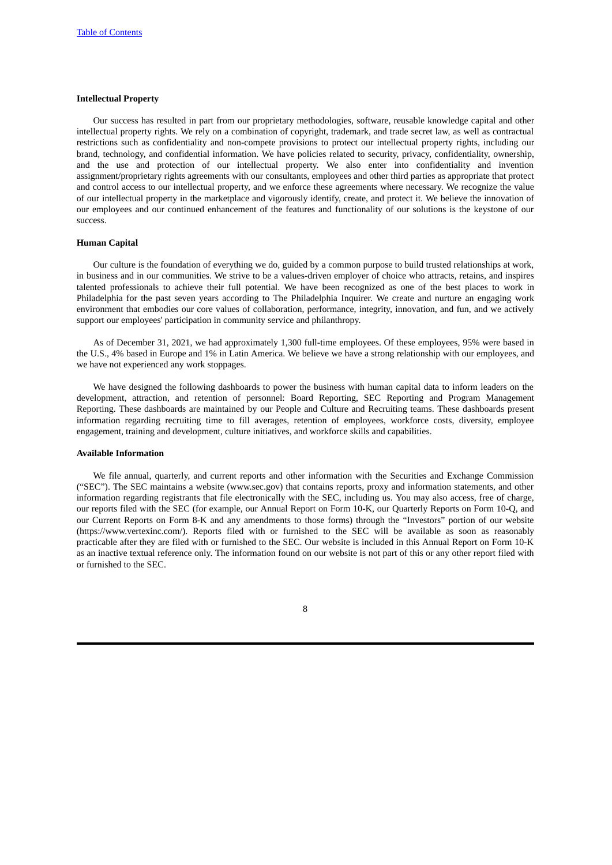## **Intellectual Property**

Our success has resulted in part from our proprietary methodologies, software, reusable knowledge capital and other intellectual property rights. We rely on a combination of copyright, trademark, and trade secret law, as well as contractual restrictions such as confidentiality and non-compete provisions to protect our intellectual property rights, including our brand, technology, and confidential information. We have policies related to security, privacy, confidentiality, ownership, and the use and protection of our intellectual property. We also enter into confidentiality and invention assignment/proprietary rights agreements with our consultants, employees and other third parties as appropriate that protect and control access to our intellectual property, and we enforce these agreements where necessary. We recognize the value of our intellectual property in the marketplace and vigorously identify, create, and protect it. We believe the innovation of our employees and our continued enhancement of the features and functionality of our solutions is the keystone of our success.

#### **Human Capital**

Our culture is the foundation of everything we do, guided by a common purpose to build trusted relationships at work, in business and in our communities. We strive to be a values-driven employer of choice who attracts, retains, and inspires talented professionals to achieve their full potential. We have been recognized as one of the best places to work in Philadelphia for the past seven years according to The Philadelphia Inquirer. We create and nurture an engaging work environment that embodies our core values of collaboration, performance, integrity, innovation, and fun, and we actively support our employees' participation in community service and philanthropy.

As of December 31, 2021, we had approximately 1,300 full-time employees. Of these employees, 95% were based in the U.S., 4% based in Europe and 1% in Latin America. We believe we have a strong relationship with our employees, and we have not experienced any work stoppages.

We have designed the following dashboards to power the business with human capital data to inform leaders on the development, attraction, and retention of personnel: Board Reporting, SEC Reporting and Program Management Reporting. These dashboards are maintained by our People and Culture and Recruiting teams. These dashboards present information regarding recruiting time to fill averages, retention of employees, workforce costs, diversity, employee engagement, training and development, culture initiatives, and workforce skills and capabilities.

## **Available Information**

We file annual, quarterly, and current reports and other information with the Securities and Exchange Commission ("SEC"). The SEC maintains a website (www.sec.gov) that contains reports, proxy and information statements, and other information regarding registrants that file electronically with the SEC, including us. You may also access, free of charge, our reports filed with the SEC (for example, our Annual Report on Form 10-K, our Quarterly Reports on Form 10-Q, and our Current Reports on Form 8-K and any amendments to those forms) through the "Investors" portion of our website (https://www.vertexinc.com/). Reports filed with or furnished to the SEC will be available as soon as reasonably practicable after they are filed with or furnished to the SEC. Our website is included in this Annual Report on Form 10-K as an inactive textual reference only. The information found on our website is not part of this or any other report filed with or furnished to the SEC.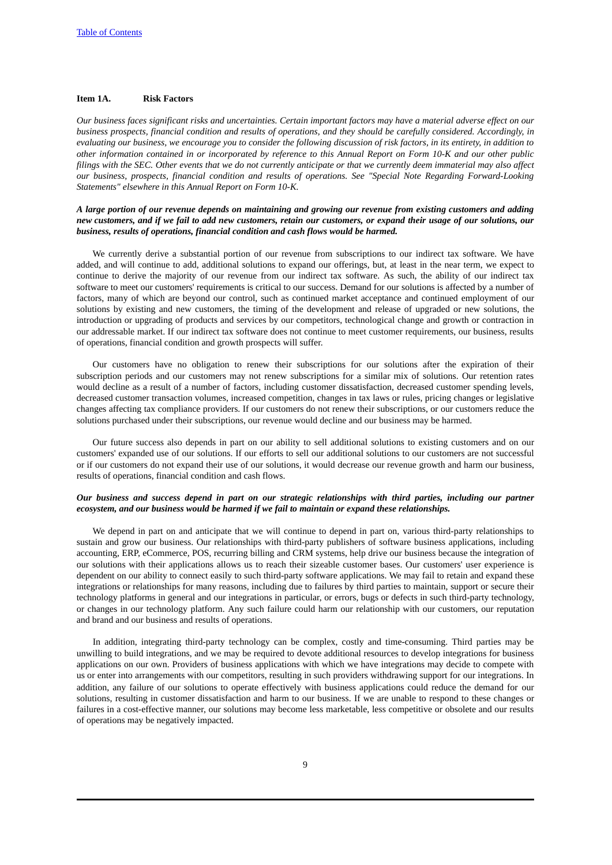## <span id="page-10-0"></span>**Item 1A. Risk Factors**

Our business faces significant risks and uncertainties. Certain important factors may have a material adverse effect on our business prospects, financial condition and results of operations, and they should be carefully considered. Accordingly, in evaluating our business, we encourage you to consider the following discussion of risk factors, in its entirety, in addition to other information contained in or incorporated by reference to this Annual Report on Form 10-K and our other public filings with the SEC. Other events that we do not currently anticipate or that we currently deem immaterial may also affect *our business, prospects, financial condition and results of operations. See "Special Note Regarding Forward-Looking Statements" elsewhere in this Annual Report on Form 10-K.*

## A large portion of our revenue depends on maintaining and growing our revenue from existing customers and adding new customers, and if we fail to add new customers, retain our customers, or expand their usage of our solutions, our *business, results of operations, financial condition and cash flows would be harmed.*

We currently derive a substantial portion of our revenue from subscriptions to our indirect tax software. We have added, and will continue to add, additional solutions to expand our offerings, but, at least in the near term, we expect to continue to derive the majority of our revenue from our indirect tax software. As such, the ability of our indirect tax software to meet our customers' requirements is critical to our success. Demand for our solutions is affected by a number of factors, many of which are beyond our control, such as continued market acceptance and continued employment of our solutions by existing and new customers, the timing of the development and release of upgraded or new solutions, the introduction or upgrading of products and services by our competitors, technological change and growth or contraction in our addressable market. If our indirect tax software does not continue to meet customer requirements, our business, results of operations, financial condition and growth prospects will suffer.

Our customers have no obligation to renew their subscriptions for our solutions after the expiration of their subscription periods and our customers may not renew subscriptions for a similar mix of solutions. Our retention rates would decline as a result of a number of factors, including customer dissatisfaction, decreased customer spending levels, decreased customer transaction volumes, increased competition, changes in tax laws or rules, pricing changes or legislative changes affecting tax compliance providers. If our customers do not renew their subscriptions, or our customers reduce the solutions purchased under their subscriptions, our revenue would decline and our business may be harmed.

Our future success also depends in part on our ability to sell additional solutions to existing customers and on our customers' expanded use of our solutions. If our efforts to sell our additional solutions to our customers are not successful or if our customers do not expand their use of our solutions, it would decrease our revenue growth and harm our business, results of operations, financial condition and cash flows.

## Our business and success depend in part on our strategic relationships with third parties, including our partner *ecosystem, and our business would be harmed if we fail to maintain or expand these relationships.*

We depend in part on and anticipate that we will continue to depend in part on, various third-party relationships to sustain and grow our business. Our relationships with third-party publishers of software business applications, including accounting, ERP, eCommerce, POS, recurring billing and CRM systems, help drive our business because the integration of our solutions with their applications allows us to reach their sizeable customer bases. Our customers' user experience is dependent on our ability to connect easily to such third-party software applications. We may fail to retain and expand these integrations or relationships for many reasons, including due to failures by third parties to maintain, support or secure their technology platforms in general and our integrations in particular, or errors, bugs or defects in such third-party technology, or changes in our technology platform. Any such failure could harm our relationship with our customers, our reputation and brand and our business and results of operations.

In addition, integrating third-party technology can be complex, costly and time-consuming. Third parties may be unwilling to build integrations, and we may be required to devote additional resources to develop integrations for business applications on our own. Providers of business applications with which we have integrations may decide to compete with us or enter into arrangements with our competitors, resulting in such providers withdrawing support for our integrations. In addition, any failure of our solutions to operate effectively with business applications could reduce the demand for our solutions, resulting in customer dissatisfaction and harm to our business. If we are unable to respond to these changes or failures in a cost-effective manner, our solutions may become less marketable, less competitive or obsolete and our results of operations may be negatively impacted.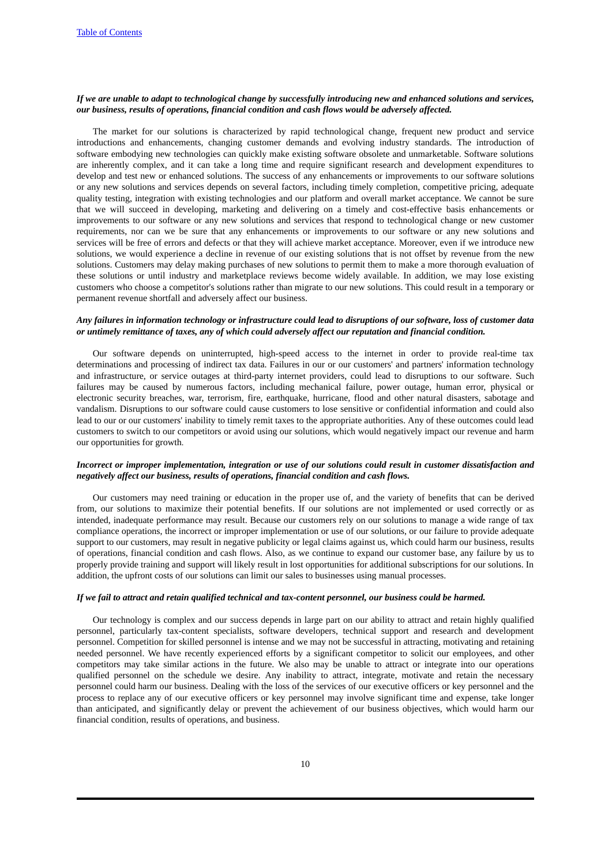## If we are unable to adapt to technological change by successfully introducing new and enhanced solutions and services. *our business, results of operations, financial condition and cash flows would be adversely affected.*

The market for our solutions is characterized by rapid technological change, frequent new product and service introductions and enhancements, changing customer demands and evolving industry standards. The introduction of software embodying new technologies can quickly make existing software obsolete and unmarketable. Software solutions are inherently complex, and it can take a long time and require significant research and development expenditures to develop and test new or enhanced solutions. The success of any enhancements or improvements to our software solutions or any new solutions and services depends on several factors, including timely completion, competitive pricing, adequate quality testing, integration with existing technologies and our platform and overall market acceptance. We cannot be sure that we will succeed in developing, marketing and delivering on a timely and cost-effective basis enhancements or improvements to our software or any new solutions and services that respond to technological change or new customer requirements, nor can we be sure that any enhancements or improvements to our software or any new solutions and services will be free of errors and defects or that they will achieve market acceptance. Moreover, even if we introduce new solutions, we would experience a decline in revenue of our existing solutions that is not offset by revenue from the new solutions. Customers may delay making purchases of new solutions to permit them to make a more thorough evaluation of these solutions or until industry and marketplace reviews become widely available. In addition, we may lose existing customers who choose a competitor's solutions rather than migrate to our new solutions. This could result in a temporary or permanent revenue shortfall and adversely affect our business.

## Any failures in information technology or infrastructure could lead to disruptions of our software, loss of customer data *or untimely remittance of taxes, any of which could adversely affect our reputation and financial condition.*

Our software depends on uninterrupted, high-speed access to the internet in order to provide real-time tax determinations and processing of indirect tax data. Failures in our or our customers' and partners' information technology and infrastructure, or service outages at third-party internet providers, could lead to disruptions to our software. Such failures may be caused by numerous factors, including mechanical failure, power outage, human error, physical or electronic security breaches, war, terrorism, fire, earthquake, hurricane, flood and other natural disasters, sabotage and vandalism. Disruptions to our software could cause customers to lose sensitive or confidential information and could also lead to our or our customers' inability to timely remit taxes to the appropriate authorities. Any of these outcomes could lead customers to switch to our competitors or avoid using our solutions, which would negatively impact our revenue and harm our opportunities for growth.

## Incorrect or improper implementation, integration or use of our solutions could result in customer dissatisfaction and *negatively affect our business, results of operations, financial condition and cash flows.*

Our customers may need training or education in the proper use of, and the variety of benefits that can be derived from, our solutions to maximize their potential benefits. If our solutions are not implemented or used correctly or as intended, inadequate performance may result. Because our customers rely on our solutions to manage a wide range of tax compliance operations, the incorrect or improper implementation or use of our solutions, or our failure to provide adequate support to our customers, may result in negative publicity or legal claims against us, which could harm our business, results of operations, financial condition and cash flows. Also, as we continue to expand our customer base, any failure by us to properly provide training and support will likely result in lost opportunities for additional subscriptions for our solutions. In addition, the upfront costs of our solutions can limit our sales to businesses using manual processes.

#### If we fail to attract and retain qualified technical and tax-content personnel, our business could be harmed.

Our technology is complex and our success depends in large part on our ability to attract and retain highly qualified personnel, particularly tax-content specialists, software developers, technical support and research and development personnel. Competition for skilled personnel is intense and we may not be successful in attracting, motivating and retaining needed personnel. We have recently experienced efforts by a significant competitor to solicit our employees, and other competitors may take similar actions in the future. We also may be unable to attract or integrate into our operations qualified personnel on the schedule we desire. Any inability to attract, integrate, motivate and retain the necessary personnel could harm our business. Dealing with the loss of the services of our executive officers or key personnel and the process to replace any of our executive officers or key personnel may involve significant time and expense, take longer than anticipated, and significantly delay or prevent the achievement of our business objectives, which would harm our financial condition, results of operations, and business.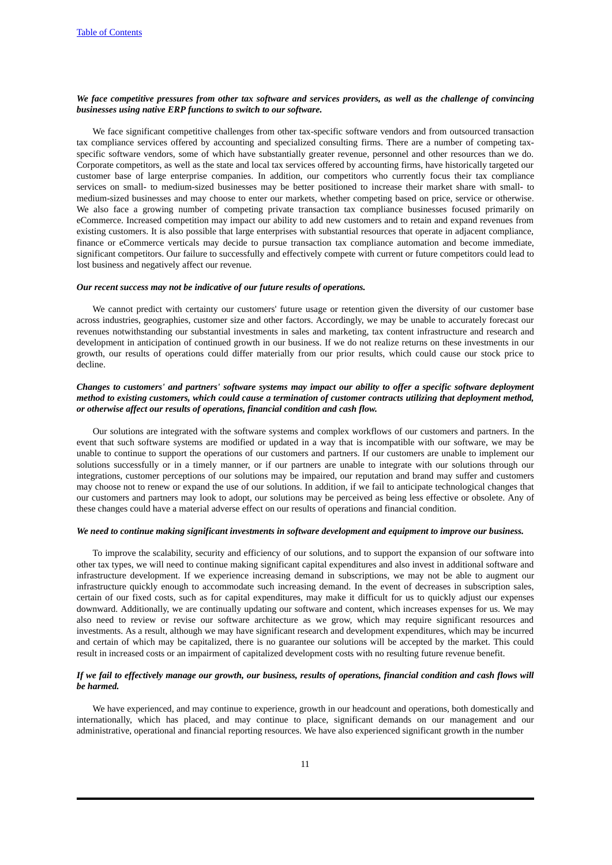## We face competitive pressures from other tax software and services providers, as well as the challenge of convincing *businesses using native ERP functions to switch to our software.*

We face significant competitive challenges from other tax-specific software vendors and from outsourced transaction tax compliance services offered by accounting and specialized consulting firms. There are a number of competing taxspecific software vendors, some of which have substantially greater revenue, personnel and other resources than we do. Corporate competitors, as well as the state and local tax services offered by accounting firms, have historically targeted our customer base of large enterprise companies. In addition, our competitors who currently focus their tax compliance services on small- to medium-sized businesses may be better positioned to increase their market share with small- to medium-sized businesses and may choose to enter our markets, whether competing based on price, service or otherwise. We also face a growing number of competing private transaction tax compliance businesses focused primarily on eCommerce. Increased competition may impact our ability to add new customers and to retain and expand revenues from existing customers. It is also possible that large enterprises with substantial resources that operate in adjacent compliance, finance or eCommerce verticals may decide to pursue transaction tax compliance automation and become immediate, significant competitors. Our failure to successfully and effectively compete with current or future competitors could lead to lost business and negatively affect our revenue.

#### *Our recent success may not be indicative of our future results of operations.*

We cannot predict with certainty our customers' future usage or retention given the diversity of our customer base across industries, geographies, customer size and other factors. Accordingly, we may be unable to accurately forecast our revenues notwithstanding our substantial investments in sales and marketing, tax content infrastructure and research and development in anticipation of continued growth in our business. If we do not realize returns on these investments in our growth, our results of operations could differ materially from our prior results, which could cause our stock price to decline.

## Changes to customers' and partners' software systems may impact our ability to offer a specific software deployment method to existing customers, which could cause a termination of customer contracts utilizing that deployment method, *or otherwise affect our results of operations, financial condition and cash flow.*

Our solutions are integrated with the software systems and complex workflows of our customers and partners. In the event that such software systems are modified or updated in a way that is incompatible with our software, we may be unable to continue to support the operations of our customers and partners. If our customers are unable to implement our solutions successfully or in a timely manner, or if our partners are unable to integrate with our solutions through our integrations, customer perceptions of our solutions may be impaired, our reputation and brand may suffer and customers may choose not to renew or expand the use of our solutions. In addition, if we fail to anticipate technological changes that our customers and partners may look to adopt, our solutions may be perceived as being less effective or obsolete. Any of these changes could have a material adverse effect on our results of operations and financial condition.

#### We need to continue making significant investments in software development and equipment to improve our business.

To improve the scalability, security and efficiency of our solutions, and to support the expansion of our software into other tax types, we will need to continue making significant capital expenditures and also invest in additional software and infrastructure development. If we experience increasing demand in subscriptions, we may not be able to augment our infrastructure quickly enough to accommodate such increasing demand. In the event of decreases in subscription sales, certain of our fixed costs, such as for capital expenditures, may make it difficult for us to quickly adjust our expenses downward. Additionally, we are continually updating our software and content, which increases expenses for us. We may also need to review or revise our software architecture as we grow, which may require significant resources and investments. As a result, although we may have significant research and development expenditures, which may be incurred and certain of which may be capitalized, there is no guarantee our solutions will be accepted by the market. This could result in increased costs or an impairment of capitalized development costs with no resulting future revenue benefit.

#### If we fail to effectively manage our growth, our business, results of operations, financial condition and cash flows will *be harmed.*

We have experienced, and may continue to experience, growth in our headcount and operations, both domestically and internationally, which has placed, and may continue to place, significant demands on our management and our administrative, operational and financial reporting resources. We have also experienced significant growth in the number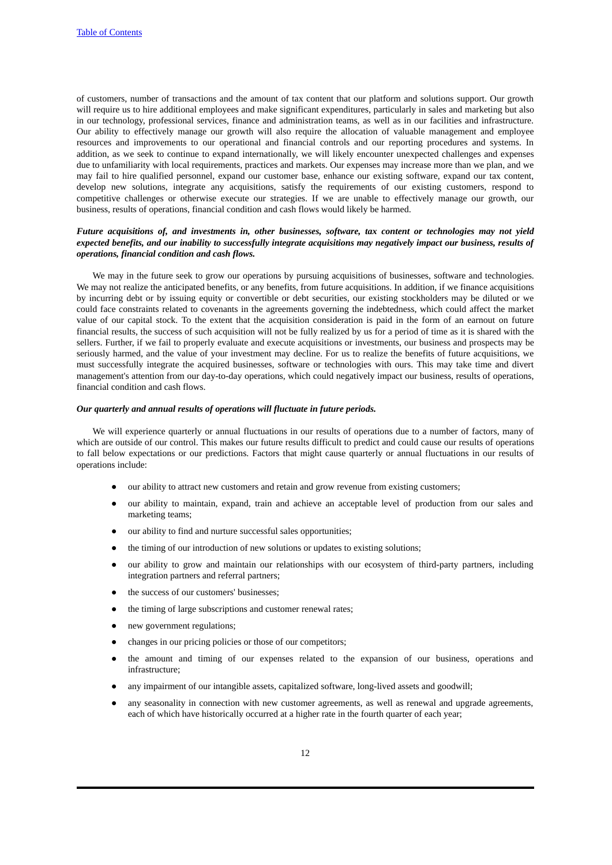of customers, number of transactions and the amount of tax content that our platform and solutions support. Our growth will require us to hire additional employees and make significant expenditures, particularly in sales and marketing but also in our technology, professional services, finance and administration teams, as well as in our facilities and infrastructure. Our ability to effectively manage our growth will also require the allocation of valuable management and employee resources and improvements to our operational and financial controls and our reporting procedures and systems. In addition, as we seek to continue to expand internationally, we will likely encounter unexpected challenges and expenses due to unfamiliarity with local requirements, practices and markets. Our expenses may increase more than we plan, and we may fail to hire qualified personnel, expand our customer base, enhance our existing software, expand our tax content, develop new solutions, integrate any acquisitions, satisfy the requirements of our existing customers, respond to competitive challenges or otherwise execute our strategies. If we are unable to effectively manage our growth, our business, results of operations, financial condition and cash flows would likely be harmed.

## Future acquisitions of, and investments in, other businesses, software, tax content or technologies may not yield expected benefits, and our inability to successfully integrate acquisitions may negatively impact our business, results of *operations, financial condition and cash flows.*

We may in the future seek to grow our operations by pursuing acquisitions of businesses, software and technologies. We may not realize the anticipated benefits, or any benefits, from future acquisitions. In addition, if we finance acquisitions by incurring debt or by issuing equity or convertible or debt securities, our existing stockholders may be diluted or we could face constraints related to covenants in the agreements governing the indebtedness, which could affect the market value of our capital stock. To the extent that the acquisition consideration is paid in the form of an earnout on future financial results, the success of such acquisition will not be fully realized by us for a period of time as it is shared with the sellers. Further, if we fail to properly evaluate and execute acquisitions or investments, our business and prospects may be seriously harmed, and the value of your investment may decline. For us to realize the benefits of future acquisitions, we must successfully integrate the acquired businesses, software or technologies with ours. This may take time and divert management's attention from our day-to-day operations, which could negatively impact our business, results of operations, financial condition and cash flows.

## *Our quarterly and annual results of operations will fluctuate in future periods.*

We will experience quarterly or annual fluctuations in our results of operations due to a number of factors, many of which are outside of our control. This makes our future results difficult to predict and could cause our results of operations to fall below expectations or our predictions. Factors that might cause quarterly or annual fluctuations in our results of operations include:

- our ability to attract new customers and retain and grow revenue from existing customers;
- our ability to maintain, expand, train and achieve an acceptable level of production from our sales and marketing teams;
- our ability to find and nurture successful sales opportunities;
- the timing of our introduction of new solutions or updates to existing solutions;
- our ability to grow and maintain our relationships with our ecosystem of third-party partners, including integration partners and referral partners;
- the success of our customers' businesses;
- the timing of large subscriptions and customer renewal rates;
- new government regulations;
- changes in our pricing policies or those of our competitors;
- the amount and timing of our expenses related to the expansion of our business, operations and infrastructure;
- any impairment of our intangible assets, capitalized software, long-lived assets and goodwill;
- any seasonality in connection with new customer agreements, as well as renewal and upgrade agreements, each of which have historically occurred at a higher rate in the fourth quarter of each year;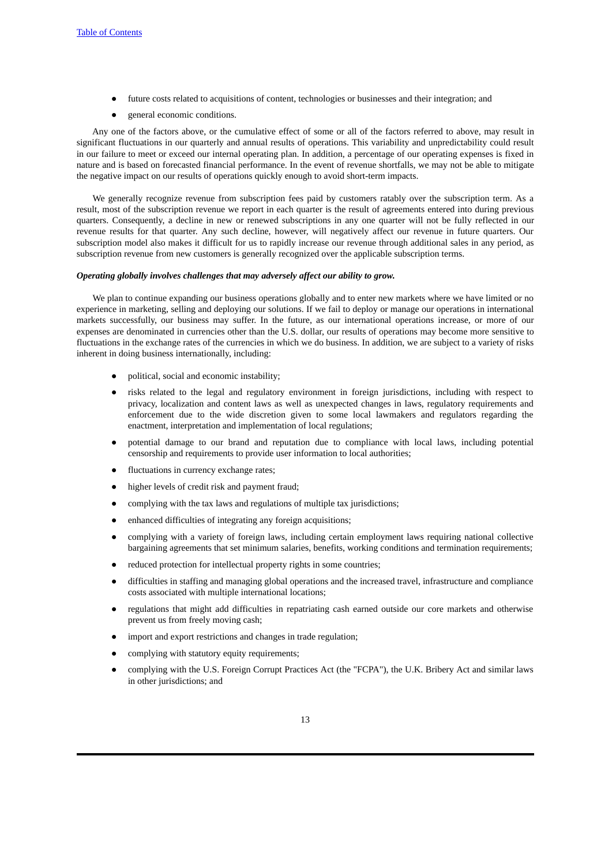- future costs related to acquisitions of content, technologies or businesses and their integration; and
- general economic conditions.

Any one of the factors above, or the cumulative effect of some or all of the factors referred to above, may result in significant fluctuations in our quarterly and annual results of operations. This variability and unpredictability could result in our failure to meet or exceed our internal operating plan. In addition, a percentage of our operating expenses is fixed in nature and is based on forecasted financial performance. In the event of revenue shortfalls, we may not be able to mitigate the negative impact on our results of operations quickly enough to avoid short-term impacts.

We generally recognize revenue from subscription fees paid by customers ratably over the subscription term. As a result, most of the subscription revenue we report in each quarter is the result of agreements entered into during previous quarters. Consequently, a decline in new or renewed subscriptions in any one quarter will not be fully reflected in our revenue results for that quarter. Any such decline, however, will negatively affect our revenue in future quarters. Our subscription model also makes it difficult for us to rapidly increase our revenue through additional sales in any period, as subscription revenue from new customers is generally recognized over the applicable subscription terms.

#### *Operating globally involves challenges that may adversely affect our ability to grow.*

We plan to continue expanding our business operations globally and to enter new markets where we have limited or no experience in marketing, selling and deploying our solutions. If we fail to deploy or manage our operations in international markets successfully, our business may suffer. In the future, as our international operations increase, or more of our expenses are denominated in currencies other than the U.S. dollar, our results of operations may become more sensitive to fluctuations in the exchange rates of the currencies in which we do business. In addition, we are subject to a variety of risks inherent in doing business internationally, including:

- political, social and economic instability;
- risks related to the legal and regulatory environment in foreign jurisdictions, including with respect to privacy, localization and content laws as well as unexpected changes in laws, regulatory requirements and enforcement due to the wide discretion given to some local lawmakers and regulators regarding the enactment, interpretation and implementation of local regulations;
- potential damage to our brand and reputation due to compliance with local laws, including potential censorship and requirements to provide user information to local authorities;
- fluctuations in currency exchange rates:
- higher levels of credit risk and payment fraud;
- complying with the tax laws and regulations of multiple tax jurisdictions;
- enhanced difficulties of integrating any foreign acquisitions;
- complying with a variety of foreign laws, including certain employment laws requiring national collective bargaining agreements that set minimum salaries, benefits, working conditions and termination requirements;
- reduced protection for intellectual property rights in some countries;
- difficulties in staffing and managing global operations and the increased travel, infrastructure and compliance costs associated with multiple international locations;
- regulations that might add difficulties in repatriating cash earned outside our core markets and otherwise prevent us from freely moving cash;
- import and export restrictions and changes in trade regulation;
- complying with statutory equity requirements;
- complying with the U.S. Foreign Corrupt Practices Act (the "FCPA"), the U.K. Bribery Act and similar laws in other jurisdictions; and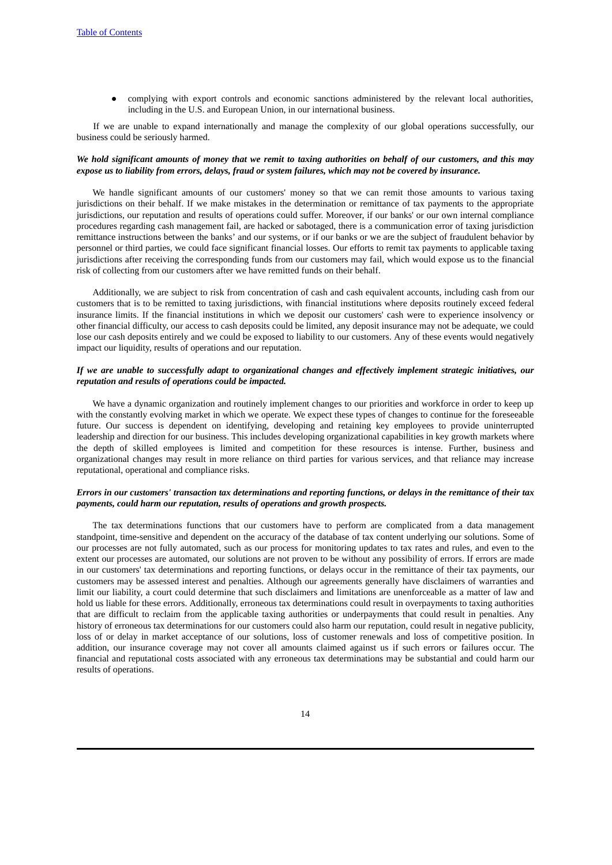complying with export controls and economic sanctions administered by the relevant local authorities, including in the U.S. and European Union, in our international business.

If we are unable to expand internationally and manage the complexity of our global operations successfully, our business could be seriously harmed.

## We hold significant amounts of money that we remit to taxing authorities on behalf of our customers, and this may expose us to liability from errors, delays, fraud or system failures, which may not be covered by insurance.

We handle significant amounts of our customers' money so that we can remit those amounts to various taxing jurisdictions on their behalf. If we make mistakes in the determination or remittance of tax payments to the appropriate jurisdictions, our reputation and results of operations could suffer. Moreover, if our banks' or our own internal compliance procedures regarding cash management fail, are hacked or sabotaged, there is a communication error of taxing jurisdiction remittance instructions between the banks' and our systems, or if our banks or we are the subject of fraudulent behavior by personnel or third parties, we could face significant financial losses. Our efforts to remit tax payments to applicable taxing jurisdictions after receiving the corresponding funds from our customers may fail, which would expose us to the financial risk of collecting from our customers after we have remitted funds on their behalf.

Additionally, we are subject to risk from concentration of cash and cash equivalent accounts, including cash from our customers that is to be remitted to taxing jurisdictions, with financial institutions where deposits routinely exceed federal insurance limits. If the financial institutions in which we deposit our customers' cash were to experience insolvency or other financial difficulty, our access to cash deposits could be limited, any deposit insurance may not be adequate, we could lose our cash deposits entirely and we could be exposed to liability to our customers. Any of these events would negatively impact our liquidity, results of operations and our reputation.

## If we are unable to successfully adapt to organizational changes and effectively implement strategic initiatives, our *reputation and results of operations could be impacted.*

We have a dynamic organization and routinely implement changes to our priorities and workforce in order to keep up with the constantly evolving market in which we operate. We expect these types of changes to continue for the foreseeable future. Our success is dependent on identifying, developing and retaining key employees to provide uninterrupted leadership and direction for our business. This includes developing organizational capabilities in key growth markets where the depth of skilled employees is limited and competition for these resources is intense. Further, business and organizational changes may result in more reliance on third parties for various services, and that reliance may increase reputational, operational and compliance risks.

## Errors in our customers' transaction tax determinations and reporting functions, or delays in the remittance of their tax *payments, could harm our reputation, results of operations and growth prospects.*

The tax determinations functions that our customers have to perform are complicated from a data management standpoint, time-sensitive and dependent on the accuracy of the database of tax content underlying our solutions. Some of our processes are not fully automated, such as our process for monitoring updates to tax rates and rules, and even to the extent our processes are automated, our solutions are not proven to be without any possibility of errors. If errors are made in our customers' tax determinations and reporting functions, or delays occur in the remittance of their tax payments, our customers may be assessed interest and penalties. Although our agreements generally have disclaimers of warranties and limit our liability, a court could determine that such disclaimers and limitations are unenforceable as a matter of law and hold us liable for these errors. Additionally, erroneous tax determinations could result in overpayments to taxing authorities that are difficult to reclaim from the applicable taxing authorities or underpayments that could result in penalties. Any history of erroneous tax determinations for our customers could also harm our reputation, could result in negative publicity, loss of or delay in market acceptance of our solutions, loss of customer renewals and loss of competitive position. In addition, our insurance coverage may not cover all amounts claimed against us if such errors or failures occur. The financial and reputational costs associated with any erroneous tax determinations may be substantial and could harm our results of operations.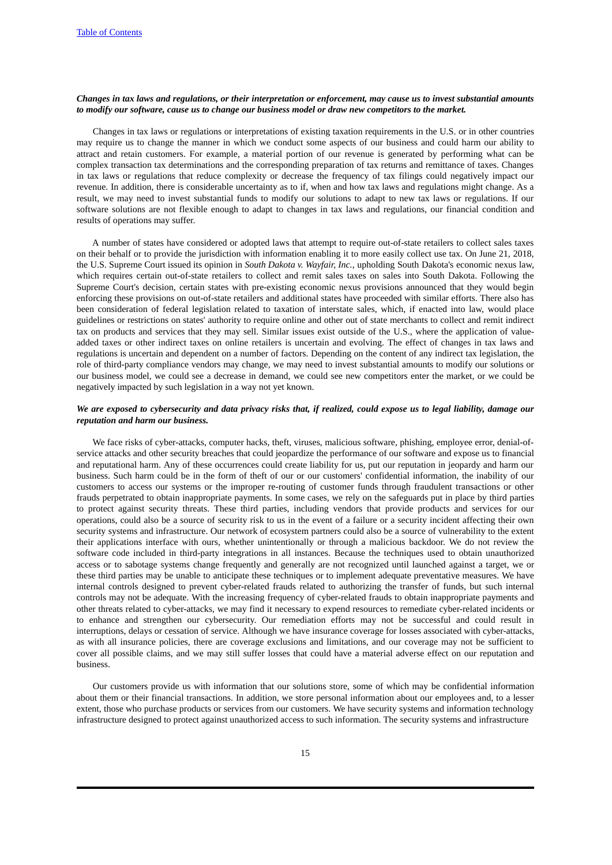## Changes in tax laws and regulations, or their interpretation or enforcement, may cause us to invest substantial amounts to modify our software, cause us to change our business model or draw new competitors to the market.

Changes in tax laws or regulations or interpretations of existing taxation requirements in the U.S. or in other countries may require us to change the manner in which we conduct some aspects of our business and could harm our ability to attract and retain customers. For example, a material portion of our revenue is generated by performing what can be complex transaction tax determinations and the corresponding preparation of tax returns and remittance of taxes. Changes in tax laws or regulations that reduce complexity or decrease the frequency of tax filings could negatively impact our revenue. In addition, there is considerable uncertainty as to if, when and how tax laws and regulations might change. As a result, we may need to invest substantial funds to modify our solutions to adapt to new tax laws or regulations. If our software solutions are not flexible enough to adapt to changes in tax laws and regulations, our financial condition and results of operations may suffer.

A number of states have considered or adopted laws that attempt to require out-of-state retailers to collect sales taxes on their behalf or to provide the jurisdiction with information enabling it to more easily collect use tax. On June 21, 2018, the U.S. Supreme Court issued its opinion in *South Dakota v. Wayfair, Inc.*, upholding South Dakota's economic nexus law, which requires certain out-of-state retailers to collect and remit sales taxes on sales into South Dakota. Following the Supreme Court's decision, certain states with pre-existing economic nexus provisions announced that they would begin enforcing these provisions on out-of-state retailers and additional states have proceeded with similar efforts. There also has been consideration of federal legislation related to taxation of interstate sales, which, if enacted into law, would place guidelines or restrictions on states' authority to require online and other out of state merchants to collect and remit indirect tax on products and services that they may sell. Similar issues exist outside of the U.S., where the application of valueadded taxes or other indirect taxes on online retailers is uncertain and evolving. The effect of changes in tax laws and regulations is uncertain and dependent on a number of factors. Depending on the content of any indirect tax legislation, the role of third-party compliance vendors may change, we may need to invest substantial amounts to modify our solutions or our business model, we could see a decrease in demand, we could see new competitors enter the market, or we could be negatively impacted by such legislation in a way not yet known.

## We are exposed to cybersecurity and data privacy risks that, if realized, could expose us to legal liability, damage our *reputation and harm our business.*

We face risks of cyber-attacks, computer hacks, theft, viruses, malicious software, phishing, employee error, denial-ofservice attacks and other security breaches that could jeopardize the performance of our software and expose us to financial and reputational harm. Any of these occurrences could create liability for us, put our reputation in jeopardy and harm our business. Such harm could be in the form of theft of our or our customers' confidential information, the inability of our customers to access our systems or the improper re-routing of customer funds through fraudulent transactions or other frauds perpetrated to obtain inappropriate payments. In some cases, we rely on the safeguards put in place by third parties to protect against security threats. These third parties, including vendors that provide products and services for our operations, could also be a source of security risk to us in the event of a failure or a security incident affecting their own security systems and infrastructure. Our network of ecosystem partners could also be a source of vulnerability to the extent their applications interface with ours, whether unintentionally or through a malicious backdoor. We do not review the software code included in third-party integrations in all instances. Because the techniques used to obtain unauthorized access or to sabotage systems change frequently and generally are not recognized until launched against a target, we or these third parties may be unable to anticipate these techniques or to implement adequate preventative measures. We have internal controls designed to prevent cyber-related frauds related to authorizing the transfer of funds, but such internal controls may not be adequate. With the increasing frequency of cyber-related frauds to obtain inappropriate payments and other threats related to cyber-attacks, we may find it necessary to expend resources to remediate cyber-related incidents or to enhance and strengthen our cybersecurity. Our remediation efforts may not be successful and could result in interruptions, delays or cessation of service. Although we have insurance coverage for losses associated with cyber-attacks, as with all insurance policies, there are coverage exclusions and limitations, and our coverage may not be sufficient to cover all possible claims, and we may still suffer losses that could have a material adverse effect on our reputation and business.

Our customers provide us with information that our solutions store, some of which may be confidential information about them or their financial transactions. In addition, we store personal information about our employees and, to a lesser extent, those who purchase products or services from our customers. We have security systems and information technology infrastructure designed to protect against unauthorized access to such information. The security systems and infrastructure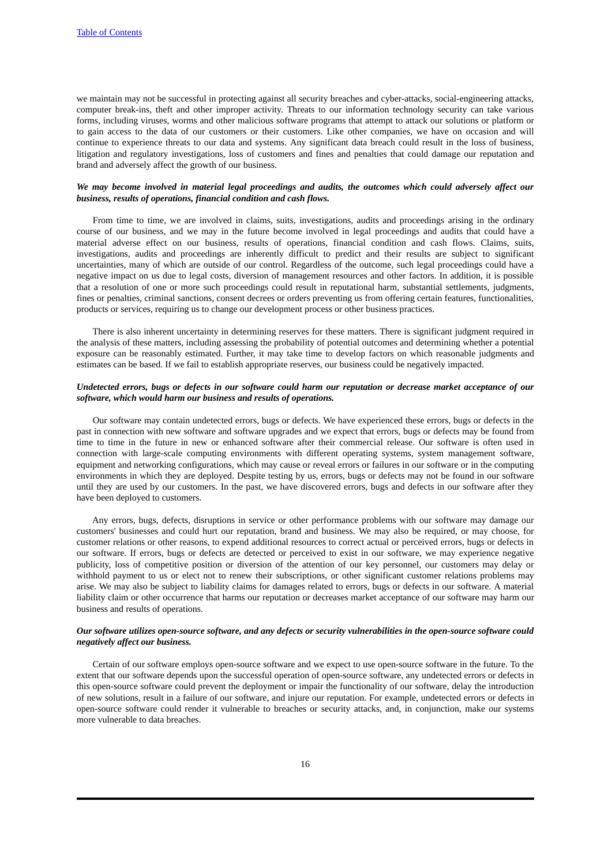we maintain may not be successful in protecting against all security breaches and cyber-attacks, social-engineering attacks, computer break-ins, theft and other improper activity. Threats to our information technology security can take various forms, including viruses, worms and other malicious software programs that attempt to attack our solutions or platform or to gain access to the data of our customers or their customers. Like other companies, we have on occasion and will continue to experience threats to our data and systems. Any significant data breach could result in the loss of business, litigation and regulatory investigations, loss of customers and fines and penalties that could damage our reputation and brand and adversely affect the growth of our business.

## We may become involved in material legal proceedings and audits, the outcomes which could adversely affect our *business, results of operations, financial condition and cash flows.*

From time to time, we are involved in claims, suits, investigations, audits and proceedings arising in the ordinary course of our business, and we may in the future become involved in legal proceedings and audits that could have a material adverse effect on our business, results of operations, financial condition and cash flows. Claims, suits, investigations, audits and proceedings are inherently difficult to predict and their results are subject to significant uncertainties, many of which are outside of our control. Regardless of the outcome, such legal proceedings could have a negative impact on us due to legal costs, diversion of management resources and other factors. In addition, it is possible that a resolution of one or more such proceedings could result in reputational harm, substantial settlements, judgments, fines or penalties, criminal sanctions, consent decrees or orders preventing us from offering certain features, functionalities, products or services, requiring us to change our development process or other business practices.

There is also inherent uncertainty in determining reserves for these matters. There is significant judgment required in the analysis of these matters, including assessing the probability of potential outcomes and determining whether a potential exposure can be reasonably estimated. Further, it may take time to develop factors on which reasonable judgments and estimates can be based. If we fail to establish appropriate reserves, our business could be negatively impacted.

## Undetected errors, bugs or defects in our software could harm our reputation or decrease market acceptance of our *software, which would harm our business and results of operations.*

Our software may contain undetected errors, bugs or defects. We have experienced these errors, bugs or defects in the past in connection with new software and software upgrades and we expect that errors, bugs or defects may be found from time to time in the future in new or enhanced software after their commercial release. Our software is often used in connection with large-scale computing environments with different operating systems, system management software, equipment and networking configurations, which may cause or reveal errors or failures in our software or in the computing environments in which they are deployed. Despite testing by us, errors, bugs or defects may not be found in our software until they are used by our customers. In the past, we have discovered errors, bugs and defects in our software after they have been deployed to customers.

Any errors, bugs, defects, disruptions in service or other performance problems with our software may damage our customers' businesses and could hurt our reputation, brand and business. We may also be required, or may choose, for customer relations or other reasons, to expend additional resources to correct actual or perceived errors, bugs or defects in our software. If errors, bugs or defects are detected or perceived to exist in our software, we may experience negative publicity, loss of competitive position or diversion of the attention of our key personnel, our customers may delay or withhold payment to us or elect not to renew their subscriptions, or other significant customer relations problems may arise. We may also be subject to liability claims for damages related to errors, bugs or defects in our software. A material liability claim or other occurrence that harms our reputation or decreases market acceptance of our software may harm our business and results of operations.

## Our software utilizes open-source software, and any defects or security vulnerabilities in the open-source software could *negatively affect our business.*

Certain of our software employs open-source software and we expect to use open-source software in the future. To the extent that our software depends upon the successful operation of open-source software, any undetected errors or defects in this open-source software could prevent the deployment or impair the functionality of our software, delay the introduction of new solutions, result in a failure of our software, and injure our reputation. For example, undetected errors or defects in open-source software could render it vulnerable to breaches or security attacks, and, in conjunction, make our systems more vulnerable to data breaches.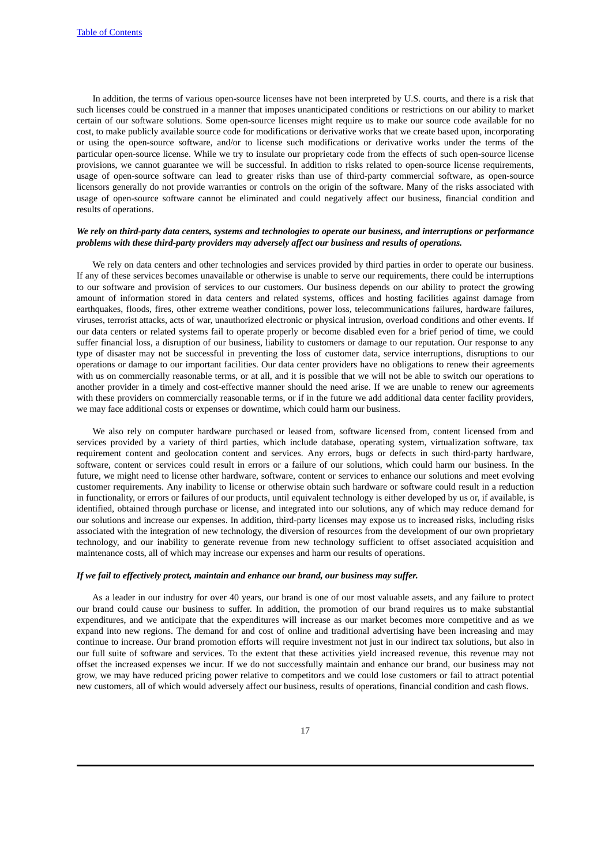In addition, the terms of various open-source licenses have not been interpreted by U.S. courts, and there is a risk that such licenses could be construed in a manner that imposes unanticipated conditions or restrictions on our ability to market certain of our software solutions. Some open-source licenses might require us to make our source code available for no cost, to make publicly available source code for modifications or derivative works that we create based upon, incorporating or using the open-source software, and/or to license such modifications or derivative works under the terms of the particular open-source license. While we try to insulate our proprietary code from the effects of such open-source license provisions, we cannot guarantee we will be successful. In addition to risks related to open-source license requirements, usage of open-source software can lead to greater risks than use of third-party commercial software, as open-source licensors generally do not provide warranties or controls on the origin of the software. Many of the risks associated with usage of open-source software cannot be eliminated and could negatively affect our business, financial condition and results of operations.

#### We rely on third-party data centers, systems and technologies to operate our business, and interruptions or performance *problems with these third-party providers may adversely affect our business and results of operations.*

We rely on data centers and other technologies and services provided by third parties in order to operate our business. If any of these services becomes unavailable or otherwise is unable to serve our requirements, there could be interruptions to our software and provision of services to our customers. Our business depends on our ability to protect the growing amount of information stored in data centers and related systems, offices and hosting facilities against damage from earthquakes, floods, fires, other extreme weather conditions, power loss, telecommunications failures, hardware failures, viruses, terrorist attacks, acts of war, unauthorized electronic or physical intrusion, overload conditions and other events. If our data centers or related systems fail to operate properly or become disabled even for a brief period of time, we could suffer financial loss, a disruption of our business, liability to customers or damage to our reputation. Our response to any type of disaster may not be successful in preventing the loss of customer data, service interruptions, disruptions to our operations or damage to our important facilities. Our data center providers have no obligations to renew their agreements with us on commercially reasonable terms, or at all, and it is possible that we will not be able to switch our operations to another provider in a timely and cost-effective manner should the need arise. If we are unable to renew our agreements with these providers on commercially reasonable terms, or if in the future we add additional data center facility providers, we may face additional costs or expenses or downtime, which could harm our business.

We also rely on computer hardware purchased or leased from, software licensed from, content licensed from and services provided by a variety of third parties, which include database, operating system, virtualization software, tax requirement content and geolocation content and services. Any errors, bugs or defects in such third-party hardware, software, content or services could result in errors or a failure of our solutions, which could harm our business. In the future, we might need to license other hardware, software, content or services to enhance our solutions and meet evolving customer requirements. Any inability to license or otherwise obtain such hardware or software could result in a reduction in functionality, or errors or failures of our products, until equivalent technology is either developed by us or, if available, is identified, obtained through purchase or license, and integrated into our solutions, any of which may reduce demand for our solutions and increase our expenses. In addition, third-party licenses may expose us to increased risks, including risks associated with the integration of new technology, the diversion of resources from the development of our own proprietary technology, and our inability to generate revenue from new technology sufficient to offset associated acquisition and maintenance costs, all of which may increase our expenses and harm our results of operations.

#### *If we fail to effectively protect, maintain and enhance our brand, our business may suffer.*

As a leader in our industry for over 40 years, our brand is one of our most valuable assets, and any failure to protect our brand could cause our business to suffer. In addition, the promotion of our brand requires us to make substantial expenditures, and we anticipate that the expenditures will increase as our market becomes more competitive and as we expand into new regions. The demand for and cost of online and traditional advertising have been increasing and may continue to increase. Our brand promotion efforts will require investment not just in our indirect tax solutions, but also in our full suite of software and services. To the extent that these activities yield increased revenue, this revenue may not offset the increased expenses we incur. If we do not successfully maintain and enhance our brand, our business may not grow, we may have reduced pricing power relative to competitors and we could lose customers or fail to attract potential new customers, all of which would adversely affect our business, results of operations, financial condition and cash flows.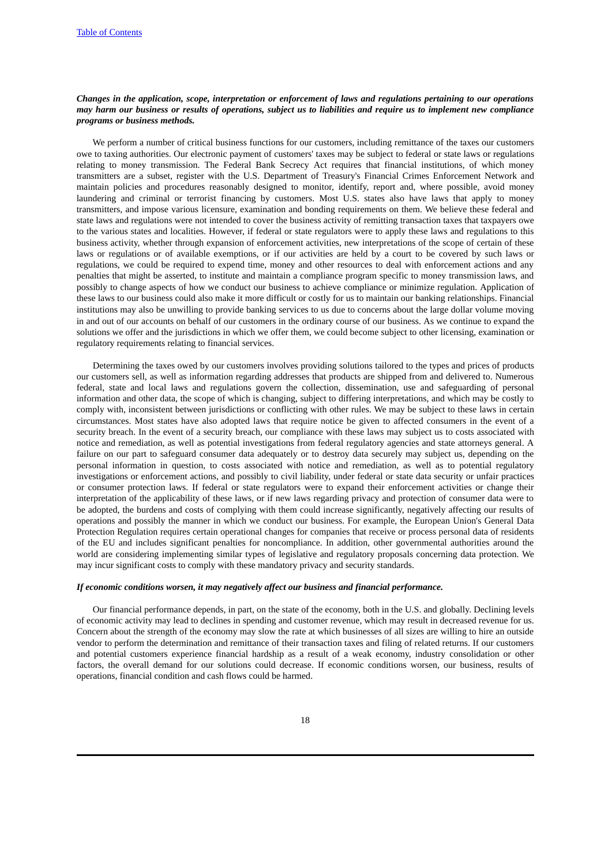## Changes in the application, scope, interpretation or enforcement of laws and regulations pertaining to our operations may harm our business or results of operations, subject us to liabilities and require us to implement new compliance *programs or business methods.*

We perform a number of critical business functions for our customers, including remittance of the taxes our customers owe to taxing authorities. Our electronic payment of customers' taxes may be subject to federal or state laws or regulations relating to money transmission. The Federal Bank Secrecy Act requires that financial institutions, of which money transmitters are a subset, register with the U.S. Department of Treasury's Financial Crimes Enforcement Network and maintain policies and procedures reasonably designed to monitor, identify, report and, where possible, avoid money laundering and criminal or terrorist financing by customers. Most U.S. states also have laws that apply to money transmitters, and impose various licensure, examination and bonding requirements on them. We believe these federal and state laws and regulations were not intended to cover the business activity of remitting transaction taxes that taxpayers owe to the various states and localities. However, if federal or state regulators were to apply these laws and regulations to this business activity, whether through expansion of enforcement activities, new interpretations of the scope of certain of these laws or regulations or of available exemptions, or if our activities are held by a court to be covered by such laws or regulations, we could be required to expend time, money and other resources to deal with enforcement actions and any penalties that might be asserted, to institute and maintain a compliance program specific to money transmission laws, and possibly to change aspects of how we conduct our business to achieve compliance or minimize regulation. Application of these laws to our business could also make it more difficult or costly for us to maintain our banking relationships. Financial institutions may also be unwilling to provide banking services to us due to concerns about the large dollar volume moving in and out of our accounts on behalf of our customers in the ordinary course of our business. As we continue to expand the solutions we offer and the jurisdictions in which we offer them, we could become subject to other licensing, examination or regulatory requirements relating to financial services.

Determining the taxes owed by our customers involves providing solutions tailored to the types and prices of products our customers sell, as well as information regarding addresses that products are shipped from and delivered to. Numerous federal, state and local laws and regulations govern the collection, dissemination, use and safeguarding of personal information and other data, the scope of which is changing, subject to differing interpretations, and which may be costly to comply with, inconsistent between jurisdictions or conflicting with other rules. We may be subject to these laws in certain circumstances. Most states have also adopted laws that require notice be given to affected consumers in the event of a security breach. In the event of a security breach, our compliance with these laws may subject us to costs associated with notice and remediation, as well as potential investigations from federal regulatory agencies and state attorneys general. A failure on our part to safeguard consumer data adequately or to destroy data securely may subject us, depending on the personal information in question, to costs associated with notice and remediation, as well as to potential regulatory investigations or enforcement actions, and possibly to civil liability, under federal or state data security or unfair practices or consumer protection laws. If federal or state regulators were to expand their enforcement activities or change their interpretation of the applicability of these laws, or if new laws regarding privacy and protection of consumer data were to be adopted, the burdens and costs of complying with them could increase significantly, negatively affecting our results of operations and possibly the manner in which we conduct our business. For example, the European Union's General Data Protection Regulation requires certain operational changes for companies that receive or process personal data of residents of the EU and includes significant penalties for noncompliance. In addition, other governmental authorities around the world are considering implementing similar types of legislative and regulatory proposals concerning data protection. We may incur significant costs to comply with these mandatory privacy and security standards.

#### *If economic conditions worsen, it may negatively affect our business and financial performance.*

Our financial performance depends, in part, on the state of the economy, both in the U.S. and globally. Declining levels of economic activity may lead to declines in spending and customer revenue, which may result in decreased revenue for us. Concern about the strength of the economy may slow the rate at which businesses of all sizes are willing to hire an outside vendor to perform the determination and remittance of their transaction taxes and filing of related returns. If our customers and potential customers experience financial hardship as a result of a weak economy, industry consolidation or other factors, the overall demand for our solutions could decrease. If economic conditions worsen, our business, results of operations, financial condition and cash flows could be harmed.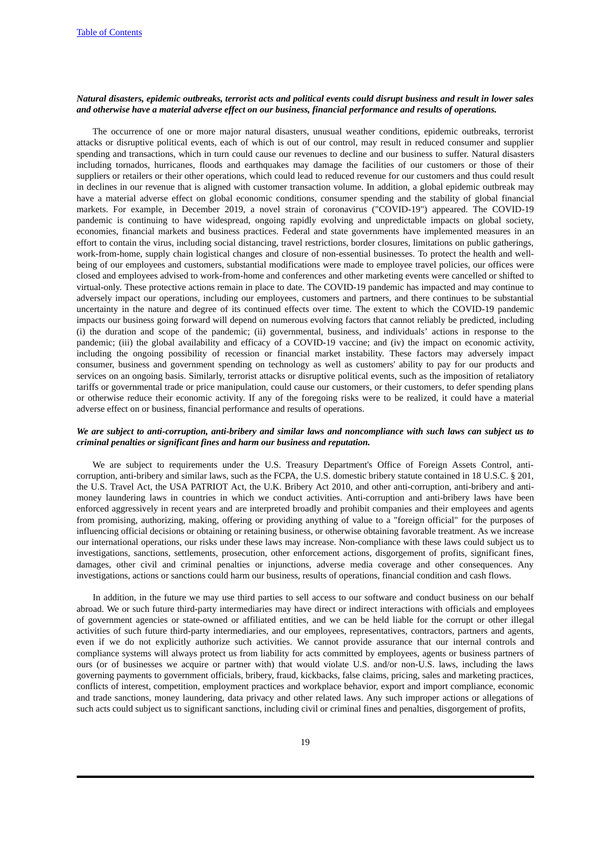## Natural disasters, epidemic outbreaks, terrorist acts and political events could disrupt business and result in lower sales *and otherwise have a material adverse effect on our business, financial performance and results of operations.*

The occurrence of one or more major natural disasters, unusual weather conditions, epidemic outbreaks, terrorist attacks or disruptive political events, each of which is out of our control, may result in reduced consumer and supplier spending and transactions, which in turn could cause our revenues to decline and our business to suffer. Natural disasters including tornados, hurricanes, floods and earthquakes may damage the facilities of our customers or those of their suppliers or retailers or their other operations, which could lead to reduced revenue for our customers and thus could result in declines in our revenue that is aligned with customer transaction volume. In addition, a global epidemic outbreak may have a material adverse effect on global economic conditions, consumer spending and the stability of global financial markets. For example, in December 2019, a novel strain of coronavirus ("COVID-19") appeared. The COVID-19 pandemic is continuing to have widespread, ongoing rapidly evolving and unpredictable impacts on global society, economies, financial markets and business practices. Federal and state governments have implemented measures in an effort to contain the virus, including social distancing, travel restrictions, border closures, limitations on public gatherings, work-from-home, supply chain logistical changes and closure of non-essential businesses. To protect the health and wellbeing of our employees and customers, substantial modifications were made to employee travel policies, our offices were closed and employees advised to work-from-home and conferences and other marketing events were cancelled or shifted to virtual-only. These protective actions remain in place to date. The COVID-19 pandemic has impacted and may continue to adversely impact our operations, including our employees, customers and partners, and there continues to be substantial uncertainty in the nature and degree of its continued effects over time. The extent to which the COVID-19 pandemic impacts our business going forward will depend on numerous evolving factors that cannot reliably be predicted, including (i) the duration and scope of the pandemic; (ii) governmental, business, and individuals' actions in response to the pandemic; (iii) the global availability and efficacy of a COVID-19 vaccine; and (iv) the impact on economic activity, including the ongoing possibility of recession or financial market instability. These factors may adversely impact consumer, business and government spending on technology as well as customers' ability to pay for our products and services on an ongoing basis. Similarly, terrorist attacks or disruptive political events, such as the imposition of retaliatory tariffs or governmental trade or price manipulation, could cause our customers, or their customers, to defer spending plans or otherwise reduce their economic activity. If any of the foregoing risks were to be realized, it could have a material adverse effect on or business, financial performance and results of operations.

#### We are subject to anti-corruption, anti-bribery and similar laws and noncompliance with such laws can subject us to *criminal penalties or significant fines and harm our business and reputation.*

We are subject to requirements under the U.S. Treasury Department's Office of Foreign Assets Control, anticorruption, anti-bribery and similar laws, such as the FCPA, the U.S. domestic bribery statute contained in 18 U.S.C. § 201, the U.S. Travel Act, the USA PATRIOT Act, the U.K. Bribery Act 2010, and other anti-corruption, anti-bribery and antimoney laundering laws in countries in which we conduct activities. Anti-corruption and anti-bribery laws have been enforced aggressively in recent years and are interpreted broadly and prohibit companies and their employees and agents from promising, authorizing, making, offering or providing anything of value to a "foreign official" for the purposes of influencing official decisions or obtaining or retaining business, or otherwise obtaining favorable treatment. As we increase our international operations, our risks under these laws may increase. Non-compliance with these laws could subject us to investigations, sanctions, settlements, prosecution, other enforcement actions, disgorgement of profits, significant fines, damages, other civil and criminal penalties or injunctions, adverse media coverage and other consequences. Any investigations, actions or sanctions could harm our business, results of operations, financial condition and cash flows.

In addition, in the future we may use third parties to sell access to our software and conduct business on our behalf abroad. We or such future third-party intermediaries may have direct or indirect interactions with officials and employees of government agencies or state-owned or affiliated entities, and we can be held liable for the corrupt or other illegal activities of such future third-party intermediaries, and our employees, representatives, contractors, partners and agents, even if we do not explicitly authorize such activities. We cannot provide assurance that our internal controls and compliance systems will always protect us from liability for acts committed by employees, agents or business partners of ours (or of businesses we acquire or partner with) that would violate U.S. and/or non-U.S. laws, including the laws governing payments to government officials, bribery, fraud, kickbacks, false claims, pricing, sales and marketing practices, conflicts of interest, competition, employment practices and workplace behavior, export and import compliance, economic and trade sanctions, money laundering, data privacy and other related laws. Any such improper actions or allegations of such acts could subject us to significant sanctions, including civil or criminal fines and penalties, disgorgement of profits,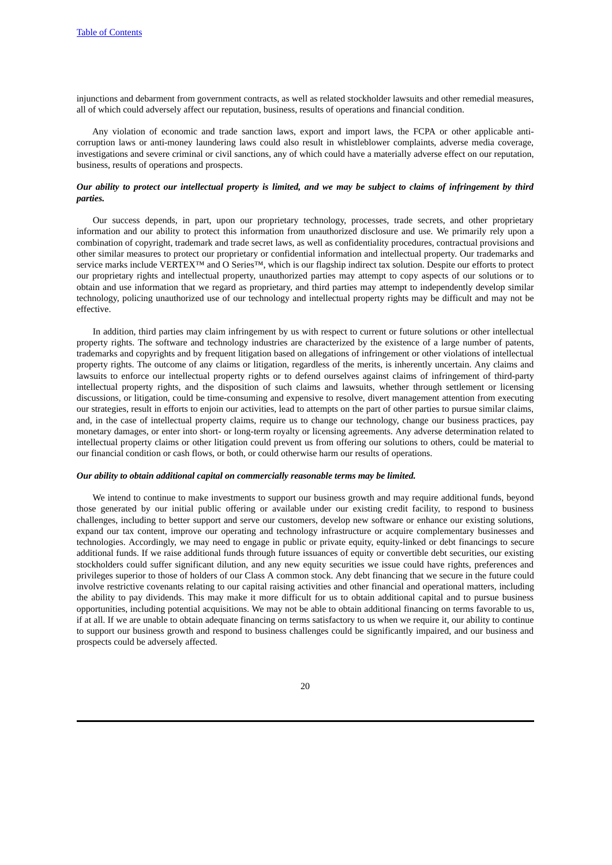injunctions and debarment from government contracts, as well as related stockholder lawsuits and other remedial measures, all of which could adversely affect our reputation, business, results of operations and financial condition.

Any violation of economic and trade sanction laws, export and import laws, the FCPA or other applicable anticorruption laws or anti-money laundering laws could also result in whistleblower complaints, adverse media coverage, investigations and severe criminal or civil sanctions, any of which could have a materially adverse effect on our reputation, business, results of operations and prospects.

## Our ability to protect our intellectual property is limited, and we may be subject to claims of infringement by third *parties.*

Our success depends, in part, upon our proprietary technology, processes, trade secrets, and other proprietary information and our ability to protect this information from unauthorized disclosure and use. We primarily rely upon a combination of copyright, trademark and trade secret laws, as well as confidentiality procedures, contractual provisions and other similar measures to protect our proprietary or confidential information and intellectual property. Our trademarks and service marks include VERTEX<sup>™</sup> and O Series™, which is our flagship indirect tax solution. Despite our efforts to protect our proprietary rights and intellectual property, unauthorized parties may attempt to copy aspects of our solutions or to obtain and use information that we regard as proprietary, and third parties may attempt to independently develop similar technology, policing unauthorized use of our technology and intellectual property rights may be difficult and may not be effective.

In addition, third parties may claim infringement by us with respect to current or future solutions or other intellectual property rights. The software and technology industries are characterized by the existence of a large number of patents, trademarks and copyrights and by frequent litigation based on allegations of infringement or other violations of intellectual property rights. The outcome of any claims or litigation, regardless of the merits, is inherently uncertain. Any claims and lawsuits to enforce our intellectual property rights or to defend ourselves against claims of infringement of third-party intellectual property rights, and the disposition of such claims and lawsuits, whether through settlement or licensing discussions, or litigation, could be time-consuming and expensive to resolve, divert management attention from executing our strategies, result in efforts to enjoin our activities, lead to attempts on the part of other parties to pursue similar claims, and, in the case of intellectual property claims, require us to change our technology, change our business practices, pay monetary damages, or enter into short- or long-term royalty or licensing agreements. Any adverse determination related to intellectual property claims or other litigation could prevent us from offering our solutions to others, could be material to our financial condition or cash flows, or both, or could otherwise harm our results of operations.

## *Our ability to obtain additional capital on commercially reasonable terms may be limited.*

We intend to continue to make investments to support our business growth and may require additional funds, beyond those generated by our initial public offering or available under our existing credit facility, to respond to business challenges, including to better support and serve our customers, develop new software or enhance our existing solutions, expand our tax content, improve our operating and technology infrastructure or acquire complementary businesses and technologies. Accordingly, we may need to engage in public or private equity, equity-linked or debt financings to secure additional funds. If we raise additional funds through future issuances of equity or convertible debt securities, our existing stockholders could suffer significant dilution, and any new equity securities we issue could have rights, preferences and privileges superior to those of holders of our Class A common stock. Any debt financing that we secure in the future could involve restrictive covenants relating to our capital raising activities and other financial and operational matters, including the ability to pay dividends. This may make it more difficult for us to obtain additional capital and to pursue business opportunities, including potential acquisitions. We may not be able to obtain additional financing on terms favorable to us, if at all. If we are unable to obtain adequate financing on terms satisfactory to us when we require it, our ability to continue to support our business growth and respond to business challenges could be significantly impaired, and our business and prospects could be adversely affected.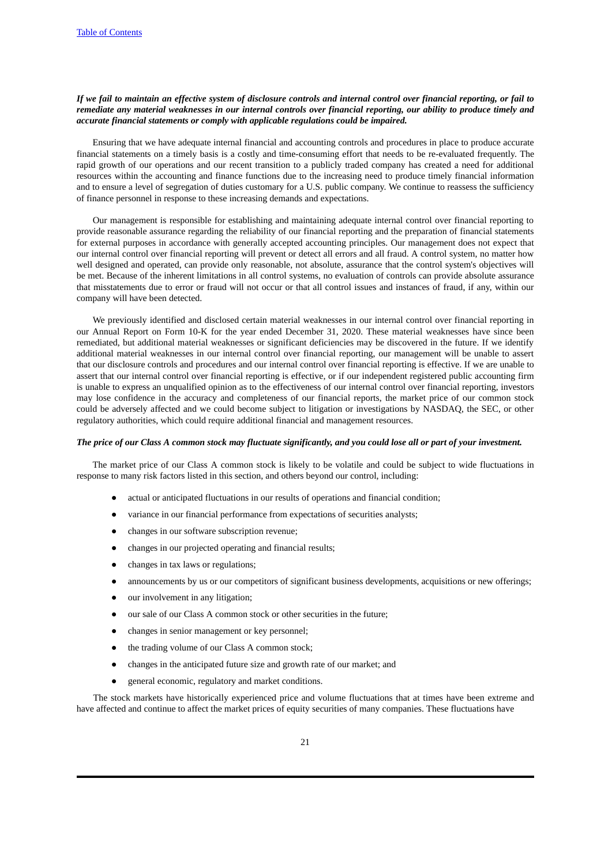## If we fail to maintain an effective system of disclosure controls and internal control over financial reporting, or fail to remediate any material weaknesses in our internal controls over financial reporting, our ability to produce timely and *accurate financial statements or comply with applicable regulations could be impaired.*

Ensuring that we have adequate internal financial and accounting controls and procedures in place to produce accurate financial statements on a timely basis is a costly and time-consuming effort that needs to be re-evaluated frequently. The rapid growth of our operations and our recent transition to a publicly traded company has created a need for additional resources within the accounting and finance functions due to the increasing need to produce timely financial information and to ensure a level of segregation of duties customary for a U.S. public company. We continue to reassess the sufficiency of finance personnel in response to these increasing demands and expectations.

Our management is responsible for establishing and maintaining adequate internal control over financial reporting to provide reasonable assurance regarding the reliability of our financial reporting and the preparation of financial statements for external purposes in accordance with generally accepted accounting principles. Our management does not expect that our internal control over financial reporting will prevent or detect all errors and all fraud. A control system, no matter how well designed and operated, can provide only reasonable, not absolute, assurance that the control system's objectives will be met. Because of the inherent limitations in all control systems, no evaluation of controls can provide absolute assurance that misstatements due to error or fraud will not occur or that all control issues and instances of fraud, if any, within our company will have been detected.

We previously identified and disclosed certain material weaknesses in our internal control over financial reporting in our Annual Report on Form 10-K for the year ended December 31, 2020. These material weaknesses have since been remediated, but additional material weaknesses or significant deficiencies may be discovered in the future. If we identify additional material weaknesses in our internal control over financial reporting, our management will be unable to assert that our disclosure controls and procedures and our internal control over financial reporting is effective. If we are unable to assert that our internal control over financial reporting is effective, or if our independent registered public accounting firm is unable to express an unqualified opinion as to the effectiveness of our internal control over financial reporting, investors may lose confidence in the accuracy and completeness of our financial reports, the market price of our common stock could be adversely affected and we could become subject to litigation or investigations by NASDAQ, the SEC, or other regulatory authorities, which could require additional financial and management resources.

## The price of our Class A common stock may fluctuate significantly, and you could lose all or part of your investment.

The market price of our Class A common stock is likely to be volatile and could be subject to wide fluctuations in response to many risk factors listed in this section, and others beyond our control, including:

- actual or anticipated fluctuations in our results of operations and financial condition;
- variance in our financial performance from expectations of securities analysts;
- changes in our software subscription revenue;
- changes in our projected operating and financial results;
- changes in tax laws or regulations;
- announcements by us or our competitors of significant business developments, acquisitions or new offerings;
- our involvement in any litigation;
- our sale of our Class A common stock or other securities in the future;
- changes in senior management or key personnel;
- the trading volume of our Class A common stock;
- changes in the anticipated future size and growth rate of our market; and
- general economic, regulatory and market conditions.

The stock markets have historically experienced price and volume fluctuations that at times have been extreme and have affected and continue to affect the market prices of equity securities of many companies. These fluctuations have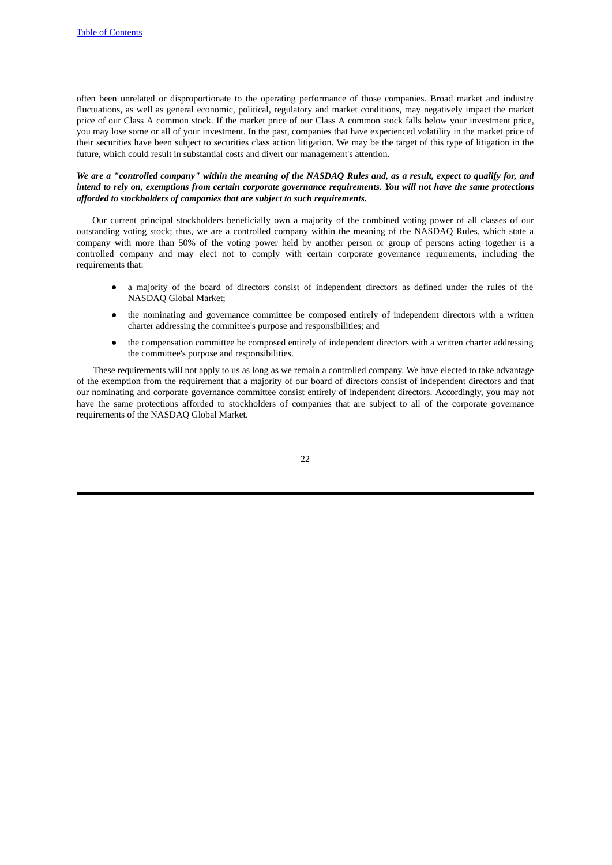often been unrelated or disproportionate to the operating performance of those companies. Broad market and industry fluctuations, as well as general economic, political, regulatory and market conditions, may negatively impact the market price of our Class A common stock. If the market price of our Class A common stock falls below your investment price, you may lose some or all of your investment. In the past, companies that have experienced volatility in the market price of their securities have been subject to securities class action litigation. We may be the target of this type of litigation in the future, which could result in substantial costs and divert our management's attention.

## We are a "controlled company" within the meaning of the NASDAQ Rules and, as a result, expect to qualify for, and intend to rely on, exemptions from certain corporate governance requirements. You will not have the same protections *afforded to stockholders of companies that are subject to such requirements.*

Our current principal stockholders beneficially own a majority of the combined voting power of all classes of our outstanding voting stock; thus, we are a controlled company within the meaning of the NASDAQ Rules, which state a company with more than 50% of the voting power held by another person or group of persons acting together is a controlled company and may elect not to comply with certain corporate governance requirements, including the requirements that:

- a majority of the board of directors consist of independent directors as defined under the rules of the NASDAQ Global Market;
- the nominating and governance committee be composed entirely of independent directors with a written charter addressing the committee's purpose and responsibilities; and
- the compensation committee be composed entirely of independent directors with a written charter addressing the committee's purpose and responsibilities.

These requirements will not apply to us as long as we remain a controlled company. We have elected to take advantage of the exemption from the requirement that a majority of our board of directors consist of independent directors and that our nominating and corporate governance committee consist entirely of independent directors. Accordingly, you may not have the same protections afforded to stockholders of companies that are subject to all of the corporate governance requirements of the NASDAQ Global Market.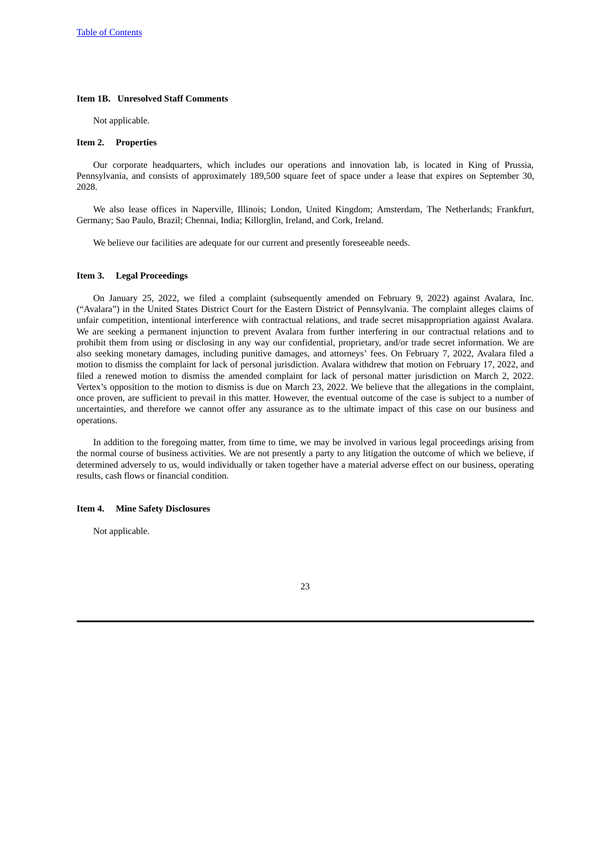#### <span id="page-24-0"></span>**Item 1B. Unresolved Staff Comments**

Not applicable.

## <span id="page-24-1"></span>**Item 2. Properties**

Our corporate headquarters, which includes our operations and innovation lab, is located in King of Prussia, Pennsylvania, and consists of approximately 189,500 square feet of space under a lease that expires on September 30, 2028.

We also lease offices in Naperville, Illinois; London, United Kingdom; Amsterdam, The Netherlands; Frankfurt, Germany; Sao Paulo, Brazil; Chennai, India; Killorglin, Ireland, and Cork, Ireland.

We believe our facilities are adequate for our current and presently foreseeable needs.

#### <span id="page-24-2"></span>**Item 3. Legal Proceedings**

On January 25, 2022, we filed a complaint (subsequently amended on February 9, 2022) against Avalara, Inc. ("Avalara") in the United States District Court for the Eastern District of Pennsylvania. The complaint alleges claims of unfair competition, intentional interference with contractual relations, and trade secret misappropriation against Avalara. We are seeking a permanent injunction to prevent Avalara from further interfering in our contractual relations and to prohibit them from using or disclosing in any way our confidential, proprietary, and/or trade secret information. We are also seeking monetary damages, including punitive damages, and attorneys' fees. On February 7, 2022, Avalara filed a motion to dismiss the complaint for lack of personal jurisdiction. Avalara withdrew that motion on February 17, 2022, and filed a renewed motion to dismiss the amended complaint for lack of personal matter jurisdiction on March 2, 2022. Vertex's opposition to the motion to dismiss is due on March 23, 2022. We believe that the allegations in the complaint, once proven, are sufficient to prevail in this matter. However, the eventual outcome of the case is subject to a number of uncertainties, and therefore we cannot offer any assurance as to the ultimate impact of this case on our business and operations.

In addition to the foregoing matter, from time to time, we may be involved in various legal proceedings arising from the normal course of business activities. We are not presently a party to any litigation the outcome of which we believe, if determined adversely to us, would individually or taken together have a material adverse effect on our business, operating results, cash flows or financial condition.

#### <span id="page-24-3"></span>**Item 4. Mine Safety Disclosures**

Not applicable.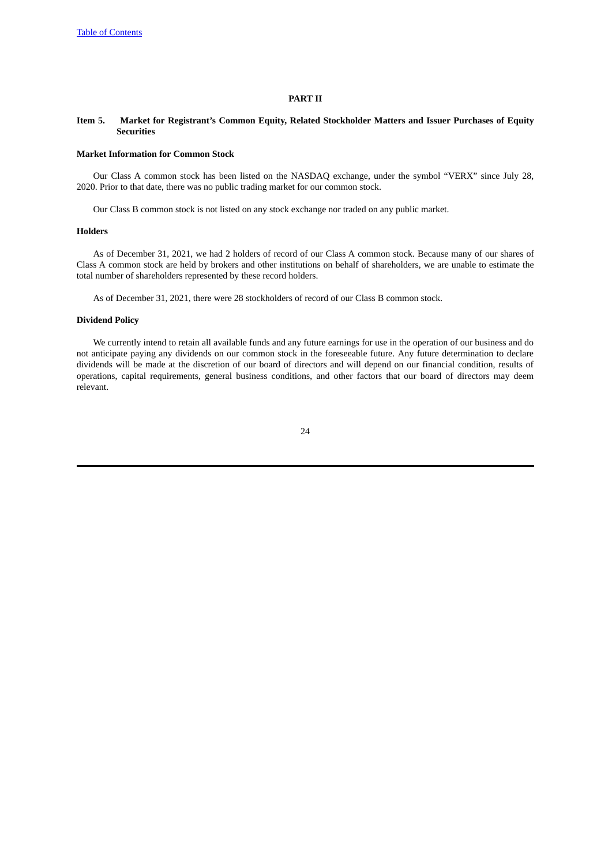## **PART II**

## <span id="page-25-1"></span><span id="page-25-0"></span>**Item 5. Market for Registrant's Common Equity, Related Stockholder Matters and Issuer Purchases of Equity Securities**

## **Market Information for Common Stock**

Our Class A common stock has been listed on the NASDAQ exchange, under the symbol "VERX" since July 28, 2020. Prior to that date, there was no public trading market for our common stock.

Our Class B common stock is not listed on any stock exchange nor traded on any public market.

## **Holders**

As of December 31, 2021, we had 2 holders of record of our Class A common stock. Because many of our shares of Class A common stock are held by brokers and other institutions on behalf of shareholders, we are unable to estimate the total number of shareholders represented by these record holders.

As of December 31, 2021, there were 28 stockholders of record of our Class B common stock.

#### **Dividend Policy**

We currently intend to retain all available funds and any future earnings for use in the operation of our business and do not anticipate paying any dividends on our common stock in the foreseeable future. Any future determination to declare dividends will be made at the discretion of our board of directors and will depend on our financial condition, results of operations, capital requirements, general business conditions, and other factors that our board of directors may deem relevant.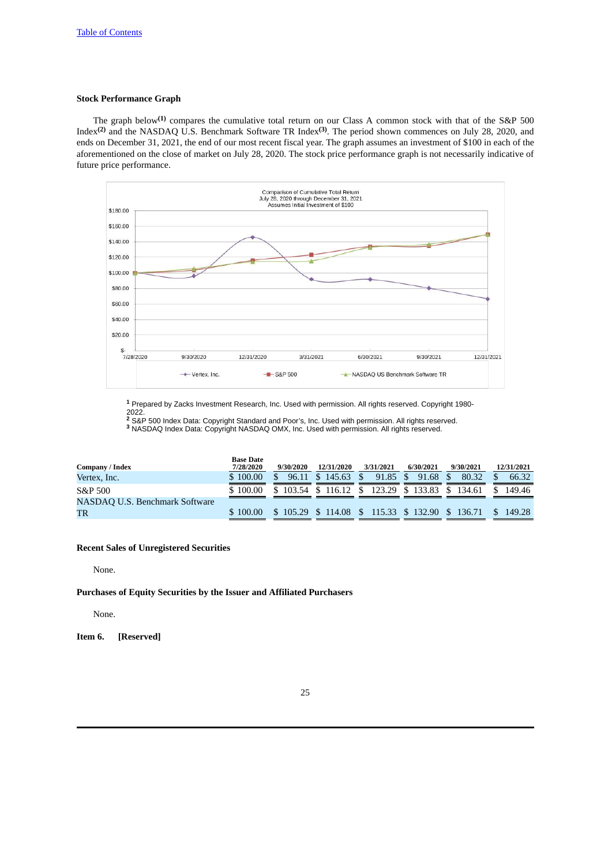## **Stock Performance Graph**

The graph below**(1)** compares the cumulative total return on our Class A common stock with that of the S&P 500 Index **(2)** and the NASDAQ U.S. Benchmark Software TR Index **(3)** . The period shown commences on July 28, 2020, and ends on December 31, 2021, the end of our most recent fiscal year. The graph assumes an investment of \$100 in each of the aforementioned on the close of market on July 28, 2020. The stock price performance graph is not necessarily indicative of future price performance.



**<sup>1</sup>** Prepared by Zacks Investment Research, Inc. Used with permission. All rights reserved. Copyright 1980- 2022.<br><sup>2</sup> S&P 500 Index Data: Copyright Standard and Poor's, Inc. Used with permission. All rights reserved.

**<sup>3</sup>** NASDAQ Index Data: Copyright NASDAQ OMX, Inc. Used with permission. All rights reserved.

| Company / Index                | <b>Base Date</b><br>7/28/2020 | 9/30/2020 | 12/31/2020 | 3/31/2021                                             | 6/30/2021           | 9/30/2021 | 12/31/2021  |
|--------------------------------|-------------------------------|-----------|------------|-------------------------------------------------------|---------------------|-----------|-------------|
| Vertex, Inc.                   | \$100.00                      |           |            | 96.11 \$ 145.63 \$ 91.85 \$                           | $91.68 \text{ }$ \$ | 80.32     | 66.32<br>-S |
| S&P 500                        | \$100.00                      |           |            | \$ 103.54 \$ 116.12 \$ 123.29 \$ 133.83 \$ 134.61     |                     |           | \$149.46    |
| NASDAQ U.S. Benchmark Software |                               |           |            |                                                       |                     |           |             |
| TR                             | \$100.00                      |           |            | \$105.29 \$114.08 \$115.33 \$132.90 \$136.71 \$149.28 |                     |           |             |

## **Recent Sales of Unregistered Securities**

None.

**Purchases of Equity Securities by the Issuer and Affiliated Purchasers**

None.

<span id="page-26-0"></span>**Item 6. [Reserved]**

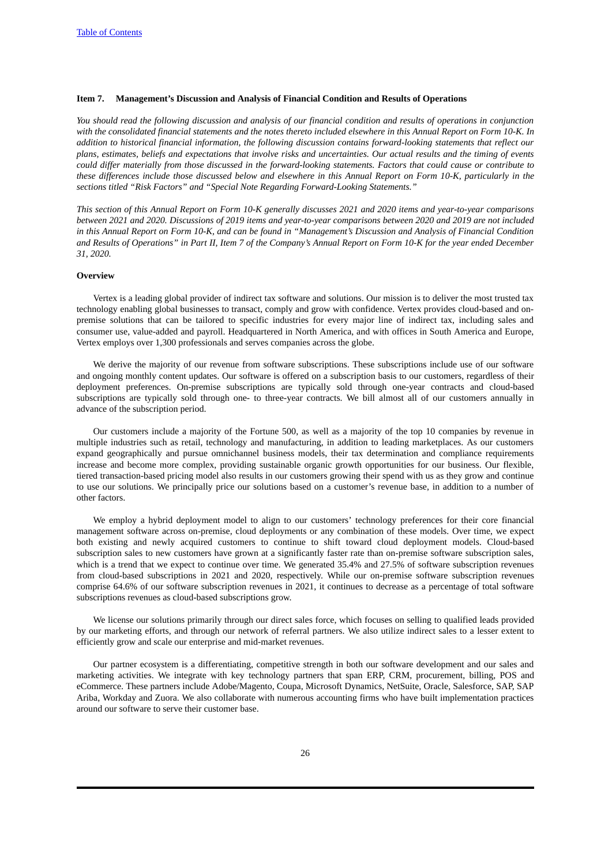## <span id="page-27-0"></span>**Item 7. Management's Discussion and Analysis of Financial Condition and Results of Operations**

You should read the following discussion and analysis of our financial condition and results of operations in conjunction with the consolidated financial statements and the notes thereto included elsewhere in this Annual Report on Form 10-K. In *addition to historical financial information, the following discussion contains forward-looking statements that reflect our* plans, estimates, beliefs and expectations that involve risks and uncertainties. Our actual results and the timing of events could differ materially from those discussed in the forward-looking statements. Factors that could cause or contribute to these differences include those discussed below and elsewhere in this Annual Report on Form 10-K, particularly in the *sections titled "Risk Factors" and "Special Note Regarding Forward-Looking Statements."*

This section of this Annual Report on Form 10-K generally discusses 2021 and 2020 items and year-to-year comparisons between 2021 and 2020. Discussions of 2019 items and year-to-year comparisons between 2020 and 2019 are not included in this Annual Report on Form 10-K, and can be found in "Management's Discussion and Analysis of Financial Condition and Results of Operations" in Part II, Item 7 of the Company's Annual Report on Form 10-K for the year ended December *31, 2020.*

#### **Overview**

Vertex is a leading global provider of indirect tax software and solutions. Our mission is to deliver the most trusted tax technology enabling global businesses to transact, comply and grow with confidence. Vertex provides cloud-based and onpremise solutions that can be tailored to specific industries for every major line of indirect tax, including sales and consumer use, value-added and payroll. Headquartered in North America, and with offices in South America and Europe, Vertex employs over 1,300 professionals and serves companies across the globe.

We derive the majority of our revenue from software subscriptions. These subscriptions include use of our software and ongoing monthly content updates. Our software is offered on a subscription basis to our customers, regardless of their deployment preferences. On-premise subscriptions are typically sold through one-year contracts and cloud-based subscriptions are typically sold through one- to three-year contracts. We bill almost all of our customers annually in advance of the subscription period.

Our customers include a majority of the Fortune 500, as well as a majority of the top 10 companies by revenue in multiple industries such as retail, technology and manufacturing, in addition to leading marketplaces. As our customers expand geographically and pursue omnichannel business models, their tax determination and compliance requirements increase and become more complex, providing sustainable organic growth opportunities for our business. Our flexible, tiered transaction-based pricing model also results in our customers growing their spend with us as they grow and continue to use our solutions. We principally price our solutions based on a customer's revenue base, in addition to a number of other factors.

We employ a hybrid deployment model to align to our customers' technology preferences for their core financial management software across on-premise, cloud deployments or any combination of these models. Over time, we expect both existing and newly acquired customers to continue to shift toward cloud deployment models. Cloud-based subscription sales to new customers have grown at a significantly faster rate than on-premise software subscription sales, which is a trend that we expect to continue over time. We generated 35.4% and 27.5% of software subscription revenues from cloud-based subscriptions in 2021 and 2020, respectively. While our on-premise software subscription revenues comprise 64.6% of our software subscription revenues in 2021, it continues to decrease as a percentage of total software subscriptions revenues as cloud-based subscriptions grow.

We license our solutions primarily through our direct sales force, which focuses on selling to qualified leads provided by our marketing efforts, and through our network of referral partners. We also utilize indirect sales to a lesser extent to efficiently grow and scale our enterprise and mid-market revenues.

Our partner ecosystem is a differentiating, competitive strength in both our software development and our sales and marketing activities. We integrate with key technology partners that span ERP, CRM, procurement, billing, POS and eCommerce. These partners include Adobe/Magento, Coupa, Microsoft Dynamics, NetSuite, Oracle, Salesforce, SAP, SAP Ariba, Workday and Zuora. We also collaborate with numerous accounting firms who have built implementation practices around our software to serve their customer base.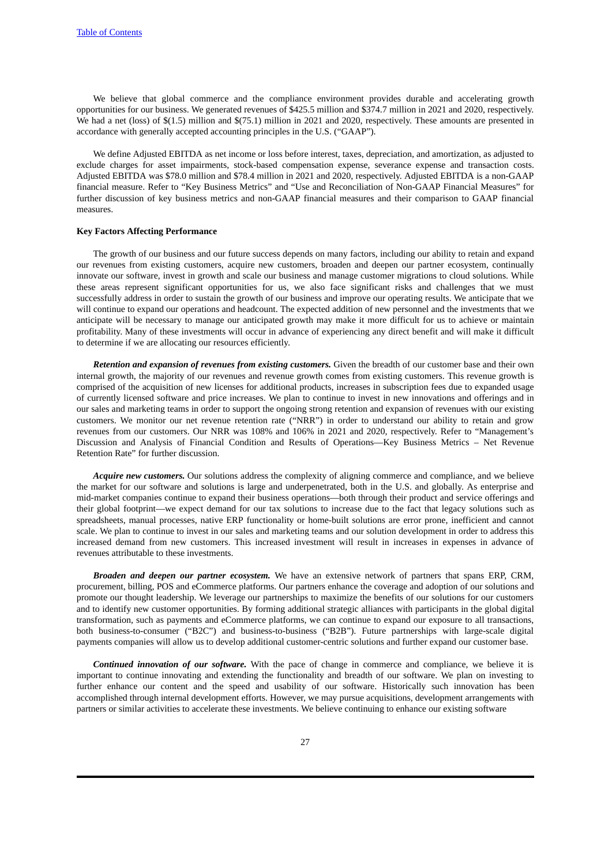We believe that global commerce and the compliance environment provides durable and accelerating growth opportunities for our business. We generated revenues of \$425.5 million and \$374.7 million in 2021 and 2020, respectively. We had a net (loss) of \$(1.5) million and \$(75.1) million in 2021 and 2020, respectively. These amounts are presented in accordance with generally accepted accounting principles in the U.S. ("GAAP").

We define Adjusted EBITDA as net income or loss before interest, taxes, depreciation, and amortization, as adjusted to exclude charges for asset impairments, stock-based compensation expense, severance expense and transaction costs. Adjusted EBITDA was \$78.0 million and \$78.4 million in 2021 and 2020, respectively. Adjusted EBITDA is a non-GAAP financial measure. Refer to "Key Business Metrics" and "Use and Reconciliation of Non-GAAP Financial Measures" for further discussion of key business metrics and non-GAAP financial measures and their comparison to GAAP financial measures.

#### **Key Factors Affecting Performance**

The growth of our business and our future success depends on many factors, including our ability to retain and expand our revenues from existing customers, acquire new customers, broaden and deepen our partner ecosystem, continually innovate our software, invest in growth and scale our business and manage customer migrations to cloud solutions. While these areas represent significant opportunities for us, we also face significant risks and challenges that we must successfully address in order to sustain the growth of our business and improve our operating results. We anticipate that we will continue to expand our operations and headcount. The expected addition of new personnel and the investments that we anticipate will be necessary to manage our anticipated growth may make it more difficult for us to achieve or maintain profitability. Many of these investments will occur in advance of experiencing any direct benefit and will make it difficult to determine if we are allocating our resources efficiently.

*Retention and expansion of revenues from existing customers.* Given the breadth of our customer base and their own internal growth, the majority of our revenues and revenue growth comes from existing customers. This revenue growth is comprised of the acquisition of new licenses for additional products, increases in subscription fees due to expanded usage of currently licensed software and price increases. We plan to continue to invest in new innovations and offerings and in our sales and marketing teams in order to support the ongoing strong retention and expansion of revenues with our existing customers. We monitor our net revenue retention rate ("NRR") in order to understand our ability to retain and grow revenues from our customers. Our NRR was 108% and 106% in 2021 and 2020, respectively. Refer to "Management's Discussion and Analysis of Financial Condition and Results of Operations—Key Business Metrics – Net Revenue Retention Rate" for further discussion.

*Acquire new customers.* Our solutions address the complexity of aligning commerce and compliance, and we believe the market for our software and solutions is large and underpenetrated, both in the U.S. and globally. As enterprise and mid-market companies continue to expand their business operations—both through their product and service offerings and their global footprint—we expect demand for our tax solutions to increase due to the fact that legacy solutions such as spreadsheets, manual processes, native ERP functionality or home-built solutions are error prone, inefficient and cannot scale. We plan to continue to invest in our sales and marketing teams and our solution development in order to address this increased demand from new customers. This increased investment will result in increases in expenses in advance of revenues attributable to these investments.

*Broaden and deepen our partner ecosystem.* We have an extensive network of partners that spans ERP, CRM, procurement, billing, POS and eCommerce platforms. Our partners enhance the coverage and adoption of our solutions and promote our thought leadership. We leverage our partnerships to maximize the benefits of our solutions for our customers and to identify new customer opportunities. By forming additional strategic alliances with participants in the global digital transformation, such as payments and eCommerce platforms, we can continue to expand our exposure to all transactions, both business-to-consumer ("B2C") and business-to-business ("B2B"). Future partnerships with large-scale digital payments companies will allow us to develop additional customer-centric solutions and further expand our customer base.

*Continued innovation of our software.* With the pace of change in commerce and compliance, we believe it is important to continue innovating and extending the functionality and breadth of our software. We plan on investing to further enhance our content and the speed and usability of our software. Historically such innovation has been accomplished through internal development efforts. However, we may pursue acquisitions, development arrangements with partners or similar activities to accelerate these investments. We believe continuing to enhance our existing software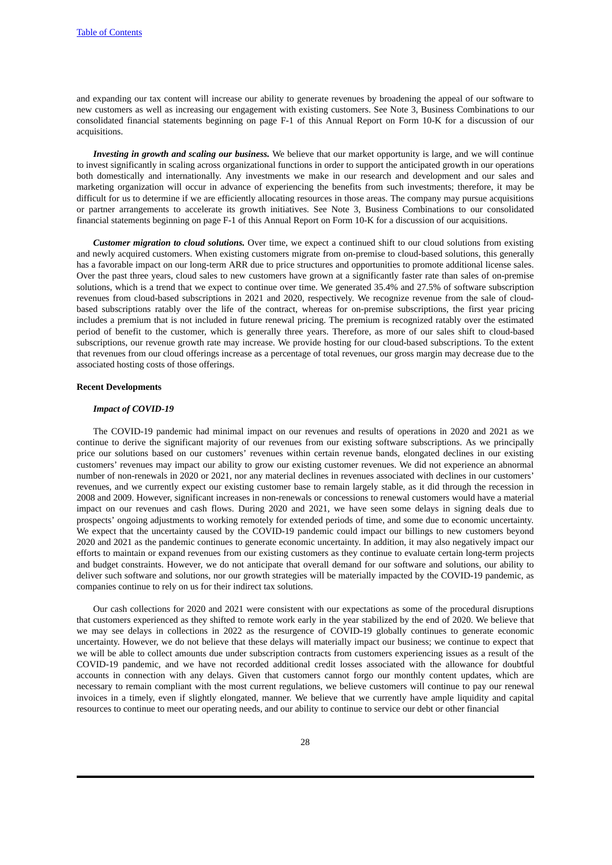and expanding our tax content will increase our ability to generate revenues by broadening the appeal of our software to new customers as well as increasing our engagement with existing customers. See Note 3, Business Combinations to our consolidated financial statements beginning on page F-1 of this Annual Report on Form 10-K for a discussion of our acquisitions.

*Investing in growth and scaling our business.* We believe that our market opportunity is large, and we will continue to invest significantly in scaling across organizational functions in order to support the anticipated growth in our operations both domestically and internationally. Any investments we make in our research and development and our sales and marketing organization will occur in advance of experiencing the benefits from such investments; therefore, it may be difficult for us to determine if we are efficiently allocating resources in those areas. The company may pursue acquisitions or partner arrangements to accelerate its growth initiatives. See Note 3, Business Combinations to our consolidated financial statements beginning on page F-1 of this Annual Report on Form 10-K for a discussion of our acquisitions.

*Customer migration to cloud solutions.* Over time, we expect a continued shift to our cloud solutions from existing and newly acquired customers. When existing customers migrate from on-premise to cloud-based solutions, this generally has a favorable impact on our long-term ARR due to price structures and opportunities to promote additional license sales. Over the past three years, cloud sales to new customers have grown at a significantly faster rate than sales of on-premise solutions, which is a trend that we expect to continue over time. We generated 35.4% and 27.5% of software subscription revenues from cloud-based subscriptions in 2021 and 2020, respectively. We recognize revenue from the sale of cloudbased subscriptions ratably over the life of the contract, whereas for on-premise subscriptions, the first year pricing includes a premium that is not included in future renewal pricing. The premium is recognized ratably over the estimated period of benefit to the customer, which is generally three years. Therefore, as more of our sales shift to cloud-based subscriptions, our revenue growth rate may increase. We provide hosting for our cloud-based subscriptions. To the extent that revenues from our cloud offerings increase as a percentage of total revenues, our gross margin may decrease due to the associated hosting costs of those offerings.

#### **Recent Developments**

## *Impact of COVID-19*

The COVID-19 pandemic had minimal impact on our revenues and results of operations in 2020 and 2021 as we continue to derive the significant majority of our revenues from our existing software subscriptions. As we principally price our solutions based on our customers' revenues within certain revenue bands, elongated declines in our existing customers' revenues may impact our ability to grow our existing customer revenues. We did not experience an abnormal number of non-renewals in 2020 or 2021, nor any material declines in revenues associated with declines in our customers' revenues, and we currently expect our existing customer base to remain largely stable, as it did through the recession in 2008 and 2009. However, significant increases in non-renewals or concessions to renewal customers would have a material impact on our revenues and cash flows. During 2020 and 2021, we have seen some delays in signing deals due to prospects' ongoing adjustments to working remotely for extended periods of time, and some due to economic uncertainty. We expect that the uncertainty caused by the COVID-19 pandemic could impact our billings to new customers beyond 2020 and 2021 as the pandemic continues to generate economic uncertainty. In addition, it may also negatively impact our efforts to maintain or expand revenues from our existing customers as they continue to evaluate certain long-term projects and budget constraints. However, we do not anticipate that overall demand for our software and solutions, our ability to deliver such software and solutions, nor our growth strategies will be materially impacted by the COVID-19 pandemic, as companies continue to rely on us for their indirect tax solutions.

Our cash collections for 2020 and 2021 were consistent with our expectations as some of the procedural disruptions that customers experienced as they shifted to remote work early in the year stabilized by the end of 2020. We believe that we may see delays in collections in 2022 as the resurgence of COVID-19 globally continues to generate economic uncertainty. However, we do not believe that these delays will materially impact our business; we continue to expect that we will be able to collect amounts due under subscription contracts from customers experiencing issues as a result of the COVID-19 pandemic, and we have not recorded additional credit losses associated with the allowance for doubtful accounts in connection with any delays. Given that customers cannot forgo our monthly content updates, which are necessary to remain compliant with the most current regulations, we believe customers will continue to pay our renewal invoices in a timely, even if slightly elongated, manner. We believe that we currently have ample liquidity and capital resources to continue to meet our operating needs, and our ability to continue to service our debt or other financial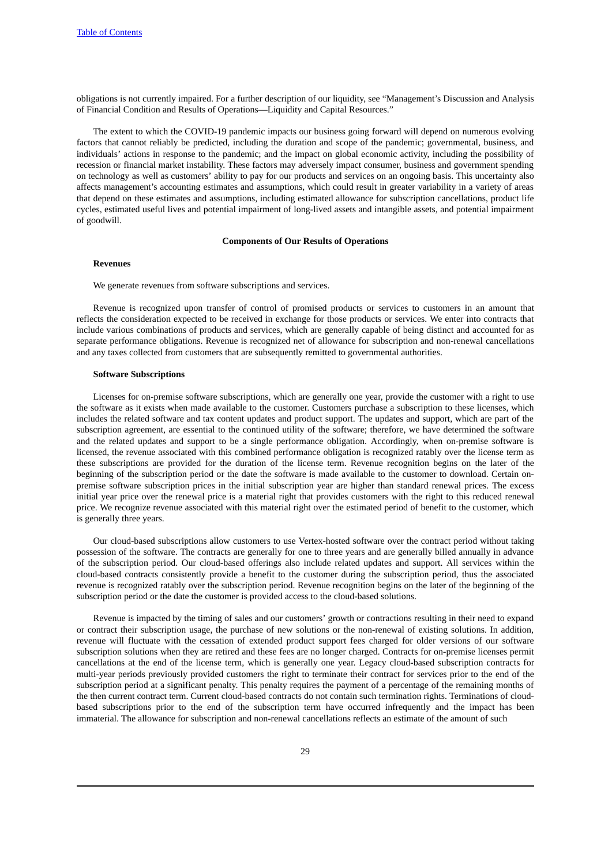obligations is not currently impaired. For a further description of our liquidity, see "Management's Discussion and Analysis of Financial Condition and Results of Operations—Liquidity and Capital Resources."

The extent to which the COVID-19 pandemic impacts our business going forward will depend on numerous evolving factors that cannot reliably be predicted, including the duration and scope of the pandemic; governmental, business, and individuals' actions in response to the pandemic; and the impact on global economic activity, including the possibility of recession or financial market instability. These factors may adversely impact consumer, business and government spending on technology as well as customers' ability to pay for our products and services on an ongoing basis. This uncertainty also affects management's accounting estimates and assumptions, which could result in greater variability in a variety of areas that depend on these estimates and assumptions, including estimated allowance for subscription cancellations, product life cycles, estimated useful lives and potential impairment of long-lived assets and intangible assets, and potential impairment of goodwill.

#### **Components of Our Results of Operations**

## **Revenues**

We generate revenues from software subscriptions and services.

Revenue is recognized upon transfer of control of promised products or services to customers in an amount that reflects the consideration expected to be received in exchange for those products or services. We enter into contracts that include various combinations of products and services, which are generally capable of being distinct and accounted for as separate performance obligations. Revenue is recognized net of allowance for subscription and non-renewal cancellations and any taxes collected from customers that are subsequently remitted to governmental authorities.

#### **Software Subscriptions**

Licenses for on-premise software subscriptions, which are generally one year, provide the customer with a right to use the software as it exists when made available to the customer. Customers purchase a subscription to these licenses, which includes the related software and tax content updates and product support. The updates and support, which are part of the subscription agreement, are essential to the continued utility of the software; therefore, we have determined the software and the related updates and support to be a single performance obligation. Accordingly, when on-premise software is licensed, the revenue associated with this combined performance obligation is recognized ratably over the license term as these subscriptions are provided for the duration of the license term. Revenue recognition begins on the later of the beginning of the subscription period or the date the software is made available to the customer to download. Certain onpremise software subscription prices in the initial subscription year are higher than standard renewal prices. The excess initial year price over the renewal price is a material right that provides customers with the right to this reduced renewal price. We recognize revenue associated with this material right over the estimated period of benefit to the customer, which is generally three years.

Our cloud-based subscriptions allow customers to use Vertex-hosted software over the contract period without taking possession of the software. The contracts are generally for one to three years and are generally billed annually in advance of the subscription period. Our cloud-based offerings also include related updates and support. All services within the cloud-based contracts consistently provide a benefit to the customer during the subscription period, thus the associated revenue is recognized ratably over the subscription period. Revenue recognition begins on the later of the beginning of the subscription period or the date the customer is provided access to the cloud-based solutions.

Revenue is impacted by the timing of sales and our customers' growth or contractions resulting in their need to expand or contract their subscription usage, the purchase of new solutions or the non-renewal of existing solutions. In addition, revenue will fluctuate with the cessation of extended product support fees charged for older versions of our software subscription solutions when they are retired and these fees are no longer charged. Contracts for on-premise licenses permit cancellations at the end of the license term, which is generally one year. Legacy cloud-based subscription contracts for multi-year periods previously provided customers the right to terminate their contract for services prior to the end of the subscription period at a significant penalty. This penalty requires the payment of a percentage of the remaining months of the then current contract term. Current cloud-based contracts do not contain such termination rights. Terminations of cloudbased subscriptions prior to the end of the subscription term have occurred infrequently and the impact has been immaterial. The allowance for subscription and non-renewal cancellations reflects an estimate of the amount of such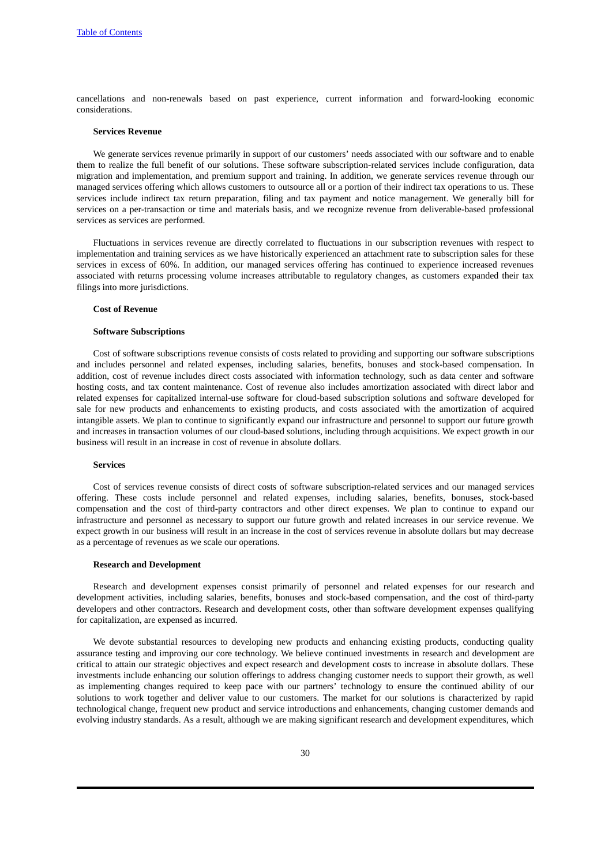cancellations and non-renewals based on past experience, current information and forward-looking economic considerations.

#### **Services Revenue**

We generate services revenue primarily in support of our customers' needs associated with our software and to enable them to realize the full benefit of our solutions. These software subscription-related services include configuration, data migration and implementation, and premium support and training. In addition, we generate services revenue through our managed services offering which allows customers to outsource all or a portion of their indirect tax operations to us. These services include indirect tax return preparation, filing and tax payment and notice management. We generally bill for services on a per-transaction or time and materials basis, and we recognize revenue from deliverable-based professional services as services are performed.

Fluctuations in services revenue are directly correlated to fluctuations in our subscription revenues with respect to implementation and training services as we have historically experienced an attachment rate to subscription sales for these services in excess of 60%. In addition, our managed services offering has continued to experience increased revenues associated with returns processing volume increases attributable to regulatory changes, as customers expanded their tax filings into more jurisdictions.

## **Cost of Revenue**

## **Software Subscriptions**

Cost of software subscriptions revenue consists of costs related to providing and supporting our software subscriptions and includes personnel and related expenses, including salaries, benefits, bonuses and stock-based compensation. In addition, cost of revenue includes direct costs associated with information technology, such as data center and software hosting costs, and tax content maintenance. Cost of revenue also includes amortization associated with direct labor and related expenses for capitalized internal-use software for cloud-based subscription solutions and software developed for sale for new products and enhancements to existing products, and costs associated with the amortization of acquired intangible assets. We plan to continue to significantly expand our infrastructure and personnel to support our future growth and increases in transaction volumes of our cloud-based solutions, including through acquisitions. We expect growth in our business will result in an increase in cost of revenue in absolute dollars.

#### **Services**

Cost of services revenue consists of direct costs of software subscription-related services and our managed services offering. These costs include personnel and related expenses, including salaries, benefits, bonuses, stock-based compensation and the cost of third-party contractors and other direct expenses. We plan to continue to expand our infrastructure and personnel as necessary to support our future growth and related increases in our service revenue. We expect growth in our business will result in an increase in the cost of services revenue in absolute dollars but may decrease as a percentage of revenues as we scale our operations.

#### **Research and Development**

Research and development expenses consist primarily of personnel and related expenses for our research and development activities, including salaries, benefits, bonuses and stock-based compensation, and the cost of third-party developers and other contractors. Research and development costs, other than software development expenses qualifying for capitalization, are expensed as incurred.

We devote substantial resources to developing new products and enhancing existing products, conducting quality assurance testing and improving our core technology. We believe continued investments in research and development are critical to attain our strategic objectives and expect research and development costs to increase in absolute dollars. These investments include enhancing our solution offerings to address changing customer needs to support their growth, as well as implementing changes required to keep pace with our partners' technology to ensure the continued ability of our solutions to work together and deliver value to our customers. The market for our solutions is characterized by rapid technological change, frequent new product and service introductions and enhancements, changing customer demands and evolving industry standards. As a result, although we are making significant research and development expenditures, which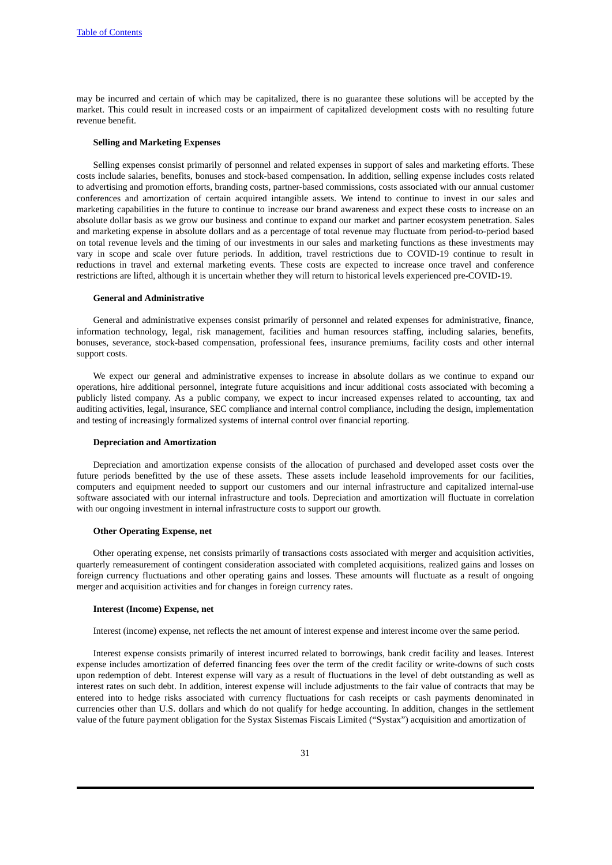may be incurred and certain of which may be capitalized, there is no guarantee these solutions will be accepted by the market. This could result in increased costs or an impairment of capitalized development costs with no resulting future revenue benefit.

## **Selling and Marketing Expenses**

Selling expenses consist primarily of personnel and related expenses in support of sales and marketing efforts. These costs include salaries, benefits, bonuses and stock-based compensation. In addition, selling expense includes costs related to advertising and promotion efforts, branding costs, partner-based commissions, costs associated with our annual customer conferences and amortization of certain acquired intangible assets. We intend to continue to invest in our sales and marketing capabilities in the future to continue to increase our brand awareness and expect these costs to increase on an absolute dollar basis as we grow our business and continue to expand our market and partner ecosystem penetration. Sales and marketing expense in absolute dollars and as a percentage of total revenue may fluctuate from period-to-period based on total revenue levels and the timing of our investments in our sales and marketing functions as these investments may vary in scope and scale over future periods. In addition, travel restrictions due to COVID-19 continue to result in reductions in travel and external marketing events. These costs are expected to increase once travel and conference restrictions are lifted, although it is uncertain whether they will return to historical levels experienced pre-COVID-19.

## **General and Administrative**

General and administrative expenses consist primarily of personnel and related expenses for administrative, finance, information technology, legal, risk management, facilities and human resources staffing, including salaries, benefits, bonuses, severance, stock-based compensation, professional fees, insurance premiums, facility costs and other internal support costs.

We expect our general and administrative expenses to increase in absolute dollars as we continue to expand our operations, hire additional personnel, integrate future acquisitions and incur additional costs associated with becoming a publicly listed company. As a public company, we expect to incur increased expenses related to accounting, tax and auditing activities, legal, insurance, SEC compliance and internal control compliance, including the design, implementation and testing of increasingly formalized systems of internal control over financial reporting.

#### **Depreciation and Amortization**

Depreciation and amortization expense consists of the allocation of purchased and developed asset costs over the future periods benefitted by the use of these assets. These assets include leasehold improvements for our facilities, computers and equipment needed to support our customers and our internal infrastructure and capitalized internal-use software associated with our internal infrastructure and tools. Depreciation and amortization will fluctuate in correlation with our ongoing investment in internal infrastructure costs to support our growth.

#### **Other Operating Expense, net**

Other operating expense, net consists primarily of transactions costs associated with merger and acquisition activities, quarterly remeasurement of contingent consideration associated with completed acquisitions, realized gains and losses on foreign currency fluctuations and other operating gains and losses. These amounts will fluctuate as a result of ongoing merger and acquisition activities and for changes in foreign currency rates.

#### **Interest (Income) Expense, net**

Interest (income) expense, net reflects the net amount of interest expense and interest income over the same period.

Interest expense consists primarily of interest incurred related to borrowings, bank credit facility and leases. Interest expense includes amortization of deferred financing fees over the term of the credit facility or write-downs of such costs upon redemption of debt. Interest expense will vary as a result of fluctuations in the level of debt outstanding as well as interest rates on such debt. In addition, interest expense will include adjustments to the fair value of contracts that may be entered into to hedge risks associated with currency fluctuations for cash receipts or cash payments denominated in currencies other than U.S. dollars and which do not qualify for hedge accounting. In addition, changes in the settlement value of the future payment obligation for the Systax Sistemas Fiscais Limited ("Systax") acquisition and amortization of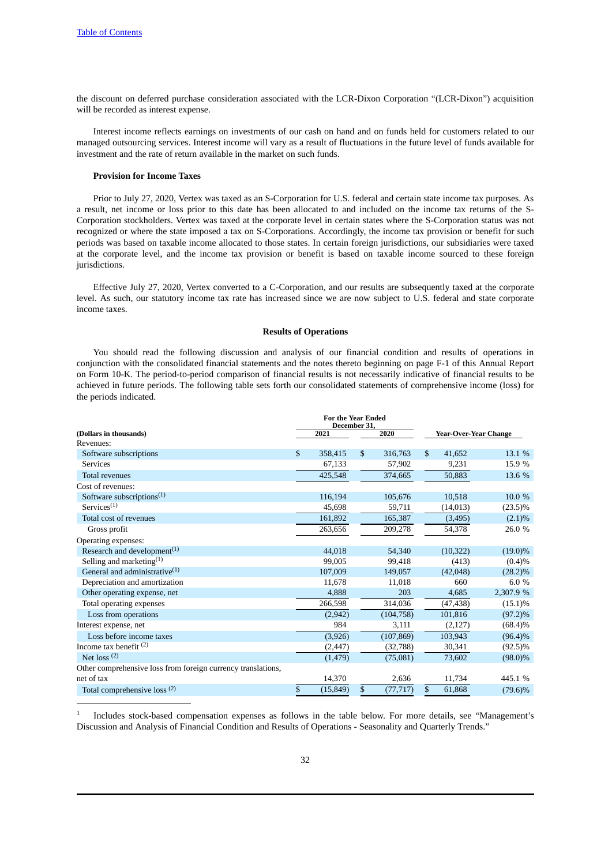the discount on deferred purchase consideration associated with the LCR-Dixon Corporation "(LCR-Dixon") acquisition will be recorded as interest expense.

Interest income reflects earnings on investments of our cash on hand and on funds held for customers related to our managed outsourcing services. Interest income will vary as a result of fluctuations in the future level of funds available for investment and the rate of return available in the market on such funds.

#### **Provision for Income Taxes**

Prior to July 27, 2020, Vertex was taxed as an S-Corporation for U.S. federal and certain state income tax purposes. As a result, net income or loss prior to this date has been allocated to and included on the income tax returns of the S-Corporation stockholders. Vertex was taxed at the corporate level in certain states where the S-Corporation status was not recognized or where the state imposed a tax on S-Corporations. Accordingly, the income tax provision or benefit for such periods was based on taxable income allocated to those states. In certain foreign jurisdictions, our subsidiaries were taxed at the corporate level, and the income tax provision or benefit is based on taxable income sourced to these foreign jurisdictions.

Effective July 27, 2020, Vertex converted to a C-Corporation, and our results are subsequently taxed at the corporate level. As such, our statutory income tax rate has increased since we are now subject to U.S. federal and state corporate income taxes.

## **Results of Operations**

You should read the following discussion and analysis of our financial condition and results of operations in conjunction with the consolidated financial statements and the notes thereto beginning on page F-1 of this Annual Report on Form 10-K. The period-to-period comparison of financial results is not necessarily indicative of financial results to be achieved in future periods. The following table sets forth our consolidated statements of comprehensive income (loss) for the periods indicated.

| <b>For the Year Ended</b><br>December 31, |           |              |            |                              |           |            |
|-------------------------------------------|-----------|--------------|------------|------------------------------|-----------|------------|
|                                           | 2021      |              | 2020       | <b>Year-Over-Year Change</b> |           |            |
|                                           |           |              |            |                              |           |            |
| \$                                        | 358,415   | $\mathbb{S}$ | 316,763    | $\mathbf{s}$                 | 41.652    | 13.1 %     |
|                                           | 67,133    |              | 57,902     |                              | 9,231     | 15.9 %     |
|                                           | 425,548   |              | 374,665    |                              | 50,883    | 13.6 %     |
|                                           |           |              |            |                              |           |            |
|                                           | 116,194   |              | 105,676    |                              | 10,518    | 10.0 %     |
|                                           | 45,698    |              | 59,711     |                              | (14, 013) | $(23.5)\%$ |
|                                           | 161,892   |              | 165,387    |                              | (3, 495)  | $(2.1)\%$  |
|                                           | 263,656   |              | 209,278    |                              | 54,378    | 26.0%      |
|                                           |           |              |            |                              |           |            |
|                                           | 44.018    |              | 54,340     |                              | (10, 322) | $(19.0)\%$ |
|                                           | 99.005    |              | 99,418     |                              | (413)     | (0.4)%     |
|                                           | 107,009   |              | 149,057    |                              | (42,048)  | $(28.2)\%$ |
|                                           | 11,678    |              | 11,018     |                              | 660       | 6.0%       |
|                                           | 4,888     |              | 203        |                              | 4,685     | 2,307.9 %  |
|                                           | 266,598   |              | 314,036    |                              | (47, 438) | $(15.1)\%$ |
|                                           | (2,942)   |              | (104, 758) |                              | 101,816   | $(97.2)\%$ |
|                                           | 984       |              | 3,111      |                              | (2, 127)  | $(68.4)\%$ |
|                                           | (3,926)   |              | (107, 869) |                              | 103,943   | $(96.4)\%$ |
|                                           | (2, 447)  |              | (32,788)   |                              | 30,341    | $(92.5)\%$ |
|                                           | (1, 479)  |              | (75,081)   |                              | 73,602    | $(98.0)\%$ |
|                                           |           |              |            |                              |           |            |
|                                           | 14,370    |              | 2,636      |                              | 11,734    | 445.1 %    |
| \$                                        | (15, 849) | \$           | (77, 717)  | \$                           | 61,868    | $(79.6)\%$ |
|                                           |           |              |            |                              |           |            |

1 Includes stock-based compensation expenses as follows in the table below. For more details, see "Management's Discussion and Analysis of Financial Condition and Results of Operations - Seasonality and Quarterly Trends."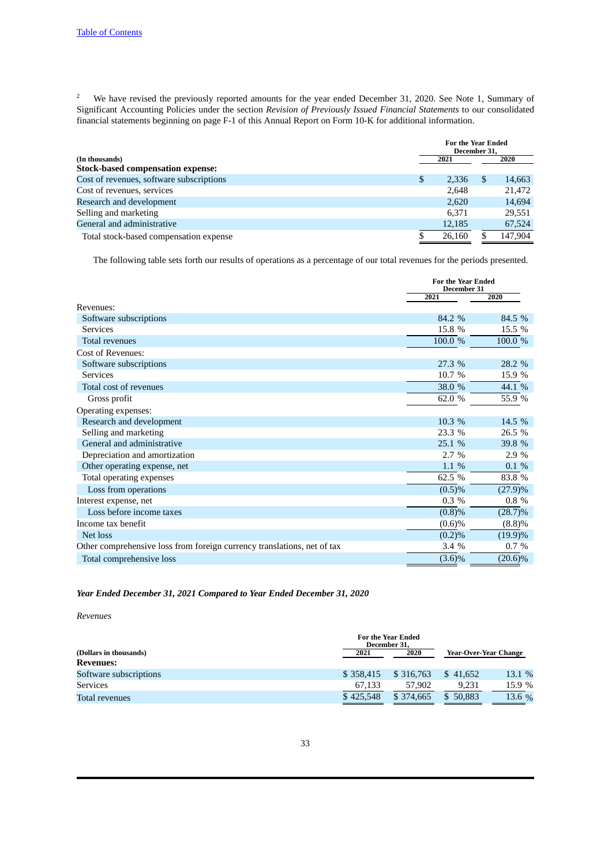<sup>2</sup> We have revised the previously reported amounts for the year ended December 31, 2020. See Note 1, Summary of Significant Accounting Policies under the section *Revision of Previously Issued Financial Statements* to our consolidated financial statements beginning on page F-1 of this Annual Report on Form 10-K for additional information.

|                                          |    | <b>For the Year Ended</b><br>December 31. |   |         |  |  |
|------------------------------------------|----|-------------------------------------------|---|---------|--|--|
| (In thousands)                           |    | 2021                                      |   | 2020    |  |  |
| <b>Stock-based compensation expense:</b> |    |                                           |   |         |  |  |
| Cost of revenues, software subscriptions | \$ | 2,336                                     | S | 14,663  |  |  |
| Cost of revenues, services               |    | 2.648                                     |   | 21,472  |  |  |
| Research and development                 |    | 2,620                                     |   | 14,694  |  |  |
| Selling and marketing                    |    | 6.371                                     |   | 29,551  |  |  |
| General and administrative               |    | 12,185                                    |   | 67,524  |  |  |
| Total stock-based compensation expense   | \$ | 26.160                                    |   | 147,904 |  |  |

The following table sets forth our results of operations as a percentage of our total revenues for the periods presented.

|                                                                         | 2021      |            |
|-------------------------------------------------------------------------|-----------|------------|
|                                                                         |           | 2020       |
| Revenues:                                                               |           |            |
| Software subscriptions                                                  | 84.2 %    | 84.5 %     |
| <b>Services</b>                                                         | 15.8 %    | 15.5 %     |
| <b>Total revenues</b>                                                   | 100.0 %   | 100.0 %    |
| Cost of Revenues:                                                       |           |            |
| Software subscriptions                                                  | 27.3 %    | 28.2 %     |
| <b>Services</b>                                                         | 10.7 %    | 15.9 %     |
| Total cost of revenues                                                  | 38.0 %    | 44.1 %     |
| Gross profit                                                            | 62.0 %    | 55.9 %     |
| Operating expenses:                                                     |           |            |
| Research and development                                                | 10.3 %    | 14.5 %     |
| Selling and marketing                                                   | 23.3 %    | 26.5 %     |
| General and administrative                                              | 25.1 %    | 39.8 %     |
| Depreciation and amortization                                           | $2.7\%$   | 2.9%       |
| Other operating expense, net                                            | $1.1\%$   | $0.1 \%$   |
| Total operating expenses                                                | 62.5 %    | 83.8 %     |
| Loss from operations                                                    | (0.5)%    | (27.9)%    |
| Interest expense, net                                                   | $0.3\%$   | $0.8 \%$   |
| Loss before income taxes                                                | (0.8)%    | $(28.7)\%$ |
| Income tax benefit                                                      | $(0.6)\%$ | (8.8)%     |
| Net loss                                                                | (0.2)%    | $(19.9)\%$ |
| Other comprehensive loss from foreign currency translations, net of tax | 3.4%      | $0.7\%$    |
| Total comprehensive loss                                                | $(3.6)\%$ | $(20.6)\%$ |

## *Year Ended December 31, 2021 Compared to Year Ended December 31, 2020*

*Revenues*

|                        |           | <b>For the Year Ended</b><br>December 31. |                       |        |  |  |
|------------------------|-----------|-------------------------------------------|-----------------------|--------|--|--|
| (Dollars in thousands) | 2021      | 2020                                      | Year-Over-Year Change |        |  |  |
| <b>Revenues:</b>       |           |                                           |                       |        |  |  |
| Software subscriptions | \$358,415 | \$316,763                                 | \$41,652              | 13.1 % |  |  |
| <b>Services</b>        | 67.133    | 57,902                                    | 9.231                 | 15.9 % |  |  |
| Total revenues         | \$425.548 | \$374,665                                 | \$50.883              | 13.6 % |  |  |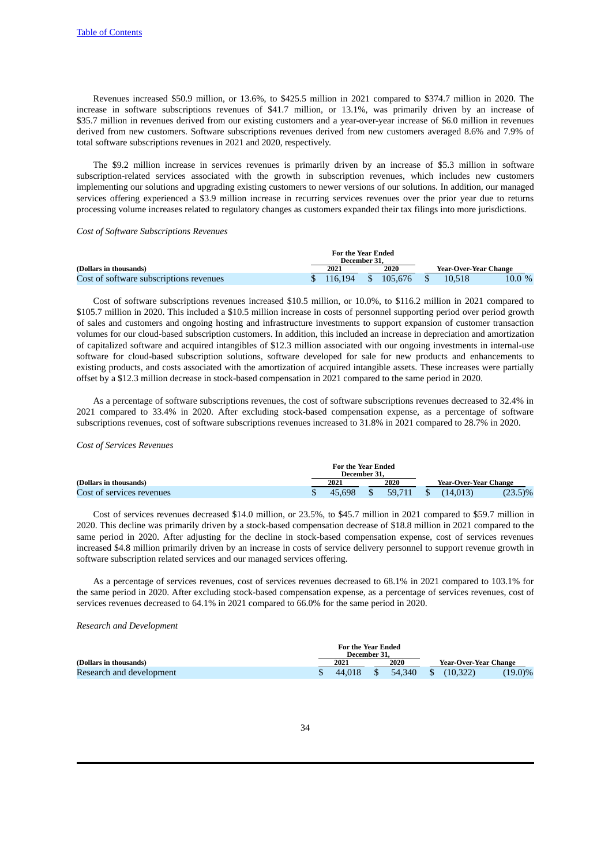Revenues increased \$50.9 million, or 13.6%, to \$425.5 million in 2021 compared to \$374.7 million in 2020. The increase in software subscriptions revenues of \$41.7 million, or 13.1%, was primarily driven by an increase of \$35.7 million in revenues derived from our existing customers and a year-over-year increase of \$6.0 million in revenues derived from new customers. Software subscriptions revenues derived from new customers averaged 8.6% and 7.9% of total software subscriptions revenues in 2021 and 2020, respectively.

The \$9.2 million increase in services revenues is primarily driven by an increase of \$5.3 million in software subscription-related services associated with the growth in subscription revenues, which includes new customers implementing our solutions and upgrading existing customers to newer versions of our solutions. In addition, our managed services offering experienced a \$3.9 million increase in recurring services revenues over the prior year due to returns processing volume increases related to regulatory changes as customers expanded their tax filings into more jurisdictions.

*Cost of Software Subscriptions Revenues*

| (Dollars in thousands)                  | For the Year Ended<br>December 31. |              |         |                       |           |
|-----------------------------------------|------------------------------------|--------------|---------|-----------------------|-----------|
|                                         | 2021                               |              | 2020    | Year-Over-Year Change |           |
| Cost of software subscriptions revenues | 116.194                            | $\mathbf{s}$ | 105.676 | 10.518                | $10.0 \%$ |

Cost of software subscriptions revenues increased \$10.5 million, or 10.0%, to \$116.2 million in 2021 compared to \$105.7 million in 2020. This included a \$10.5 million increase in costs of personnel supporting period over period growth of sales and customers and ongoing hosting and infrastructure investments to support expansion of customer transaction volumes for our cloud-based subscription customers. In addition, this included an increase in depreciation and amortization of capitalized software and acquired intangibles of \$12.3 million associated with our ongoing investments in internal-use software for cloud-based subscription solutions, software developed for sale for new products and enhancements to existing products, and costs associated with the amortization of acquired intangible assets. These increases were partially offset by a \$12.3 million decrease in stock-based compensation in 2021 compared to the same period in 2020.

As a percentage of software subscriptions revenues, the cost of software subscriptions revenues decreased to 32.4% in 2021 compared to 33.4% in 2020. After excluding stock-based compensation expense, as a percentage of software subscriptions revenues, cost of software subscriptions revenues increased to 31.8% in 2021 compared to 28.7% in 2020.

*Cost of Services Revenues*

|                           | For the Year Ended<br>December 31. |        |  |        |  |                              |            |
|---------------------------|------------------------------------|--------|--|--------|--|------------------------------|------------|
| (Dollars in thousands)    |                                    | 2021   |  | 2020   |  | <b>Year-Over-Year Change</b> |            |
| Cost of services revenues |                                    | 45.698 |  | 59.711 |  | (14.013)                     | $(23.5)\%$ |

Cost of services revenues decreased \$14.0 million, or 23.5%, to \$45.7 million in 2021 compared to \$59.7 million in 2020. This decline was primarily driven by a stock-based compensation decrease of \$18.8 million in 2021 compared to the same period in 2020. After adjusting for the decline in stock-based compensation expense, cost of services revenues increased \$4.8 million primarily driven by an increase in costs of service delivery personnel to support revenue growth in software subscription related services and our managed services offering.

As a percentage of services revenues, cost of services revenues decreased to 68.1% in 2021 compared to 103.1% for the same period in 2020. After excluding stock-based compensation expense, as a percentage of services revenues, cost of services revenues decreased to 64.1% in 2021 compared to 66.0% for the same period in 2020.

#### *Research and Development*

| (Dollars in thousands)   | <b>For the Year Ended</b><br>December 31. |  |        |                       |          |            |
|--------------------------|-------------------------------------------|--|--------|-----------------------|----------|------------|
|                          | 2021                                      |  | 2020   | Year-Over-Year Change |          |            |
| Research and development | 44.018                                    |  | 54,340 | \$                    | (10.322) | $(19.0)\%$ |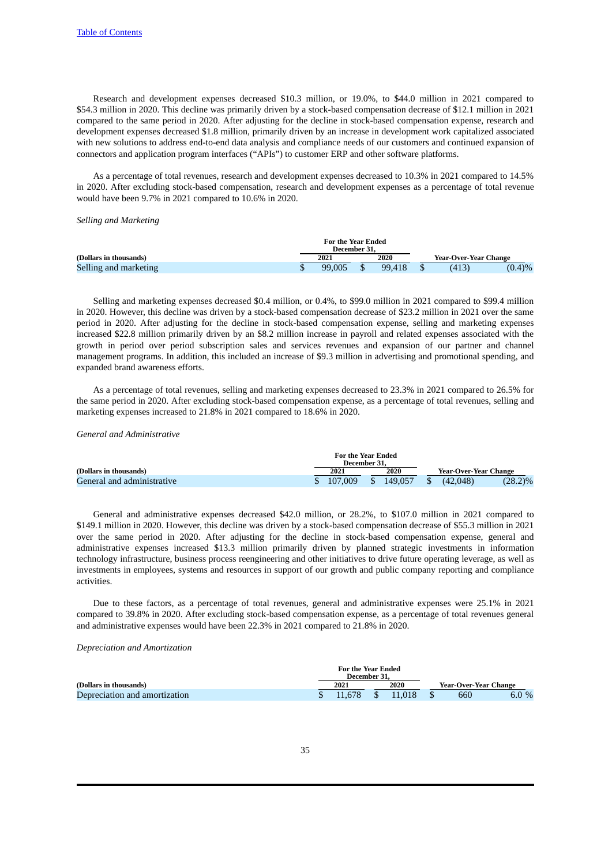Research and development expenses decreased \$10.3 million, or 19.0%, to \$44.0 million in 2021 compared to \$54.3 million in 2020. This decline was primarily driven by a stock-based compensation decrease of \$12.1 million in 2021 compared to the same period in 2020. After adjusting for the decline in stock-based compensation expense, research and development expenses decreased \$1.8 million, primarily driven by an increase in development work capitalized associated with new solutions to address end-to-end data analysis and compliance needs of our customers and continued expansion of connectors and application program interfaces ("APIs") to customer ERP and other software platforms.

As a percentage of total revenues, research and development expenses decreased to 10.3% in 2021 compared to 14.5% in 2020. After excluding stock-based compensation, research and development expenses as a percentage of total revenue would have been 9.7% in 2021 compared to 10.6% in 2020.

*Selling and Marketing*

|                        |              | For the Year Ended<br>December 31. |  |        |                       |       |        |  |  |
|------------------------|--------------|------------------------------------|--|--------|-----------------------|-------|--------|--|--|
| (Dollars in thousands) | 2021<br>2020 |                                    |  |        | Year-Over-Year Change |       |        |  |  |
| Selling and marketing  |              | 99,005                             |  | 99.418 |                       | (413) | (0.4)% |  |  |

Selling and marketing expenses decreased \$0.4 million, or 0.4%, to \$99.0 million in 2021 compared to \$99.4 million in 2020. However, this decline was driven by a stock-based compensation decrease of \$23.2 million in 2021 over the same period in 2020. After adjusting for the decline in stock-based compensation expense, selling and marketing expenses increased \$22.8 million primarily driven by an \$8.2 million increase in payroll and related expenses associated with the growth in period over period subscription sales and services revenues and expansion of our partner and channel management programs. In addition, this included an increase of \$9.3 million in advertising and promotional spending, and expanded brand awareness efforts.

As a percentage of total revenues, selling and marketing expenses decreased to 23.3% in 2021 compared to 26.5% for the same period in 2020. After excluding stock-based compensation expense, as a percentage of total revenues, selling and marketing expenses increased to 21.8% in 2021 compared to 18.6% in 2020.

*General and Administrative*

|                            |         | For the Year Ended<br>December 31. |   |                       |            |
|----------------------------|---------|------------------------------------|---|-----------------------|------------|
| (Dollars in thousands)     | 2021    | 2020                               |   | Year-Over-Year Change |            |
| General and administrative | 107.009 | 149.057<br>- S                     | S | (42.048)              | $(28.2)\%$ |

General and administrative expenses decreased \$42.0 million, or 28.2%, to \$107.0 million in 2021 compared to \$149.1 million in 2020. However, this decline was driven by a stock-based compensation decrease of \$55.3 million in 2021 over the same period in 2020. After adjusting for the decline in stock-based compensation expense, general and administrative expenses increased \$13.3 million primarily driven by planned strategic investments in information technology infrastructure, business process reengineering and other initiatives to drive future operating leverage, as well as investments in employees, systems and resources in support of our growth and public company reporting and compliance activities.

Due to these factors, as a percentage of total revenues, general and administrative expenses were 25.1% in 2021 compared to 39.8% in 2020. After excluding stock-based compensation expense, as a percentage of total revenues general and administrative expenses would have been 22.3% in 2021 compared to 21.8% in 2020.

#### *Depreciation and Amortization*

|                               | For the Year Ended   |        |                       |      |
|-------------------------------|----------------------|--------|-----------------------|------|
| (Dollars in thousands)        | December 31.<br>2021 | 2020   | Year-Over-Year Change |      |
| Depreciation and amortization | 11.678               | 11.018 | 660                   | 6.0% |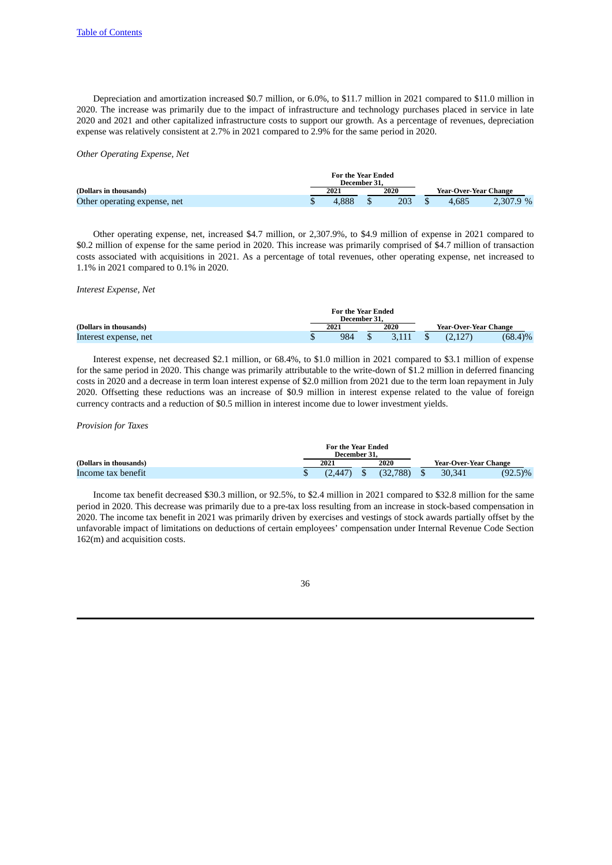Depreciation and amortization increased \$0.7 million, or 6.0%, to \$11.7 million in 2021 compared to \$11.0 million in 2020. The increase was primarily due to the impact of infrastructure and technology purchases placed in service in late 2020 and 2021 and other capitalized infrastructure costs to support our growth. As a percentage of revenues, depreciation expense was relatively consistent at 2.7% in 2021 compared to 2.9% for the same period in 2020.

*Other Operating Expense, Net*

|                              | For the Year Ended<br>December 31. |      |                       |           |
|------------------------------|------------------------------------|------|-----------------------|-----------|
| (Dollars in thousands)       | 2021                               | 2020 | Year-Over-Year Change |           |
| Other operating expense, net | 4.888                              | 203  | 4.685                 | 2.307.9 % |

Other operating expense, net, increased \$4.7 million, or 2,307.9%, to \$4.9 million of expense in 2021 compared to \$0.2 million of expense for the same period in 2020. This increase was primarily comprised of \$4.7 million of transaction costs associated with acquisitions in 2021. As a percentage of total revenues, other operating expense, net increased to 1.1% in 2021 compared to 0.1% in 2020.

#### *Interest Expense, Net*

|                        | For the Year Ended<br>December 31. |      |                       |            |
|------------------------|------------------------------------|------|-----------------------|------------|
| (Dollars in thousands) | 2021                               | 2020 | Year-Over-Year Change |            |
| Interest expense, net  | 984                                |      |                       | $(68.4)\%$ |

Interest expense, net decreased \$2.1 million, or 68.4%, to \$1.0 million in 2021 compared to \$3.1 million of expense for the same period in 2020. This change was primarily attributable to the write-down of \$1.2 million in deferred financing costs in 2020 and a decrease in term loan interest expense of \$2.0 million from 2021 due to the term loan repayment in July 2020. Offsetting these reductions was an increase of \$0.9 million in interest expense related to the value of foreign currency contracts and a reduction of \$0.5 million in interest income due to lower investment yields.

*Provision for Taxes*

|                        | For the Year Ended<br>December 31. |          |                              |            |
|------------------------|------------------------------------|----------|------------------------------|------------|
| (Dollars in thousands) | 2021                               | 2020     | <b>Year-Over-Year Change</b> |            |
| Income tax benefit     | (2.447)                            | (32.788) | 30.341                       | $(92.5)\%$ |

Income tax benefit decreased \$30.3 million, or 92.5%, to \$2.4 million in 2021 compared to \$32.8 million for the same period in 2020. This decrease was primarily due to a pre-tax loss resulting from an increase in stock-based compensation in 2020. The income tax benefit in 2021 was primarily driven by exercises and vestings of stock awards partially offset by the unfavorable impact of limitations on deductions of certain employees' compensation under Internal Revenue Code Section 162(m) and acquisition costs.

#### 36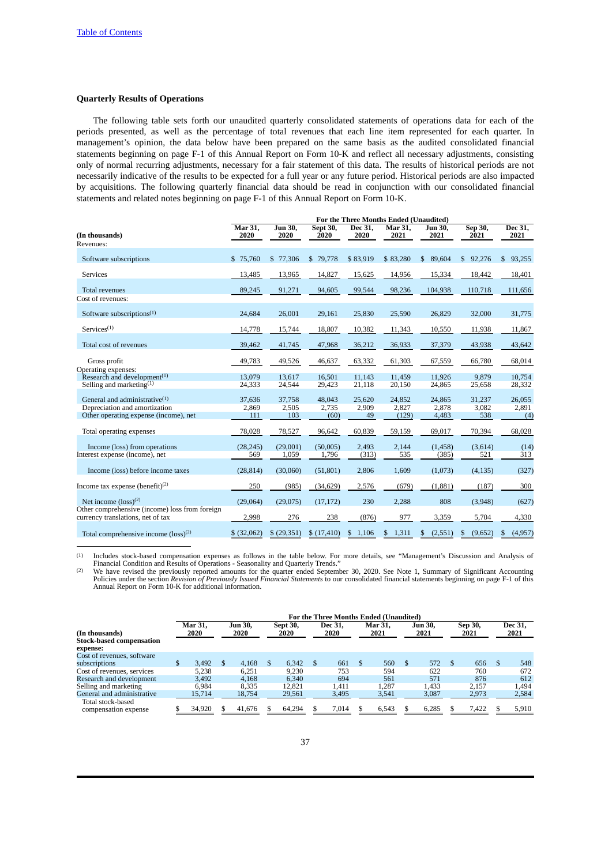## **Quarterly Results of Operations**

The following table sets forth our unaudited quarterly consolidated statements of operations data for each of the periods presented, as well as the percentage of total revenues that each line item represented for each quarter. In management's opinion, the data below have been prepared on the same basis as the audited consolidated financial statements beginning on page F-1 of this Annual Report on Form 10-K and reflect all necessary adjustments, consisting only of normal recurring adjustments, necessary for a fair statement of this data. The results of historical periods are not necessarily indicative of the results to be expected for a full year or any future period. Historical periods are also impacted by acquisitions. The following quarterly financial data should be read in conjunction with our consolidated financial statements and related notes beginning on page F-1 of this Annual Report on Form 10-K.

|                                                                                     |                        |                   |                   |                 | For the Three Months Ended (Unaudited) |                        |                        |                        |
|-------------------------------------------------------------------------------------|------------------------|-------------------|-------------------|-----------------|----------------------------------------|------------------------|------------------------|------------------------|
| (In thousands)                                                                      | <b>Mar 31,</b><br>2020 | Jun 30,<br>2020   | Sept 30,<br>2020  | Dec 31,<br>2020 | Mar 31,<br>2021                        | <b>Jun 30.</b><br>2021 | Sep 30,<br>2021        | Dec 31,<br>2021        |
| Revenues:                                                                           |                        |                   |                   |                 |                                        |                        |                        |                        |
| Software subscriptions                                                              | \$75,760               | \$77,306          | \$79,778          | \$83,919        | \$83,280                               | \$ 89,604              | $\mathbb{S}$<br>92,276 | $\mathbb{S}$<br>93,255 |
| <b>Services</b>                                                                     | 13,485                 | 13,965            | 14,827            | 15,625          | 14,956                                 | 15,334                 | 18,442                 | 18,401                 |
| <b>Total revenues</b>                                                               | 89,245                 | 91,271            | 94,605            | 99,544          | 98,236                                 | 104,938                | 110,718                | 111,656                |
| Cost of revenues:                                                                   |                        |                   |                   |                 |                                        |                        |                        |                        |
| Software subscriptions $(1)$                                                        | 24.684                 | 26,001            | 29,161            | 25,830          | 25,590                                 | 26.829                 | 32,000                 | 31,775                 |
| $S$ ervices $(1)$                                                                   | 14,778                 | 15,744            | 18,807            | 10,382          | 11,343                                 | 10,550                 | 11,938                 | 11,867                 |
| Total cost of revenues                                                              | 39,462                 | 41,745            | 47,968            | 36,212          | 36,933                                 | 37,379                 | 43,938                 | 43,642                 |
| Gross profit                                                                        | 49,783                 | 49,526            | 46,637            | 63,332          | 61,303                                 | 67,559                 | 66,780                 | 68,014                 |
| Operating expenses:                                                                 |                        |                   |                   |                 |                                        |                        |                        |                        |
| Research and development <sup><math>(1)</math></sup>                                | 13,079                 | 13,617            | 16,501            | 11,143          | 11,459                                 | 11,926                 | 9,879                  | 10,754                 |
| Selling and marketing $(1)$                                                         | 24,333                 | 24,544            | 29,423            | 21,118          | 20,150                                 | 24,865                 | 25,658                 | 28,332                 |
| General and administrative $(1)$                                                    | 37,636                 | 37,758            | 48,043            | 25,620          | 24,852                                 | 24,865                 | 31,237                 | 26,055                 |
| Depreciation and amortization                                                       | 2,869                  | 2,505             | 2,735             | 2,909           | 2,827                                  | 2,878                  | 3,082                  | 2,891                  |
| Other operating expense (income), net                                               | 111                    | 103               | (60)              | 49              | (129)                                  | 4,483                  | 538                    | (4)                    |
|                                                                                     |                        |                   |                   |                 |                                        |                        |                        |                        |
| Total operating expenses                                                            | 78,028                 | 78,527            | 96,642            | 60,839          | 59,159                                 | 69,017                 | 70,394                 | 68,028                 |
| Income (loss) from operations<br>Interest expense (income), net                     | (28, 245)<br>569       | (29,001)<br>1,059 | (50,005)<br>1,796 | 2,493<br>(313)  | 2,144<br>535                           | (1, 458)<br>(385)      | (3,614)<br>521         | (14)<br>313            |
| Income (loss) before income taxes                                                   | (28, 814)              | (30,060)          | (51, 801)         | 2,806           | 1,609                                  | (1,073)                | (4, 135)               | (327)                  |
| Income tax expense (benefit) $(2)$                                                  | 250                    | (985)             | (34, 629)         | 2,576           | (679)                                  | (1, 881)               | (187)                  | 300                    |
| Net income $(\text{loss})^{(2)}$                                                    | (29,064)               | (29,075)          | (17, 172)         | 230             | 2,288                                  | 808                    | (3,948)                | (627)                  |
| Other comprehensive (income) loss from foreign<br>currency translations, net of tax | 2,998                  | 276               | 238               | (876)           | 977                                    | 3,359                  | 5,704                  | 4,330                  |
| Total comprehensive income $(\text{loss})^{(2)}$                                    | \$ (32,062)            | \$(29,351)        | \$(17, 410)       | \$<br>1,106     | \$<br>1,311                            | (2,551)<br>\$          | (9,652)<br>\$          | (4,957)<br>S           |

(1) Includes stock-based compensation expenses as follows in the table below. For more details, see "Management's Discussion and Analysis of Financial Condition and Results of Operations - Seasonality and Quarterly Trends."<br>(2) We have revised the previously reported amounts for the quarter ended September 30, 2020. See Note 1, Summary of Significant Accounting

Policies under the section *Revision of Previously Issued Financial Statements* to our consolidated financial statements beginning on page F-1 of this Annual Report on Form 10-K for additional information.

|                                                               | For the Three Months Ended (Unaudited) |                        |    |                        |    |                         |  |                 |    |                 |    |                        |    |                 |  |                 |
|---------------------------------------------------------------|----------------------------------------|------------------------|----|------------------------|----|-------------------------|--|-----------------|----|-----------------|----|------------------------|----|-----------------|--|-----------------|
| (In thousands)<br><b>Stock-based compensation</b><br>expense: |                                        | <b>Mar 31.</b><br>2020 |    | <b>Jun 30.</b><br>2020 |    | <b>Sept 30,</b><br>2020 |  | Dec 31.<br>2020 |    | Mar 31.<br>2021 |    | <b>Jun 30.</b><br>2021 |    | Sep 30,<br>2021 |  | Dec 31,<br>2021 |
| Cost of revenues, software<br>subscriptions                   | \$                                     | 3.492                  | \$ | 4.168                  | .S | 6.342                   |  | 661             | .S | 560             | .S | 572                    | -S | 656             |  | 548             |
| Cost of revenues, services                                    |                                        | 5,238                  |    | 6,251                  |    | 9.230                   |  | 753             |    | 594             |    | 622                    |    | 760             |  | 672             |
| Research and development                                      |                                        | 3.492                  |    | 4.168                  |    | 6.340                   |  | 694             |    | 561             |    | 571                    |    | 876             |  | 612             |
| Selling and marketing                                         |                                        | 6.984                  |    | 8.335                  |    | 12.821                  |  | 1.411           |    | 1.287           |    | 1.433                  |    | 2.157           |  | 1,494           |
| General and administrative<br>Total stock-based               |                                        | 15,714                 |    | 18,754                 |    | 29,561                  |  | 3,495           |    | 3,541           |    | 3,087                  |    | 2,973           |  | 2,584           |
| compensation expense                                          |                                        | 34,920                 |    | 41,676                 |    | 64,294                  |  | 7,014           |    | 6,543           |    | 6,285                  |    | 7,422           |  | 5,910           |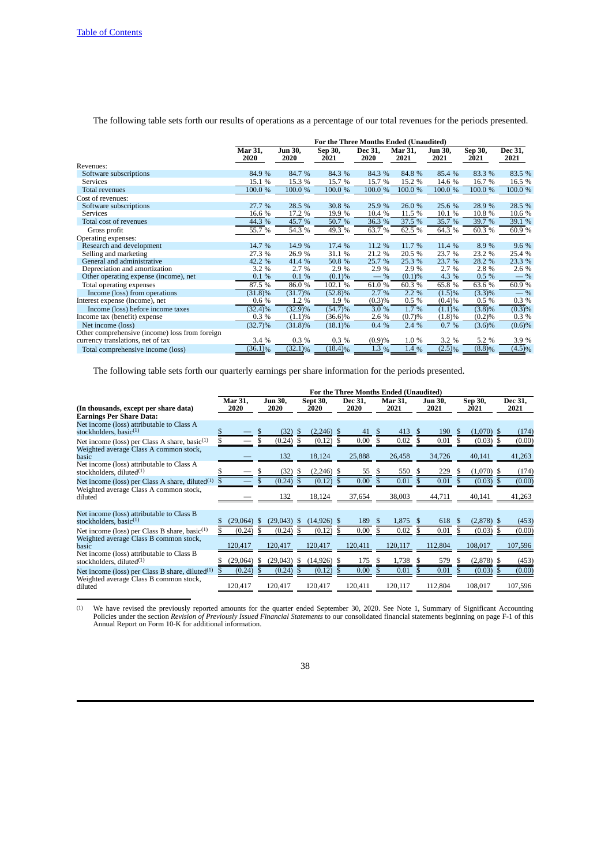|                                                | For the Three Months Ended (Unaudited) |                        |                 |                 |                 |                 |                 |                 |  |  |  |  |  |  |
|------------------------------------------------|----------------------------------------|------------------------|-----------------|-----------------|-----------------|-----------------|-----------------|-----------------|--|--|--|--|--|--|
|                                                | Mar 31,<br>2020                        | <b>Jun 30,</b><br>2020 | Sep 30,<br>2021 | Dec 31,<br>2020 | Mar 31,<br>2021 | Jun 30,<br>2021 | Sep 30,<br>2021 | Dec 31,<br>2021 |  |  |  |  |  |  |
| Revenues:                                      |                                        |                        |                 |                 |                 |                 |                 |                 |  |  |  |  |  |  |
| Software subscriptions                         | 84.9 %                                 | 84.7 %                 | 84.3 %          | 84.3%           | 84.8%           | 85.4 %          | 83.3 %          | 83.5 %          |  |  |  |  |  |  |
| <b>Services</b>                                | 15.1 %                                 | 15.3 %                 | 15.7%           | 15.7%           | 15.2 %          | 14.6 %          | 16.7%           | 16.5 %          |  |  |  |  |  |  |
| <b>Total revenues</b>                          | 100.0 %                                | 100.0 %                | 100.0%          | 100.0%          | 100.0 %         | 100.0%          | 100.0%          | 100.0%          |  |  |  |  |  |  |
| Cost of revenues:                              |                                        |                        |                 |                 |                 |                 |                 |                 |  |  |  |  |  |  |
| Software subscriptions                         | 27.7 %                                 | 28.5 %                 | 30.8 %          | 25.9%           | 26.0%           | 25.6 %          | 28.9%           | 28.5 %          |  |  |  |  |  |  |
| <b>Services</b>                                | 16.6 %                                 | 17.2 %                 | 19.9%           | 10.4 %          | 11.5 %          | 10.1 %          | 10.8%           | 10.6 %          |  |  |  |  |  |  |
| Total cost of revenues                         | 44.3 %                                 | 45.7%                  | 50.7%           | 36.3 %          | 37.5 %          | 35.7%           | 39.7 %          | 39.1 %          |  |  |  |  |  |  |
| Gross profit                                   | 55.7%                                  | 54.3 %                 | 49.3 %          | 63.7%           | 62.5 %          | 64.3 %          | 60.3%           | 60.9%           |  |  |  |  |  |  |
| Operating expenses:                            |                                        |                        |                 |                 |                 |                 |                 |                 |  |  |  |  |  |  |
| Research and development                       | 14.7 %                                 | 14.9 %                 | 17.4 %          | 11.2 %          | 11.7 %          | 11.4 %          | 8.9%            | 9.6 %           |  |  |  |  |  |  |
| Selling and marketing                          | 27.3 %                                 | 26.9%                  | 31.1 %          | 21.2 %          | 20.5 %          | 23.7 %          | 23.2 %          | 25.4 %          |  |  |  |  |  |  |
| General and administrative                     | 42.2 %                                 | 41.4 %                 | 50.8%           | 25.7%           | 25.3 %          | 23.7 %          | 28.2 %          | 23.3 %          |  |  |  |  |  |  |
| Depreciation and amortization                  | 3.2%                                   | 2.7 %                  | 2.9%            | 2.9%            | 2.9 %           | 2.7 %           | 2.8%            | 2.6 %           |  |  |  |  |  |  |
| Other operating expense (income), net          | 0.1%                                   | 0.1%                   | (0.1)%          | $-$ %           | (0.1)%          | 4.3 %           | 0.5%            | $-$ %           |  |  |  |  |  |  |
| Total operating expenses                       | 87.5 %                                 | 86.0%                  | 102.1 %         | 61.0%           | 60.3%           | 65.8%           | 63.6%           | 60.9%           |  |  |  |  |  |  |
| Income (loss) from operations                  | $(31.8)\%$                             | $(31.7)\%$             | $(52.8)\%$      | 2.7%            | 2.2 %           | $(1.5)\%$       | (3.3)%          | $-$ %           |  |  |  |  |  |  |
| Interest expense (income), net                 | 0.6 %                                  | 1.2 %                  | 1.9%            | (0.3)%          | 0.5 %           | (0.4)%          | $0.5 \%$        | 0.3%            |  |  |  |  |  |  |
| Income (loss) before income taxes              | $(32.4)\%$                             | $(32.9)\%$             | $(54.7)\%$      | 3.0 %           | 1.7%            | (1.1)%          | (3.8)%          | (0.3)%          |  |  |  |  |  |  |
| Income tax (benefit) expense                   | $0.3\%$                                | (1.1)%                 | $(36.6)\%$      | 2.6 %           | (0.7)%          | (1.8)%          | (0.2)%          | 0.3%            |  |  |  |  |  |  |
| Net income (loss)                              | $(32.7)\%$                             | $(31.8)\%$             | $(18.1)\%$      | 0.4%            | 2.4 %           | 0.7%            | $(3.6)\%$       | (0.6)%          |  |  |  |  |  |  |
| Other comprehensive (income) loss from foreign |                                        |                        |                 |                 |                 |                 |                 |                 |  |  |  |  |  |  |
| currency translations, net of tax              | 3.4%                                   | 0.3%                   | $0.3\%$         | (0.9)%          | 1.0%            | 3.2%            | 5.2%            | 3.9 %           |  |  |  |  |  |  |
| Total comprehensive income (loss)              | $(36.1)\%$                             | $(32.1)\%$             | $(18.4)\%$      | $1.3\%$         | $1.4\%$         | $(2.5)\%$       | (8.8)%          | $(4.5)\%$       |  |  |  |  |  |  |

The following table sets forth our results of operations as a percentage of our total revenues for the periods presented.

The following table sets forth our quarterly earnings per share information for the periods presented.

|                                                                          | For the Three Months Ended (Unaudited) |     |                        |              |                         |  |                        |    |                        |                 |         |                 |         |    |                 |
|--------------------------------------------------------------------------|----------------------------------------|-----|------------------------|--------------|-------------------------|--|------------------------|----|------------------------|-----------------|---------|-----------------|---------|----|-----------------|
| (In thousands, except per share data)                                    | <b>Mar 31.</b><br>2020                 |     | <b>Jun 30.</b><br>2020 |              | <b>Sept 30,</b><br>2020 |  | <b>Dec 31.</b><br>2020 |    | <b>Mar 31.</b><br>2021 | Jun 30.<br>2021 |         | Sep 30,<br>2021 |         |    | Dec 31.<br>2021 |
| <b>Earnings Per Share Data:</b>                                          |                                        |     |                        |              |                         |  |                        |    |                        |                 |         |                 |         |    |                 |
| Net income (loss) attributable to Class A<br>stockholders, basic $(1)$   |                                        |     | (32)                   | \$.          | $(2,246)$ \$            |  | 41                     | -S | 413                    |                 | 190     | \$.             | (1,070) |    | (174)           |
| Net income (loss) per Class A share, basi $c^{(1)}$                      |                                        |     | (0.24)                 | S            | (0.12)                  |  | 0.00                   |    | 0.02                   |                 | 0.01    | -S              | (0.03)  |    | (0.00)          |
| Weighted average Class A common stock,<br>basic                          |                                        |     | 132                    |              | 18,124                  |  | 25,888                 |    | 26,458                 |                 | 34,726  |                 | 40,141  |    | 41,263          |
| Net income (loss) attributable to Class A<br>stockholders, diluted $(1)$ |                                        |     | (32)                   |              | (2, 246)                |  | 55                     | .S | 550                    |                 | 229     |                 | (1,070) | -S | (174)           |
| Net income (loss) per Class A share, diluted $(1)$                       |                                        |     | (0.24)                 |              | (0.12)                  |  | 0.00                   |    | 0.01                   |                 | 0.01    |                 | (0.03)  |    | (0.00)          |
| Weighted average Class A common stock,<br>diluted                        |                                        |     | 132                    |              | 18,124                  |  | 37,654                 |    | 38,003                 |                 | 44,711  |                 | 40,141  |    | 41,263          |
| Net income (loss) attributable to Class B<br>stockholders, basic $(1)$   | (29,064)                               |     | (29, 043)              | .S           | $(14, 926)$ \$          |  | 189                    | .S | 1,875                  |                 | 618     | .S              | (2,878) |    | (453)           |
| Net income (loss) per Class B share, basi $c^{(1)}$                      | (0.24)                                 | S.  | (0.24)                 | -8           | (0.12)                  |  | 0.00                   | £. | 0.02                   |                 | 0.01    | S.              | (0.03)  |    | (0.00)          |
| Weighted average Class B common stock,<br>basic                          | 120,417                                |     | 120,417                |              | 120,417                 |  | 120,411                |    | 120,117                |                 | 112,804 |                 | 108,017 |    | 107,596         |
| Net income (loss) attributable to Class B<br>stockholders, diluted $(1)$ | (29,064)                               |     | (29, 043)              | -S           | (14, 926)               |  | 175                    | -S | 1,738                  |                 | 579     | £.              | (2,878) |    | (453)           |
| Net income (loss) per Class B share, diluted $(1)$                       | (0.24)                                 | \$. | (0.24)                 | $\mathbf{s}$ | (0.12)                  |  | 0.00                   |    | 0.01                   |                 | 0.01    | \$.             | (0.03)  |    | (0.00)          |
| Weighted average Class B common stock,<br>diluted                        | 120,417                                |     | 120,417                |              | 120,417                 |  | 120,411                |    | 120,117                |                 | 112,804 |                 | 108,017 |    | 107,596         |

<sup>(1)</sup> We have revised the previously reported amounts for the quarter ended September 30, 2020. See Note 1, Summary of Significant Accounting Policies under the section *Revision of Previously Issued Financial Statements*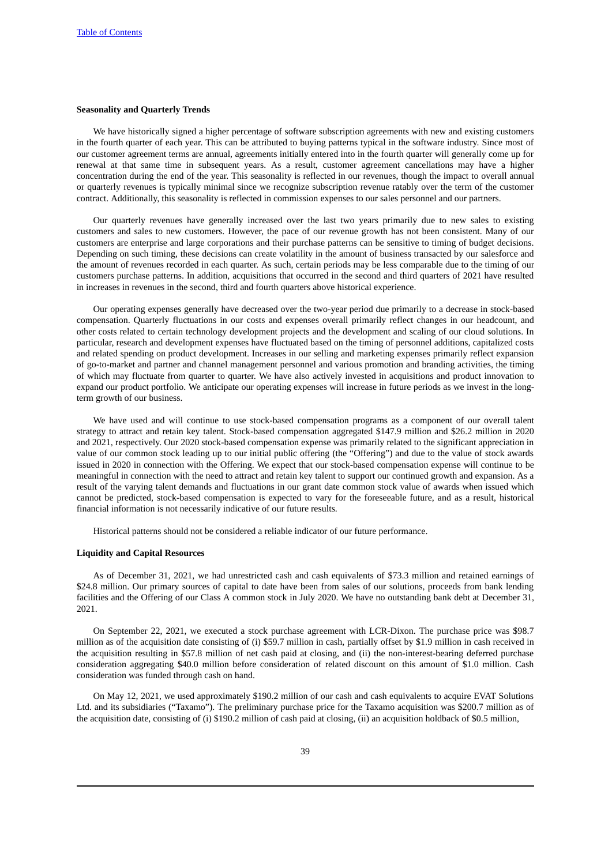## **Seasonality and Quarterly Trends**

We have historically signed a higher percentage of software subscription agreements with new and existing customers in the fourth quarter of each year. This can be attributed to buying patterns typical in the software industry. Since most of our customer agreement terms are annual, agreements initially entered into in the fourth quarter will generally come up for renewal at that same time in subsequent years. As a result, customer agreement cancellations may have a higher concentration during the end of the year. This seasonality is reflected in our revenues, though the impact to overall annual or quarterly revenues is typically minimal since we recognize subscription revenue ratably over the term of the customer contract. Additionally, this seasonality is reflected in commission expenses to our sales personnel and our partners.

Our quarterly revenues have generally increased over the last two years primarily due to new sales to existing customers and sales to new customers. However, the pace of our revenue growth has not been consistent. Many of our customers are enterprise and large corporations and their purchase patterns can be sensitive to timing of budget decisions. Depending on such timing, these decisions can create volatility in the amount of business transacted by our salesforce and the amount of revenues recorded in each quarter. As such, certain periods may be less comparable due to the timing of our customers purchase patterns. In addition, acquisitions that occurred in the second and third quarters of 2021 have resulted in increases in revenues in the second, third and fourth quarters above historical experience.

Our operating expenses generally have decreased over the two-year period due primarily to a decrease in stock-based compensation. Quarterly fluctuations in our costs and expenses overall primarily reflect changes in our headcount, and other costs related to certain technology development projects and the development and scaling of our cloud solutions. In particular, research and development expenses have fluctuated based on the timing of personnel additions, capitalized costs and related spending on product development. Increases in our selling and marketing expenses primarily reflect expansion of go-to-market and partner and channel management personnel and various promotion and branding activities, the timing of which may fluctuate from quarter to quarter. We have also actively invested in acquisitions and product innovation to expand our product portfolio. We anticipate our operating expenses will increase in future periods as we invest in the longterm growth of our business.

We have used and will continue to use stock-based compensation programs as a component of our overall talent strategy to attract and retain key talent. Stock-based compensation aggregated \$147.9 million and \$26.2 million in 2020 and 2021, respectively. Our 2020 stock-based compensation expense was primarily related to the significant appreciation in value of our common stock leading up to our initial public offering (the "Offering") and due to the value of stock awards issued in 2020 in connection with the Offering. We expect that our stock-based compensation expense will continue to be meaningful in connection with the need to attract and retain key talent to support our continued growth and expansion. As a result of the varying talent demands and fluctuations in our grant date common stock value of awards when issued which cannot be predicted, stock-based compensation is expected to vary for the foreseeable future, and as a result, historical financial information is not necessarily indicative of our future results.

Historical patterns should not be considered a reliable indicator of our future performance.

#### **Liquidity and Capital Resources**

As of December 31, 2021, we had unrestricted cash and cash equivalents of \$73.3 million and retained earnings of \$24.8 million. Our primary sources of capital to date have been from sales of our solutions, proceeds from bank lending facilities and the Offering of our Class A common stock in July 2020. We have no outstanding bank debt at December 31, 2021.

On September 22, 2021, we executed a stock purchase agreement with LCR-Dixon. The purchase price was \$98.7 million as of the acquisition date consisting of (i) \$59.7 million in cash, partially offset by \$1.9 million in cash received in the acquisition resulting in \$57.8 million of net cash paid at closing, and (ii) the non-interest-bearing deferred purchase consideration aggregating \$40.0 million before consideration of related discount on this amount of \$1.0 million. Cash consideration was funded through cash on hand.

On May 12, 2021, we used approximately \$190.2 million of our cash and cash equivalents to acquire EVAT Solutions Ltd. and its subsidiaries ("Taxamo"). The preliminary purchase price for the Taxamo acquisition was \$200.7 million as of the acquisition date, consisting of (i) \$190.2 million of cash paid at closing, (ii) an acquisition holdback of \$0.5 million,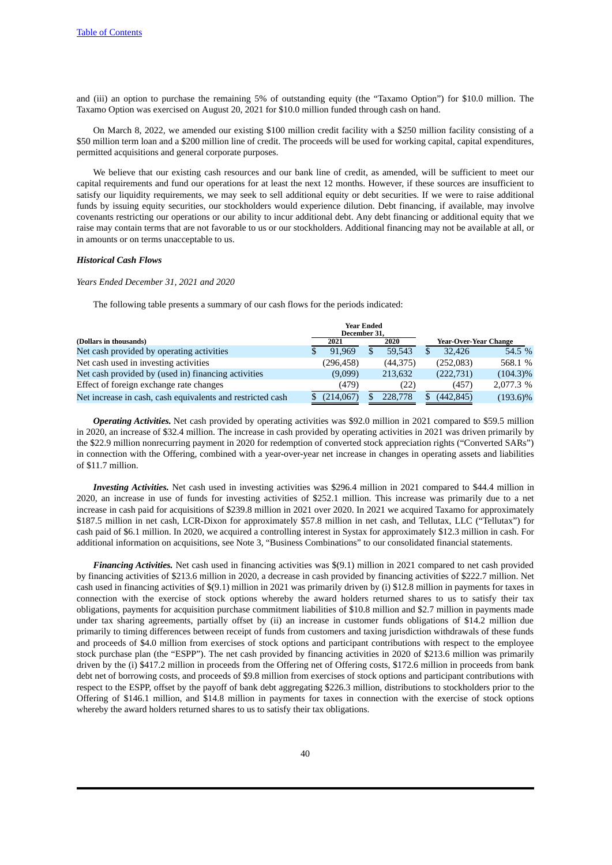and (iii) an option to purchase the remaining 5% of outstanding equity (the "Taxamo Option") for \$10.0 million. The Taxamo Option was exercised on August 20, 2021 for \$10.0 million funded through cash on hand.

On March 8, 2022, we amended our existing \$100 million credit facility with a \$250 million facility consisting of a \$50 million term loan and a \$200 million line of credit. The proceeds will be used for working capital, capital expenditures, permitted acquisitions and general corporate purposes.

We believe that our existing cash resources and our bank line of credit, as amended, will be sufficient to meet our capital requirements and fund our operations for at least the next 12 months. However, if these sources are insufficient to satisfy our liquidity requirements, we may seek to sell additional equity or debt securities. If we were to raise additional funds by issuing equity securities, our stockholders would experience dilution. Debt financing, if available, may involve covenants restricting our operations or our ability to incur additional debt. Any debt financing or additional equity that we raise may contain terms that are not favorable to us or our stockholders. Additional financing may not be available at all, or in amounts or on terms unacceptable to us.

#### *Historical Cash Flows*

*Years Ended December 31, 2021 and 2020*

The following table presents a summary of our cash flows for the periods indicated:

|                                                            | <b>Year Ended</b><br>December 31. |      |           |  |                              |             |  |  |
|------------------------------------------------------------|-----------------------------------|------|-----------|--|------------------------------|-------------|--|--|
| (Dollars in thousands)                                     | 2021                              | 2020 |           |  | <b>Year-Over-Year Change</b> |             |  |  |
| Net cash provided by operating activities                  | 91.969                            |      | 59.543    |  | 32,426                       | 54.5 %      |  |  |
| Net cash used in investing activities                      | (296,458)                         |      | (44, 375) |  | (252,083)                    | 568.1 %     |  |  |
| Net cash provided by (used in) financing activities        | (9,099)                           |      | 213,632   |  | (222, 731)                   | $(104.3)\%$ |  |  |
| Effect of foreign exchange rate changes                    | (479)                             |      | (22)      |  | (457)                        | $2.077.3\%$ |  |  |
| Net increase in cash, cash equivalents and restricted cash | (214,067)                         |      | 228,778   |  | (442, 845)                   | $(193.6)\%$ |  |  |

*Operating Activities.* Net cash provided by operating activities was \$92.0 million in 2021 compared to \$59.5 million in 2020, an increase of \$32.4 million. The increase in cash provided by operating activities in 2021 was driven primarily by the \$22.9 million nonrecurring payment in 2020 for redemption of converted stock appreciation rights ("Converted SARs") in connection with the Offering, combined with a year-over-year net increase in changes in operating assets and liabilities of \$11.7 million.

*Investing Activities.* Net cash used in investing activities was \$296.4 million in 2021 compared to \$44.4 million in 2020, an increase in use of funds for investing activities of \$252.1 million. This increase was primarily due to a net increase in cash paid for acquisitions of \$239.8 million in 2021 over 2020. In 2021 we acquired Taxamo for approximately \$187.5 million in net cash, LCR-Dixon for approximately \$57.8 million in net cash, and Tellutax, LLC ("Tellutax") for cash paid of \$6.1 million. In 2020, we acquired a controlling interest in Systax for approximately \$12.3 million in cash. For additional information on acquisitions, see Note 3, "Business Combinations" to our consolidated financial statements.

*Financing Activities.* Net cash used in financing activities was \$(9.1) million in 2021 compared to net cash provided by financing activities of \$213.6 million in 2020, a decrease in cash provided by financing activities of \$222.7 million. Net cash used in financing activities of \$(9.1) million in 2021 was primarily driven by (i) \$12.8 million in payments for taxes in connection with the exercise of stock options whereby the award holders returned shares to us to satisfy their tax obligations, payments for acquisition purchase commitment liabilities of \$10.8 million and \$2.7 million in payments made under tax sharing agreements, partially offset by (ii) an increase in customer funds obligations of \$14.2 million due primarily to timing differences between receipt of funds from customers and taxing jurisdiction withdrawals of these funds and proceeds of \$4.0 million from exercises of stock options and participant contributions with respect to the employee stock purchase plan (the "ESPP"). The net cash provided by financing activities in 2020 of \$213.6 million was primarily driven by the (i) \$417.2 million in proceeds from the Offering net of Offering costs, \$172.6 million in proceeds from bank debt net of borrowing costs, and proceeds of \$9.8 million from exercises of stock options and participant contributions with respect to the ESPP, offset by the payoff of bank debt aggregating \$226.3 million, distributions to stockholders prior to the Offering of \$146.1 million, and \$14.8 million in payments for taxes in connection with the exercise of stock options whereby the award holders returned shares to us to satisfy their tax obligations.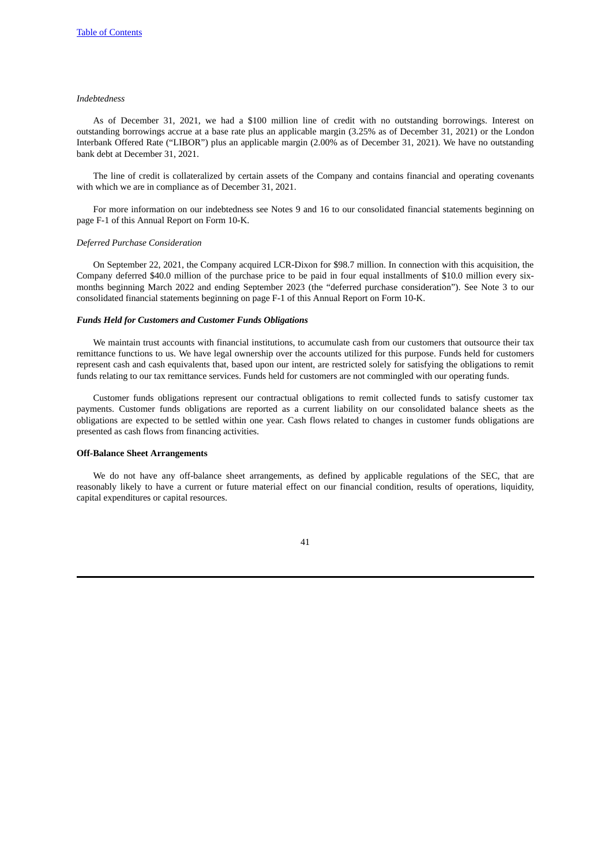### *Indebtedness*

As of December 31, 2021, we had a \$100 million line of credit with no outstanding borrowings. Interest on outstanding borrowings accrue at a base rate plus an applicable margin (3.25% as of December 31, 2021) or the London Interbank Offered Rate ("LIBOR") plus an applicable margin (2.00% as of December 31, 2021). We have no outstanding bank debt at December 31, 2021.

The line of credit is collateralized by certain assets of the Company and contains financial and operating covenants with which we are in compliance as of December 31, 2021.

For more information on our indebtedness see Notes 9 and 16 to our consolidated financial statements beginning on page F-1 of this Annual Report on Form 10-K.

### *Deferred Purchase Consideration*

On September 22, 2021, the Company acquired LCR-Dixon for \$98.7 million. In connection with this acquisition, the Company deferred \$40.0 million of the purchase price to be paid in four equal installments of \$10.0 million every sixmonths beginning March 2022 and ending September 2023 (the "deferred purchase consideration"). See Note 3 to our consolidated financial statements beginning on page F-1 of this Annual Report on Form 10-K.

## *Funds Held for Customers and Customer Funds Obligations*

We maintain trust accounts with financial institutions, to accumulate cash from our customers that outsource their tax remittance functions to us. We have legal ownership over the accounts utilized for this purpose. Funds held for customers represent cash and cash equivalents that, based upon our intent, are restricted solely for satisfying the obligations to remit funds relating to our tax remittance services. Funds held for customers are not commingled with our operating funds.

Customer funds obligations represent our contractual obligations to remit collected funds to satisfy customer tax payments. Customer funds obligations are reported as a current liability on our consolidated balance sheets as the obligations are expected to be settled within one year. Cash flows related to changes in customer funds obligations are presented as cash flows from financing activities.

## **Off-Balance Sheet Arrangements**

We do not have any off-balance sheet arrangements, as defined by applicable regulations of the SEC, that are reasonably likely to have a current or future material effect on our financial condition, results of operations, liquidity, capital expenditures or capital resources.

#### 41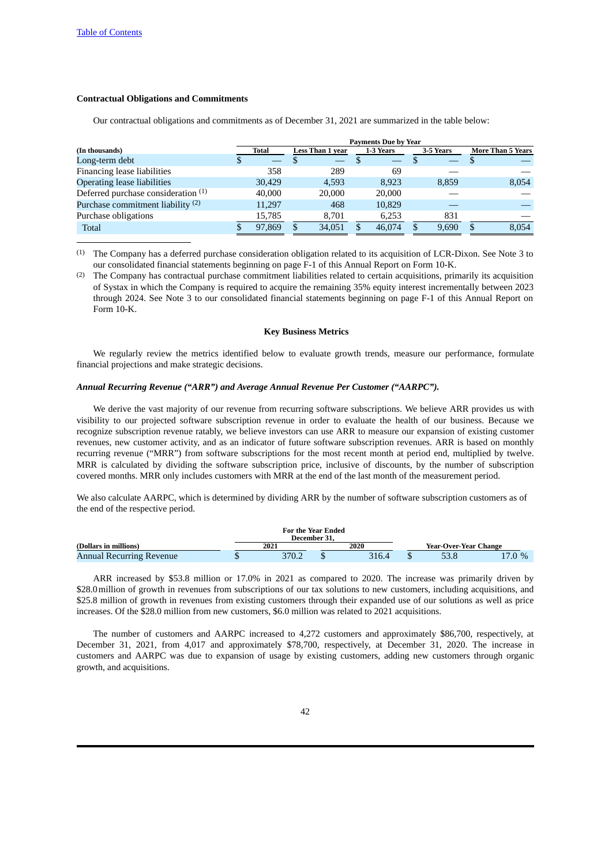## **Contractual Obligations and Commitments**

Our contractual obligations and commitments as of December 31, 2021 are summarized in the table below:

|                                              | <b>Payments Due by Year</b> |        |     |                  |  |           |  |           |                          |       |  |  |
|----------------------------------------------|-----------------------------|--------|-----|------------------|--|-----------|--|-----------|--------------------------|-------|--|--|
| (In thousands)                               |                             | Total  |     | Less Than 1 year |  | 1-3 Years |  | 3-5 Years | <b>More Than 5 Years</b> |       |  |  |
| Long-term debt                               | D                           |        |     |                  |  |           |  |           |                          |       |  |  |
| Financing lease liabilities                  |                             | 358    |     | 289              |  | 69        |  |           |                          |       |  |  |
| <b>Operating lease liabilities</b>           |                             | 30,429 |     | 4.593            |  | 8.923     |  | 8.859     |                          | 8,054 |  |  |
| Deferred purchase consideration (1)          |                             | 40,000 |     | 20,000           |  | 20,000    |  |           |                          |       |  |  |
| Purchase commitment liability <sup>(2)</sup> |                             | 11.297 |     | 468              |  | 10,829    |  |           |                          |       |  |  |
| Purchase obligations                         |                             | 15,785 |     | 8,701            |  | 6,253     |  | 831       |                          |       |  |  |
| <b>Total</b>                                 |                             | 97,869 | \$. | 34,051           |  | 46,074    |  | 9,690     |                          | 8,054 |  |  |

(1) The Company has a deferred purchase consideration obligation related to its acquisition of LCR-Dixon. See Note 3 to our consolidated financial statements beginning on page F-1 of this Annual Report on Form 10-K.

(2) The Company has contractual purchase commitment liabilities related to certain acquisitions, primarily its acquisition of Systax in which the Company is required to acquire the remaining 35% equity interest incrementally between 2023 through 2024. See Note 3 to our consolidated financial statements beginning on page F-1 of this Annual Report on Form 10-K.

## **Key Business Metrics**

We regularly review the metrics identified below to evaluate growth trends, measure our performance, formulate financial projections and make strategic decisions.

## *Annual Recurring Revenue ("ARR") and Average Annual Revenue Per Customer ("AARPC").*

We derive the vast majority of our revenue from recurring software subscriptions. We believe ARR provides us with visibility to our projected software subscription revenue in order to evaluate the health of our business. Because we recognize subscription revenue ratably, we believe investors can use ARR to measure our expansion of existing customer revenues, new customer activity, and as an indicator of future software subscription revenues. ARR is based on monthly recurring revenue ("MRR") from software subscriptions for the most recent month at period end, multiplied by twelve. MRR is calculated by dividing the software subscription price, inclusive of discounts, by the number of subscription covered months. MRR only includes customers with MRR at the end of the last month of the measurement period.

We also calculate AARPC, which is determined by dividing ARR by the number of software subscription customers as of the end of the respective period.

| For the Year Ended<br>December 31. |  |       |  |       |  |                       |       |
|------------------------------------|--|-------|--|-------|--|-----------------------|-------|
| (Dollars in millions)              |  | 2021  |  | 2020  |  | Year-Over-Year Change |       |
| <b>Annual Recurring Revenue</b>    |  | 370.2 |  | 316.4 |  |                       | 17.0% |

ARR increased by \$53.8 million or 17.0% in 2021 as compared to 2020. The increase was primarily driven by \$28.0million of growth in revenues from subscriptions of our tax solutions to new customers, including acquisitions, and \$25.8 million of growth in revenues from existing customers through their expanded use of our solutions as well as price increases. Of the \$28.0 million from new customers, \$6.0 million was related to 2021 acquisitions.

The number of customers and AARPC increased to 4,272 customers and approximately \$86,700, respectively, at December 31, 2021, from 4,017 and approximately \$78,700, respectively, at December 31, 2020. The increase in customers and AARPC was due to expansion of usage by existing customers, adding new customers through organic growth, and acquisitions.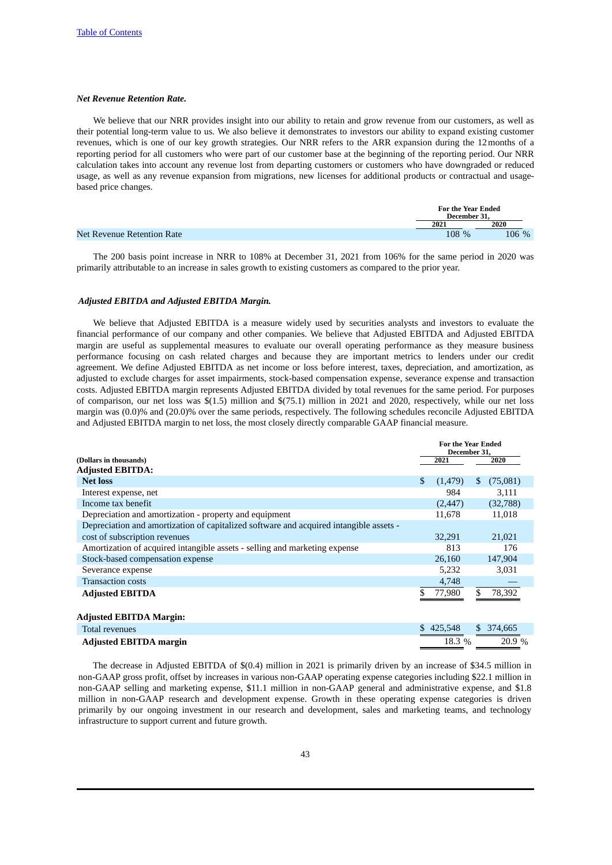## *Net Revenue Retention Rate.*

We believe that our NRR provides insight into our ability to retain and grow revenue from our customers, as well as their potential long-term value to us. We also believe it demonstrates to investors our ability to expand existing customer revenues, which is one of our key growth strategies. Our NRR refers to the ARR expansion during the 12months of a reporting period for all customers who were part of our customer base at the beginning of the reporting period. Our NRR calculation takes into account any revenue lost from departing customers or customers who have downgraded or reduced usage, as well as any revenue expansion from migrations, new licenses for additional products or contractual and usagebased price changes.

|                            |      | For the Year Ended<br>December 31. |       |
|----------------------------|------|------------------------------------|-------|
|                            | 2021 |                                    | 2020  |
| Net Revenue Retention Rate |      | 108 %                              | 106 % |

The 200 basis point increase in NRR to 108% at December 31, 2021 from 106% for the same period in 2020 was primarily attributable to an increase in sales growth to existing customers as compared to the prior year.

#### *Adjusted EBITDA and Adjusted EBITDA Margin.*

We believe that Adjusted EBITDA is a measure widely used by securities analysts and investors to evaluate the financial performance of our company and other companies. We believe that Adjusted EBITDA and Adjusted EBITDA margin are useful as supplemental measures to evaluate our overall operating performance as they measure business performance focusing on cash related charges and because they are important metrics to lenders under our credit agreement. We define Adjusted EBITDA as net income or loss before interest, taxes, depreciation, and amortization, as adjusted to exclude charges for asset impairments, stock-based compensation expense, severance expense and transaction costs. Adjusted EBITDA margin represents Adjusted EBITDA divided by total revenues for the same period. For purposes of comparison, our net loss was \$(1.5) million and \$(75.1) million in 2021 and 2020, respectively, while our net loss margin was (0.0)% and (20.0)% over the same periods, respectively. The following schedules reconcile Adjusted EBITDA and Adjusted EBITDA margin to net loss, the most closely directly comparable GAAP financial measure.

|                                                                                        | <b>For the Year Ended</b><br>December 31. |           |     |            |
|----------------------------------------------------------------------------------------|-------------------------------------------|-----------|-----|------------|
| (Dollars in thousands)                                                                 | 2021                                      |           |     | 2020       |
| <b>Adjusted EBITDA:</b>                                                                |                                           |           |     |            |
| <b>Net loss</b>                                                                        | \$                                        | (1, 479)  | \$. | (75,081)   |
| Interest expense, net                                                                  |                                           | 984       |     | 3,111      |
| Income tax benefit                                                                     |                                           | (2, 447)  |     | (32,788)   |
| Depreciation and amortization - property and equipment                                 |                                           | 11,678    |     | 11,018     |
| Depreciation and amortization of capitalized software and acquired intangible assets - |                                           |           |     |            |
| cost of subscription revenues                                                          |                                           | 32,291    |     | 21,021     |
| Amortization of acquired intangible assets - selling and marketing expense             |                                           | 813       |     | 176        |
| Stock-based compensation expense                                                       |                                           | 26,160    |     | 147,904    |
| Severance expense                                                                      |                                           | 5,232     |     | 3,031      |
| <b>Transaction costs</b>                                                               |                                           | 4,748     |     |            |
| <b>Adjusted EBITDA</b>                                                                 | \$                                        | 77,980    | \$  | 78,392     |
|                                                                                        |                                           |           |     |            |
| <b>Adjusted EBITDA Margin:</b>                                                         |                                           |           |     |            |
| <b>Total revenues</b>                                                                  |                                           | \$425,548 |     | \$ 374,665 |
| <b>Adjusted EBITDA margin</b>                                                          |                                           | 18.3 %    |     | 20.9 %     |

The decrease in Adjusted EBITDA of \$(0.4) million in 2021 is primarily driven by an increase of \$34.5 million in non-GAAP gross profit, offset by increases in various non-GAAP operating expense categories including \$22.1 million in non-GAAP selling and marketing expense, \$11.1 million in non-GAAP general and administrative expense, and \$1.8 million in non-GAAP research and development expense. Growth in these operating expense categories is driven primarily by our ongoing investment in our research and development, sales and marketing teams, and technology infrastructure to support current and future growth.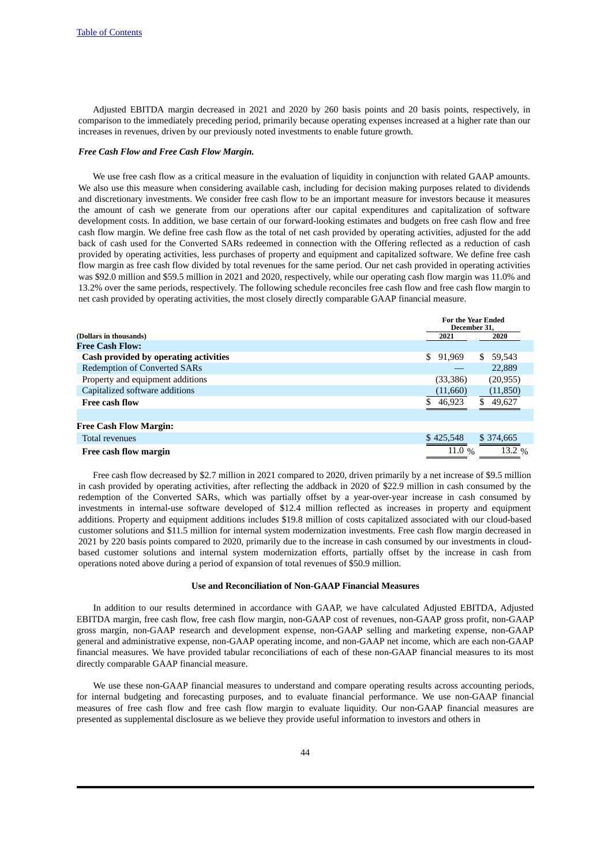Adjusted EBITDA margin decreased in 2021 and 2020 by 260 basis points and 20 basis points, respectively, in comparison to the immediately preceding period, primarily because operating expenses increased at a higher rate than our increases in revenues, driven by our previously noted investments to enable future growth.

#### *Free Cash Flow and Free Cash Flow Margin.*

We use free cash flow as a critical measure in the evaluation of liquidity in conjunction with related GAAP amounts. We also use this measure when considering available cash, including for decision making purposes related to dividends and discretionary investments. We consider free cash flow to be an important measure for investors because it measures the amount of cash we generate from our operations after our capital expenditures and capitalization of software development costs. In addition, we base certain of our forward-looking estimates and budgets on free cash flow and free cash flow margin. We define free cash flow as the total of net cash provided by operating activities, adjusted for the add back of cash used for the Converted SARs redeemed in connection with the Offering reflected as a reduction of cash provided by operating activities, less purchases of property and equipment and capitalized software. We define free cash flow margin as free cash flow divided by total revenues for the same period. Our net cash provided in operating activities was \$92.0 million and \$59.5 million in 2021 and 2020, respectively, while our operating cash flow margin was 11.0% and 13.2% over the same periods, respectively. The following schedule reconciles free cash flow and free cash flow margin to net cash provided by operating activities, the most closely directly comparable GAAP financial measure.

|                                       | <b>For the Year Ended</b><br>December 31. |               |
|---------------------------------------|-------------------------------------------|---------------|
| (Dollars in thousands)                | 2021                                      | 2020          |
| <b>Free Cash Flow:</b>                |                                           |               |
| Cash provided by operating activities | \$<br>91,969                              | \$.<br>59,543 |
| <b>Redemption of Converted SARs</b>   |                                           | 22,889        |
| Property and equipment additions      | (33,386)                                  | (20, 955)     |
| Capitalized software additions        | (11,660)                                  | (11, 850)     |
| <b>Free cash flow</b>                 | S.<br>46.923                              | \$.<br>49,627 |
|                                       |                                           |               |
| <b>Free Cash Flow Margin:</b>         |                                           |               |
| <b>Total revenues</b>                 | \$425,548                                 | \$374,665     |
| Free cash flow margin                 | 11.0 %                                    | 13.2 %        |

Free cash flow decreased by \$2.7 million in 2021 compared to 2020, driven primarily by a net increase of \$9.5 million in cash provided by operating activities, after reflecting the addback in 2020 of \$22.9 million in cash consumed by the redemption of the Converted SARs, which was partially offset by a year-over-year increase in cash consumed by investments in internal-use software developed of \$12.4 million reflected as increases in property and equipment additions. Property and equipment additions includes \$19.8 million of costs capitalized associated with our cloud-based customer solutions and \$11.5 million for internal system modernization investments. Free cash flow margin decreased in 2021 by 220 basis points compared to 2020, primarily due to the increase in cash consumed by our investments in cloudbased customer solutions and internal system modernization efforts, partially offset by the increase in cash from operations noted above during a period of expansion of total revenues of \$50.9 million.

#### **Use and Reconciliation of Non-GAAP Financial Measures**

In addition to our results determined in accordance with GAAP, we have calculated Adjusted EBITDA, Adjusted EBITDA margin, free cash flow, free cash flow margin, non-GAAP cost of revenues, non-GAAP gross profit, non-GAAP gross margin, non-GAAP research and development expense, non-GAAP selling and marketing expense, non-GAAP general and administrative expense, non-GAAP operating income, and non-GAAP net income, which are each non-GAAP financial measures. We have provided tabular reconciliations of each of these non-GAAP financial measures to its most directly comparable GAAP financial measure.

We use these non-GAAP financial measures to understand and compare operating results across accounting periods, for internal budgeting and forecasting purposes, and to evaluate financial performance. We use non-GAAP financial measures of free cash flow and free cash flow margin to evaluate liquidity. Our non-GAAP financial measures are presented as supplemental disclosure as we believe they provide useful information to investors and others in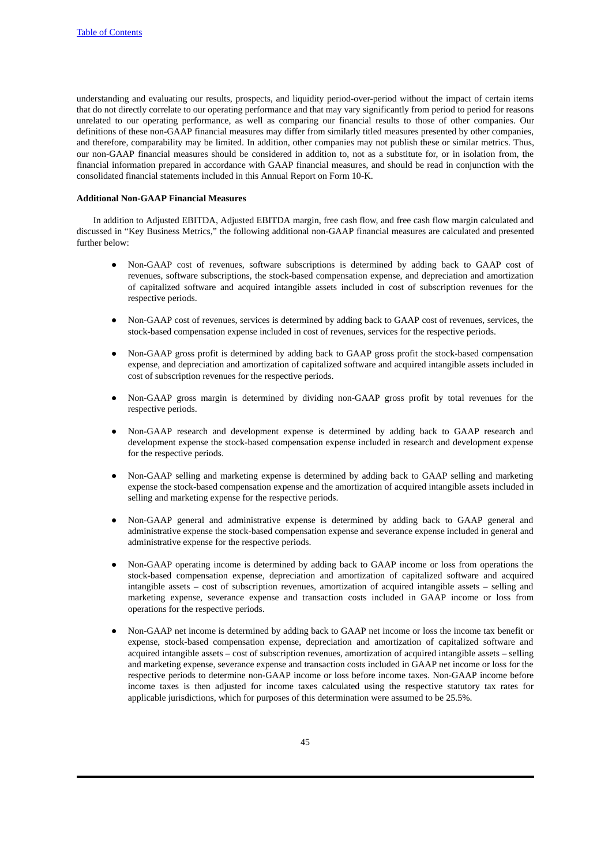understanding and evaluating our results, prospects, and liquidity period-over-period without the impact of certain items that do not directly correlate to our operating performance and that may vary significantly from period to period for reasons unrelated to our operating performance, as well as comparing our financial results to those of other companies. Our definitions of these non-GAAP financial measures may differ from similarly titled measures presented by other companies, and therefore, comparability may be limited. In addition, other companies may not publish these or similar metrics. Thus, our non-GAAP financial measures should be considered in addition to, not as a substitute for, or in isolation from, the financial information prepared in accordance with GAAP financial measures, and should be read in conjunction with the consolidated financial statements included in this Annual Report on Form 10-K.

#### **Additional Non-GAAP Financial Measures**

In addition to Adjusted EBITDA, Adjusted EBITDA margin, free cash flow, and free cash flow margin calculated and discussed in "Key Business Metrics," the following additional non-GAAP financial measures are calculated and presented further below:

- Non-GAAP cost of revenues, software subscriptions is determined by adding back to GAAP cost of revenues, software subscriptions, the stock-based compensation expense, and depreciation and amortization of capitalized software and acquired intangible assets included in cost of subscription revenues for the respective periods.
- Non-GAAP cost of revenues, services is determined by adding back to GAAP cost of revenues, services, the stock-based compensation expense included in cost of revenues, services for the respective periods.
- Non-GAAP gross profit is determined by adding back to GAAP gross profit the stock-based compensation expense, and depreciation and amortization of capitalized software and acquired intangible assets included in cost of subscription revenues for the respective periods.
- Non-GAAP gross margin is determined by dividing non-GAAP gross profit by total revenues for the respective periods.
- Non-GAAP research and development expense is determined by adding back to GAAP research and development expense the stock-based compensation expense included in research and development expense for the respective periods.
- Non-GAAP selling and marketing expense is determined by adding back to GAAP selling and marketing expense the stock-based compensation expense and the amortization of acquired intangible assets included in selling and marketing expense for the respective periods.
- Non-GAAP general and administrative expense is determined by adding back to GAAP general and administrative expense the stock-based compensation expense and severance expense included in general and administrative expense for the respective periods.
- Non-GAAP operating income is determined by adding back to GAAP income or loss from operations the stock-based compensation expense, depreciation and amortization of capitalized software and acquired intangible assets – cost of subscription revenues, amortization of acquired intangible assets – selling and marketing expense, severance expense and transaction costs included in GAAP income or loss from operations for the respective periods.
- Non-GAAP net income is determined by adding back to GAAP net income or loss the income tax benefit or expense, stock-based compensation expense, depreciation and amortization of capitalized software and acquired intangible assets – cost of subscription revenues, amortization of acquired intangible assets – selling and marketing expense, severance expense and transaction costs included in GAAP net income or loss for the respective periods to determine non-GAAP income or loss before income taxes. Non-GAAP income before income taxes is then adjusted for income taxes calculated using the respective statutory tax rates for applicable jurisdictions, which for purposes of this determination were assumed to be 25.5%.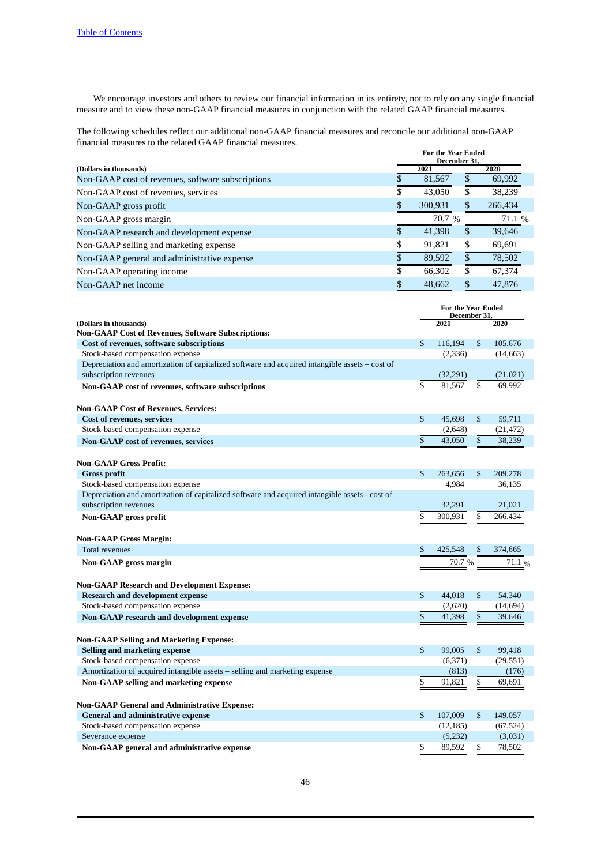We encourage investors and others to review our financial information in its entirety, not to rely on any single financial measure and to view these non-GAAP financial measures in conjunction with the related GAAP financial measures.

The following schedules reflect our additional non-GAAP financial measures and reconcile our additional non-GAAP financial measures to the related GAAP financial measures. **For the Year Ended**

|                                                                                                |    |      | For the year Ended<br>December 31,        |    |                     |  |
|------------------------------------------------------------------------------------------------|----|------|-------------------------------------------|----|---------------------|--|
| (Dollars in thousands)                                                                         |    | 2021 |                                           |    | 2020                |  |
| Non-GAAP cost of revenues, software subscriptions                                              | \$ |      | \$<br>81,567                              |    | 69,992              |  |
| Non-GAAP cost of revenues, services                                                            | \$ |      | \$<br>43,050                              |    | 38,239              |  |
| Non-GAAP gross profit                                                                          | \$ |      | \$<br>300,931                             |    | 266,434             |  |
| Non-GAAP gross margin                                                                          |    |      | 70.7 %                                    |    | 71.1 %              |  |
| Non-GAAP research and development expense                                                      | \$ |      | \$<br>41,398                              |    | 39,646              |  |
|                                                                                                | \$ |      |                                           |    |                     |  |
| Non-GAAP selling and marketing expense                                                         |    |      | \$<br>91,821                              |    | 69,691              |  |
| Non-GAAP general and administrative expense                                                    | \$ |      | $\overline{\$}$<br>89,592                 |    | 78,502              |  |
| Non-GAAP operating income                                                                      | \$ |      | \$<br>66,302                              |    | 67,374              |  |
| Non-GAAP net income                                                                            | \$ |      | \$<br>48,662                              |    | 47,876              |  |
|                                                                                                |    |      |                                           |    |                     |  |
|                                                                                                |    |      | <b>For the Year Ended</b><br>December 31, |    |                     |  |
| (Dollars in thousands)                                                                         |    |      | 2021                                      |    | 2020                |  |
| <b>Non-GAAP Cost of Revenues, Software Subscriptions:</b>                                      |    |      |                                           |    |                     |  |
| Cost of revenues, software subscriptions                                                       |    | \$   | 116,194                                   | \$ | 105,676             |  |
| Stock-based compensation expense                                                               |    |      | (2, 336)                                  |    | (14, 663)           |  |
| Depreciation and amortization of capitalized software and acquired intangible assets – cost of |    |      |                                           |    |                     |  |
| subscription revenues                                                                          |    |      | (32, 291)                                 |    | (21,021)            |  |
| Non-GAAP cost of revenues, software subscriptions                                              |    | \$   | 81,567                                    | \$ | 69,992              |  |
|                                                                                                |    |      |                                           |    |                     |  |
| <b>Non-GAAP Cost of Revenues, Services:</b>                                                    |    |      |                                           |    |                     |  |
| <b>Cost of revenues, services</b>                                                              |    | \$   | 45,698                                    | \$ | 59,711              |  |
| Stock-based compensation expense                                                               |    | \$   | (2,648)                                   |    | (21, 472)<br>38.239 |  |
| <b>Non-GAAP</b> cost of revenues, services                                                     |    |      | 43,050                                    | \$ |                     |  |
| <b>Non-GAAP Gross Profit:</b>                                                                  |    |      |                                           |    |                     |  |
| <b>Gross profit</b>                                                                            |    | \$   | 263,656                                   | \$ | 209,278             |  |
| Stock-based compensation expense                                                               |    |      | 4,984                                     |    | 36,135              |  |
| Depreciation and amortization of capitalized software and acquired intangible assets - cost of |    |      |                                           |    |                     |  |
| subscription revenues                                                                          |    |      | 32,291                                    |    | 21,021              |  |
| Non-GAAP gross profit                                                                          |    | \$   | 300,931                                   | \$ | 266,434             |  |
|                                                                                                |    |      |                                           |    |                     |  |
| <b>Non-GAAP Gross Margin:</b>                                                                  |    |      |                                           |    |                     |  |
| Total revenues                                                                                 |    | \$   | 425,548                                   | \$ | 374,665             |  |
| Non-GAAP gross margin                                                                          |    |      | 70.7 %                                    |    | 71.1 $\frac{9}{6}$  |  |
|                                                                                                |    |      |                                           |    |                     |  |
| <b>Non-GAAP Research and Development Expense:</b>                                              |    |      |                                           |    |                     |  |
| <b>Research and development expense</b><br>Stock-based compensation expense                    |    | \$   | 44,018<br>(2,620)                         | \$ | 54,340<br>(14, 694) |  |
| Non-GAAP research and development expense                                                      |    | \$   | 41,398                                    | \$ | 39,646              |  |
|                                                                                                |    |      |                                           |    |                     |  |
| <b>Non-GAAP Selling and Marketing Expense:</b>                                                 |    |      |                                           |    |                     |  |
| Selling and marketing expense                                                                  |    | \$   | 99,005                                    | \$ | 99,418              |  |
| Stock-based compensation expense                                                               |    |      | (6,371)                                   |    | (29, 551)           |  |
| Amortization of acquired intangible assets - selling and marketing expense                     |    |      | (813)                                     |    | (176)               |  |
| Non-GAAP selling and marketing expense                                                         |    | \$   | 91,821                                    | \$ | 69,691              |  |
|                                                                                                |    |      |                                           |    |                     |  |
| <b>Non-GAAP General and Administrative Expense:</b>                                            |    |      |                                           |    |                     |  |
| <b>General and administrative expense</b>                                                      |    | \$   | 107,009                                   | \$ | 149,057             |  |
| Stock-based compensation expense                                                               |    |      | (12, 185)                                 |    | (67, 524)           |  |
| Severance expense                                                                              |    |      | (5,232)                                   |    | (3,031)             |  |
| Non-GAAP general and administrative expense                                                    |    | \$   | 89,592                                    | \$ | 78,502              |  |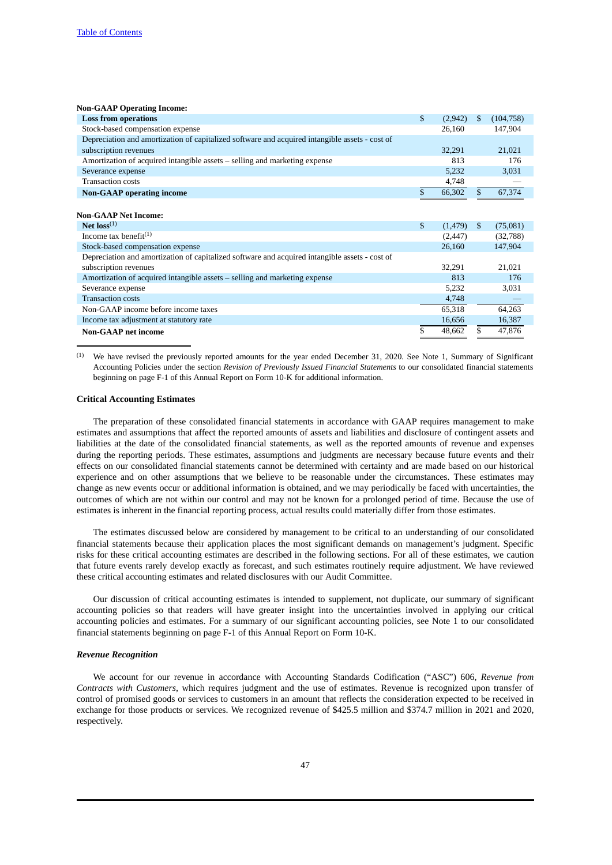| <b>Non-GAAP Operating Income:</b>                                                              |                |    |            |
|------------------------------------------------------------------------------------------------|----------------|----|------------|
| <b>Loss from operations</b>                                                                    | \$<br>(2,942)  | S  | (104, 758) |
| Stock-based compensation expense                                                               | 26,160         |    | 147,904    |
| Depreciation and amortization of capitalized software and acquired intangible assets - cost of |                |    |            |
| subscription revenues                                                                          | 32,291         |    | 21,021     |
| Amortization of acquired intangible assets – selling and marketing expense                     | 813            |    | 176        |
| Severance expense                                                                              | 5,232          |    | 3,031      |
| <b>Transaction costs</b>                                                                       | 4,748          |    |            |
| <b>Non-GAAP</b> operating income                                                               | 66,302         | \$ | 67,374     |
|                                                                                                |                |    |            |
| <b>Non-GAAP Net Income:</b>                                                                    |                |    |            |
| Net $loss^{(1)}$                                                                               | \$<br>(1, 479) | \$ | (75,081)   |
| Income tax benefit $(1)$                                                                       | (2, 447)       |    | (32,788)   |
| Stock-based compensation expense                                                               | 26,160         |    | 147,904    |
| Depreciation and amortization of capitalized software and acquired intangible assets - cost of |                |    |            |
| subscription revenues                                                                          | 32,291         |    | 21,021     |
| Amortization of acquired intangible assets – selling and marketing expense                     | 813            |    | 176        |
| Severance expense                                                                              | 5,232          |    | 3,031      |
| <b>Transaction costs</b>                                                                       | 4,748          |    |            |
| Non-GAAP income before income taxes                                                            | 65,318         |    | 64,263     |
| Income tax adjustment at statutory rate                                                        | 16,656         |    | 16,387     |
| <b>Non-GAAP</b> net income                                                                     | 48,662         | \$ | 47,876     |

(1) We have revised the previously reported amounts for the year ended December 31, 2020. See Note 1, Summary of Significant Accounting Policies under the section *Revision of Previously Issued Financial Statements* to our consolidated financial statements beginning on page F-1 of this Annual Report on Form 10-K for additional information.

#### **Critical Accounting Estimates**

The preparation of these consolidated financial statements in accordance with GAAP requires management to make estimates and assumptions that affect the reported amounts of assets and liabilities and disclosure of contingent assets and liabilities at the date of the consolidated financial statements, as well as the reported amounts of revenue and expenses during the reporting periods. These estimates, assumptions and judgments are necessary because future events and their effects on our consolidated financial statements cannot be determined with certainty and are made based on our historical experience and on other assumptions that we believe to be reasonable under the circumstances. These estimates may change as new events occur or additional information is obtained, and we may periodically be faced with uncertainties, the outcomes of which are not within our control and may not be known for a prolonged period of time. Because the use of estimates is inherent in the financial reporting process, actual results could materially differ from those estimates.

The estimates discussed below are considered by management to be critical to an understanding of our consolidated financial statements because their application places the most significant demands on management's judgment. Specific risks for these critical accounting estimates are described in the following sections. For all of these estimates, we caution that future events rarely develop exactly as forecast, and such estimates routinely require adjustment. We have reviewed these critical accounting estimates and related disclosures with our Audit Committee.

Our discussion of critical accounting estimates is intended to supplement, not duplicate, our summary of significant accounting policies so that readers will have greater insight into the uncertainties involved in applying our critical accounting policies and estimates. For a summary of our significant accounting policies, see Note 1 to our consolidated financial statements beginning on page F-1 of this Annual Report on Form 10-K.

#### *Revenue Recognition*

We account for our revenue in accordance with Accounting Standards Codification ("ASC") 606, *Revenue from Contracts with Customers*, which requires judgment and the use of estimates. Revenue is recognized upon transfer of control of promised goods or services to customers in an amount that reflects the consideration expected to be received in exchange for those products or services. We recognized revenue of \$425.5 million and \$374.7 million in 2021 and 2020, respectively.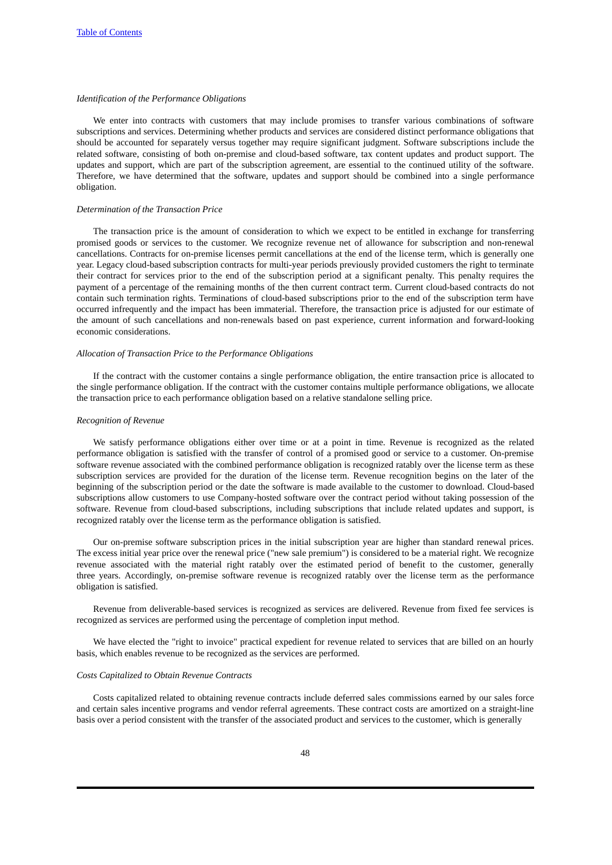## *Identification of the Performance Obligations*

We enter into contracts with customers that may include promises to transfer various combinations of software subscriptions and services. Determining whether products and services are considered distinct performance obligations that should be accounted for separately versus together may require significant judgment. Software subscriptions include the related software, consisting of both on-premise and cloud-based software, tax content updates and product support. The updates and support, which are part of the subscription agreement, are essential to the continued utility of the software. Therefore, we have determined that the software, updates and support should be combined into a single performance obligation.

#### *Determination of the Transaction Price*

The transaction price is the amount of consideration to which we expect to be entitled in exchange for transferring promised goods or services to the customer. We recognize revenue net of allowance for subscription and non-renewal cancellations. Contracts for on-premise licenses permit cancellations at the end of the license term, which is generally one year. Legacy cloud-based subscription contracts for multi-year periods previously provided customers the right to terminate their contract for services prior to the end of the subscription period at a significant penalty. This penalty requires the payment of a percentage of the remaining months of the then current contract term. Current cloud-based contracts do not contain such termination rights. Terminations of cloud-based subscriptions prior to the end of the subscription term have occurred infrequently and the impact has been immaterial. Therefore, the transaction price is adjusted for our estimate of the amount of such cancellations and non-renewals based on past experience, current information and forward-looking economic considerations.

#### *Allocation of Transaction Price to the Performance Obligations*

If the contract with the customer contains a single performance obligation, the entire transaction price is allocated to the single performance obligation. If the contract with the customer contains multiple performance obligations, we allocate the transaction price to each performance obligation based on a relative standalone selling price.

### *Recognition of Revenue*

We satisfy performance obligations either over time or at a point in time. Revenue is recognized as the related performance obligation is satisfied with the transfer of control of a promised good or service to a customer. On-premise software revenue associated with the combined performance obligation is recognized ratably over the license term as these subscription services are provided for the duration of the license term. Revenue recognition begins on the later of the beginning of the subscription period or the date the software is made available to the customer to download. Cloud-based subscriptions allow customers to use Company-hosted software over the contract period without taking possession of the software. Revenue from cloud-based subscriptions, including subscriptions that include related updates and support, is recognized ratably over the license term as the performance obligation is satisfied.

Our on-premise software subscription prices in the initial subscription year are higher than standard renewal prices. The excess initial year price over the renewal price ("new sale premium") is considered to be a material right. We recognize revenue associated with the material right ratably over the estimated period of benefit to the customer, generally three years. Accordingly, on-premise software revenue is recognized ratably over the license term as the performance obligation is satisfied.

Revenue from deliverable-based services is recognized as services are delivered. Revenue from fixed fee services is recognized as services are performed using the percentage of completion input method.

We have elected the "right to invoice" practical expedient for revenue related to services that are billed on an hourly basis, which enables revenue to be recognized as the services are performed.

#### *Costs Capitalized to Obtain Revenue Contracts*

Costs capitalized related to obtaining revenue contracts include deferred sales commissions earned by our sales force and certain sales incentive programs and vendor referral agreements. These contract costs are amortized on a straight-line basis over a period consistent with the transfer of the associated product and services to the customer, which is generally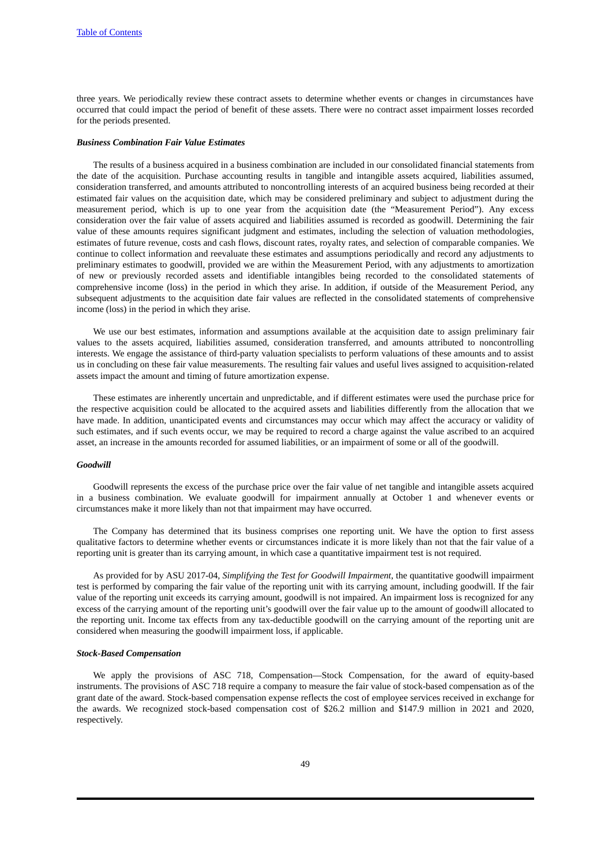three years. We periodically review these contract assets to determine whether events or changes in circumstances have occurred that could impact the period of benefit of these assets. There were no contract asset impairment losses recorded for the periods presented.

## *Business Combination Fair Value Estimates*

The results of a business acquired in a business combination are included in our consolidated financial statements from the date of the acquisition. Purchase accounting results in tangible and intangible assets acquired, liabilities assumed, consideration transferred, and amounts attributed to noncontrolling interests of an acquired business being recorded at their estimated fair values on the acquisition date, which may be considered preliminary and subject to adjustment during the measurement period, which is up to one year from the acquisition date (the "Measurement Period"). Any excess consideration over the fair value of assets acquired and liabilities assumed is recorded as goodwill. Determining the fair value of these amounts requires significant judgment and estimates, including the selection of valuation methodologies, estimates of future revenue, costs and cash flows, discount rates, royalty rates, and selection of comparable companies. We continue to collect information and reevaluate these estimates and assumptions periodically and record any adjustments to preliminary estimates to goodwill, provided we are within the Measurement Period, with any adjustments to amortization of new or previously recorded assets and identifiable intangibles being recorded to the consolidated statements of comprehensive income (loss) in the period in which they arise. In addition, if outside of the Measurement Period, any subsequent adjustments to the acquisition date fair values are reflected in the consolidated statements of comprehensive income (loss) in the period in which they arise.

We use our best estimates, information and assumptions available at the acquisition date to assign preliminary fair values to the assets acquired, liabilities assumed, consideration transferred, and amounts attributed to noncontrolling interests. We engage the assistance of third-party valuation specialists to perform valuations of these amounts and to assist us in concluding on these fair value measurements. The resulting fair values and useful lives assigned to acquisition-related assets impact the amount and timing of future amortization expense.

These estimates are inherently uncertain and unpredictable, and if different estimates were used the purchase price for the respective acquisition could be allocated to the acquired assets and liabilities differently from the allocation that we have made. In addition, unanticipated events and circumstances may occur which may affect the accuracy or validity of such estimates, and if such events occur, we may be required to record a charge against the value ascribed to an acquired asset, an increase in the amounts recorded for assumed liabilities, or an impairment of some or all of the goodwill.

### *Goodwill*

Goodwill represents the excess of the purchase price over the fair value of net tangible and intangible assets acquired in a business combination. We evaluate goodwill for impairment annually at October 1 and whenever events or circumstances make it more likely than not that impairment may have occurred.

The Company has determined that its business comprises one reporting unit. We have the option to first assess qualitative factors to determine whether events or circumstances indicate it is more likely than not that the fair value of a reporting unit is greater than its carrying amount, in which case a quantitative impairment test is not required.

As provided for by ASU 2017-04, *Simplifying the Test for Goodwill Impairment*, the quantitative goodwill impairment test is performed by comparing the fair value of the reporting unit with its carrying amount, including goodwill. If the fair value of the reporting unit exceeds its carrying amount, goodwill is not impaired. An impairment loss is recognized for any excess of the carrying amount of the reporting unit's goodwill over the fair value up to the amount of goodwill allocated to the reporting unit. Income tax effects from any tax-deductible goodwill on the carrying amount of the reporting unit are considered when measuring the goodwill impairment loss, if applicable.

#### *Stock-Based Compensation*

We apply the provisions of ASC 718, Compensation—Stock Compensation, for the award of equity-based instruments. The provisions of ASC 718 require a company to measure the fair value of stock-based compensation as of the grant date of the award. Stock-based compensation expense reflects the cost of employee services received in exchange for the awards. We recognized stock-based compensation cost of \$26.2 million and \$147.9 million in 2021 and 2020, respectively.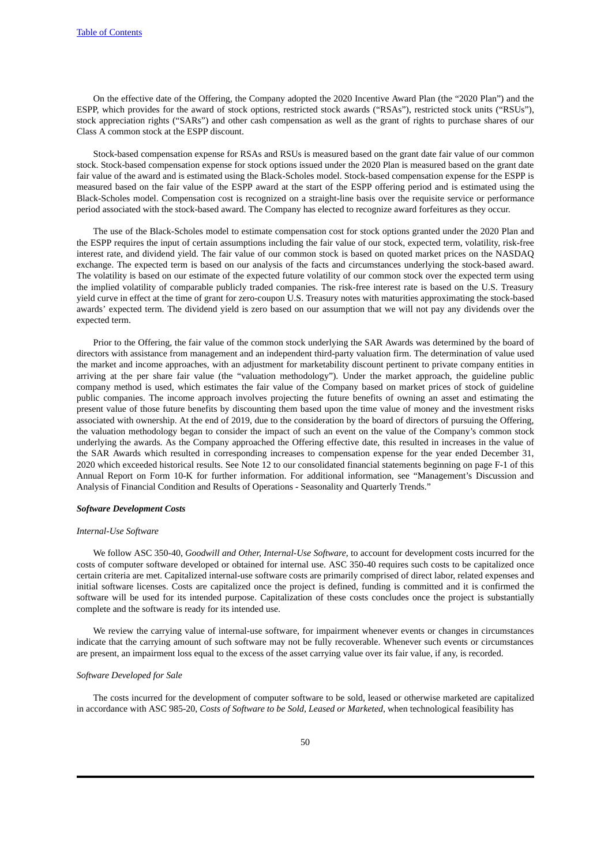On the effective date of the Offering, the Company adopted the 2020 Incentive Award Plan (the "2020 Plan") and the ESPP, which provides for the award of stock options, restricted stock awards ("RSAs"), restricted stock units ("RSUs"), stock appreciation rights ("SARs") and other cash compensation as well as the grant of rights to purchase shares of our Class A common stock at the ESPP discount.

Stock-based compensation expense for RSAs and RSUs is measured based on the grant date fair value of our common stock. Stock-based compensation expense for stock options issued under the 2020 Plan is measured based on the grant date fair value of the award and is estimated using the Black-Scholes model. Stock-based compensation expense for the ESPP is measured based on the fair value of the ESPP award at the start of the ESPP offering period and is estimated using the Black-Scholes model. Compensation cost is recognized on a straight-line basis over the requisite service or performance period associated with the stock-based award. The Company has elected to recognize award forfeitures as they occur.

The use of the Black-Scholes model to estimate compensation cost for stock options granted under the 2020 Plan and the ESPP requires the input of certain assumptions including the fair value of our stock, expected term, volatility, risk-free interest rate, and dividend yield. The fair value of our common stock is based on quoted market prices on the NASDAQ exchange. The expected term is based on our analysis of the facts and circumstances underlying the stock-based award. The volatility is based on our estimate of the expected future volatility of our common stock over the expected term using the implied volatility of comparable publicly traded companies. The risk-free interest rate is based on the U.S. Treasury yield curve in effect at the time of grant for zero-coupon U.S. Treasury notes with maturities approximating the stock-based awards' expected term. The dividend yield is zero based on our assumption that we will not pay any dividends over the expected term.

Prior to the Offering, the fair value of the common stock underlying the SAR Awards was determined by the board of directors with assistance from management and an independent third-party valuation firm. The determination of value used the market and income approaches, with an adjustment for marketability discount pertinent to private company entities in arriving at the per share fair value (the "valuation methodology"). Under the market approach, the guideline public company method is used, which estimates the fair value of the Company based on market prices of stock of guideline public companies. The income approach involves projecting the future benefits of owning an asset and estimating the present value of those future benefits by discounting them based upon the time value of money and the investment risks associated with ownership. At the end of 2019, due to the consideration by the board of directors of pursuing the Offering, the valuation methodology began to consider the impact of such an event on the value of the Company's common stock underlying the awards. As the Company approached the Offering effective date, this resulted in increases in the value of the SAR Awards which resulted in corresponding increases to compensation expense for the year ended December 31, 2020 which exceeded historical results. See Note 12 to our consolidated financial statements beginning on page F-1 of this Annual Report on Form 10-K for further information. For additional information, see "Management's Discussion and Analysis of Financial Condition and Results of Operations - Seasonality and Quarterly Trends."

#### *Software Development Costs*

#### *Internal-Use Software*

We follow ASC 350-40, *Goodwill and Other, Internal-Use Software,* to account for development costs incurred for the costs of computer software developed or obtained for internal use. ASC 350-40 requires such costs to be capitalized once certain criteria are met. Capitalized internal-use software costs are primarily comprised of direct labor, related expenses and initial software licenses. Costs are capitalized once the project is defined, funding is committed and it is confirmed the software will be used for its intended purpose. Capitalization of these costs concludes once the project is substantially complete and the software is ready for its intended use.

We review the carrying value of internal-use software, for impairment whenever events or changes in circumstances indicate that the carrying amount of such software may not be fully recoverable. Whenever such events or circumstances are present, an impairment loss equal to the excess of the asset carrying value over its fair value, if any, is recorded.

#### *Software Developed for Sale*

The costs incurred for the development of computer software to be sold, leased or otherwise marketed are capitalized in accordance with ASC 985-20, *Costs of Software to be Sold, Leased or Marketed*, when technological feasibility has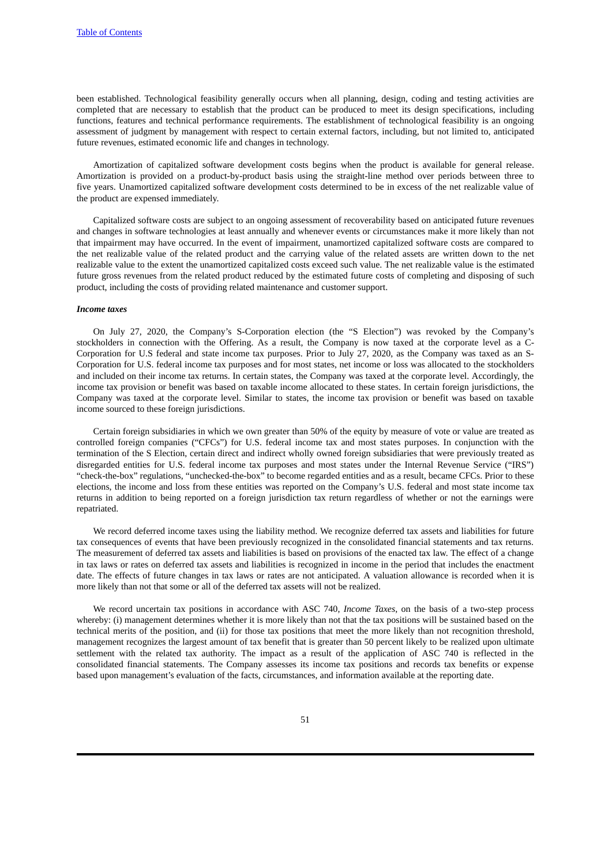been established. Technological feasibility generally occurs when all planning, design, coding and testing activities are completed that are necessary to establish that the product can be produced to meet its design specifications, including functions, features and technical performance requirements. The establishment of technological feasibility is an ongoing assessment of judgment by management with respect to certain external factors, including, but not limited to, anticipated future revenues, estimated economic life and changes in technology.

Amortization of capitalized software development costs begins when the product is available for general release. Amortization is provided on a product-by-product basis using the straight-line method over periods between three to five years. Unamortized capitalized software development costs determined to be in excess of the net realizable value of the product are expensed immediately.

Capitalized software costs are subject to an ongoing assessment of recoverability based on anticipated future revenues and changes in software technologies at least annually and whenever events or circumstances make it more likely than not that impairment may have occurred. In the event of impairment, unamortized capitalized software costs are compared to the net realizable value of the related product and the carrying value of the related assets are written down to the net realizable value to the extent the unamortized capitalized costs exceed such value. The net realizable value is the estimated future gross revenues from the related product reduced by the estimated future costs of completing and disposing of such product, including the costs of providing related maintenance and customer support.

## *Income taxes*

On July 27, 2020, the Company's S-Corporation election (the "S Election") was revoked by the Company's stockholders in connection with the Offering. As a result, the Company is now taxed at the corporate level as a C-Corporation for U.S federal and state income tax purposes. Prior to July 27, 2020, as the Company was taxed as an S-Corporation for U.S. federal income tax purposes and for most states, net income or loss was allocated to the stockholders and included on their income tax returns. In certain states, the Company was taxed at the corporate level. Accordingly, the income tax provision or benefit was based on taxable income allocated to these states. In certain foreign jurisdictions, the Company was taxed at the corporate level. Similar to states, the income tax provision or benefit was based on taxable income sourced to these foreign jurisdictions.

Certain foreign subsidiaries in which we own greater than 50% of the equity by measure of vote or value are treated as controlled foreign companies ("CFCs") for U.S. federal income tax and most states purposes. In conjunction with the termination of the S Election, certain direct and indirect wholly owned foreign subsidiaries that were previously treated as disregarded entities for U.S. federal income tax purposes and most states under the Internal Revenue Service ("IRS") "check-the-box" regulations, "unchecked-the-box" to become regarded entities and as a result, became CFCs. Prior to these elections, the income and loss from these entities was reported on the Company's U.S. federal and most state income tax returns in addition to being reported on a foreign jurisdiction tax return regardless of whether or not the earnings were repatriated.

We record deferred income taxes using the liability method. We recognize deferred tax assets and liabilities for future tax consequences of events that have been previously recognized in the consolidated financial statements and tax returns. The measurement of deferred tax assets and liabilities is based on provisions of the enacted tax law. The effect of a change in tax laws or rates on deferred tax assets and liabilities is recognized in income in the period that includes the enactment date. The effects of future changes in tax laws or rates are not anticipated. A valuation allowance is recorded when it is more likely than not that some or all of the deferred tax assets will not be realized.

We record uncertain tax positions in accordance with ASC 740, *Income Taxes*, on the basis of a two-step process whereby: (i) management determines whether it is more likely than not that the tax positions will be sustained based on the technical merits of the position, and (ii) for those tax positions that meet the more likely than not recognition threshold, management recognizes the largest amount of tax benefit that is greater than 50 percent likely to be realized upon ultimate settlement with the related tax authority. The impact as a result of the application of ASC 740 is reflected in the consolidated financial statements. The Company assesses its income tax positions and records tax benefits or expense based upon management's evaluation of the facts, circumstances, and information available at the reporting date.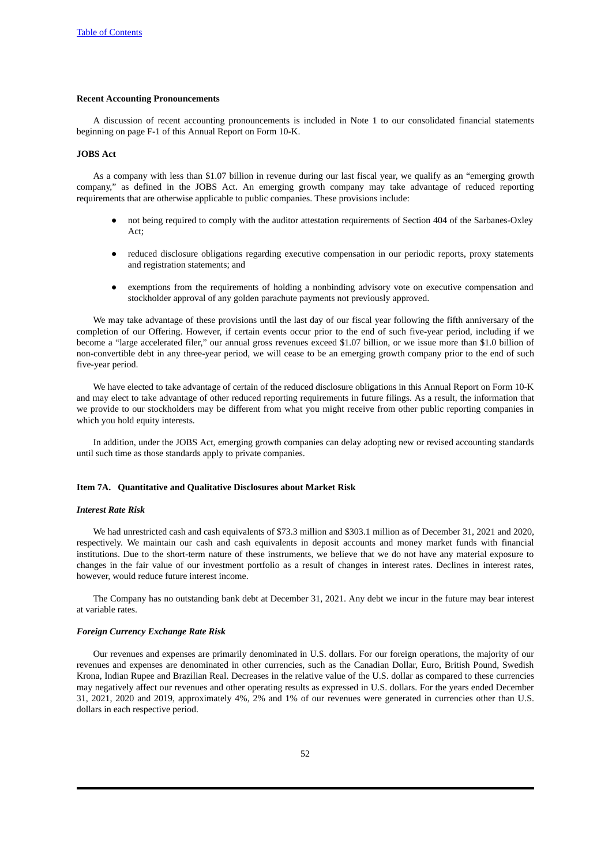### **Recent Accounting Pronouncements**

A discussion of recent accounting pronouncements is included in Note 1 to our consolidated financial statements beginning on page F-1 of this Annual Report on Form 10-K.

## **JOBS Act**

As a company with less than \$1.07 billion in revenue during our last fiscal year, we qualify as an "emerging growth company," as defined in the JOBS Act. An emerging growth company may take advantage of reduced reporting requirements that are otherwise applicable to public companies. These provisions include:

- not being required to comply with the auditor attestation requirements of Section 404 of the Sarbanes-Oxley Act;
- reduced disclosure obligations regarding executive compensation in our periodic reports, proxy statements and registration statements; and
- exemptions from the requirements of holding a nonbinding advisory vote on executive compensation and stockholder approval of any golden parachute payments not previously approved.

We may take advantage of these provisions until the last day of our fiscal year following the fifth anniversary of the completion of our Offering. However, if certain events occur prior to the end of such five-year period, including if we become a "large accelerated filer," our annual gross revenues exceed \$1.07 billion, or we issue more than \$1.0 billion of non-convertible debt in any three-year period, we will cease to be an emerging growth company prior to the end of such five-year period.

We have elected to take advantage of certain of the reduced disclosure obligations in this Annual Report on Form 10-K and may elect to take advantage of other reduced reporting requirements in future filings. As a result, the information that we provide to our stockholders may be different from what you might receive from other public reporting companies in which you hold equity interests.

In addition, under the JOBS Act, emerging growth companies can delay adopting new or revised accounting standards until such time as those standards apply to private companies.

## **Item 7A. Quantitative and Qualitative Disclosures about Market Risk**

## *Interest Rate Risk*

We had unrestricted cash and cash equivalents of \$73.3 million and \$303.1 million as of December 31, 2021 and 2020, respectively. We maintain our cash and cash equivalents in deposit accounts and money market funds with financial institutions. Due to the short-term nature of these instruments, we believe that we do not have any material exposure to changes in the fair value of our investment portfolio as a result of changes in interest rates. Declines in interest rates, however, would reduce future interest income.

The Company has no outstanding bank debt at December 31, 2021. Any debt we incur in the future may bear interest at variable rates.

#### *Foreign Currency Exchange Rate Risk*

Our revenues and expenses are primarily denominated in U.S. dollars. For our foreign operations, the majority of our revenues and expenses are denominated in other currencies, such as the Canadian Dollar, Euro, British Pound, Swedish Krona, Indian Rupee and Brazilian Real. Decreases in the relative value of the U.S. dollar as compared to these currencies may negatively affect our revenues and other operating results as expressed in U.S. dollars. For the years ended December 31, 2021, 2020 and 2019, approximately 4%, 2% and 1% of our revenues were generated in currencies other than U.S. dollars in each respective period.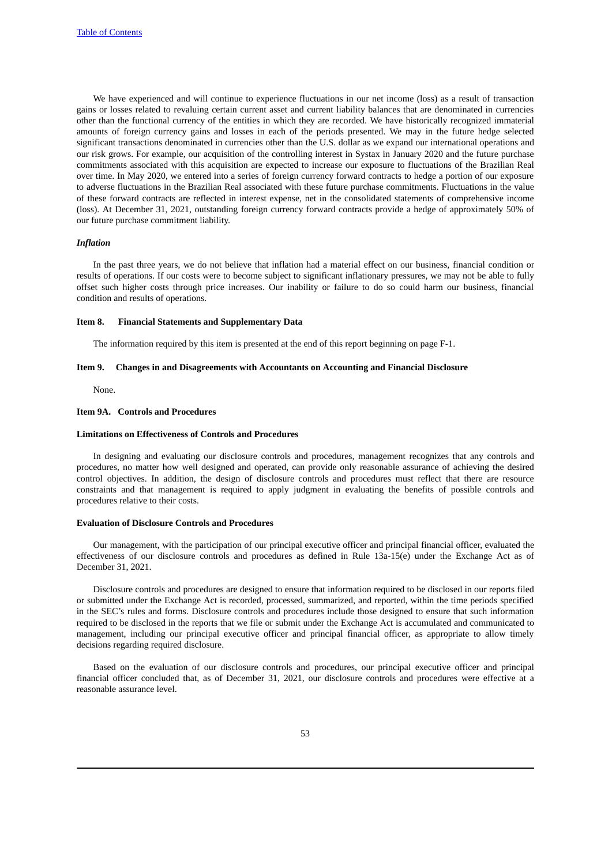We have experienced and will continue to experience fluctuations in our net income (loss) as a result of transaction gains or losses related to revaluing certain current asset and current liability balances that are denominated in currencies other than the functional currency of the entities in which they are recorded. We have historically recognized immaterial amounts of foreign currency gains and losses in each of the periods presented. We may in the future hedge selected significant transactions denominated in currencies other than the U.S. dollar as we expand our international operations and our risk grows. For example, our acquisition of the controlling interest in Systax in January 2020 and the future purchase commitments associated with this acquisition are expected to increase our exposure to fluctuations of the Brazilian Real over time. In May 2020, we entered into a series of foreign currency forward contracts to hedge a portion of our exposure to adverse fluctuations in the Brazilian Real associated with these future purchase commitments. Fluctuations in the value of these forward contracts are reflected in interest expense, net in the consolidated statements of comprehensive income (loss). At December 31, 2021, outstanding foreign currency forward contracts provide a hedge of approximately 50% of our future purchase commitment liability.

## *Inflation*

In the past three years, we do not believe that inflation had a material effect on our business, financial condition or results of operations. If our costs were to become subject to significant inflationary pressures, we may not be able to fully offset such higher costs through price increases. Our inability or failure to do so could harm our business, financial condition and results of operations.

#### **Item 8. Financial Statements and Supplementary Data**

The information required by this item is presented at the end of this report beginning on page F-1.

#### **Item 9. Changes in and Disagreements with Accountants on Accounting and Financial Disclosure**

None.

## **Item 9A. Controls and Procedures**

#### **Limitations on Effectiveness of Controls and Procedures**

In designing and evaluating our disclosure controls and procedures, management recognizes that any controls and procedures, no matter how well designed and operated, can provide only reasonable assurance of achieving the desired control objectives. In addition, the design of disclosure controls and procedures must reflect that there are resource constraints and that management is required to apply judgment in evaluating the benefits of possible controls and procedures relative to their costs.

## **Evaluation of Disclosure Controls and Procedures**

Our management, with the participation of our principal executive officer and principal financial officer, evaluated the effectiveness of our disclosure controls and procedures as defined in Rule 13a-15(e) under the Exchange Act as of December 31, 2021.

Disclosure controls and procedures are designed to ensure that information required to be disclosed in our reports filed or submitted under the Exchange Act is recorded, processed, summarized, and reported, within the time periods specified in the SEC's rules and forms. Disclosure controls and procedures include those designed to ensure that such information required to be disclosed in the reports that we file or submit under the Exchange Act is accumulated and communicated to management, including our principal executive officer and principal financial officer, as appropriate to allow timely decisions regarding required disclosure.

Based on the evaluation of our disclosure controls and procedures, our principal executive officer and principal financial officer concluded that, as of December 31, 2021, our disclosure controls and procedures were effective at a reasonable assurance level.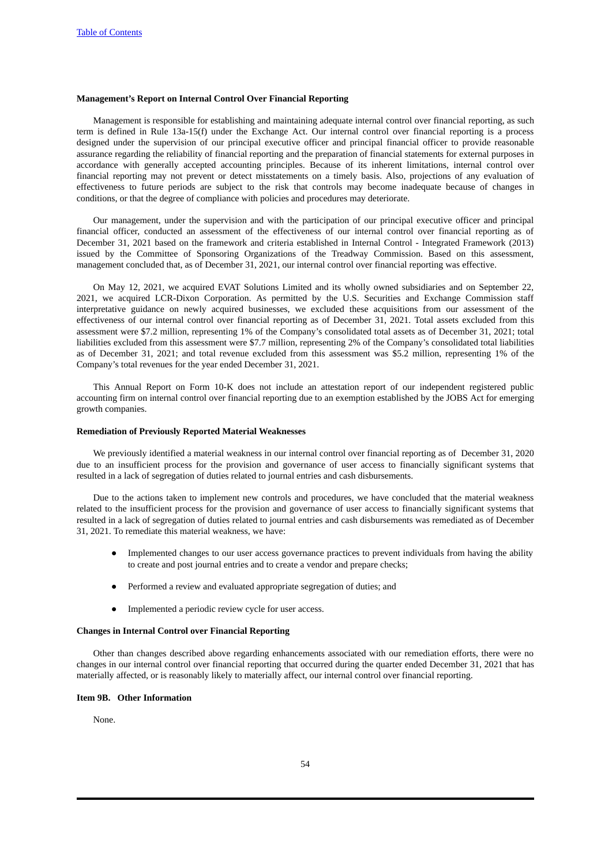## **Management's Report on Internal Control Over Financial Reporting**

Management is responsible for establishing and maintaining adequate internal control over financial reporting, as such term is defined in Rule 13a-15(f) under the Exchange Act. Our internal control over financial reporting is a process designed under the supervision of our principal executive officer and principal financial officer to provide reasonable assurance regarding the reliability of financial reporting and the preparation of financial statements for external purposes in accordance with generally accepted accounting principles. Because of its inherent limitations, internal control over financial reporting may not prevent or detect misstatements on a timely basis. Also, projections of any evaluation of effectiveness to future periods are subject to the risk that controls may become inadequate because of changes in conditions, or that the degree of compliance with policies and procedures may deteriorate.

Our management, under the supervision and with the participation of our principal executive officer and principal financial officer, conducted an assessment of the effectiveness of our internal control over financial reporting as of December 31, 2021 based on the framework and criteria established in Internal Control - Integrated Framework (2013) issued by the Committee of Sponsoring Organizations of the Treadway Commission. Based on this assessment, management concluded that, as of December 31, 2021, our internal control over financial reporting was effective.

On May 12, 2021, we acquired EVAT Solutions Limited and its wholly owned subsidiaries and on September 22, 2021, we acquired LCR-Dixon Corporation. As permitted by the U.S. Securities and Exchange Commission staff interpretative guidance on newly acquired businesses, we excluded these acquisitions from our assessment of the effectiveness of our internal control over financial reporting as of December 31, 2021. Total assets excluded from this assessment were \$7.2 million, representing 1% of the Company's consolidated total assets as of December 31, 2021; total liabilities excluded from this assessment were \$7.7 million, representing 2% of the Company's consolidated total liabilities as of December 31, 2021; and total revenue excluded from this assessment was \$5.2 million, representing 1% of the Company's total revenues for the year ended December 31, 2021.

This Annual Report on Form 10-K does not include an attestation report of our independent registered public accounting firm on internal control over financial reporting due to an exemption established by the JOBS Act for emerging growth companies.

## **Remediation of Previously Reported Material Weaknesses**

We previously identified a material weakness in our internal control over financial reporting as of December 31, 2020 due to an insufficient process for the provision and governance of user access to financially significant systems that resulted in a lack of segregation of duties related to journal entries and cash disbursements.

Due to the actions taken to implement new controls and procedures, we have concluded that the material weakness related to the insufficient process for the provision and governance of user access to financially significant systems that resulted in a lack of segregation of duties related to journal entries and cash disbursements was remediated as of December 31, 2021. To remediate this material weakness, we have:

- Implemented changes to our user access governance practices to prevent individuals from having the ability to create and post journal entries and to create a vendor and prepare checks;
- Performed a review and evaluated appropriate segregation of duties; and
- Implemented a periodic review cycle for user access.

#### **Changes in Internal Control over Financial Reporting**

Other than changes described above regarding enhancements associated with our remediation efforts, there were no changes in our internal control over financial reporting that occurred during the quarter ended December 31, 2021 that has materially affected, or is reasonably likely to materially affect, our internal control over financial reporting.

#### **Item 9B. Other Information**

None.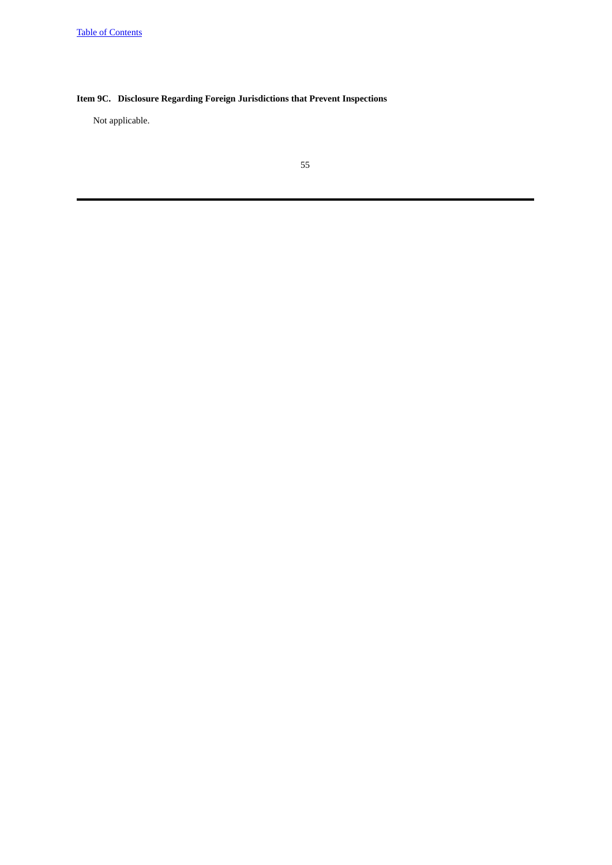# **Item 9C. Disclosure Regarding Foreign Jurisdictions that Prevent Inspections**

Not applicable.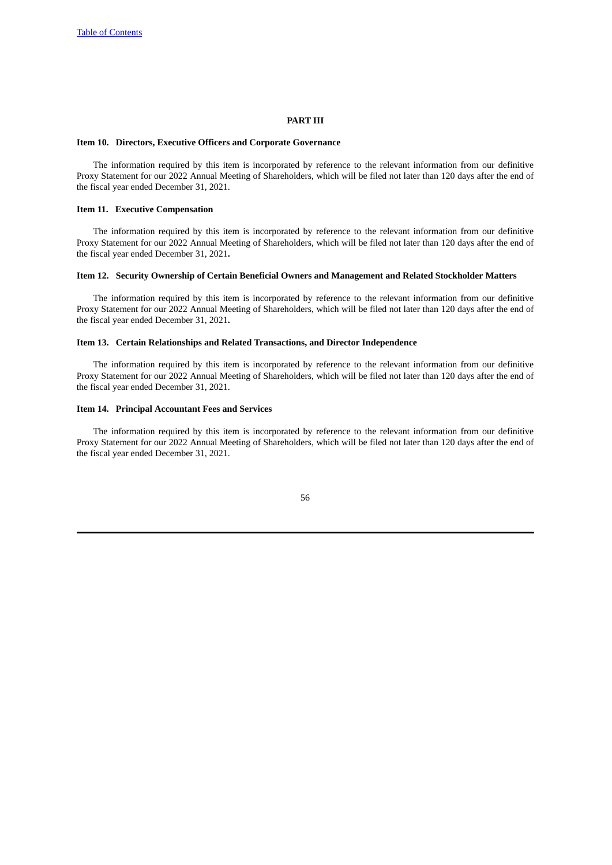#### **PART III**

### **Item 10. Directors, Executive Officers and Corporate Governance**

The information required by this item is incorporated by reference to the relevant information from our definitive Proxy Statement for our 2022 Annual Meeting of Shareholders, which will be filed not later than 120 days after the end of the fiscal year ended December 31, 2021.

#### **Item 11. Executive Compensation**

The information required by this item is incorporated by reference to the relevant information from our definitive Proxy Statement for our 2022 Annual Meeting of Shareholders, which will be filed not later than 120 days after the end of the fiscal year ended December 31, 2021**.**

#### **Item 12. Security Ownership of Certain Beneficial Owners and Management and Related Stockholder Matters**

The information required by this item is incorporated by reference to the relevant information from our definitive Proxy Statement for our 2022 Annual Meeting of Shareholders, which will be filed not later than 120 days after the end of the fiscal year ended December 31, 2021**.**

### **Item 13. Certain Relationships and Related Transactions, and Director Independence**

The information required by this item is incorporated by reference to the relevant information from our definitive Proxy Statement for our 2022 Annual Meeting of Shareholders, which will be filed not later than 120 days after the end of the fiscal year ended December 31, 2021.

## **Item 14. Principal Accountant Fees and Services**

The information required by this item is incorporated by reference to the relevant information from our definitive Proxy Statement for our 2022 Annual Meeting of Shareholders, which will be filed not later than 120 days after the end of the fiscal year ended December 31, 2021.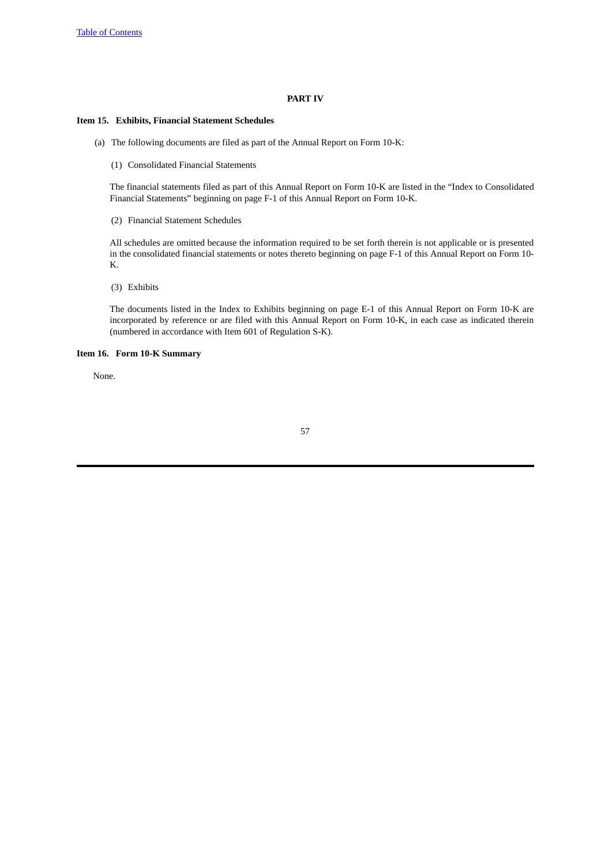## **PART IV**

## **Item 15. Exhibits, Financial Statement Schedules**

- (a) The following documents are filed as part of the Annual Report on Form 10-K:
	- (1) Consolidated Financial Statements

The financial statements filed as part of this Annual Report on Form 10-K are listed in the "Index to Consolidated Financial Statements" beginning on page F-1 of this Annual Report on Form 10-K.

(2) Financial Statement Schedules

All schedules are omitted because the information required to be set forth therein is not applicable or is presented in the consolidated financial statements or notes thereto beginning on page F-1 of this Annual Report on Form 10- K.

(3) Exhibits

The documents listed in the Index to Exhibits beginning on page E-1 of this Annual Report on Form 10-K are incorporated by reference or are filed with this Annual Report on Form 10-K, in each case as indicated therein (numbered in accordance with Item 601 of Regulation S-K).

## **Item 16. Form 10-K Summary**

None.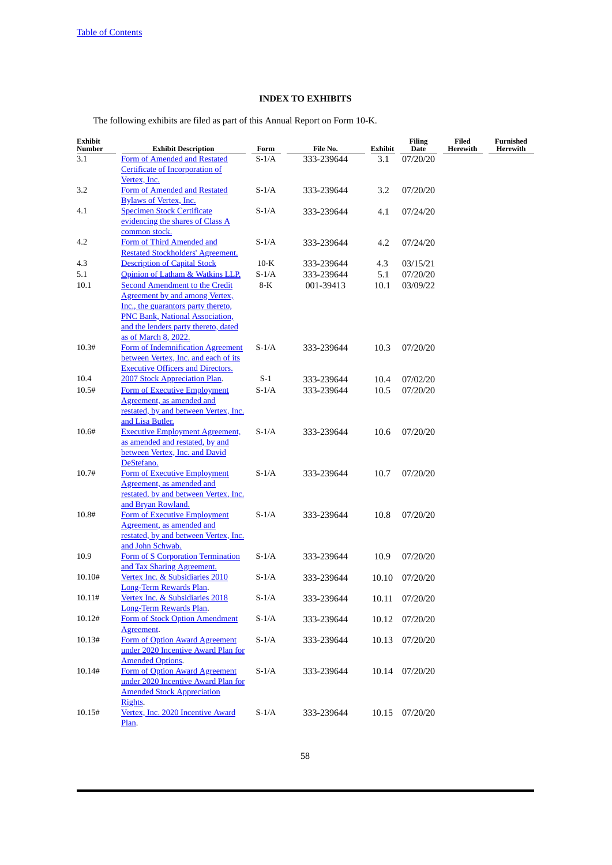# **INDEX TO EXHIBITS**

The following exhibits are filed as part of this Annual Report on Form 10-K.

| Exhibit<br>Number | <b>Exhibit Description</b>                                                | Form    | File No.                 | <b>Exhibit</b> | <b>Filing</b><br><b>Date</b> | Filed<br>Herewith | <b>Furnished</b><br>Herewith |
|-------------------|---------------------------------------------------------------------------|---------|--------------------------|----------------|------------------------------|-------------------|------------------------------|
| 3.1               | Form of Amended and Restated                                              | $S-1/A$ | 333-239644               | 3.1            | 07/20/20                     |                   |                              |
|                   | Certificate of Incorporation of                                           |         |                          |                |                              |                   |                              |
|                   | Vertex, Inc.                                                              |         |                          |                |                              |                   |                              |
| 3.2               | Form of Amended and Restated                                              | $S-1/A$ | 333-239644               | 3.2            | 07/20/20                     |                   |                              |
|                   | Bylaws of Vertex, Inc.                                                    |         |                          |                |                              |                   |                              |
| 4.1               | <b>Specimen Stock Certificate</b>                                         | $S-1/A$ | 333-239644               | 4.1            | 07/24/20                     |                   |                              |
|                   | evidencing the shares of Class A                                          |         |                          |                |                              |                   |                              |
|                   | common stock.                                                             |         |                          |                |                              |                   |                              |
| 4.2               | Form of Third Amended and                                                 | $S-1/A$ | 333-239644               | 4.2            | 07/24/20                     |                   |                              |
|                   | <b>Restated Stockholders' Agreement.</b>                                  |         |                          |                |                              |                   |                              |
| 4.3               | <b>Description of Capital Stock</b>                                       | $10-K$  | 333-239644               | 4.3            | 03/15/21                     |                   |                              |
| 5.1               | Opinion of Latham & Watkins LLP.                                          | $S-1/A$ | 333-239644               | 5.1            | 07/20/20                     |                   |                              |
| 10.1              | Second Amendment to the Credit                                            | $8-K$   | 001-39413                | 10.1           | 03/09/22                     |                   |                              |
|                   | <b>Agreement by and among Vertex,</b>                                     |         |                          |                |                              |                   |                              |
|                   | Inc., the guarantors party thereto,                                       |         |                          |                |                              |                   |                              |
|                   | PNC Bank, National Association,                                           |         |                          |                |                              |                   |                              |
|                   | and the lenders party thereto, dated                                      |         |                          |                |                              |                   |                              |
|                   | as of March 8, 2022.                                                      |         |                          |                |                              |                   |                              |
| 10.3#             | Form of Indemnification Agreement                                         | $S-1/A$ | 333-239644               | 10.3           | 07/20/20                     |                   |                              |
|                   | between Vertex, Inc. and each of its                                      |         |                          |                |                              |                   |                              |
| 10.4              | <b>Executive Officers and Directors.</b><br>2007 Stock Appreciation Plan. |         |                          |                |                              |                   |                              |
| 10.5#             | <b>Form of Executive Employment</b>                                       | $S-1$   | 333-239644<br>333-239644 | 10.4           | 07/02/20                     |                   |                              |
|                   | Agreement, as amended and                                                 | $S-1/A$ |                          | 10.5           | 07/20/20                     |                   |                              |
|                   | restated, by and between Vertex, Inc.                                     |         |                          |                |                              |                   |                              |
|                   | and Lisa Butler.                                                          |         |                          |                |                              |                   |                              |
| 10.6#             | <b>Executive Employment Agreement,</b>                                    | $S-1/A$ | 333-239644               | 10.6           | 07/20/20                     |                   |                              |
|                   | as amended and restated, by and                                           |         |                          |                |                              |                   |                              |
|                   | between Vertex, Inc. and David                                            |         |                          |                |                              |                   |                              |
|                   | DeStefano.                                                                |         |                          |                |                              |                   |                              |
| 10.7#             | <b>Form of Executive Employment</b>                                       | $S-1/A$ | 333-239644               | 10.7           | 07/20/20                     |                   |                              |
|                   | Agreement, as amended and                                                 |         |                          |                |                              |                   |                              |
|                   | restated, by and between Vertex, Inc.                                     |         |                          |                |                              |                   |                              |
|                   | and Bryan Rowland.                                                        |         |                          |                |                              |                   |                              |
| 10.8#             | <b>Form of Executive Employment</b>                                       | $S-1/A$ | 333-239644               | 10.8           | 07/20/20                     |                   |                              |
|                   | Agreement, as amended and                                                 |         |                          |                |                              |                   |                              |
|                   | restated, by and between Vertex, Inc.                                     |         |                          |                |                              |                   |                              |
|                   | and John Schwab.                                                          |         |                          |                |                              |                   |                              |
| 10.9              | Form of S Corporation Termination                                         | $S-1/A$ | 333-239644               | 10.9           | 07/20/20                     |                   |                              |
|                   | and Tax Sharing Agreement.                                                |         |                          |                |                              |                   |                              |
| 10.10#            | Vertex Inc. & Subsidiaries 2010<br>Long-Term Rewards Plan.                | $S-1/A$ | 333-239644               | 10.10          | 07/20/20                     |                   |                              |
| 10.11#            | <u>Vertex Inc. &amp; Subsidiaries 2018</u>                                | $S-1/A$ | 333-239644               | 10.11          | 07/20/20                     |                   |                              |
|                   | Long-Term Rewards Plan.                                                   |         |                          |                |                              |                   |                              |
| 10.12#            | Form of Stock Option Amendment                                            | $S-1/A$ | 333-239644               | 10.12          | 07/20/20                     |                   |                              |
|                   | Agreement.                                                                |         |                          |                |                              |                   |                              |
| 10.13#            | Form of Option Award Agreement                                            | $S-1/A$ | 333-239644               | 10.13          | 07/20/20                     |                   |                              |
|                   | under 2020 Incentive Award Plan for                                       |         |                          |                |                              |                   |                              |
|                   | <b>Amended Options.</b>                                                   |         |                          |                |                              |                   |                              |
| 10.14#            | Form of Option Award Agreement                                            | $S-1/A$ | 333-239644               | 10.14          | 07/20/20                     |                   |                              |
|                   | under 2020 Incentive Award Plan for                                       |         |                          |                |                              |                   |                              |
|                   | <b>Amended Stock Appreciation</b>                                         |         |                          |                |                              |                   |                              |
|                   | Rights.                                                                   |         |                          |                |                              |                   |                              |
| 10.15#            | Vertex, Inc. 2020 Incentive Award                                         | $S-1/A$ | 333-239644               | 10.15          | 07/20/20                     |                   |                              |
|                   | Plan.                                                                     |         |                          |                |                              |                   |                              |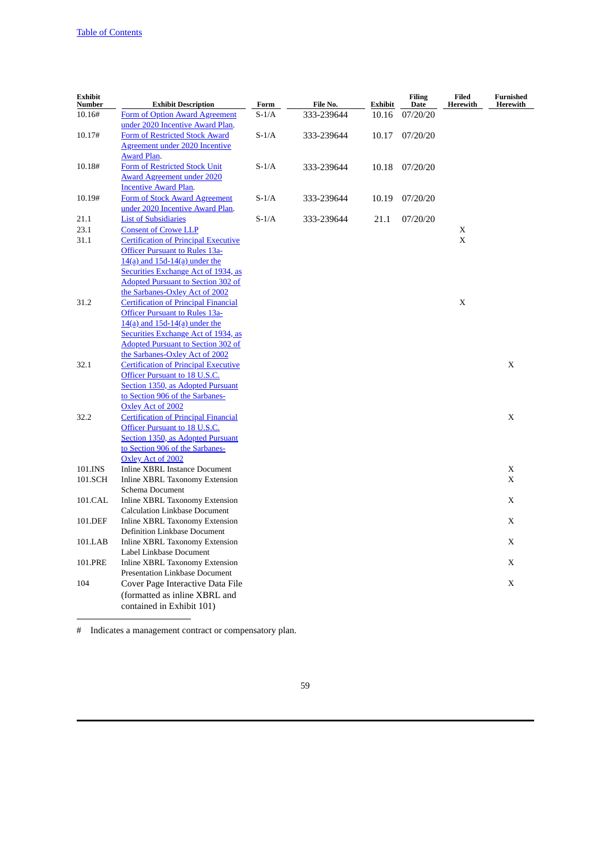| <b>Exhibit</b><br>Number | <b>Exhibit Description</b>                  | Form    | File No.   | Exhibit | <b>Filing</b><br><b>Date</b> | <b>Filed</b><br>Herewith | Furnished<br>Herewith |
|--------------------------|---------------------------------------------|---------|------------|---------|------------------------------|--------------------------|-----------------------|
| 10.16#                   | Form of Option Award Agreement              | $S-1/A$ | 333-239644 | 10.16   | 07/20/20                     |                          |                       |
|                          | under 2020 Incentive Award Plan.            |         |            |         |                              |                          |                       |
| 10.17#                   | Form of Restricted Stock Award              | $S-1/A$ | 333-239644 | 10.17   | 07/20/20                     |                          |                       |
|                          | <b>Agreement under 2020 Incentive</b>       |         |            |         |                              |                          |                       |
|                          | Award Plan.                                 |         |            |         |                              |                          |                       |
| 10.18#                   | Form of Restricted Stock Unit               | $S-1/A$ | 333-239644 | 10.18   | 07/20/20                     |                          |                       |
|                          | <b>Award Agreement under 2020</b>           |         |            |         |                              |                          |                       |
|                          | <b>Incentive Award Plan.</b>                |         |            |         |                              |                          |                       |
| 10.19#                   | Form of Stock Award Agreement               | $S-1/A$ | 333-239644 | 10.19   | 07/20/20                     |                          |                       |
|                          | under 2020 Incentive Award Plan.            |         |            |         |                              |                          |                       |
| 21.1                     | <b>List of Subsidiaries</b>                 | $S-1/A$ | 333-239644 | 21.1    | 07/20/20                     |                          |                       |
| 23.1                     | <b>Consent of Crowe LLP</b>                 |         |            |         |                              | X                        |                       |
| 31.1                     | <b>Certification of Principal Executive</b> |         |            |         |                              | X                        |                       |
|                          | <b>Officer Pursuant to Rules 13a-</b>       |         |            |         |                              |                          |                       |
|                          | $14(a)$ and $15d-14(a)$ under the           |         |            |         |                              |                          |                       |
|                          | Securities Exchange Act of 1934, as         |         |            |         |                              |                          |                       |
|                          | Adopted Pursuant to Section 302 of          |         |            |         |                              |                          |                       |
|                          | the Sarbanes-Oxley Act of 2002              |         |            |         |                              |                          |                       |
| 31.2                     | <b>Certification of Principal Financial</b> |         |            |         |                              | X                        |                       |
|                          | <b>Officer Pursuant to Rules 13a-</b>       |         |            |         |                              |                          |                       |
|                          | $14(a)$ and $15d-14(a)$ under the           |         |            |         |                              |                          |                       |
|                          | Securities Exchange Act of 1934, as         |         |            |         |                              |                          |                       |
|                          | <b>Adopted Pursuant to Section 302 of</b>   |         |            |         |                              |                          |                       |
|                          | the Sarbanes-Oxley Act of 2002              |         |            |         |                              |                          |                       |
| 32.1                     | <b>Certification of Principal Executive</b> |         |            |         |                              |                          | X                     |
|                          | Officer Pursuant to 18 U.S.C.               |         |            |         |                              |                          |                       |
|                          | Section 1350, as Adopted Pursuant           |         |            |         |                              |                          |                       |
|                          | to Section 906 of the Sarbanes-             |         |            |         |                              |                          |                       |
|                          | Oxley Act of 2002                           |         |            |         |                              |                          |                       |
| 32.2                     | <b>Certification of Principal Financial</b> |         |            |         |                              |                          | $\mathbf{x}$          |
|                          | Officer Pursuant to 18 U.S.C.               |         |            |         |                              |                          |                       |
|                          | Section 1350, as Adopted Pursuant           |         |            |         |                              |                          |                       |
|                          | to Section 906 of the Sarbanes-             |         |            |         |                              |                          |                       |
|                          | Oxley Act of 2002                           |         |            |         |                              |                          |                       |
| 101.INS                  | <b>Inline XBRL Instance Document</b>        |         |            |         |                              |                          | X                     |
| 101.SCH                  | Inline XBRL Taxonomy Extension              |         |            |         |                              |                          | X                     |
|                          | Schema Document                             |         |            |         |                              |                          |                       |
| 101.CAL                  | Inline XBRL Taxonomy Extension              |         |            |         |                              |                          | $\mathbf X$           |
|                          | <b>Calculation Linkbase Document</b>        |         |            |         |                              |                          |                       |
| 101.DEF                  | Inline XBRL Taxonomy Extension              |         |            |         |                              |                          | X                     |
|                          | <b>Definition Linkbase Document</b>         |         |            |         |                              |                          |                       |
| 101.LAB                  | <b>Inline XBRL Taxonomy Extension</b>       |         |            |         |                              |                          | X                     |
|                          | Label Linkbase Document                     |         |            |         |                              |                          |                       |
| 101.PRE                  | Inline XBRL Taxonomy Extension              |         |            |         |                              |                          | X                     |
| 104                      | <b>Presentation Linkbase Document</b>       |         |            |         |                              |                          | X                     |
|                          | Cover Page Interactive Data File            |         |            |         |                              |                          |                       |
|                          | (formatted as inline XBRL and               |         |            |         |                              |                          |                       |
|                          | contained in Exhibit 101)                   |         |            |         |                              |                          |                       |

# Indicates a management contract or compensatory plan.

# 59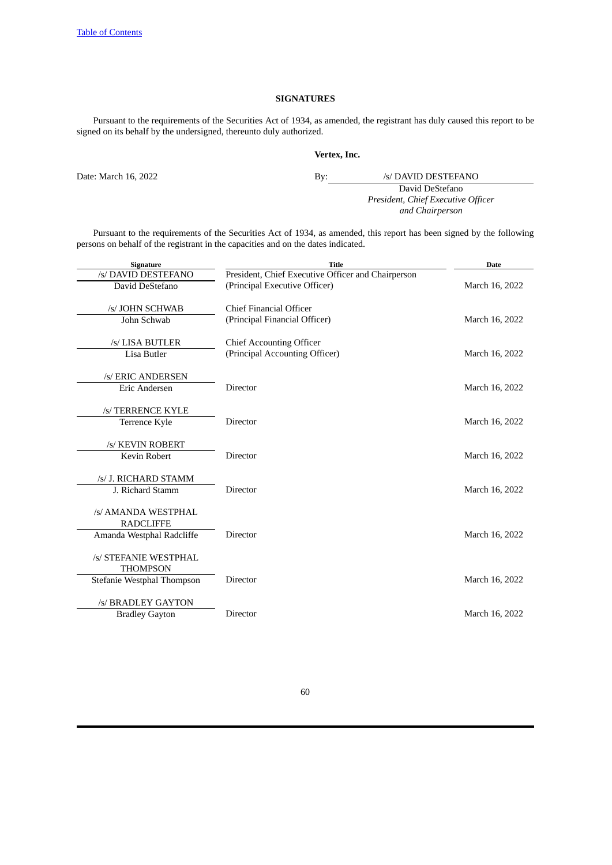## **SIGNATURES**

Pursuant to the requirements of the Securities Act of 1934, as amended, the registrant has duly caused this report to be signed on its behalf by the undersigned, thereunto duly authorized.

## **Vertex, Inc.**

Date: March 16, 2022 By: /s/ DAVID DESTEFANO

David DeStefano *President, Chief Executive Officer and Chairperson*

Pursuant to the requirements of the Securities Act of 1934, as amended, this report has been signed by the following persons on behalf of the registrant in the capacities and on the dates indicated.

| Signature                  | <b>Title</b>                                       | <b>Date</b>    |
|----------------------------|----------------------------------------------------|----------------|
| /s/ DAVID DESTEFANO        | President, Chief Executive Officer and Chairperson |                |
| David DeStefano            | (Principal Executive Officer)                      | March 16, 2022 |
|                            |                                                    |                |
| /s/ JOHN SCHWAB            | <b>Chief Financial Officer</b>                     |                |
| John Schwab                | (Principal Financial Officer)                      | March 16, 2022 |
| /s/ LISA BUTLER            | <b>Chief Accounting Officer</b>                    |                |
| Lisa Butler                | (Principal Accounting Officer)                     | March 16, 2022 |
|                            |                                                    |                |
| /s/ ERIC ANDERSEN          |                                                    |                |
| Eric Andersen              | <b>Director</b>                                    | March 16, 2022 |
|                            |                                                    |                |
| /s/ TERRENCE KYLE          |                                                    |                |
| Terrence Kyle              | <b>Director</b>                                    | March 16, 2022 |
|                            |                                                    |                |
| /s/ KEVIN ROBERT           |                                                    |                |
| Kevin Robert               | <b>Director</b>                                    | March 16, 2022 |
| /s/ J. RICHARD STAMM       |                                                    |                |
| J. Richard Stamm           | <b>Director</b>                                    | March 16, 2022 |
|                            |                                                    |                |
| /s/ AMANDA WESTPHAL        |                                                    |                |
| <b>RADCLIFFE</b>           |                                                    |                |
| Amanda Westphal Radcliffe  | <b>Director</b>                                    | March 16, 2022 |
|                            |                                                    |                |
| /s/ STEFANIE WESTPHAL      |                                                    |                |
| <b>THOMPSON</b>            |                                                    |                |
| Stefanie Westphal Thompson | <b>Director</b>                                    | March 16, 2022 |
|                            |                                                    |                |
| /s/ BRADLEY GAYTON         |                                                    |                |
| <b>Bradley Gayton</b>      | Director                                           | March 16, 2022 |

60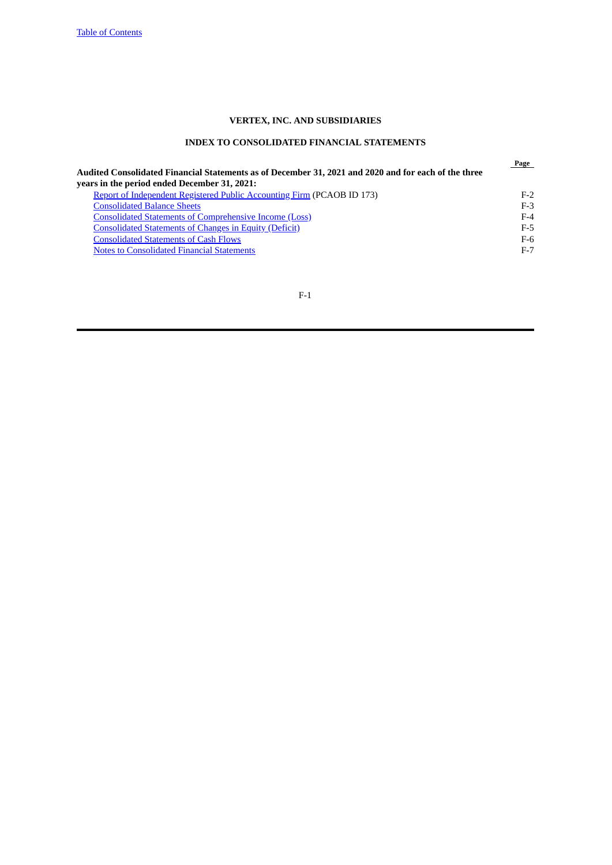# **VERTEX, INC. AND SUBSIDIARIES**

# **INDEX TO CONSOLIDATED FINANCIAL STATEMENTS**

| Audited Consolidated Financial Statements as of December 31, 2021 and 2020 and for each of the three<br>years in the period ended December 31, 2021: | Page  |
|------------------------------------------------------------------------------------------------------------------------------------------------------|-------|
| Report of Independent Registered Public Accounting Firm (PCAOB ID 173)                                                                               | F-2   |
| <b>Consolidated Balance Sheets</b>                                                                                                                   | $F-3$ |
| <b>Consolidated Statements of Comprehensive Income (Loss)</b>                                                                                        | $F-4$ |
| <b>Consolidated Statements of Changes in Equity (Deficit)</b>                                                                                        | $F-5$ |
| <b>Consolidated Statements of Cash Flows</b>                                                                                                         | F-6   |
| <b>Notes to Consolidated Financial Statements</b>                                                                                                    | $F-7$ |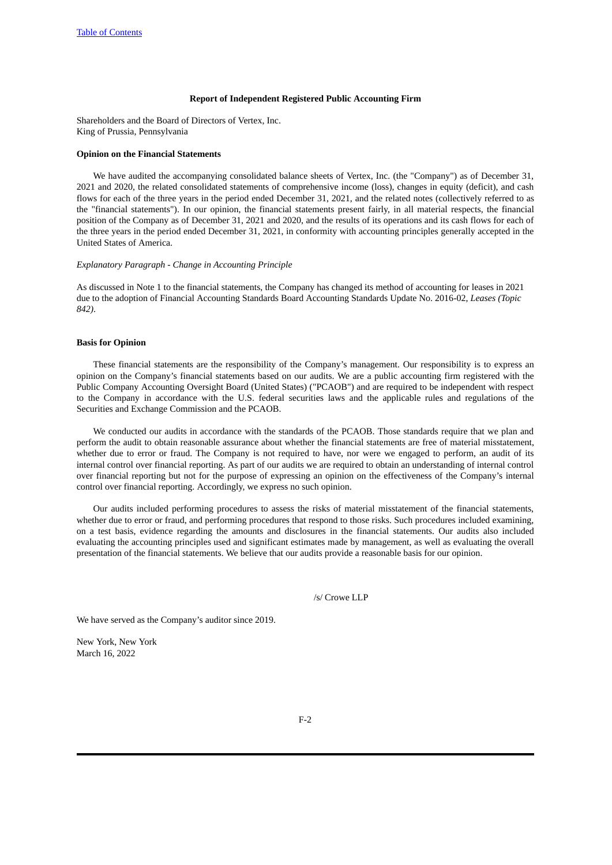## **Report of Independent Registered Public Accounting Firm**

<span id="page-63-0"></span>Shareholders and the Board of Directors of Vertex, Inc. King of Prussia, Pennsylvania

#### **Opinion on the Financial Statements**

We have audited the accompanying consolidated balance sheets of Vertex, Inc. (the "Company") as of December 31, 2021 and 2020, the related consolidated statements of comprehensive income (loss), changes in equity (deficit), and cash flows for each of the three years in the period ended December 31, 2021, and the related notes (collectively referred to as the "financial statements"). In our opinion, the financial statements present fairly, in all material respects, the financial position of the Company as of December 31, 2021 and 2020, and the results of its operations and its cash flows for each of the three years in the period ended December 31, 2021, in conformity with accounting principles generally accepted in the United States of America.

## *Explanatory Paragraph - Change in Accounting Principle*

As discussed in Note 1 to the financial statements, the Company has changed its method of accounting for leases in 2021 due to the adoption of Financial Accounting Standards Board Accounting Standards Update No. 2016-02, *Leases (Topic 842)*.

## **Basis for Opinion**

These financial statements are the responsibility of the Company's management. Our responsibility is to express an opinion on the Company's financial statements based on our audits. We are a public accounting firm registered with the Public Company Accounting Oversight Board (United States) ("PCAOB") and are required to be independent with respect to the Company in accordance with the U.S. federal securities laws and the applicable rules and regulations of the Securities and Exchange Commission and the PCAOB.

We conducted our audits in accordance with the standards of the PCAOB. Those standards require that we plan and perform the audit to obtain reasonable assurance about whether the financial statements are free of material misstatement, whether due to error or fraud. The Company is not required to have, nor were we engaged to perform, an audit of its internal control over financial reporting. As part of our audits we are required to obtain an understanding of internal control over financial reporting but not for the purpose of expressing an opinion on the effectiveness of the Company's internal control over financial reporting. Accordingly, we express no such opinion.

Our audits included performing procedures to assess the risks of material misstatement of the financial statements, whether due to error or fraud, and performing procedures that respond to those risks. Such procedures included examining, on a test basis, evidence regarding the amounts and disclosures in the financial statements. Our audits also included evaluating the accounting principles used and significant estimates made by management, as well as evaluating the overall presentation of the financial statements. We believe that our audits provide a reasonable basis for our opinion.

/s/ Crowe LLP

We have served as the Company's auditor since 2019.

New York, New York March 16, 2022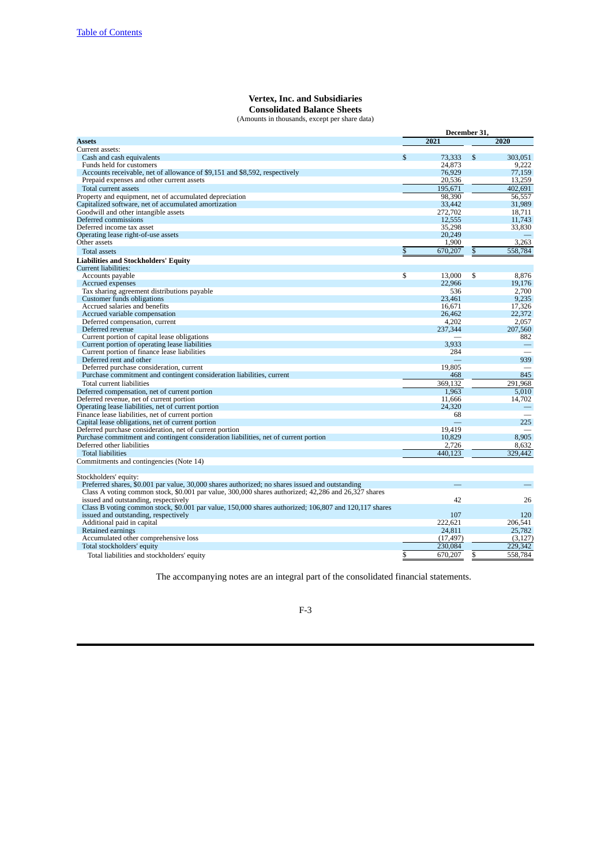### **Vertex, Inc. and Subsidiaries Consolidated Balance Sheets**

(Amounts in thousands, except per share data)

<span id="page-64-0"></span>

|                                                                                                       |    | December 31, |                         |         |  |  |  |
|-------------------------------------------------------------------------------------------------------|----|--------------|-------------------------|---------|--|--|--|
| <b>Assets</b>                                                                                         |    | 2021         |                         | 2020    |  |  |  |
| Current assets:                                                                                       |    |              |                         |         |  |  |  |
| Cash and cash equivalents                                                                             | \$ | 73,333       | \$                      | 303.051 |  |  |  |
| Funds held for customers                                                                              |    | 24.873       |                         | 9.222   |  |  |  |
| Accounts receivable, net of allowance of \$9,151 and \$8,592, respectively                            |    | 76,929       |                         | 77,159  |  |  |  |
| Prepaid expenses and other current assets                                                             |    | 20,536       |                         | 13,259  |  |  |  |
| Total current assets                                                                                  |    | 195.671      |                         | 402.691 |  |  |  |
| Property and equipment, net of accumulated depreciation                                               |    | 98,390       |                         | 56,557  |  |  |  |
| Capitalized software, net of accumulated amortization                                                 |    | 33,442       |                         | 31,989  |  |  |  |
| Goodwill and other intangible assets                                                                  |    | 272,702      |                         | 18,711  |  |  |  |
| Deferred commissions                                                                                  |    | 12,555       |                         | 11,743  |  |  |  |
| Deferred income tax asset                                                                             |    | 35,298       |                         | 33,830  |  |  |  |
| Operating lease right-of-use assets                                                                   |    | 20,249       |                         |         |  |  |  |
| Other assets                                                                                          |    | 1,900        |                         | 3,263   |  |  |  |
| <b>Total assets</b>                                                                                   | \$ | 670,207      | \$                      | 558,784 |  |  |  |
| <b>Liabilities and Stockholders' Equity</b>                                                           |    |              |                         |         |  |  |  |
| Current liabilities:                                                                                  |    |              |                         |         |  |  |  |
| Accounts payable                                                                                      | \$ | 13,000       | \$                      | 8,876   |  |  |  |
| Accrued expenses                                                                                      |    | 22,966       |                         | 19,176  |  |  |  |
| Tax sharing agreement distributions payable                                                           |    | 536          |                         | 2.700   |  |  |  |
| Customer funds obligations                                                                            |    | 23,461       |                         | 9,235   |  |  |  |
| Accrued salaries and benefits                                                                         |    | 16.671       |                         | 17,326  |  |  |  |
| Accrued variable compensation                                                                         |    | 26,462       |                         | 22,372  |  |  |  |
| Deferred compensation, current                                                                        |    | 4.202        |                         | 2.057   |  |  |  |
| Deferred revenue                                                                                      |    | 237,344      |                         | 207,560 |  |  |  |
| Current portion of capital lease obligations                                                          |    |              |                         | 882     |  |  |  |
| Current portion of operating lease liabilities                                                        |    | 3,933        |                         |         |  |  |  |
| Current portion of finance lease liabilities<br>Deferred rent and other                               |    | 284          |                         | 939     |  |  |  |
| Deferred purchase consideration, current                                                              |    | 19,805       |                         |         |  |  |  |
| Purchase commitment and contingent consideration liabilities, current                                 |    | 468          |                         | 845     |  |  |  |
| Total current liabilities                                                                             |    | 369,132      |                         | 291,968 |  |  |  |
| Deferred compensation, net of current portion                                                         |    | 1,963        |                         | 5,010   |  |  |  |
| Deferred revenue, net of current portion                                                              |    | 11,666       |                         | 14,702  |  |  |  |
| Operating lease liabilities, net of current portion                                                   |    | 24,320       |                         |         |  |  |  |
| Finance lease liabilities, net of current portion                                                     |    | 68           |                         |         |  |  |  |
| Capital lease obligations, net of current portion                                                     |    |              |                         | 225     |  |  |  |
| Deferred purchase consideration, net of current portion                                               |    | 19,419       |                         |         |  |  |  |
| Purchase commitment and contingent consideration liabilities, net of current portion                  |    | 10,829       |                         | 8,905   |  |  |  |
| Deferred other liabilities                                                                            |    | 2,726        |                         | 8,632   |  |  |  |
| <b>Total liabilities</b>                                                                              |    | 440,123      |                         | 329,442 |  |  |  |
| Commitments and contingencies (Note 14)                                                               |    |              |                         |         |  |  |  |
|                                                                                                       |    |              |                         |         |  |  |  |
| Stockholders' equity:                                                                                 |    |              |                         |         |  |  |  |
| Preferred shares, \$0,001 par value, 30,000 shares authorized; no shares issued and outstanding       |    |              |                         |         |  |  |  |
| Class A voting common stock, \$0.001 par value, 300,000 shares authorized; 42,286 and 26,327 shares   |    |              |                         |         |  |  |  |
| issued and outstanding, respectively                                                                  |    | 42           |                         | 26      |  |  |  |
| Class B voting common stock, \$0.001 par value, 150,000 shares authorized; 106,807 and 120,117 shares |    |              |                         |         |  |  |  |
| issued and outstanding, respectively                                                                  |    | 107          |                         | 120     |  |  |  |
| Additional paid in capital                                                                            |    | 222.621      |                         | 206.541 |  |  |  |
| Retained earnings                                                                                     |    | 24,811       |                         | 25,782  |  |  |  |
| Accumulated other comprehensive loss                                                                  |    | (17, 497)    |                         | (3,127) |  |  |  |
| Total stockholders' equity                                                                            |    | 230.084      |                         | 229.342 |  |  |  |
| Total liabilities and stockholders' equity                                                            | \$ | 670,207      | $\overline{\mathbb{S}}$ | 558,784 |  |  |  |

The accompanying notes are an integral part of the consolidated financial statements.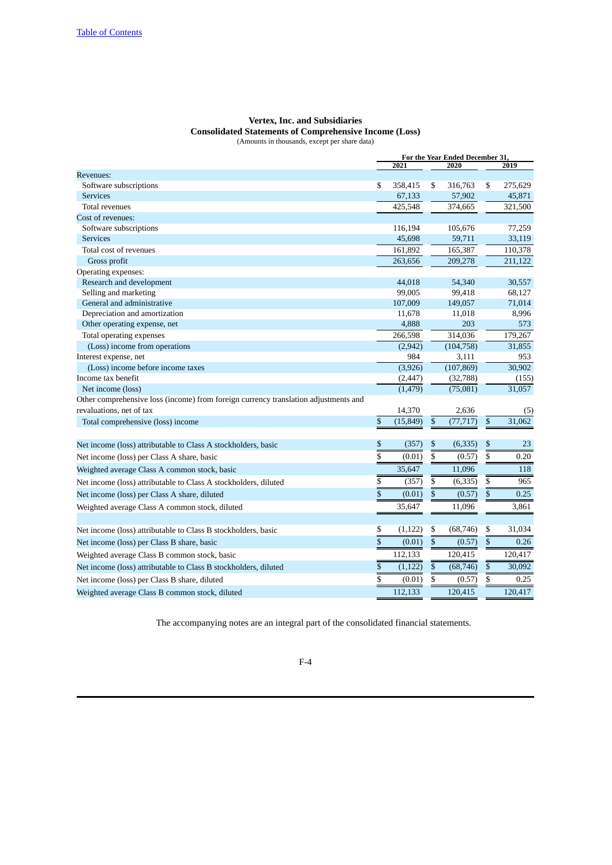# **Vertex, Inc. and Subsidiaries Consolidated Statements of Comprehensive Income (Loss)**

| (Amounts in thousands, except per share data) |  |
|-----------------------------------------------|--|
|-----------------------------------------------|--|

<span id="page-65-0"></span>

|                                                                                     | For the Year Ended December 31, |           |    |            |                         |         |
|-------------------------------------------------------------------------------------|---------------------------------|-----------|----|------------|-------------------------|---------|
|                                                                                     |                                 | 2021      |    | 2020       |                         | 2019    |
| Revenues:                                                                           |                                 |           |    |            |                         |         |
| Software subscriptions                                                              | \$                              | 358,415   | \$ | 316,763    | \$                      | 275,629 |
| <b>Services</b>                                                                     |                                 | 67,133    |    | 57,902     |                         | 45,871  |
| Total revenues                                                                      |                                 | 425,548   |    | 374,665    |                         | 321,500 |
| Cost of revenues:                                                                   |                                 |           |    |            |                         |         |
| Software subscriptions                                                              |                                 | 116,194   |    | 105,676    |                         | 77,259  |
| <b>Services</b>                                                                     |                                 | 45,698    |    | 59,711     |                         | 33,119  |
| Total cost of revenues                                                              |                                 | 161,892   |    | 165,387    |                         | 110,378 |
| Gross profit                                                                        |                                 | 263,656   |    | 209,278    |                         | 211,122 |
| Operating expenses:                                                                 |                                 |           |    |            |                         |         |
| Research and development                                                            |                                 | 44,018    |    | 54,340     |                         | 30,557  |
| Selling and marketing                                                               |                                 | 99.005    |    | 99,418     |                         | 68,127  |
| General and administrative                                                          |                                 | 107,009   |    | 149,057    |                         | 71,014  |
| Depreciation and amortization                                                       |                                 | 11,678    |    | 11,018     |                         | 8,996   |
| Other operating expense, net                                                        |                                 | 4,888     |    | 203        |                         | 573     |
| Total operating expenses                                                            |                                 | 266,598   |    | 314,036    |                         | 179,267 |
| (Loss) income from operations                                                       |                                 | (2,942)   |    | (104, 758) |                         | 31,855  |
| Interest expense, net                                                               |                                 | 984       |    | 3,111      |                         | 953     |
| (Loss) income before income taxes                                                   |                                 | (3,926)   |    | (107, 869) |                         | 30,902  |
| Income tax benefit                                                                  |                                 | (2, 447)  |    | (32,788)   |                         | (155)   |
| Net income (loss)                                                                   |                                 | (1, 479)  |    | (75,081)   |                         | 31,057  |
| Other comprehensive loss (income) from foreign currency translation adjustments and |                                 |           |    |            |                         |         |
| revaluations, net of tax                                                            |                                 | 14,370    |    | 2,636      |                         | (5)     |
| Total comprehensive (loss) income                                                   | \$                              | (15, 849) | \$ | (77, 717)  | \$                      | 31,062  |
| Net income (loss) attributable to Class A stockholders, basic                       | \$                              | (357)     | \$ | (6, 335)   | \$                      | 23      |
| Net income (loss) per Class A share, basic                                          | \$                              | (0.01)    | \$ | (0.57)     | \$                      | 0.20    |
| Weighted average Class A common stock, basic                                        |                                 | 35,647    |    | 11,096     |                         | 118     |
| Net income (loss) attributable to Class A stockholders, diluted                     | \$                              | (357)     | \$ | (6, 335)   | \$                      | 965     |
| Net income (loss) per Class A share, diluted                                        | \$                              | (0.01)    | \$ | (0.57)     | \$                      | 0.25    |
| Weighted average Class A common stock, diluted                                      |                                 | 35,647    |    | 11,096     |                         | 3,861   |
| Net income (loss) attributable to Class B stockholders, basic                       | \$                              | (1, 122)  | \$ | (68, 746)  | \$                      | 31,034  |
| Net income (loss) per Class B share, basic                                          | $\overline{\$}$                 | (0.01)    | \$ | (0.57)     | $\overline{\mathbb{S}}$ | 0.26    |
| Weighted average Class B common stock, basic                                        |                                 | 112,133   |    | 120,415    |                         | 120,417 |
| Net income (loss) attributable to Class B stockholders, diluted                     | \$                              | (1, 122)  | \$ | (68, 746)  | \$                      | 30,092  |
| Net income (loss) per Class B share, diluted                                        | \$                              | (0.01)    | \$ | (0.57)     | $\overline{\$}$         | 0.25    |
| Weighted average Class B common stock, diluted                                      |                                 | 112,133   |    | 120,415    |                         | 120,417 |

The accompanying notes are an integral part of the consolidated financial statements.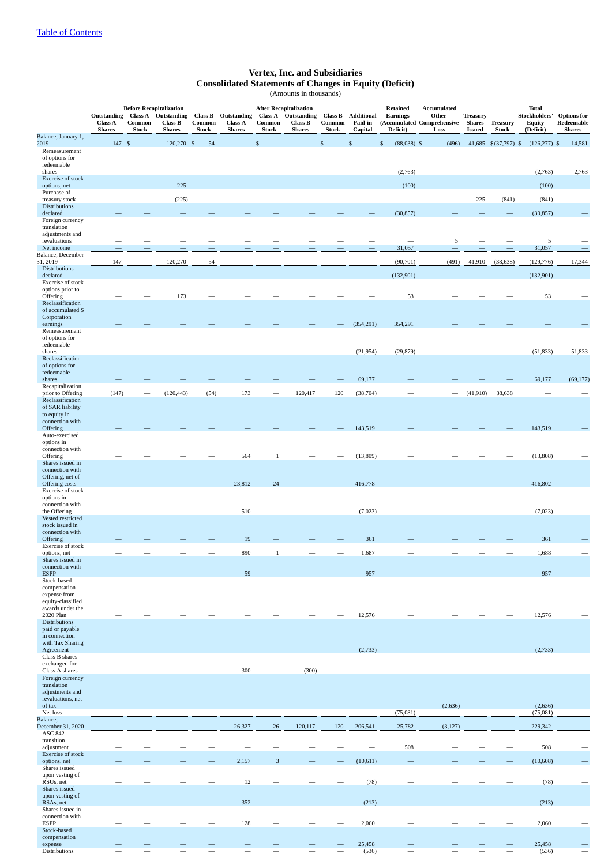## **Vertex, Inc. and Subsidiaries Consolidated Statements of Changes in Equity (Deficit)**

(Amounts in thousands)

<span id="page-66-0"></span>

|                                                                                               |                                         | <b>Before Recapitalization</b>           |                                                |                        | <b>After Recapitalization</b>                          |                                   |                                         | <b>Retained</b>        |                                                 |                                            | <b>Total</b>                                               |                                            |                                 |                                                  |                             |
|-----------------------------------------------------------------------------------------------|-----------------------------------------|------------------------------------------|------------------------------------------------|------------------------|--------------------------------------------------------|-----------------------------------|-----------------------------------------|------------------------|-------------------------------------------------|--------------------------------------------|------------------------------------------------------------|--------------------------------------------|---------------------------------|--------------------------------------------------|-----------------------------|
|                                                                                               | Outstanding<br>Class A<br><b>Shares</b> | <b>Class A</b><br>Common<br><b>Stock</b> | Outstanding<br><b>Class B</b><br><b>Shares</b> | Common<br><b>Stock</b> | <b>Class B</b> Outstanding<br>Class A<br><b>Shares</b> | <b>Class A</b><br>Common<br>Stock | Outstanding<br>Class B<br><b>Shares</b> | Common<br><b>Stock</b> | <b>Class B</b> Additional<br>Paid-in<br>Capital | <b>Earnings</b><br>Deficit)                | Accumulated<br>Other<br>(Accumulated Comprehensive<br>Loss | <b>Treasury</b><br>Shares<br><b>Issued</b> | <b>Treasury</b><br><b>Stock</b> | Stockholders' Options for<br>Equity<br>(Deficit) | Redeemable<br><b>Shares</b> |
| Balance, January 1,<br>2019<br>Remeasurement                                                  | 147 \$                                  |                                          | 120,270 \$                                     | 54                     |                                                        | $\mathbf{\hat{S}}$                |                                         | $\mathbf{s}$           | \$                                              | $\boldsymbol{\mathsf{S}}$<br>$(88,038)$ \$ | (496)                                                      |                                            | 41,685 \$(37,797) \$            | $(126, 277)$ \$                                  | 14,581                      |
| of options for<br>redeemable<br>shares                                                        |                                         |                                          |                                                |                        |                                                        |                                   |                                         |                        |                                                 | (2,763)                                    |                                                            |                                            |                                 | (2,763)                                          | 2,763                       |
| Exercise of stock<br>options, net                                                             |                                         |                                          | 225                                            |                        |                                                        |                                   |                                         |                        |                                                 | (100)                                      |                                                            |                                            |                                 | (100)                                            |                             |
| Purchase of<br>treasury stock                                                                 |                                         |                                          | (225)                                          |                        |                                                        |                                   |                                         |                        |                                                 | $\overline{\phantom{a}}$                   |                                                            | 225                                        | (841)                           | (841)                                            |                             |
| Distributions<br>declared                                                                     |                                         |                                          |                                                |                        |                                                        |                                   |                                         |                        |                                                 | (30, 857)                                  |                                                            |                                            |                                 | (30, 857)                                        |                             |
| Foreign currency<br>translation                                                               |                                         |                                          |                                                |                        |                                                        |                                   |                                         |                        |                                                 |                                            |                                                            |                                            |                                 |                                                  |                             |
| adjustments and<br>revaluations<br>Net income                                                 |                                         |                                          |                                                |                        |                                                        |                                   |                                         |                        |                                                 | 31,057                                     | 5                                                          |                                            |                                 | 5<br>31,057                                      |                             |
| Balance, December<br>31, 2019                                                                 | 147                                     |                                          | 120,270                                        | 54                     |                                                        |                                   |                                         |                        |                                                 | (90, 701)                                  | (491)                                                      | 41,910                                     | (38, 638)                       | (129, 776)                                       | 17,344                      |
| Distributions<br>declared                                                                     |                                         |                                          |                                                |                        |                                                        |                                   |                                         |                        |                                                 | (132, 901)                                 |                                                            |                                            |                                 | (132, 901)                                       |                             |
| Exercise of stock<br>options prior to<br>Offering                                             |                                         |                                          | 173                                            |                        |                                                        |                                   |                                         |                        |                                                 | 53                                         |                                                            |                                            |                                 | 53                                               |                             |
| Reclassification<br>of accumulated S                                                          |                                         |                                          |                                                |                        |                                                        |                                   |                                         |                        |                                                 |                                            |                                                            |                                            |                                 |                                                  |                             |
| Corporation<br>earnings<br>Remeasurement                                                      |                                         |                                          |                                                |                        |                                                        |                                   |                                         |                        | (354, 291)                                      | 354,291                                    |                                                            |                                            |                                 |                                                  |                             |
| of options for<br>redeemable                                                                  |                                         |                                          |                                                |                        |                                                        |                                   |                                         |                        |                                                 |                                            |                                                            |                                            |                                 |                                                  | 51,833                      |
| shares<br>Reclassification<br>of options for                                                  |                                         |                                          |                                                |                        |                                                        |                                   |                                         |                        | (21, 954)                                       | (29, 879)                                  |                                                            |                                            |                                 | (51, 833)                                        |                             |
| redeemable<br>shares                                                                          |                                         |                                          |                                                |                        |                                                        |                                   |                                         |                        | 69,177                                          |                                            |                                                            |                                            |                                 | 69,177                                           | (69, 177)                   |
| Recapitalization<br>prior to Offering<br>Reclassification<br>of SAR liability<br>to equity in | (147)                                   |                                          | (120, 443)                                     | (54)                   | 173                                                    |                                   | 120,417                                 | 120                    | (38, 704)                                       |                                            |                                                            | (41, 910)                                  | 38,638                          |                                                  |                             |
| connection with<br>Offering<br>Auto-exercised                                                 |                                         |                                          |                                                |                        |                                                        |                                   |                                         |                        | 143,519                                         |                                            |                                                            |                                            |                                 | 143,519                                          |                             |
| options in<br>connection with<br>Offering<br>Shares issued in                                 |                                         |                                          |                                                |                        | 564                                                    | $1\,$                             |                                         |                        | (13,809)                                        |                                            |                                                            |                                            |                                 | (13,808)                                         |                             |
| connection with<br>Offering, net of<br>Offering costs                                         |                                         |                                          |                                                |                        | 23,812                                                 | 24                                |                                         |                        | 416,778                                         |                                            |                                                            |                                            |                                 | 416,802                                          |                             |
| Exercise of stock<br>options in<br>connection with                                            |                                         |                                          |                                                |                        |                                                        |                                   |                                         |                        |                                                 |                                            |                                                            |                                            |                                 |                                                  |                             |
| the Offering<br>Vested restricted<br>stock issued in<br>connection with                       |                                         |                                          |                                                |                        | 510                                                    |                                   |                                         |                        | (7,023)                                         |                                            |                                                            |                                            |                                 | (7,023)                                          |                             |
| Offering<br>Exercise of stock                                                                 |                                         |                                          |                                                |                        | 19                                                     |                                   |                                         |                        | 361                                             |                                            |                                                            |                                            |                                 | 361                                              |                             |
| options, net<br>Shares issued in                                                              |                                         |                                          |                                                |                        | 890                                                    | 1                                 |                                         |                        | 1,687                                           |                                            |                                                            |                                            |                                 | 1,688                                            |                             |
| connection with<br><b>ESPP</b><br>Stock-based                                                 |                                         |                                          |                                                |                        | 59                                                     |                                   |                                         |                        | 957                                             |                                            |                                                            |                                            |                                 | 957                                              |                             |
| compensation<br>expense from<br>equity-classified<br>awards under the                         |                                         |                                          |                                                |                        |                                                        |                                   |                                         |                        |                                                 |                                            |                                                            |                                            |                                 |                                                  |                             |
| 2020 Plan<br>Distributions<br>paid or payable<br>in connection                                |                                         |                                          |                                                |                        |                                                        |                                   |                                         |                        | 12,576                                          |                                            |                                                            |                                            |                                 | 12,576                                           |                             |
| with Tax Sharing<br>Agreement<br>Class B shares                                               |                                         |                                          |                                                |                        |                                                        |                                   |                                         |                        | (2,733)                                         |                                            |                                                            |                                            |                                 | (2,733)                                          |                             |
| exchanged for<br>Class A shares<br>Foreign currency                                           |                                         |                                          |                                                |                        | 300                                                    | $\overline{\phantom{0}}$          | (300)                                   |                        |                                                 |                                            |                                                            |                                            |                                 |                                                  |                             |
| translation<br>adjustments and<br>revaluations, net                                           |                                         |                                          |                                                |                        |                                                        |                                   |                                         |                        |                                                 |                                            |                                                            |                                            |                                 |                                                  |                             |
| of tax<br>Net loss                                                                            |                                         |                                          |                                                |                        |                                                        |                                   |                                         |                        |                                                 | (75,081)                                   | (2,636)<br>$\overline{\phantom{0}}$                        |                                            | $\overline{\phantom{m}}$        | (2,636)<br>(75,081)                              |                             |
| Balance,<br>December 31, 2020<br>ASC 842                                                      |                                         |                                          |                                                |                        | 26,327                                                 | 26                                | 120,117                                 | 120                    | 206,541                                         | 25,782                                     | (3, 127)                                                   |                                            |                                 | 229,342                                          |                             |
| transition<br>adjustment                                                                      |                                         |                                          |                                                |                        |                                                        |                                   |                                         |                        |                                                 | 508                                        |                                                            |                                            |                                 | 508                                              |                             |
| Exercise of stock<br>options, net<br>Shares issued                                            |                                         |                                          |                                                |                        | 2,157                                                  | $\overline{3}$                    |                                         |                        | (10, 611)                                       |                                            |                                                            |                                            |                                 | (10, 608)                                        |                             |
| upon vesting of<br>RSUs, net<br>Shares issued                                                 |                                         |                                          |                                                |                        | $12\,$                                                 |                                   |                                         |                        | (78)                                            |                                            |                                                            |                                            |                                 | (78)                                             |                             |
| upon vesting of<br>RSAs, net<br>Shares issued in                                              |                                         |                                          |                                                |                        | 352                                                    |                                   |                                         |                        | (213)                                           |                                            |                                                            |                                            |                                 | (213)                                            |                             |
| connection with<br><b>ESPP</b><br>Stock-based                                                 |                                         |                                          |                                                |                        | 128                                                    |                                   |                                         |                        | 2,060                                           | $\overline{\phantom{a}}$                   |                                                            |                                            |                                 | 2,060                                            |                             |
| compensation<br>expense                                                                       |                                         |                                          |                                                |                        |                                                        |                                   |                                         |                        | 25,458                                          |                                            |                                                            |                                            |                                 | 25,458                                           |                             |

Distributions — — — — — — — — (536) — — — — (536) —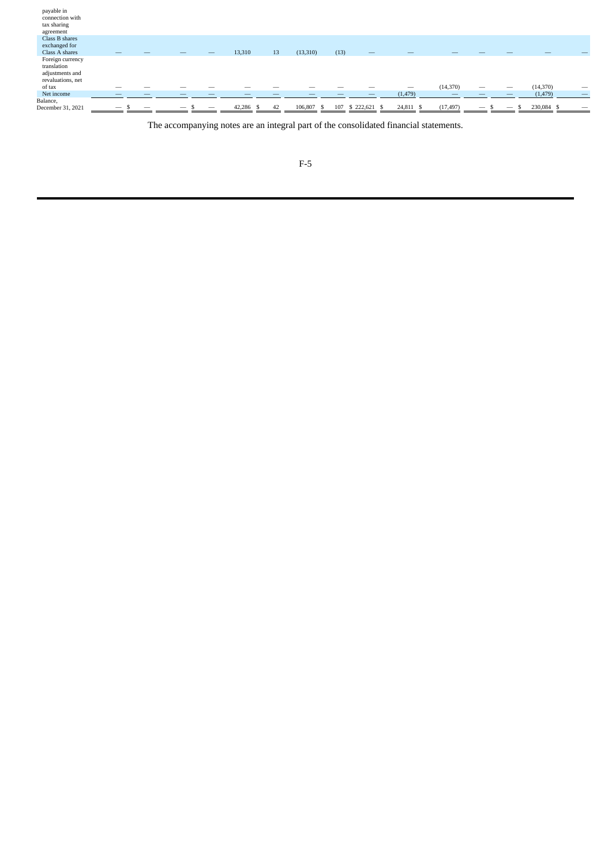| payable in<br>connection with<br>tax sharing<br>agreement               |     |    |                                          |           |    |            |      |                          |                   |           |                          |                                 |            |                   |
|-------------------------------------------------------------------------|-----|----|------------------------------------------|-----------|----|------------|------|--------------------------|-------------------|-----------|--------------------------|---------------------------------|------------|-------------------|
| Class B shares<br>exchanged for<br>Class A shares                       |     | __ | $\qquad \qquad$                          | 13,310    | 13 | (13,310)   | (13) | $\overline{\phantom{m}}$ | $\qquad \qquad$   |           |                          |                                 |            |                   |
| Foreign currency<br>translation<br>adjustments and<br>revaluations, net |     |    |                                          |           |    |            |      |                          |                   |           |                          |                                 |            |                   |
| of tax                                                                  |     |    |                                          | _         |    |            |      |                          | $\qquad \qquad -$ | (14, 370) |                          |                                 | (14, 370)  | $\hspace{0.05cm}$ |
| Net income                                                              |     |    |                                          |           |    |            |      |                          | (1, 479)          |           | _                        |                                 | (1, 479)   | $\qquad \qquad$   |
| Balance,<br>December 31, 2021                                           | $-$ |    | $-$ s<br>$\hspace{0.1mm}-\hspace{0.1mm}$ | 42,286 \$ | 42 | 106,807 \$ | 107  | $$222,621$ \$            | 24,811 \$         | (17, 497) | $\overline{\phantom{a}}$ | $\hspace{0.1mm}-\hspace{0.1mm}$ | 230,084 \$ |                   |

The accompanying notes are an integral part of the consolidated financial statements.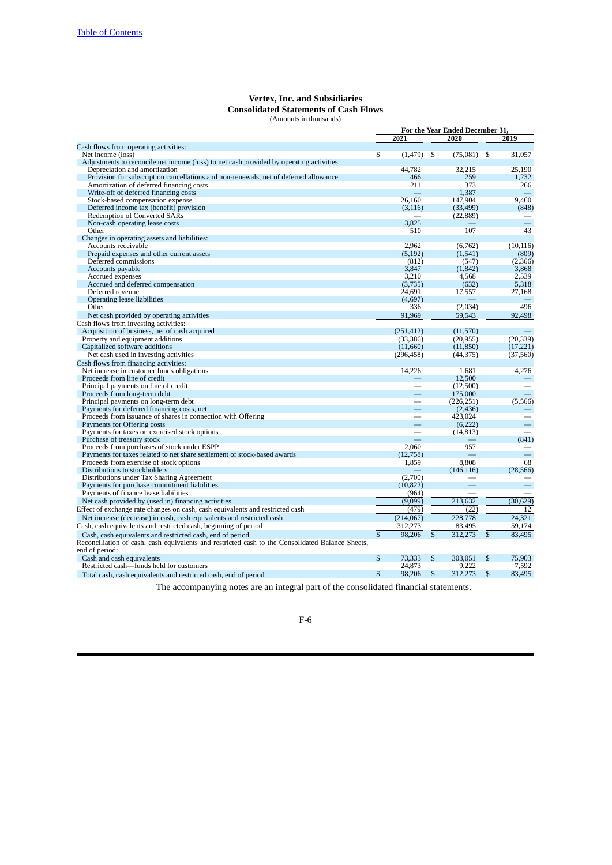# **Vertex, Inc. and Subsidiaries Consolidated Statements of Cash Flows**

<span id="page-68-0"></span>

|                                                                                                  | For the Year Ended December 31, |                          |                         |            |                 |           |  |  |
|--------------------------------------------------------------------------------------------------|---------------------------------|--------------------------|-------------------------|------------|-----------------|-----------|--|--|
|                                                                                                  |                                 | 2021                     |                         | 2020       |                 | 2019      |  |  |
| Cash flows from operating activities:                                                            |                                 |                          |                         |            |                 |           |  |  |
| Net income (loss)                                                                                | \$                              | (1, 479)                 | -\$                     | (75,081)   | \$              | 31,057    |  |  |
| Adjustments to reconcile net income (loss) to net cash provided by operating activities:         |                                 |                          |                         |            |                 |           |  |  |
| Depreciation and amortization                                                                    |                                 | 44.782                   |                         | 32,215     |                 | 25,190    |  |  |
| Provision for subscription cancellations and non-renewals, net of deferred allowance             |                                 | 466                      |                         | 259        |                 | 1,232     |  |  |
| Amortization of deferred financing costs                                                         |                                 | 211                      |                         | 373        |                 | 266       |  |  |
| Write-off of deferred financing costs                                                            |                                 |                          |                         | 1.387      |                 |           |  |  |
| Stock-based compensation expense                                                                 |                                 | 26.160                   |                         | 147.904    |                 | 9.460     |  |  |
| Deferred income tax (benefit) provision                                                          |                                 | (3, 116)                 |                         | (33, 499)  |                 | (848)     |  |  |
| Redemption of Converted SARs                                                                     |                                 |                          |                         | (22, 889)  |                 |           |  |  |
| Non-cash operating lease costs                                                                   |                                 | 3,825                    |                         |            |                 |           |  |  |
| Other                                                                                            |                                 | 510                      |                         | 107        |                 | 43        |  |  |
| Changes in operating assets and liabilities:                                                     |                                 |                          |                         |            |                 |           |  |  |
| Accounts receivable                                                                              |                                 | 2.962                    |                         | (6,762)    |                 | (10, 116) |  |  |
| Prepaid expenses and other current assets                                                        |                                 | (5, 192)                 |                         | (1, 541)   |                 | (809)     |  |  |
| Deferred commissions                                                                             |                                 | (812)                    |                         | (547)      |                 | (2,366)   |  |  |
| Accounts payable                                                                                 |                                 | 3,847                    |                         | (1, 842)   |                 | 3,868     |  |  |
| Accrued expenses                                                                                 |                                 | 3.210                    |                         | 4,568      |                 | 2,539     |  |  |
| Accrued and deferred compensation                                                                |                                 | (3,735)                  |                         | (632)      |                 | 5,318     |  |  |
| Deferred revenue                                                                                 |                                 | 24,691                   |                         | 17,557     |                 | 27,168    |  |  |
| Operating lease liabilities                                                                      |                                 | (4,697)                  |                         |            |                 |           |  |  |
| Other                                                                                            |                                 | 336                      |                         | (2,034)    |                 | 496       |  |  |
| Net cash provided by operating activities                                                        |                                 | 91.969                   |                         | 59.543     |                 | 92,498    |  |  |
| Cash flows from investing activities:                                                            |                                 |                          |                         |            |                 |           |  |  |
| Acquisition of business, net of cash acquired                                                    |                                 | (251, 412)               |                         | (11,570)   |                 |           |  |  |
| Property and equipment additions                                                                 |                                 | (33, 386)                |                         | (20, 955)  |                 | (20, 339) |  |  |
| Capitalized software additions                                                                   |                                 | (11,660)                 |                         | (11, 850)  |                 | (17, 221) |  |  |
| Net cash used in investing activities                                                            |                                 | (296, 458)               |                         | (44, 375)  |                 | (37, 560) |  |  |
|                                                                                                  |                                 |                          |                         |            |                 |           |  |  |
| Cash flows from financing activities:                                                            |                                 |                          |                         |            |                 |           |  |  |
| Net increase in customer funds obligations                                                       |                                 | 14,226                   |                         | 1.681      |                 | 4,276     |  |  |
| Proceeds from line of credit                                                                     |                                 |                          |                         | 12.500     |                 |           |  |  |
| Principal payments on line of credit                                                             |                                 |                          |                         | (12,500)   |                 |           |  |  |
| Proceeds from long-term debt                                                                     |                                 |                          |                         | 175,000    |                 |           |  |  |
| Principal payments on long-term debt                                                             |                                 |                          |                         | (226, 251) |                 | (5, 566)  |  |  |
| Payments for deferred financing costs, net                                                       |                                 |                          |                         | (2, 436)   |                 |           |  |  |
| Proceeds from issuance of shares in connection with Offering                                     |                                 |                          |                         | 423,024    |                 |           |  |  |
| Payments for Offering costs                                                                      |                                 |                          |                         | (6,222)    |                 |           |  |  |
| Payments for taxes on exercised stock options                                                    |                                 |                          |                         | (14, 813)  |                 |           |  |  |
| Purchase of treasury stock                                                                       |                                 | $\overline{\phantom{a}}$ |                         |            |                 | (841)     |  |  |
| Proceeds from purchases of stock under ESPP                                                      |                                 | 2.060                    |                         | 957        |                 | L.        |  |  |
| Payments for taxes related to net share settlement of stock-based awards                         |                                 | (12,758)                 |                         |            |                 |           |  |  |
| Proceeds from exercise of stock options                                                          |                                 | 1,859                    |                         | 8,808      |                 | 68        |  |  |
| Distributions to stockholders                                                                    |                                 |                          |                         | (146, 116) |                 | (28, 566) |  |  |
| Distributions under Tax Sharing Agreement                                                        |                                 | (2,700)                  |                         |            |                 |           |  |  |
| Payments for purchase commitment liabilities                                                     |                                 | (10, 822)                |                         |            |                 |           |  |  |
| Payments of finance lease liabilities                                                            |                                 | (964)                    |                         |            |                 |           |  |  |
| Net cash provided by (used in) financing activities                                              |                                 | (9,099)                  |                         | 213,632    |                 | (30, 629) |  |  |
| Effect of exchange rate changes on cash, cash equivalents and restricted cash                    |                                 | (479)                    |                         | (22)       |                 | 12        |  |  |
| Net increase (decrease) in cash, cash equivalents and restricted cash                            |                                 | (214,067)                |                         | 228,778    |                 | 24,321    |  |  |
| Cash, cash equivalents and restricted cash, beginning of period                                  |                                 | 312.273                  |                         | 83,495     |                 | 59.174    |  |  |
| Cash, cash equivalents and restricted cash, end of period                                        | $\mathbb{S}$                    | 98,206                   | $\overline{\$}$         | 312,273    | $\overline{\$}$ | 83,495    |  |  |
| Reconciliation of cash, cash equivalents and restricted cash to the Consolidated Balance Sheets, |                                 |                          |                         |            |                 |           |  |  |
| end of period:                                                                                   |                                 |                          |                         |            |                 |           |  |  |
| Cash and cash equivalents                                                                        | \$                              | 73,333                   | \$                      | 303.051    | \$              | 75.903    |  |  |
| Restricted cash—funds held for customers                                                         |                                 | 24,873                   |                         | 9.222      |                 | 7,592     |  |  |
|                                                                                                  | \$                              | 98,206                   | $\overline{\mathbb{S}}$ | 312,273    | $\overline{\$}$ | 83,495    |  |  |
| Total cash, cash equivalents and restricted cash, end of period                                  |                                 |                          |                         |            |                 |           |  |  |

The accompanying notes are an integral part of the consolidated financial statements.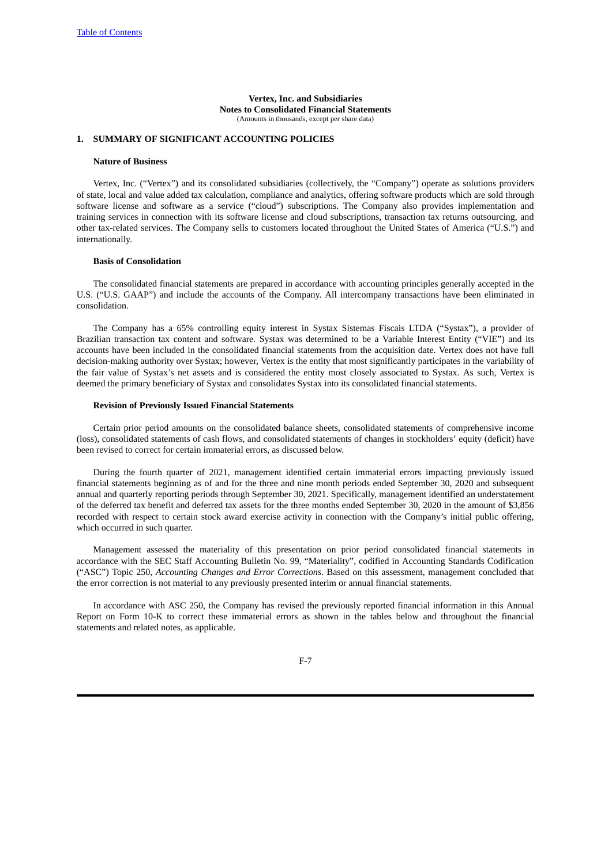**Vertex, Inc. and Subsidiaries Notes to Consolidated Financial Statements** (Amounts in thousands, except per share data)

## <span id="page-69-0"></span>**1. SUMMARY OF SIGNIFICANT ACCOUNTING POLICIES**

#### **Nature of Business**

Vertex, Inc. ("Vertex") and its consolidated subsidiaries (collectively, the "Company") operate as solutions providers of state, local and value added tax calculation, compliance and analytics, offering software products which are sold through software license and software as a service ("cloud") subscriptions. The Company also provides implementation and training services in connection with its software license and cloud subscriptions, transaction tax returns outsourcing, and other tax-related services. The Company sells to customers located throughout the United States of America ("U.S.") and internationally.

## **Basis of Consolidation**

The consolidated financial statements are prepared in accordance with accounting principles generally accepted in the U.S. ("U.S. GAAP") and include the accounts of the Company. All intercompany transactions have been eliminated in consolidation.

The Company has a 65% controlling equity interest in Systax Sistemas Fiscais LTDA ("Systax"), a provider of Brazilian transaction tax content and software. Systax was determined to be a Variable Interest Entity ("VIE") and its accounts have been included in the consolidated financial statements from the acquisition date. Vertex does not have full decision-making authority over Systax; however, Vertex is the entity that most significantly participates in the variability of the fair value of Systax's net assets and is considered the entity most closely associated to Systax. As such, Vertex is deemed the primary beneficiary of Systax and consolidates Systax into its consolidated financial statements.

#### **Revision of Previously Issued Financial Statements**

Certain prior period amounts on the consolidated balance sheets, consolidated statements of comprehensive income (loss), consolidated statements of cash flows, and consolidated statements of changes in stockholders' equity (deficit) have been revised to correct for certain immaterial errors, as discussed below.

During the fourth quarter of 2021, management identified certain immaterial errors impacting previously issued financial statements beginning as of and for the three and nine month periods ended September 30, 2020 and subsequent annual and quarterly reporting periods through September 30, 2021. Specifically, management identified an understatement of the deferred tax benefit and deferred tax assets for the three months ended September 30, 2020 in the amount of \$3,856 recorded with respect to certain stock award exercise activity in connection with the Company's initial public offering, which occurred in such quarter.

Management assessed the materiality of this presentation on prior period consolidated financial statements in accordance with the SEC Staff Accounting Bulletin No. 99, "Materiality", codified in Accounting Standards Codification ("ASC") Topic 250, *Accounting Changes and Error Corrections*. Based on this assessment, management concluded that the error correction is not material to any previously presented interim or annual financial statements.

In accordance with ASC 250, the Company has revised the previously reported financial information in this Annual Report on Form 10-K to correct these immaterial errors as shown in the tables below and throughout the financial statements and related notes, as applicable.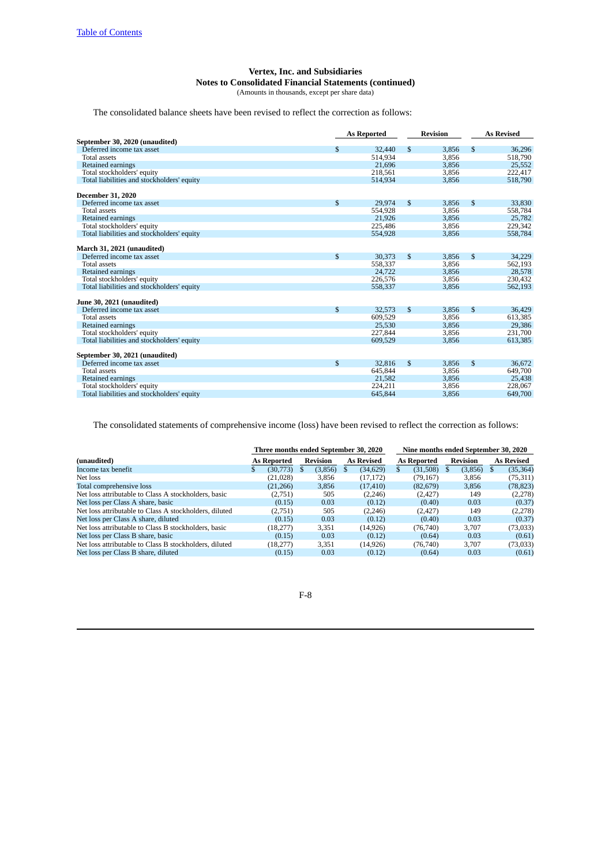## **Vertex, Inc. and Subsidiaries Notes to Consolidated Financial Statements (continued)** (Amounts in thousands, except per share data)

The consolidated balance sheets have been revised to reflect the correction as follows:

|                                            |               | <b>As Reported</b> |    |       | <b>As Revised</b> |         |
|--------------------------------------------|---------------|--------------------|----|-------|-------------------|---------|
| September 30, 2020 (unaudited)             |               |                    |    |       |                   |         |
| Deferred income tax asset                  | \$            | 32,440             | \$ | 3,856 | S                 | 36,296  |
| Total assets                               |               | 514,934            |    | 3,856 |                   | 518,790 |
| Retained earnings                          |               | 21,696             |    | 3,856 |                   | 25,552  |
| Total stockholders' equity                 |               | 218,561            |    | 3,856 |                   | 222,417 |
| Total liabilities and stockholders' equity |               | 514,934            |    | 3,856 |                   | 518,790 |
| <b>December 31, 2020</b>                   |               |                    |    |       |                   |         |
| Deferred income tax asset                  | $\mathcal{S}$ | 29,974             | \$ | 3,856 | $\mathbb{S}$      | 33,830  |
| <b>Total assets</b>                        |               | 554,928            |    | 3,856 |                   | 558,784 |
| Retained earnings                          |               | 21,926             |    | 3,856 |                   | 25,782  |
| Total stockholders' equity                 |               | 225,486            |    | 3,856 |                   | 229,342 |
| Total liabilities and stockholders' equity |               | 554,928            |    | 3,856 |                   | 558,784 |
| March 31, 2021 (unaudited)                 |               |                    |    |       |                   |         |
| Deferred income tax asset                  | \$            | 30.373             | \$ | 3.856 | $\mathbb{S}$      | 34,229  |
| Total assets                               |               | 558,337            |    | 3,856 |                   | 562,193 |
| Retained earnings                          |               | 24,722             |    | 3,856 |                   | 28,578  |
| Total stockholders' equity                 |               | 226,576            |    | 3,856 |                   | 230,432 |
| Total liabilities and stockholders' equity |               | 558,337            |    | 3,856 |                   | 562,193 |
| June 30, 2021 (unaudited)                  |               |                    |    |       |                   |         |
| Deferred income tax asset                  | \$            | 32.573             | \$ | 3,856 | \$                | 36,429  |
| <b>Total assets</b>                        |               | 609,529            |    | 3,856 |                   | 613,385 |
| Retained earnings                          |               | 25,530             |    | 3,856 |                   | 29,386  |
| Total stockholders' equity                 |               | 227,844            |    | 3,856 |                   | 231,700 |
| Total liabilities and stockholders' equity |               | 609,529            |    | 3,856 |                   | 613,385 |
| September 30, 2021 (unaudited)             |               |                    |    |       |                   |         |
| Deferred income tax asset                  | \$            | 32.816             | \$ | 3.856 | $\mathbb{S}$      | 36.672  |
| Total assets                               |               | 645,844            |    | 3,856 |                   | 649,700 |
| Retained earnings                          |               | 21,582             |    | 3,856 |                   | 25,438  |
| Total stockholders' equity                 |               | 224,211            |    | 3,856 |                   | 228,067 |
| Total liabilities and stockholders' equity |               | 645,844            |    | 3,856 |                   | 649,700 |

The consolidated statements of comprehensive income (loss) have been revised to reflect the correction as follows:

|                                                        | Three months ended September 30, 2020<br>Nine months ended September 30, 2020 |                 |                   |                    |                 |                   |  |  |  |
|--------------------------------------------------------|-------------------------------------------------------------------------------|-----------------|-------------------|--------------------|-----------------|-------------------|--|--|--|
| (unaudited)                                            | <b>As Reported</b>                                                            | <b>Revision</b> | <b>As Revised</b> | <b>As Reported</b> | <b>Revision</b> | <b>As Revised</b> |  |  |  |
| Income tax benefit                                     | (30,773)                                                                      | (3,856)         | (34,629)          | (31,508)<br>S      | (3,856)         | (35, 364)         |  |  |  |
| Net loss                                               | (21, 028)                                                                     | 3.856           | (17, 172)         | (79, 167)          | 3.856           | (75, 311)         |  |  |  |
| Total comprehensive loss                               | (21, 266)                                                                     | 3,856           | (17, 410)         | (82, 679)          | 3,856           | (78, 823)         |  |  |  |
| Net loss attributable to Class A stockholders, basic   | (2,751)                                                                       | 505             | (2,246)           | (2, 427)           | 149             | (2,278)           |  |  |  |
| Net loss per Class A share, basic                      | (0.15)                                                                        | 0.03            | (0.12)            | (0.40)             | 0.03            | (0.37)            |  |  |  |
| Net loss attributable to Class A stockholders, diluted | (2,751)                                                                       | 505             | (2,246)           | (2, 427)           | 149             | (2,278)           |  |  |  |
| Net loss per Class A share, diluted                    | (0.15)                                                                        | 0.03            | (0.12)            | (0.40)             | 0.03            | (0.37)            |  |  |  |
| Net loss attributable to Class B stockholders, basic   | (18, 277)                                                                     | 3,351           | (14, 926)         | (76, 740)          | 3.707           | (73,033)          |  |  |  |
| Net loss per Class B share, basic                      | (0.15)                                                                        | 0.03            | (0.12)            | (0.64)             | 0.03            | (0.61)            |  |  |  |
| Net loss attributable to Class B stockholders, diluted | (18, 277)                                                                     | 3.351           | (14, 926)         | (76, 740)          | 3.707           | (73,033)          |  |  |  |
| Net loss per Class B share, diluted                    | (0.15)                                                                        | 0.03            | (0.12)            | (0.64)             | 0.03            | (0.61)            |  |  |  |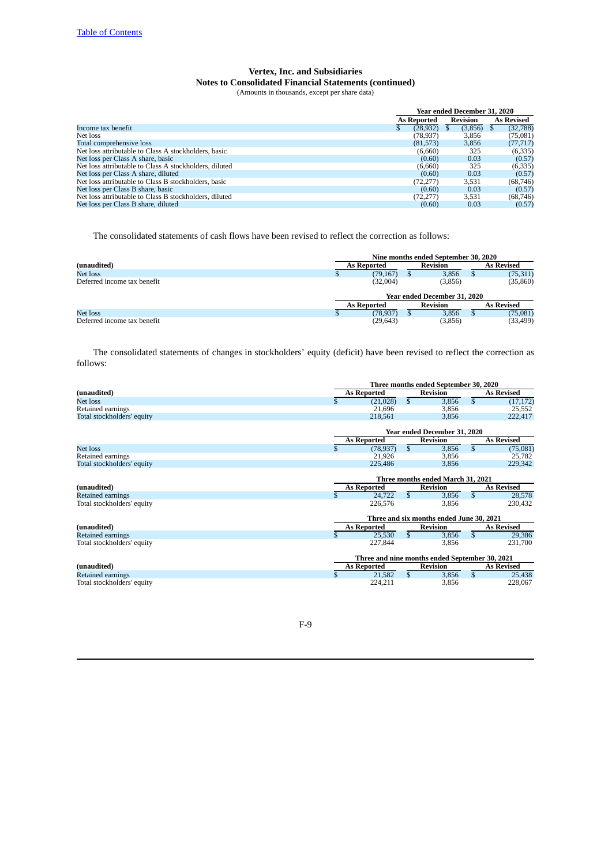# **Vertex, Inc. and Subsidiaries Notes to Consolidated Financial Statements (continued)**

(Amounts in thousands, except per share data)

|                                                        |                    | Year ended December 31, 2020 |                   |
|--------------------------------------------------------|--------------------|------------------------------|-------------------|
|                                                        | <b>As Reported</b> | Revision                     | <b>As Revised</b> |
| Income tax benefit                                     | (28, 932)<br>D     | $(3,856)$ \$<br>S            | (32, 788)         |
| Net loss                                               | (78, 937)          | 3,856                        | (75,081)          |
| Total comprehensive loss                               | (81,573)           | 3,856                        | (77, 717)         |
| Net loss attributable to Class A stockholders, basic   | (6,660)            | 325                          | (6,335)           |
| Net loss per Class A share, basic                      | (0.60)             | 0.03                         | (0.57)            |
| Net loss attributable to Class A stockholders, diluted | (6,660)            | 325                          | (6,335)           |
| Net loss per Class A share, diluted                    | (0.60)             | 0.03                         | (0.57)            |
| Net loss attributable to Class B stockholders, basic   | (72, 277)          | 3,531                        | (68, 746)         |
| Net loss per Class B share, basic                      | (0.60)             | 0.03                         | (0.57)            |
| Net loss attributable to Class B stockholders, diluted | (72, 277)          | 3,531                        | (68, 746)         |
| Net loss per Class B share, diluted                    | (0.60)             | 0.03                         | (0.57)            |

The consolidated statements of cash flows have been revised to reflect the correction as follows:

|                             | Nine months ended September 30, 2020 |   |                 |  |                   |  |  |  |
|-----------------------------|--------------------------------------|---|-----------------|--|-------------------|--|--|--|
| (unaudited)                 | <b>As Reported</b>                   |   | <b>Revision</b> |  | <b>As Revised</b> |  |  |  |
| Net loss                    | (79, 167)                            | ъ | 3.856           |  | (75, 311)         |  |  |  |
| Deferred income tax benefit | (32,004)                             |   | (3,856)         |  | (35, 860)         |  |  |  |
|                             | Year ended December 31, 2020         |   |                 |  |                   |  |  |  |
|                             | <b>As Reported</b>                   |   | Revision        |  | As Revised        |  |  |  |
| Net loss                    | (78, 937)                            | Ъ | 3.856           |  | (75,081)          |  |  |  |
| Deferred income tax benefit | (29, 643)                            |   | (3,856)         |  | (33, 499)         |  |  |  |

The consolidated statements of changes in stockholders' equity (deficit) have been revised to reflect the correction as follows:

|                            | Three months ended September 30, 2020 |                    |    |                                                |                   |                   |  |
|----------------------------|---------------------------------------|--------------------|----|------------------------------------------------|-------------------|-------------------|--|
| (unaudited)                | <b>Revision</b><br><b>As Reported</b> |                    |    |                                                | <b>As Revised</b> |                   |  |
| Net loss                   | \$                                    | (21, 028)          | \$ | 3,856                                          | \$                | (17, 172)         |  |
| Retained earnings          |                                       | 21.696             |    | 3,856                                          |                   | 25,552            |  |
| Total stockholders' equity |                                       | 218,561            |    | 3,856                                          |                   | 222,417           |  |
|                            |                                       |                    |    |                                                |                   |                   |  |
|                            |                                       |                    |    | Year ended December 31, 2020                   |                   |                   |  |
|                            |                                       | <b>As Reported</b> |    | <b>Revision</b>                                |                   | <b>As Revised</b> |  |
| Net loss                   | \$                                    | (78, 937)          | \$ | 3,856                                          | $\mathbb{S}$      | (75,081)          |  |
| Retained earnings          |                                       | 21.926             |    | 3,856                                          |                   | 25,782            |  |
| Total stockholders' equity |                                       | 225,486            |    | 3,856                                          |                   | 229,342           |  |
|                            |                                       |                    |    |                                                |                   |                   |  |
|                            |                                       |                    |    | Three months ended March 31, 2021              |                   |                   |  |
| (unaudited)                |                                       | <b>As Reported</b> |    | <b>Revision</b>                                |                   | <b>As Revised</b> |  |
| Retained earnings          | \$                                    | 24,722             | \$ | 3,856                                          | \$                | 28,578            |  |
| Total stockholders' equity |                                       | 226,576            |    | 3,856                                          |                   | 230,432           |  |
|                            |                                       |                    |    |                                                |                   |                   |  |
|                            |                                       |                    |    | Three and six months ended June 30, 2021       |                   |                   |  |
| (unaudited)                |                                       | <b>As Reported</b> |    | <b>Revision</b>                                |                   | <b>As Revised</b> |  |
| Retained earnings          | \$                                    | 25,530             | \$ | 3,856                                          | $\mathcal{S}$     | 29,386            |  |
| Total stockholders' equity |                                       | 227,844            |    | 3,856                                          |                   | 231,700           |  |
|                            |                                       |                    |    |                                                |                   |                   |  |
|                            |                                       |                    |    | Three and nine months ended September 30, 2021 |                   |                   |  |
| (unaudited)                |                                       | <b>As Reported</b> |    | <b>Revision</b>                                |                   | <b>As Revised</b> |  |
| Retained earnings          | \$                                    | 21,582             | \$ | 3,856                                          | $\mathcal{S}$     | 25,438            |  |
| Total stockholders' equity |                                       | 224,211            |    | 3,856                                          |                   | 228,067           |  |

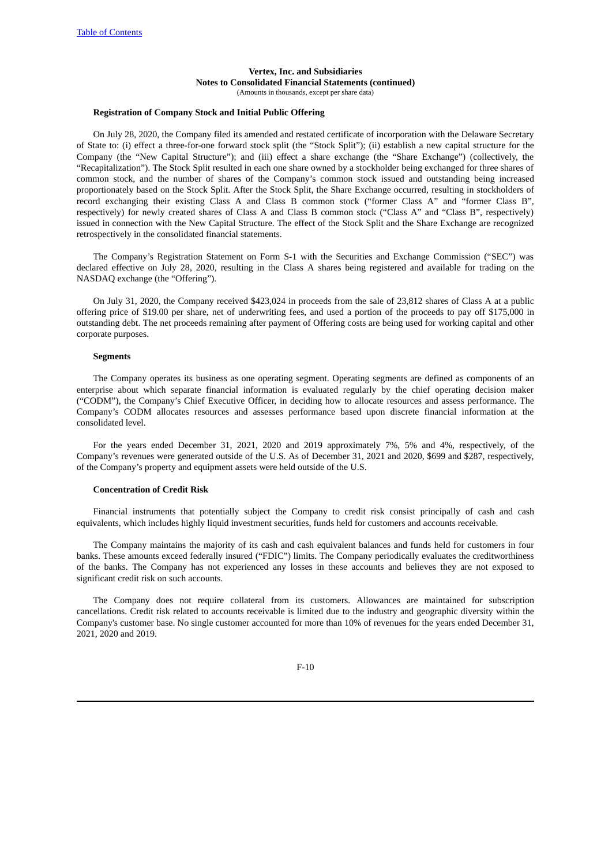# **Registration of Company Stock and Initial Public Offering**

On July 28, 2020, the Company filed its amended and restated certificate of incorporation with the Delaware Secretary of State to: (i) effect a three-for-one forward stock split (the "Stock Split"); (ii) establish a new capital structure for the Company (the "New Capital Structure"); and (iii) effect a share exchange (the "Share Exchange") (collectively, the "Recapitalization"). The Stock Split resulted in each one share owned by a stockholder being exchanged for three shares of common stock, and the number of shares of the Company's common stock issued and outstanding being increased proportionately based on the Stock Split. After the Stock Split, the Share Exchange occurred, resulting in stockholders of record exchanging their existing Class A and Class B common stock ("former Class A" and "former Class B", respectively) for newly created shares of Class A and Class B common stock ("Class A" and "Class B", respectively) issued in connection with the New Capital Structure. The effect of the Stock Split and the Share Exchange are recognized retrospectively in the consolidated financial statements.

The Company's Registration Statement on Form S-1 with the Securities and Exchange Commission ("SEC") was declared effective on July 28, 2020, resulting in the Class A shares being registered and available for trading on the NASDAQ exchange (the "Offering").

On July 31, 2020, the Company received \$423,024 in proceeds from the sale of 23,812 shares of Class A at a public offering price of \$19.00 per share, net of underwriting fees, and used a portion of the proceeds to pay off \$175,000 in outstanding debt. The net proceeds remaining after payment of Offering costs are being used for working capital and other corporate purposes.

# **Segments**

The Company operates its business as one operating segment. Operating segments are defined as components of an enterprise about which separate financial information is evaluated regularly by the chief operating decision maker ("CODM"), the Company's Chief Executive Officer, in deciding how to allocate resources and assess performance. The Company's CODM allocates resources and assesses performance based upon discrete financial information at the consolidated level.

For the years ended December 31, 2021, 2020 and 2019 approximately 7%, 5% and 4%, respectively, of the Company's revenues were generated outside of the U.S. As of December 31, 2021 and 2020, \$699 and \$287, respectively, of the Company's property and equipment assets were held outside of the U.S.

# **Concentration of Credit Risk**

Financial instruments that potentially subject the Company to credit risk consist principally of cash and cash equivalents, which includes highly liquid investment securities, funds held for customers and accounts receivable.

The Company maintains the majority of its cash and cash equivalent balances and funds held for customers in four banks. These amounts exceed federally insured ("FDIC") limits. The Company periodically evaluates the creditworthiness of the banks. The Company has not experienced any losses in these accounts and believes they are not exposed to significant credit risk on such accounts.

The Company does not require collateral from its customers. Allowances are maintained for subscription cancellations. Credit risk related to accounts receivable is limited due to the industry and geographic diversity within the Company's customer base. No single customer accounted for more than 10% of revenues for the years ended December 31, 2021, 2020 and 2019.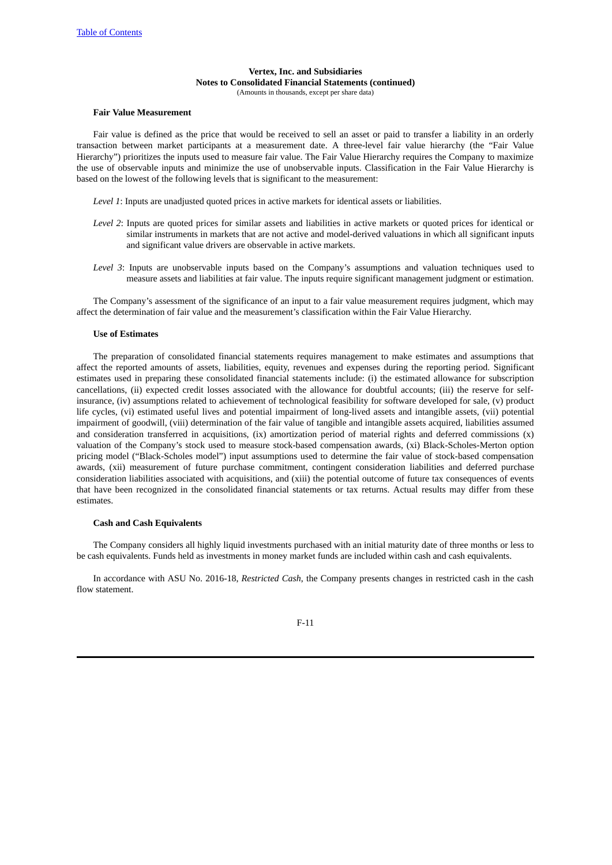# **Fair Value Measurement**

Fair value is defined as the price that would be received to sell an asset or paid to transfer a liability in an orderly transaction between market participants at a measurement date. A three-level fair value hierarchy (the "Fair Value Hierarchy") prioritizes the inputs used to measure fair value. The Fair Value Hierarchy requires the Company to maximize the use of observable inputs and minimize the use of unobservable inputs. Classification in the Fair Value Hierarchy is based on the lowest of the following levels that is significant to the measurement:

*Level 1*: Inputs are unadjusted quoted prices in active markets for identical assets or liabilities.

- *Level 2*: Inputs are quoted prices for similar assets and liabilities in active markets or quoted prices for identical or similar instruments in markets that are not active and model-derived valuations in which all significant inputs and significant value drivers are observable in active markets.
- *Level 3*: Inputs are unobservable inputs based on the Company's assumptions and valuation techniques used to measure assets and liabilities at fair value. The inputs require significant management judgment or estimation.

The Company's assessment of the significance of an input to a fair value measurement requires judgment, which may affect the determination of fair value and the measurement's classification within the Fair Value Hierarchy.

# **Use of Estimates**

The preparation of consolidated financial statements requires management to make estimates and assumptions that affect the reported amounts of assets, liabilities, equity, revenues and expenses during the reporting period. Significant estimates used in preparing these consolidated financial statements include: (i) the estimated allowance for subscription cancellations, (ii) expected credit losses associated with the allowance for doubtful accounts; (iii) the reserve for selfinsurance, (iv) assumptions related to achievement of technological feasibility for software developed for sale, (v) product life cycles, (vi) estimated useful lives and potential impairment of long-lived assets and intangible assets, (vii) potential impairment of goodwill, (viii) determination of the fair value of tangible and intangible assets acquired, liabilities assumed and consideration transferred in acquisitions, (ix) amortization period of material rights and deferred commissions (x) valuation of the Company's stock used to measure stock-based compensation awards, (xi) Black-Scholes-Merton option pricing model ("Black-Scholes model") input assumptions used to determine the fair value of stock-based compensation awards, (xii) measurement of future purchase commitment, contingent consideration liabilities and deferred purchase consideration liabilities associated with acquisitions, and (xiii) the potential outcome of future tax consequences of events that have been recognized in the consolidated financial statements or tax returns. Actual results may differ from these estimates.

# **Cash and Cash Equivalents**

The Company considers all highly liquid investments purchased with an initial maturity date of three months or less to be cash equivalents. Funds held as investments in money market funds are included within cash and cash equivalents.

In accordance with ASU No. 2016-18, *Restricted Cash*, the Company presents changes in restricted cash in the cash flow statement.

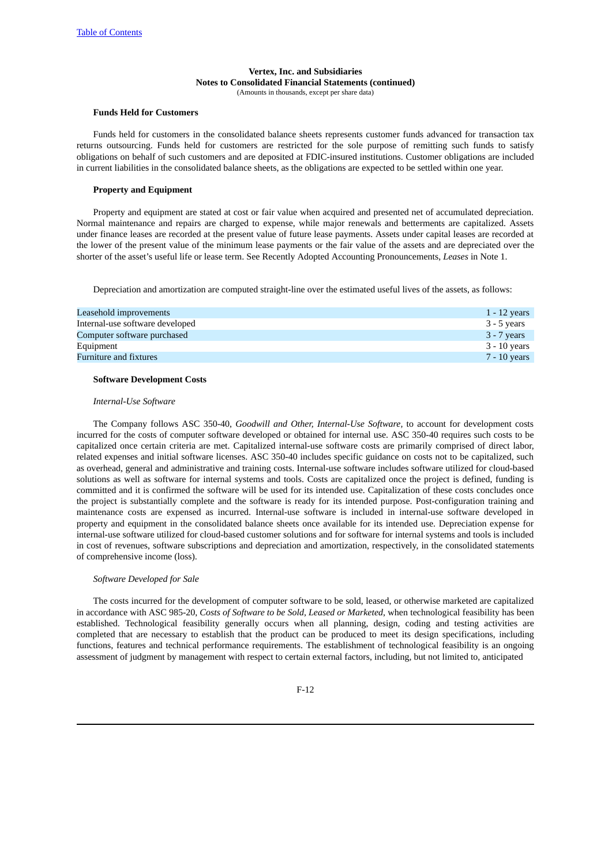# **Funds Held for Customers**

Funds held for customers in the consolidated balance sheets represents customer funds advanced for transaction tax returns outsourcing. Funds held for customers are restricted for the sole purpose of remitting such funds to satisfy obligations on behalf of such customers and are deposited at FDIC-insured institutions. Customer obligations are included in current liabilities in the consolidated balance sheets, as the obligations are expected to be settled within one year.

#### **Property and Equipment**

Property and equipment are stated at cost or fair value when acquired and presented net of accumulated depreciation. Normal maintenance and repairs are charged to expense, while major renewals and betterments are capitalized. Assets under finance leases are recorded at the present value of future lease payments. Assets under capital leases are recorded at the lower of the present value of the minimum lease payments or the fair value of the assets and are depreciated over the shorter of the asset's useful life or lease term. See Recently Adopted Accounting Pronouncements, *Leases* in Note 1.

Depreciation and amortization are computed straight-line over the estimated useful lives of the assets, as follows:

| Leasehold improvements          | $1 - 12$ years |
|---------------------------------|----------------|
| Internal-use software developed | 3 - 5 years    |
| Computer software purchased     | 3 - 7 years    |
| Equipment                       | 3 - 10 vears   |
| Furniture and fixtures          | 7 - 10 years   |
|                                 |                |

#### **Software Development Costs**

# *Internal-Use Software*

The Company follows ASC 350-40, *Goodwill and Other, Internal-Use Software,* to account for development costs incurred for the costs of computer software developed or obtained for internal use. ASC 350-40 requires such costs to be capitalized once certain criteria are met. Capitalized internal-use software costs are primarily comprised of direct labor, related expenses and initial software licenses. ASC 350-40 includes specific guidance on costs not to be capitalized, such as overhead, general and administrative and training costs. Internal-use software includes software utilized for cloud-based solutions as well as software for internal systems and tools. Costs are capitalized once the project is defined, funding is committed and it is confirmed the software will be used for its intended use. Capitalization of these costs concludes once the project is substantially complete and the software is ready for its intended purpose. Post-configuration training and maintenance costs are expensed as incurred. Internal-use software is included in internal-use software developed in property and equipment in the consolidated balance sheets once available for its intended use. Depreciation expense for internal-use software utilized for cloud-based customer solutions and for software for internal systems and tools is included in cost of revenues, software subscriptions and depreciation and amortization, respectively, in the consolidated statements of comprehensive income (loss).

# *Software Developed for Sale*

The costs incurred for the development of computer software to be sold, leased, or otherwise marketed are capitalized in accordance with ASC 985-20, *Costs of Software to be Sold, Leased or Marketed*, when technological feasibility has been established. Technological feasibility generally occurs when all planning, design, coding and testing activities are completed that are necessary to establish that the product can be produced to meet its design specifications, including functions, features and technical performance requirements. The establishment of technological feasibility is an ongoing assessment of judgment by management with respect to certain external factors, including, but not limited to, anticipated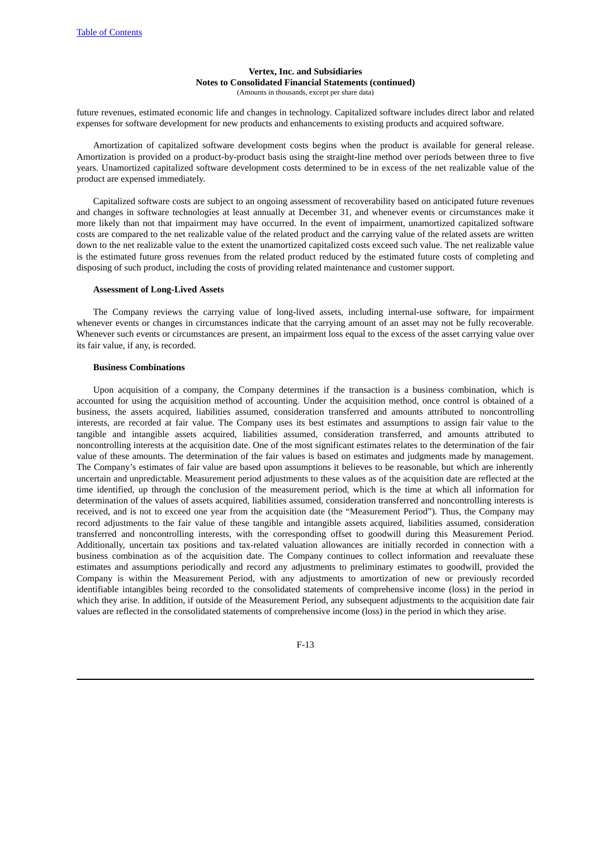future revenues, estimated economic life and changes in technology. Capitalized software includes direct labor and related expenses for software development for new products and enhancements to existing products and acquired software.

Amortization of capitalized software development costs begins when the product is available for general release. Amortization is provided on a product-by-product basis using the straight-line method over periods between three to five years. Unamortized capitalized software development costs determined to be in excess of the net realizable value of the product are expensed immediately.

Capitalized software costs are subject to an ongoing assessment of recoverability based on anticipated future revenues and changes in software technologies at least annually at December 31, and whenever events or circumstances make it more likely than not that impairment may have occurred. In the event of impairment, unamortized capitalized software costs are compared to the net realizable value of the related product and the carrying value of the related assets are written down to the net realizable value to the extent the unamortized capitalized costs exceed such value. The net realizable value is the estimated future gross revenues from the related product reduced by the estimated future costs of completing and disposing of such product, including the costs of providing related maintenance and customer support.

### **Assessment of Long-Lived Assets**

The Company reviews the carrying value of long-lived assets, including internal-use software, for impairment whenever events or changes in circumstances indicate that the carrying amount of an asset may not be fully recoverable. Whenever such events or circumstances are present, an impairment loss equal to the excess of the asset carrying value over its fair value, if any, is recorded.

# **Business Combinations**

Upon acquisition of a company, the Company determines if the transaction is a business combination, which is accounted for using the acquisition method of accounting. Under the acquisition method, once control is obtained of a business, the assets acquired, liabilities assumed, consideration transferred and amounts attributed to noncontrolling interests, are recorded at fair value. The Company uses its best estimates and assumptions to assign fair value to the tangible and intangible assets acquired, liabilities assumed, consideration transferred, and amounts attributed to noncontrolling interests at the acquisition date. One of the most significant estimates relates to the determination of the fair value of these amounts. The determination of the fair values is based on estimates and judgments made by management. The Company's estimates of fair value are based upon assumptions it believes to be reasonable, but which are inherently uncertain and unpredictable. Measurement period adjustments to these values as of the acquisition date are reflected at the time identified, up through the conclusion of the measurement period, which is the time at which all information for determination of the values of assets acquired, liabilities assumed, consideration transferred and noncontrolling interests is received, and is not to exceed one year from the acquisition date (the "Measurement Period"). Thus, the Company may record adjustments to the fair value of these tangible and intangible assets acquired, liabilities assumed, consideration transferred and noncontrolling interests, with the corresponding offset to goodwill during this Measurement Period. Additionally, uncertain tax positions and tax-related valuation allowances are initially recorded in connection with a business combination as of the acquisition date. The Company continues to collect information and reevaluate these estimates and assumptions periodically and record any adjustments to preliminary estimates to goodwill, provided the Company is within the Measurement Period, with any adjustments to amortization of new or previously recorded identifiable intangibles being recorded to the consolidated statements of comprehensive income (loss) in the period in which they arise. In addition, if outside of the Measurement Period, any subsequent adjustments to the acquisition date fair values are reflected in the consolidated statements of comprehensive income (loss) in the period in which they arise.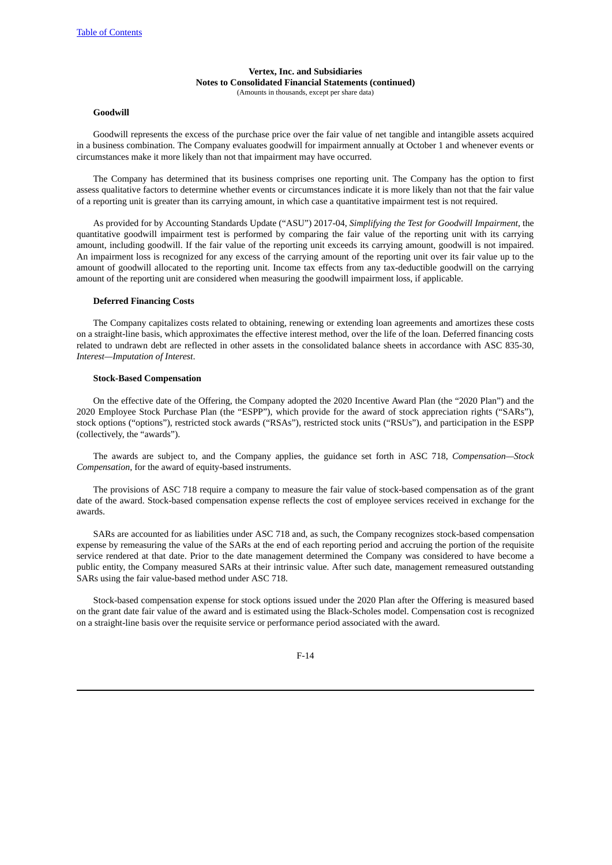# **Goodwill**

Goodwill represents the excess of the purchase price over the fair value of net tangible and intangible assets acquired in a business combination. The Company evaluates goodwill for impairment annually at October 1 and whenever events or circumstances make it more likely than not that impairment may have occurred.

The Company has determined that its business comprises one reporting unit. The Company has the option to first assess qualitative factors to determine whether events or circumstances indicate it is more likely than not that the fair value of a reporting unit is greater than its carrying amount, in which case a quantitative impairment test is not required.

As provided for by Accounting Standards Update ("ASU") 2017-04, *Simplifying the Test for Goodwill Impairment*, the quantitative goodwill impairment test is performed by comparing the fair value of the reporting unit with its carrying amount, including goodwill. If the fair value of the reporting unit exceeds its carrying amount, goodwill is not impaired. An impairment loss is recognized for any excess of the carrying amount of the reporting unit over its fair value up to the amount of goodwill allocated to the reporting unit. Income tax effects from any tax-deductible goodwill on the carrying amount of the reporting unit are considered when measuring the goodwill impairment loss, if applicable.

#### **Deferred Financing Costs**

The Company capitalizes costs related to obtaining, renewing or extending loan agreements and amortizes these costs on a straight-line basis, which approximates the effective interest method, over the life of the loan. Deferred financing costs related to undrawn debt are reflected in other assets in the consolidated balance sheets in accordance with ASC 835-30, *Interest—Imputation of Interest*.

### **Stock-Based Compensation**

On the effective date of the Offering, the Company adopted the 2020 Incentive Award Plan (the "2020 Plan") and the 2020 Employee Stock Purchase Plan (the "ESPP"), which provide for the award of stock appreciation rights ("SARs"), stock options ("options"), restricted stock awards ("RSAs"), restricted stock units ("RSUs"), and participation in the ESPP (collectively, the "awards").

The awards are subject to, and the Company applies, the guidance set forth in ASC 718, *Compensation—Stock Compensation*, for the award of equity-based instruments.

The provisions of ASC 718 require a company to measure the fair value of stock-based compensation as of the grant date of the award. Stock-based compensation expense reflects the cost of employee services received in exchange for the awards.

SARs are accounted for as liabilities under ASC 718 and, as such, the Company recognizes stock-based compensation expense by remeasuring the value of the SARs at the end of each reporting period and accruing the portion of the requisite service rendered at that date. Prior to the date management determined the Company was considered to have become a public entity, the Company measured SARs at their intrinsic value. After such date, management remeasured outstanding SARs using the fair value-based method under ASC 718.

Stock-based compensation expense for stock options issued under the 2020 Plan after the Offering is measured based on the grant date fair value of the award and is estimated using the Black-Scholes model. Compensation cost is recognized on a straight-line basis over the requisite service or performance period associated with the award.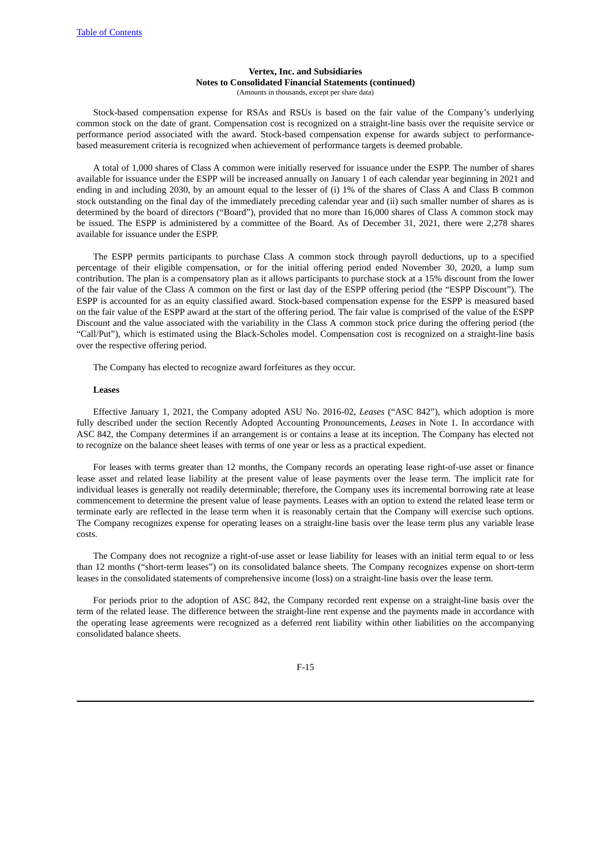Stock-based compensation expense for RSAs and RSUs is based on the fair value of the Company's underlying common stock on the date of grant. Compensation cost is recognized on a straight-line basis over the requisite service or performance period associated with the award. Stock-based compensation expense for awards subject to performancebased measurement criteria is recognized when achievement of performance targets is deemed probable.

A total of 1,000 shares of Class A common were initially reserved for issuance under the ESPP. The number of shares available for issuance under the ESPP will be increased annually on January 1 of each calendar year beginning in 2021 and ending in and including 2030, by an amount equal to the lesser of (i) 1% of the shares of Class A and Class B common stock outstanding on the final day of the immediately preceding calendar year and (ii) such smaller number of shares as is determined by the board of directors ("Board"), provided that no more than 16,000 shares of Class A common stock may be issued. The ESPP is administered by a committee of the Board. As of December 31, 2021, there were 2,278 shares available for issuance under the ESPP.

The ESPP permits participants to purchase Class A common stock through payroll deductions, up to a specified percentage of their eligible compensation, or for the initial offering period ended November 30, 2020, a lump sum contribution. The plan is a compensatory plan as it allows participants to purchase stock at a 15% discount from the lower of the fair value of the Class A common on the first or last day of the ESPP offering period (the "ESPP Discount"). The ESPP is accounted for as an equity classified award. Stock-based compensation expense for the ESPP is measured based on the fair value of the ESPP award at the start of the offering period. The fair value is comprised of the value of the ESPP Discount and the value associated with the variability in the Class A common stock price during the offering period (the "Call/Put"), which is estimated using the Black-Scholes model. Compensation cost is recognized on a straight-line basis over the respective offering period.

The Company has elected to recognize award forfeitures as they occur.

### **Leases**

Effective January 1, 2021, the Company adopted ASU No. 2016-02, *Leases* ("ASC 842"), which adoption is more fully described under the section Recently Adopted Accounting Pronouncements, *Leases* in Note 1. In accordance with ASC 842, the Company determines if an arrangement is or contains a lease at its inception. The Company has elected not to recognize on the balance sheet leases with terms of one year or less as a practical expedient.

For leases with terms greater than 12 months, the Company records an operating lease right-of-use asset or finance lease asset and related lease liability at the present value of lease payments over the lease term. The implicit rate for individual leases is generally not readily determinable; therefore, the Company uses its incremental borrowing rate at lease commencement to determine the present value of lease payments. Leases with an option to extend the related lease term or terminate early are reflected in the lease term when it is reasonably certain that the Company will exercise such options. The Company recognizes expense for operating leases on a straight-line basis over the lease term plus any variable lease costs.

The Company does not recognize a right-of-use asset or lease liability for leases with an initial term equal to or less than 12 months ("short-term leases") on its consolidated balance sheets. The Company recognizes expense on short-term leases in the consolidated statements of comprehensive income (loss) on a straight-line basis over the lease term.

For periods prior to the adoption of ASC 842, the Company recorded rent expense on a straight-line basis over the term of the related lease. The difference between the straight-line rent expense and the payments made in accordance with the operating lease agreements were recognized as a deferred rent liability within other liabilities on the accompanying consolidated balance sheets.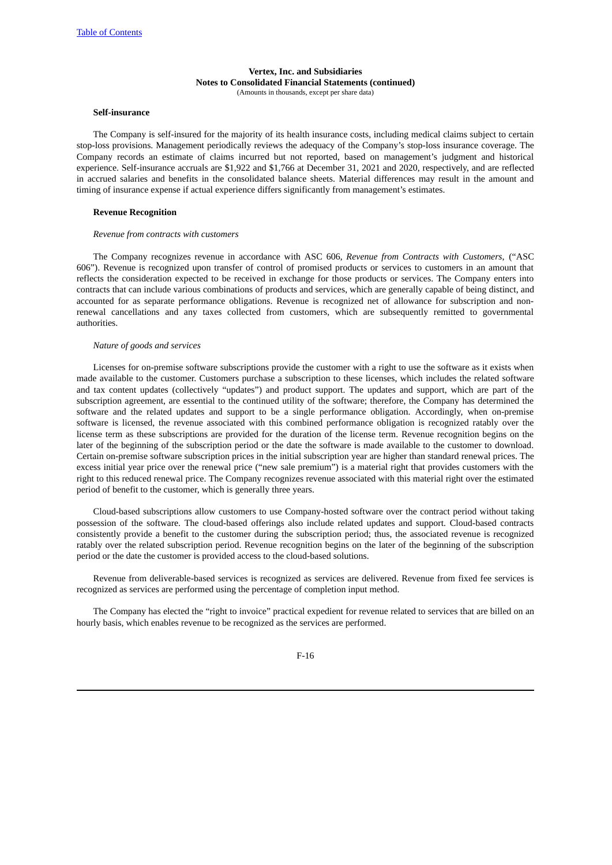#### **Self-insurance**

The Company is self-insured for the majority of its health insurance costs, including medical claims subject to certain stop-loss provisions. Management periodically reviews the adequacy of the Company's stop-loss insurance coverage. The Company records an estimate of claims incurred but not reported, based on management's judgment and historical experience. Self-insurance accruals are \$1,922 and \$1,766 at December 31, 2021 and 2020, respectively, and are reflected in accrued salaries and benefits in the consolidated balance sheets. Material differences may result in the amount and timing of insurance expense if actual experience differs significantly from management's estimates.

#### **Revenue Recognition**

#### *Revenue from contracts with customers*

The Company recognizes revenue in accordance with ASC 606, *Revenue from Contracts with Customers*, ("ASC 606"). Revenue is recognized upon transfer of control of promised products or services to customers in an amount that reflects the consideration expected to be received in exchange for those products or services. The Company enters into contracts that can include various combinations of products and services, which are generally capable of being distinct, and accounted for as separate performance obligations. Revenue is recognized net of allowance for subscription and nonrenewal cancellations and any taxes collected from customers, which are subsequently remitted to governmental authorities.

### *Nature of goods and services*

Licenses for on-premise software subscriptions provide the customer with a right to use the software as it exists when made available to the customer. Customers purchase a subscription to these licenses, which includes the related software and tax content updates (collectively "updates") and product support. The updates and support, which are part of the subscription agreement, are essential to the continued utility of the software; therefore, the Company has determined the software and the related updates and support to be a single performance obligation. Accordingly, when on-premise software is licensed, the revenue associated with this combined performance obligation is recognized ratably over the license term as these subscriptions are provided for the duration of the license term. Revenue recognition begins on the later of the beginning of the subscription period or the date the software is made available to the customer to download. Certain on-premise software subscription prices in the initial subscription year are higher than standard renewal prices. The excess initial year price over the renewal price ("new sale premium") is a material right that provides customers with the right to this reduced renewal price. The Company recognizes revenue associated with this material right over the estimated period of benefit to the customer, which is generally three years.

Cloud-based subscriptions allow customers to use Company-hosted software over the contract period without taking possession of the software. The cloud-based offerings also include related updates and support. Cloud-based contracts consistently provide a benefit to the customer during the subscription period; thus, the associated revenue is recognized ratably over the related subscription period. Revenue recognition begins on the later of the beginning of the subscription period or the date the customer is provided access to the cloud-based solutions.

Revenue from deliverable-based services is recognized as services are delivered. Revenue from fixed fee services is recognized as services are performed using the percentage of completion input method.

The Company has elected the "right to invoice" practical expedient for revenue related to services that are billed on an hourly basis, which enables revenue to be recognized as the services are performed.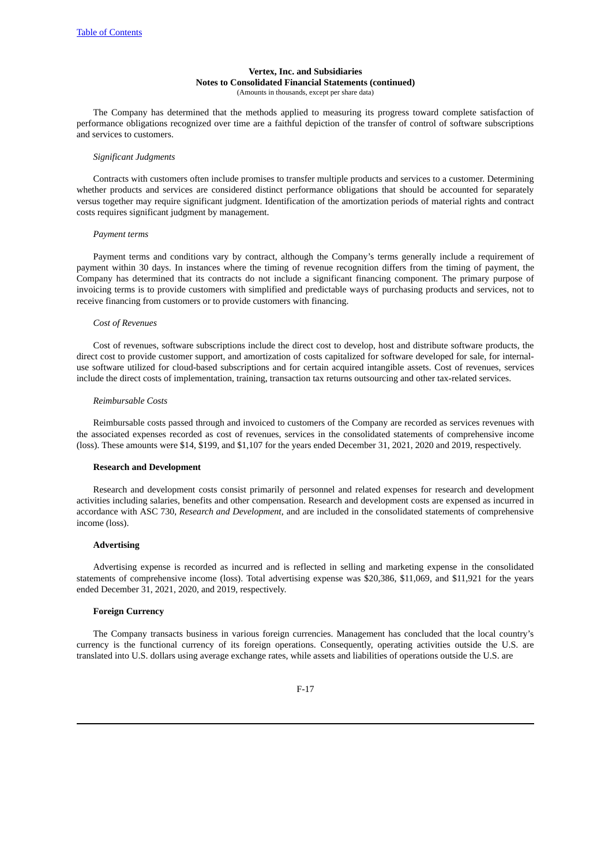The Company has determined that the methods applied to measuring its progress toward complete satisfaction of performance obligations recognized over time are a faithful depiction of the transfer of control of software subscriptions and services to customers.

#### *Significant Judgments*

Contracts with customers often include promises to transfer multiple products and services to a customer. Determining whether products and services are considered distinct performance obligations that should be accounted for separately versus together may require significant judgment. Identification of the amortization periods of material rights and contract costs requires significant judgment by management.

#### *Payment terms*

Payment terms and conditions vary by contract, although the Company's terms generally include a requirement of payment within 30 days. In instances where the timing of revenue recognition differs from the timing of payment, the Company has determined that its contracts do not include a significant financing component. The primary purpose of invoicing terms is to provide customers with simplified and predictable ways of purchasing products and services, not to receive financing from customers or to provide customers with financing.

#### *Cost of Revenues*

Cost of revenues, software subscriptions include the direct cost to develop, host and distribute software products, the direct cost to provide customer support, and amortization of costs capitalized for software developed for sale, for internaluse software utilized for cloud-based subscriptions and for certain acquired intangible assets. Cost of revenues, services include the direct costs of implementation, training, transaction tax returns outsourcing and other tax-related services.

# *Reimbursable Costs*

Reimbursable costs passed through and invoiced to customers of the Company are recorded as services revenues with the associated expenses recorded as cost of revenues, services in the consolidated statements of comprehensive income (loss). These amounts were \$14, \$199, and \$1,107 for the years ended December 31, 2021, 2020 and 2019, respectively.

# **Research and Development**

Research and development costs consist primarily of personnel and related expenses for research and development activities including salaries, benefits and other compensation. Research and development costs are expensed as incurred in accordance with ASC 730, *Research and Development,* and are included in the consolidated statements of comprehensive income (loss).

# **Advertising**

Advertising expense is recorded as incurred and is reflected in selling and marketing expense in the consolidated statements of comprehensive income (loss). Total advertising expense was \$20,386, \$11,069, and \$11,921 for the years ended December 31, 2021, 2020, and 2019, respectively.

# **Foreign Currency**

The Company transacts business in various foreign currencies. Management has concluded that the local country's currency is the functional currency of its foreign operations. Consequently, operating activities outside the U.S. are translated into U.S. dollars using average exchange rates, while assets and liabilities of operations outside the U.S. are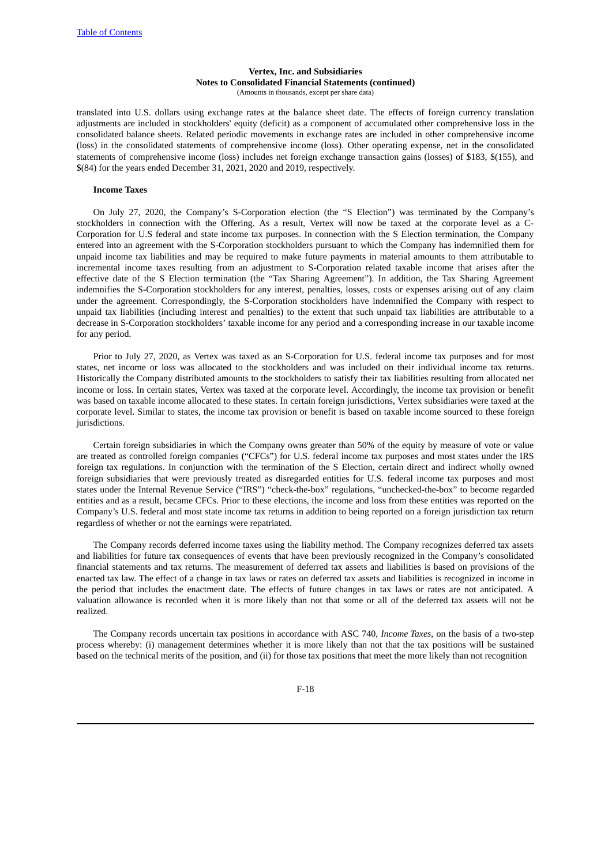translated into U.S. dollars using exchange rates at the balance sheet date. The effects of foreign currency translation adjustments are included in stockholders' equity (deficit) as a component of accumulated other comprehensive loss in the consolidated balance sheets. Related periodic movements in exchange rates are included in other comprehensive income (loss) in the consolidated statements of comprehensive income (loss). Other operating expense, net in the consolidated statements of comprehensive income (loss) includes net foreign exchange transaction gains (losses) of \$183, \$(155), and \$(84) for the years ended December 31, 2021, 2020 and 2019, respectively.

### **Income Taxes**

On July 27, 2020, the Company's S-Corporation election (the "S Election") was terminated by the Company's stockholders in connection with the Offering. As a result, Vertex will now be taxed at the corporate level as a C-Corporation for U.S federal and state income tax purposes. In connection with the S Election termination, the Company entered into an agreement with the S-Corporation stockholders pursuant to which the Company has indemnified them for unpaid income tax liabilities and may be required to make future payments in material amounts to them attributable to incremental income taxes resulting from an adjustment to S-Corporation related taxable income that arises after the effective date of the S Election termination (the "Tax Sharing Agreement"). In addition, the Tax Sharing Agreement indemnifies the S-Corporation stockholders for any interest, penalties, losses, costs or expenses arising out of any claim under the agreement. Correspondingly, the S-Corporation stockholders have indemnified the Company with respect to unpaid tax liabilities (including interest and penalties) to the extent that such unpaid tax liabilities are attributable to a decrease in S-Corporation stockholders' taxable income for any period and a corresponding increase in our taxable income for any period.

Prior to July 27, 2020, as Vertex was taxed as an S-Corporation for U.S. federal income tax purposes and for most states, net income or loss was allocated to the stockholders and was included on their individual income tax returns. Historically the Company distributed amounts to the stockholders to satisfy their tax liabilities resulting from allocated net income or loss. In certain states, Vertex was taxed at the corporate level. Accordingly, the income tax provision or benefit was based on taxable income allocated to these states. In certain foreign jurisdictions, Vertex subsidiaries were taxed at the corporate level. Similar to states, the income tax provision or benefit is based on taxable income sourced to these foreign jurisdictions.

Certain foreign subsidiaries in which the Company owns greater than 50% of the equity by measure of vote or value are treated as controlled foreign companies ("CFCs") for U.S. federal income tax purposes and most states under the IRS foreign tax regulations. In conjunction with the termination of the S Election, certain direct and indirect wholly owned foreign subsidiaries that were previously treated as disregarded entities for U.S. federal income tax purposes and most states under the Internal Revenue Service ("IRS") "check-the-box" regulations, "unchecked-the-box" to become regarded entities and as a result, became CFCs. Prior to these elections, the income and loss from these entities was reported on the Company's U.S. federal and most state income tax returns in addition to being reported on a foreign jurisdiction tax return regardless of whether or not the earnings were repatriated.

The Company records deferred income taxes using the liability method. The Company recognizes deferred tax assets and liabilities for future tax consequences of events that have been previously recognized in the Company's consolidated financial statements and tax returns. The measurement of deferred tax assets and liabilities is based on provisions of the enacted tax law. The effect of a change in tax laws or rates on deferred tax assets and liabilities is recognized in income in the period that includes the enactment date. The effects of future changes in tax laws or rates are not anticipated. A valuation allowance is recorded when it is more likely than not that some or all of the deferred tax assets will not be realized.

The Company records uncertain tax positions in accordance with ASC 740, *Income Taxes*, on the basis of a two-step process whereby: (i) management determines whether it is more likely than not that the tax positions will be sustained based on the technical merits of the position, and (ii) for those tax positions that meet the more likely than not recognition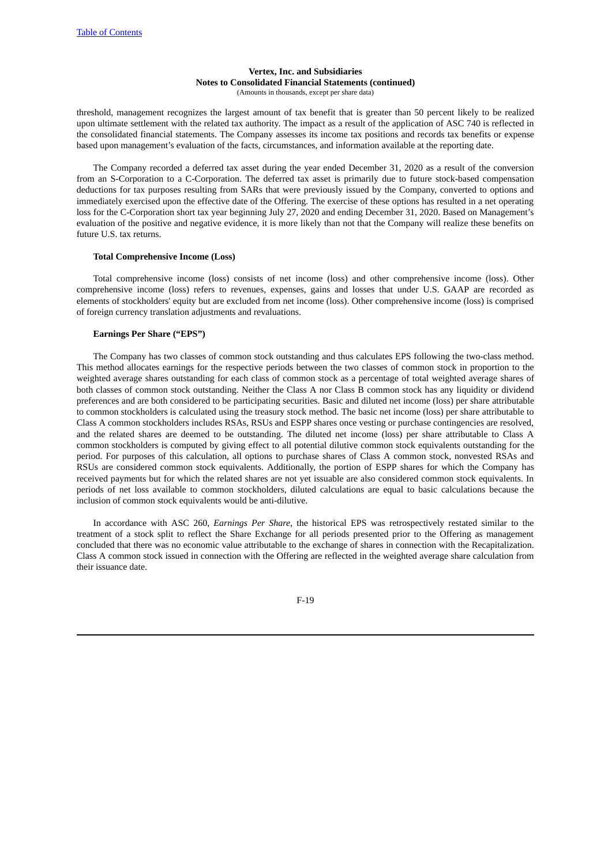threshold, management recognizes the largest amount of tax benefit that is greater than 50 percent likely to be realized upon ultimate settlement with the related tax authority. The impact as a result of the application of ASC 740 is reflected in the consolidated financial statements. The Company assesses its income tax positions and records tax benefits or expense based upon management's evaluation of the facts, circumstances, and information available at the reporting date.

The Company recorded a deferred tax asset during the year ended December 31, 2020 as a result of the conversion from an S-Corporation to a C-Corporation. The deferred tax asset is primarily due to future stock-based compensation deductions for tax purposes resulting from SARs that were previously issued by the Company, converted to options and immediately exercised upon the effective date of the Offering. The exercise of these options has resulted in a net operating loss for the C-Corporation short tax year beginning July 27, 2020 and ending December 31, 2020. Based on Management's evaluation of the positive and negative evidence, it is more likely than not that the Company will realize these benefits on future U.S. tax returns.

# **Total Comprehensive Income (Loss)**

Total comprehensive income (loss) consists of net income (loss) and other comprehensive income (loss). Other comprehensive income (loss) refers to revenues, expenses, gains and losses that under U.S. GAAP are recorded as elements of stockholders' equity but are excluded from net income (loss). Other comprehensive income (loss) is comprised of foreign currency translation adjustments and revaluations.

# **Earnings Per Share ("EPS")**

The Company has two classes of common stock outstanding and thus calculates EPS following the two-class method. This method allocates earnings for the respective periods between the two classes of common stock in proportion to the weighted average shares outstanding for each class of common stock as a percentage of total weighted average shares of both classes of common stock outstanding. Neither the Class A nor Class B common stock has any liquidity or dividend preferences and are both considered to be participating securities. Basic and diluted net income (loss) per share attributable to common stockholders is calculated using the treasury stock method. The basic net income (loss) per share attributable to Class A common stockholders includes RSAs, RSUs and ESPP shares once vesting or purchase contingencies are resolved, and the related shares are deemed to be outstanding. The diluted net income (loss) per share attributable to Class A common stockholders is computed by giving effect to all potential dilutive common stock equivalents outstanding for the period. For purposes of this calculation, all options to purchase shares of Class A common stock, nonvested RSAs and RSUs are considered common stock equivalents. Additionally, the portion of ESPP shares for which the Company has received payments but for which the related shares are not yet issuable are also considered common stock equivalents. In periods of net loss available to common stockholders, diluted calculations are equal to basic calculations because the inclusion of common stock equivalents would be anti-dilutive.

In accordance with ASC 260, *Earnings Per Share*, the historical EPS was retrospectively restated similar to the treatment of a stock split to reflect the Share Exchange for all periods presented prior to the Offering as management concluded that there was no economic value attributable to the exchange of shares in connection with the Recapitalization. Class A common stock issued in connection with the Offering are reflected in the weighted average share calculation from their issuance date.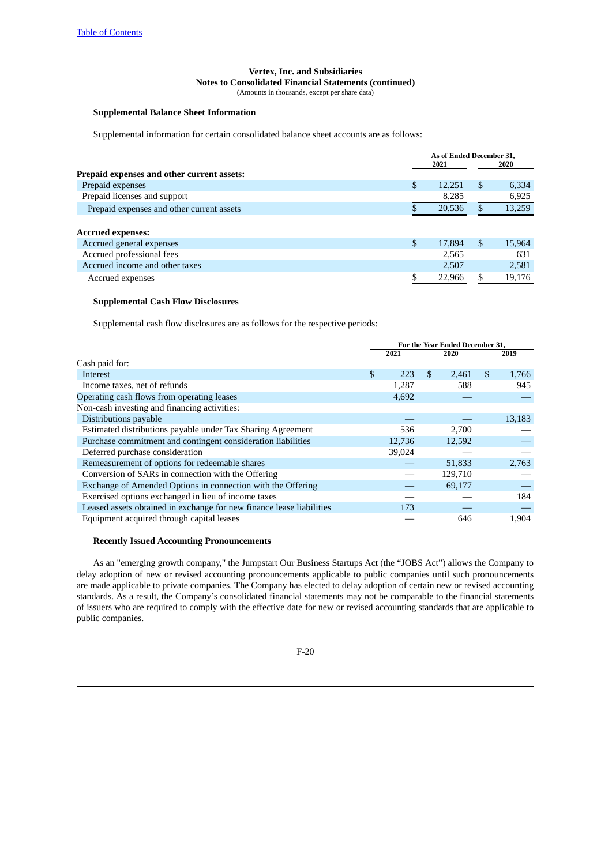**Supplemental Balance Sheet Information**

# Supplemental information for certain consolidated balance sheet accounts are as follows:

| As of Ended December 31, |    |        |  |
|--------------------------|----|--------|--|
| 2021                     |    | 2020   |  |
|                          |    |        |  |
| \$<br>12,251             | \$ | 6,334  |  |
| 8,285                    |    | 6,925  |  |
| 20,536                   | \$ | 13,259 |  |
|                          |    |        |  |
|                          |    |        |  |
| \$<br>17,894             | \$ | 15,964 |  |
| 2,565                    |    | 631    |  |
| 2,507                    |    | 2,581  |  |
| 22,966                   |    | 19,176 |  |
|                          |    |        |  |

# **Supplemental Cash Flow Disclosures**

Supplemental cash flow disclosures are as follows for the respective periods:

|                                                                      | For the Year Ended December 31. |        |               |         |     |        |
|----------------------------------------------------------------------|---------------------------------|--------|---------------|---------|-----|--------|
|                                                                      |                                 | 2021   |               | 2020    |     | 2019   |
| Cash paid for:                                                       |                                 |        |               |         |     |        |
| Interest                                                             | \$                              | 223    | <sup>\$</sup> | 2,461   | \$. | 1,766  |
| Income taxes, net of refunds                                         |                                 | 1,287  |               | 588     |     | 945    |
| Operating cash flows from operating leases                           |                                 | 4,692  |               |         |     |        |
| Non-cash investing and financing activities:                         |                                 |        |               |         |     |        |
| Distributions payable                                                |                                 |        |               |         |     | 13,183 |
| Estimated distributions payable under Tax Sharing Agreement          |                                 | 536    |               | 2,700   |     |        |
| Purchase commitment and contingent consideration liabilities         |                                 | 12,736 |               | 12,592  |     |        |
| Deferred purchase consideration                                      |                                 | 39,024 |               |         |     |        |
| Remeasurement of options for redeemable shares                       |                                 |        |               | 51,833  |     | 2,763  |
| Conversion of SARs in connection with the Offering                   |                                 |        |               | 129,710 |     |        |
| Exchange of Amended Options in connection with the Offering          |                                 |        |               | 69,177  |     |        |
| Exercised options exchanged in lieu of income taxes                  |                                 |        |               |         |     | 184    |
| Leased assets obtained in exchange for new finance lease liabilities |                                 | 173    |               |         |     |        |
| Equipment acquired through capital leases                            |                                 |        |               | 646     |     | 1,904  |

# **Recently Issued Accounting Pronouncements**

As an "emerging growth company," the Jumpstart Our Business Startups Act (the "JOBS Act") allows the Company to delay adoption of new or revised accounting pronouncements applicable to public companies until such pronouncements are made applicable to private companies. The Company has elected to delay adoption of certain new or revised accounting standards. As a result, the Company's consolidated financial statements may not be comparable to the financial statements of issuers who are required to comply with the effective date for new or revised accounting standards that are applicable to public companies.

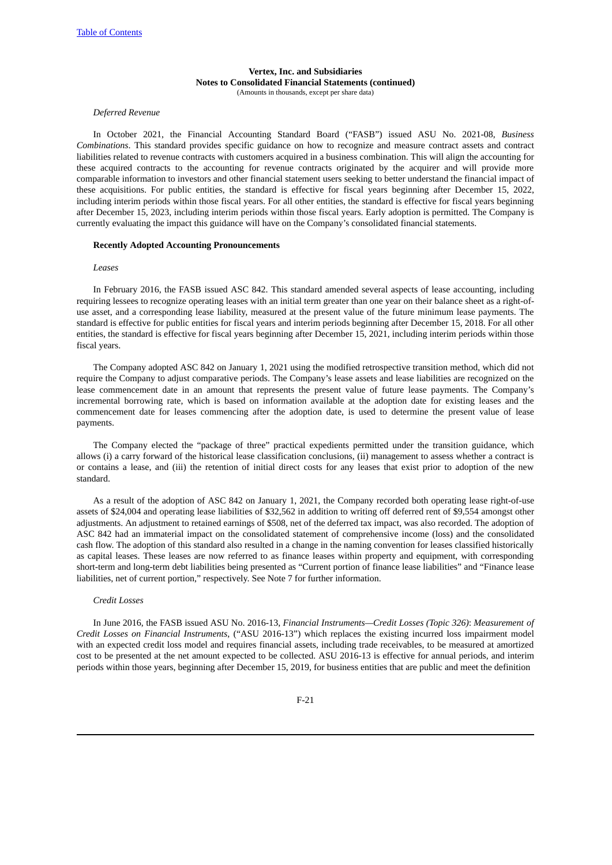# **Vertex, Inc. and Subsidiaries Notes to Consolidated Financial Statements (continued)**

(Amounts in thousands, except per share data)

# *Deferred Revenue*

In October 2021, the Financial Accounting Standard Board ("FASB") issued ASU No. 2021-08, *Business Combinations*. This standard provides specific guidance on how to recognize and measure contract assets and contract liabilities related to revenue contracts with customers acquired in a business combination. This will align the accounting for these acquired contracts to the accounting for revenue contracts originated by the acquirer and will provide more comparable information to investors and other financial statement users seeking to better understand the financial impact of these acquisitions. For public entities, the standard is effective for fiscal years beginning after December 15, 2022, including interim periods within those fiscal years. For all other entities, the standard is effective for fiscal years beginning after December 15, 2023, including interim periods within those fiscal years. Early adoption is permitted. The Company is currently evaluating the impact this guidance will have on the Company's consolidated financial statements.

#### **Recently Adopted Accounting Pronouncements**

#### *Leases*

In February 2016, the FASB issued ASC 842. This standard amended several aspects of lease accounting, including requiring lessees to recognize operating leases with an initial term greater than one year on their balance sheet as a right-ofuse asset, and a corresponding lease liability, measured at the present value of the future minimum lease payments. The standard is effective for public entities for fiscal years and interim periods beginning after December 15, 2018. For all other entities, the standard is effective for fiscal years beginning after December 15, 2021, including interim periods within those fiscal years.

The Company adopted ASC 842 on January 1, 2021 using the modified retrospective transition method, which did not require the Company to adjust comparative periods. The Company's lease assets and lease liabilities are recognized on the lease commencement date in an amount that represents the present value of future lease payments. The Company's incremental borrowing rate, which is based on information available at the adoption date for existing leases and the commencement date for leases commencing after the adoption date, is used to determine the present value of lease payments.

The Company elected the "package of three" practical expedients permitted under the transition guidance, which allows (i) a carry forward of the historical lease classification conclusions, (ii) management to assess whether a contract is or contains a lease, and (iii) the retention of initial direct costs for any leases that exist prior to adoption of the new standard.

As a result of the adoption of ASC 842 on January 1, 2021, the Company recorded both operating lease right-of-use assets of \$24,004 and operating lease liabilities of \$32,562 in addition to writing off deferred rent of \$9,554 amongst other adjustments. An adjustment to retained earnings of \$508, net of the deferred tax impact, was also recorded. The adoption of ASC 842 had an immaterial impact on the consolidated statement of comprehensive income (loss) and the consolidated cash flow. The adoption of this standard also resulted in a change in the naming convention for leases classified historically as capital leases. These leases are now referred to as finance leases within property and equipment, with corresponding short-term and long-term debt liabilities being presented as "Current portion of finance lease liabilities" and "Finance lease liabilities, net of current portion," respectively. See Note 7 for further information.

# *Credit Losses*

In June 2016, the FASB issued ASU No. 2016-13, *Financial Instruments—Credit Losses (Topic 326)*: *Measurement of Credit Losses on Financial Instruments*, ("ASU 2016-13") which replaces the existing incurred loss impairment model with an expected credit loss model and requires financial assets, including trade receivables, to be measured at amortized cost to be presented at the net amount expected to be collected. ASU 2016-13 is effective for annual periods, and interim periods within those years, beginning after December 15, 2019, for business entities that are public and meet the definition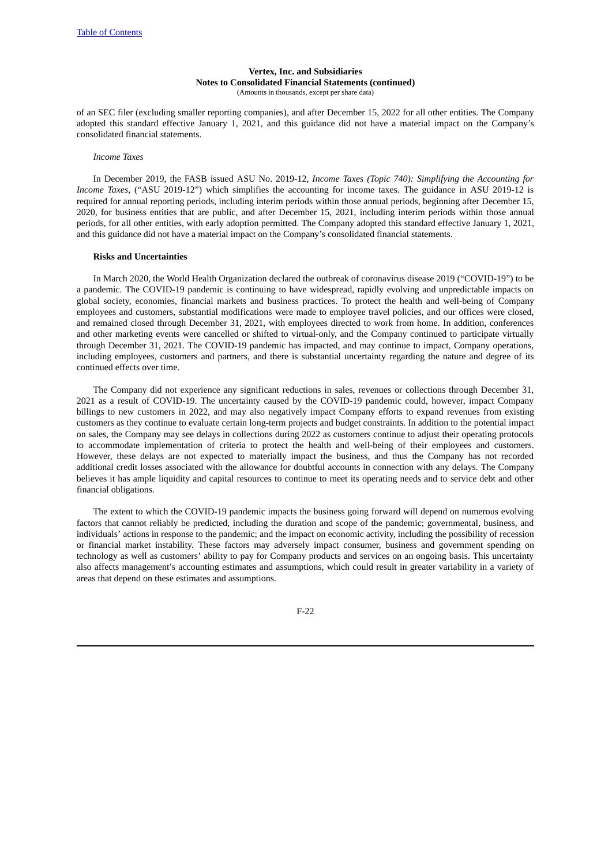of an SEC filer (excluding smaller reporting companies), and after December 15, 2022 for all other entities. The Company adopted this standard effective January 1, 2021, and this guidance did not have a material impact on the Company's consolidated financial statements.

# *Income Taxes*

In December 2019, the FASB issued ASU No. 2019-12, *Income Taxes (Topic 740): Simplifying the Accounting for Income Taxes,* ("ASU 2019-12") which simplifies the accounting for income taxes. The guidance in ASU 2019-12 is required for annual reporting periods, including interim periods within those annual periods, beginning after December 15, 2020, for business entities that are public, and after December 15, 2021, including interim periods within those annual periods, for all other entities, with early adoption permitted. The Company adopted this standard effective January 1, 2021, and this guidance did not have a material impact on the Company's consolidated financial statements.

# **Risks and Uncertainties**

In March 2020, the World Health Organization declared the outbreak of coronavirus disease 2019 ("COVID-19") to be a pandemic. The COVID-19 pandemic is continuing to have widespread, rapidly evolving and unpredictable impacts on global society, economies, financial markets and business practices. To protect the health and well-being of Company employees and customers, substantial modifications were made to employee travel policies, and our offices were closed, and remained closed through December 31, 2021, with employees directed to work from home. In addition, conferences and other marketing events were cancelled or shifted to virtual-only, and the Company continued to participate virtually through December 31, 2021. The COVID-19 pandemic has impacted, and may continue to impact, Company operations, including employees, customers and partners, and there is substantial uncertainty regarding the nature and degree of its continued effects over time.

The Company did not experience any significant reductions in sales, revenues or collections through December 31, 2021 as a result of COVID-19. The uncertainty caused by the COVID-19 pandemic could, however, impact Company billings to new customers in 2022, and may also negatively impact Company efforts to expand revenues from existing customers as they continue to evaluate certain long-term projects and budget constraints. In addition to the potential impact on sales, the Company may see delays in collections during 2022 as customers continue to adjust their operating protocols to accommodate implementation of criteria to protect the health and well-being of their employees and customers. However, these delays are not expected to materially impact the business, and thus the Company has not recorded additional credit losses associated with the allowance for doubtful accounts in connection with any delays. The Company believes it has ample liquidity and capital resources to continue to meet its operating needs and to service debt and other financial obligations.

The extent to which the COVID-19 pandemic impacts the business going forward will depend on numerous evolving factors that cannot reliably be predicted, including the duration and scope of the pandemic; governmental, business, and individuals' actions in response to the pandemic; and the impact on economic activity, including the possibility of recession or financial market instability. These factors may adversely impact consumer, business and government spending on technology as well as customers' ability to pay for Company products and services on an ongoing basis. This uncertainty also affects management's accounting estimates and assumptions, which could result in greater variability in a variety of areas that depend on these estimates and assumptions.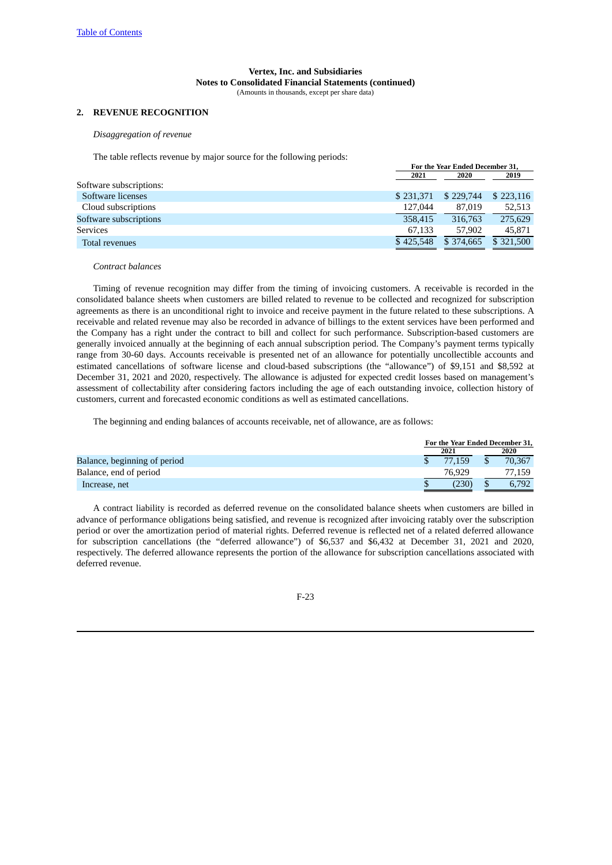# **2. REVENUE RECOGNITION**

### *Disaggregation of revenue*

The table reflects revenue by major source for the following periods:

|                         |           | For the Year Ended December 31. |           |  |  |  |
|-------------------------|-----------|---------------------------------|-----------|--|--|--|
|                         | 2021      | 2020                            |           |  |  |  |
| Software subscriptions: |           |                                 |           |  |  |  |
| Software licenses       | \$231,371 | \$229.744                       | \$223.116 |  |  |  |
| Cloud subscriptions     | 127.044   | 87,019                          | 52,513    |  |  |  |
| Software subscriptions  | 358,415   | 316,763                         | 275,629   |  |  |  |
| <b>Services</b>         | 67.133    | 57,902                          | 45,871    |  |  |  |
| Total revenues          | \$425,548 | \$374,665                       | \$321,500 |  |  |  |

*Contract balances*

Timing of revenue recognition may differ from the timing of invoicing customers. A receivable is recorded in the consolidated balance sheets when customers are billed related to revenue to be collected and recognized for subscription agreements as there is an unconditional right to invoice and receive payment in the future related to these subscriptions. A receivable and related revenue may also be recorded in advance of billings to the extent services have been performed and the Company has a right under the contract to bill and collect for such performance. Subscription-based customers are generally invoiced annually at the beginning of each annual subscription period. The Company's payment terms typically range from 30-60 days. Accounts receivable is presented net of an allowance for potentially uncollectible accounts and estimated cancellations of software license and cloud-based subscriptions (the "allowance") of \$9,151 and \$8,592 at December 31, 2021 and 2020, respectively. The allowance is adjusted for expected credit losses based on management's assessment of collectability after considering factors including the age of each outstanding invoice, collection history of customers, current and forecasted economic conditions as well as estimated cancellations.

The beginning and ending balances of accounts receivable, net of allowance, are as follows:

|                              | For the Year Ended December 31. |      |        |  |
|------------------------------|---------------------------------|------|--------|--|
|                              | 2021                            | 2020 |        |  |
| Balance, beginning of period | 77.159                          |      | 70.367 |  |
| Balance, end of period       | 76.929                          |      | 77,159 |  |
| Increase, net                | (230)                           |      | 6.792  |  |

A contract liability is recorded as deferred revenue on the consolidated balance sheets when customers are billed in advance of performance obligations being satisfied, and revenue is recognized after invoicing ratably over the subscription period or over the amortization period of material rights. Deferred revenue is reflected net of a related deferred allowance for subscription cancellations (the "deferred allowance") of \$6,537 and \$6,432 at December 31, 2021 and 2020, respectively. The deferred allowance represents the portion of the allowance for subscription cancellations associated with deferred revenue.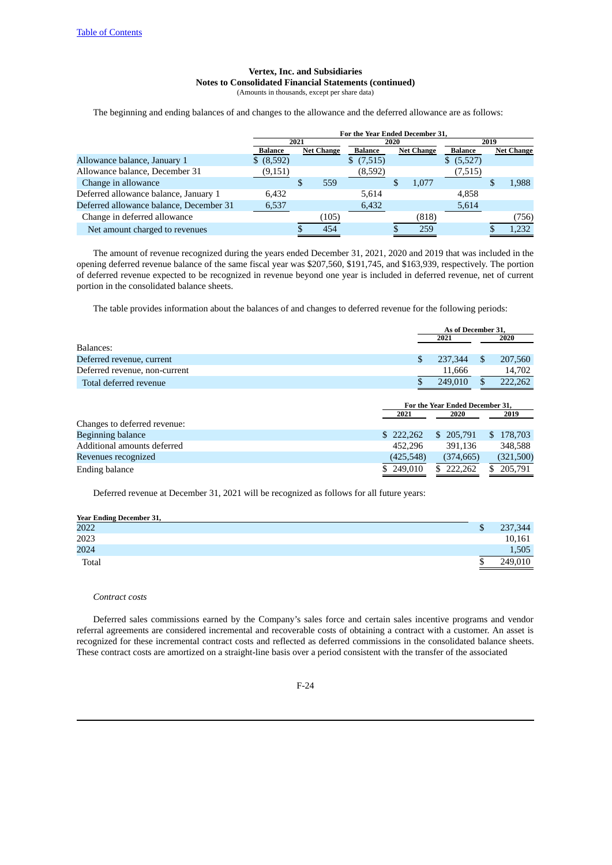The beginning and ending balances of and changes to the allowance and the deferred allowance are as follows:

|                                         | For the Year Ended December 31, |      |                   |           |      |                   |            |    |                   |  |
|-----------------------------------------|---------------------------------|------|-------------------|-----------|------|-------------------|------------|----|-------------------|--|
|                                         |                                 | 2021 |                   |           | 2020 |                   | 2019       |    |                   |  |
|                                         | <b>Balance</b>                  |      | <b>Net Change</b> | Balance   |      | <b>Net Change</b> | Balance    |    | <b>Net Change</b> |  |
| Allowance balance, January 1            | \$ (8,592)                      |      |                   | \$(7,515) |      |                   | \$ (5,527) |    |                   |  |
| Allowance balance, December 31          | (9, 151)                        |      |                   | (8,592)   |      |                   | (7,515)    |    |                   |  |
| Change in allowance                     |                                 | S    | 559               |           |      | 1,077             |            | .S | 1,988             |  |
| Deferred allowance balance, January 1   | 6.432                           |      |                   | 5,614     |      |                   | 4,858      |    |                   |  |
| Deferred allowance balance, December 31 | 6,537                           |      |                   | 6,432     |      |                   | 5,614      |    |                   |  |
| Change in deferred allowance            |                                 |      | (105)             |           |      | (818)             |            |    | (756)             |  |
| Net amount charged to revenues          |                                 |      | 454               |           |      | 259               |            |    | 1,232             |  |

The amount of revenue recognized during the years ended December 31, 2021, 2020 and 2019 that was included in the opening deferred revenue balance of the same fiscal year was \$207,560, \$191,745, and \$163,939, respectively. The portion of deferred revenue expected to be recognized in revenue beyond one year is included in deferred revenue, net of current portion in the consolidated balance sheets.

The table provides information about the balances of and changes to deferred revenue for the following periods:

|                               |            | As of December 31.              |               |  |  |
|-------------------------------|------------|---------------------------------|---------------|--|--|
|                               |            | 2021                            | 2020          |  |  |
| Balances:                     |            |                                 |               |  |  |
| Deferred revenue, current     | \$         | 237,344                         | \$<br>207,560 |  |  |
| Deferred revenue, non-current |            | 11,666                          | 14,702        |  |  |
| Total deferred revenue        |            | 249,010                         | 222,262<br>\$ |  |  |
|                               |            |                                 |               |  |  |
|                               |            | For the Year Ended December 31. |               |  |  |
|                               | 2021       | 2020                            | 2019          |  |  |
| Changes to deferred revenue:  |            |                                 |               |  |  |
| Beginning balance             | \$222.262  | \$ 205,791                      | \$178,703     |  |  |
| Additional amounts deferred   | 452.296    | 391,136                         | 348,588       |  |  |
| Revenues recognized           | (425, 548) | (374, 665)                      | (321,500)     |  |  |
| Ending balance                | 249.010    | 222,262<br>SS.                  | 205,791<br>S. |  |  |

Deferred revenue at December 31, 2021 will be recognized as follows for all future years:

| 237,344 |
|---------|
| 10,161  |
| 1,505   |
| 249,010 |
|         |

### *Contract costs*

Deferred sales commissions earned by the Company's sales force and certain sales incentive programs and vendor referral agreements are considered incremental and recoverable costs of obtaining a contract with a customer. An asset is recognized for these incremental contract costs and reflected as deferred commissions in the consolidated balance sheets. These contract costs are amortized on a straight-line basis over a period consistent with the transfer of the associated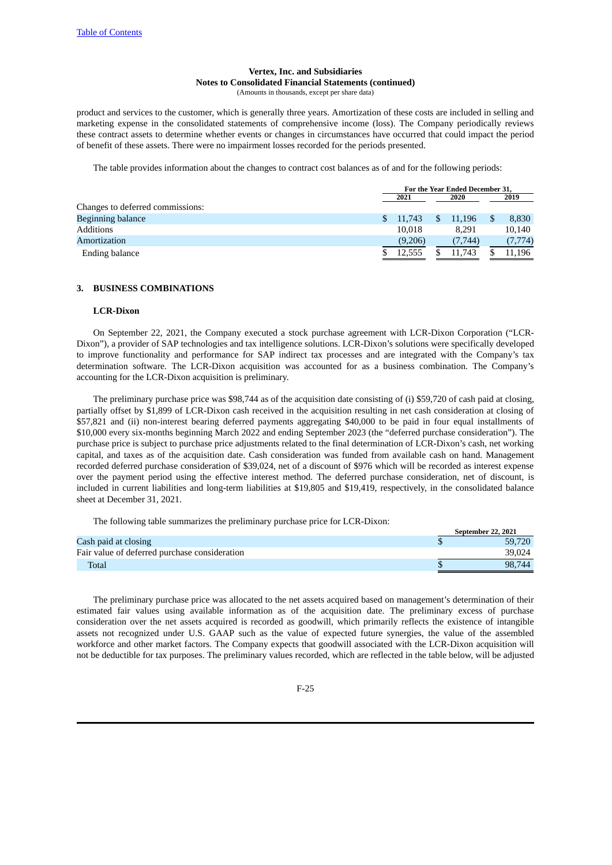product and services to the customer, which is generally three years. Amortization of these costs are included in selling and marketing expense in the consolidated statements of comprehensive income (loss). The Company periodically reviews these contract assets to determine whether events or changes in circumstances have occurred that could impact the period of benefit of these assets. There were no impairment losses recorded for the periods presented.

The table provides information about the changes to contract cost balances as of and for the following periods:

|                                  | For the Year Ended December 31. |         |  |         |  |         |
|----------------------------------|---------------------------------|---------|--|---------|--|---------|
|                                  |                                 | 2021    |  | 2020    |  | 2019    |
| Changes to deferred commissions: |                                 |         |  |         |  |         |
| Beginning balance                |                                 | 11.743  |  | 11.196  |  | 8,830   |
| Additions                        |                                 | 10.018  |  | 8.291   |  | 10.140  |
| Amortization                     |                                 | (9,206) |  | (7.744) |  | (7,774) |
| Ending balance                   |                                 | 12.555  |  | 11.743  |  | 11.196  |

# **3. BUSINESS COMBINATIONS**

#### **LCR-Dixon**

On September 22, 2021, the Company executed a stock purchase agreement with LCR-Dixon Corporation ("LCR-Dixon"), a provider of SAP technologies and tax intelligence solutions. LCR-Dixon's solutions were specifically developed to improve functionality and performance for SAP indirect tax processes and are integrated with the Company's tax determination software. The LCR-Dixon acquisition was accounted for as a business combination. The Company's accounting for the LCR-Dixon acquisition is preliminary.

The preliminary purchase price was \$98,744 as of the acquisition date consisting of (i) \$59,720 of cash paid at closing, partially offset by \$1,899 of LCR-Dixon cash received in the acquisition resulting in net cash consideration at closing of \$57,821 and (ii) non-interest bearing deferred payments aggregating \$40,000 to be paid in four equal installments of \$10,000 every six-months beginning March 2022 and ending September 2023 (the "deferred purchase consideration"). The purchase price is subject to purchase price adjustments related to the final determination of LCR-Dixon's cash, net working capital, and taxes as of the acquisition date. Cash consideration was funded from available cash on hand. Management recorded deferred purchase consideration of \$39,024, net of a discount of \$976 which will be recorded as interest expense over the payment period using the effective interest method. The deferred purchase consideration, net of discount, is included in current liabilities and long-term liabilities at \$19,805 and \$19,419, respectively, in the consolidated balance sheet at December 31, 2021.

The following table summarizes the preliminary purchase price for LCR-Dixon:

|                                               | September 22, 2021 |
|-----------------------------------------------|--------------------|
| Cash paid at closing                          | 59.720             |
| Fair value of deferred purchase consideration | 39.024             |
| Total                                         | 98,744             |

The preliminary purchase price was allocated to the net assets acquired based on management's determination of their estimated fair values using available information as of the acquisition date. The preliminary excess of purchase consideration over the net assets acquired is recorded as goodwill, which primarily reflects the existence of intangible assets not recognized under U.S. GAAP such as the value of expected future synergies, the value of the assembled workforce and other market factors. The Company expects that goodwill associated with the LCR-Dixon acquisition will not be deductible for tax purposes. The preliminary values recorded, which are reflected in the table below, will be adjusted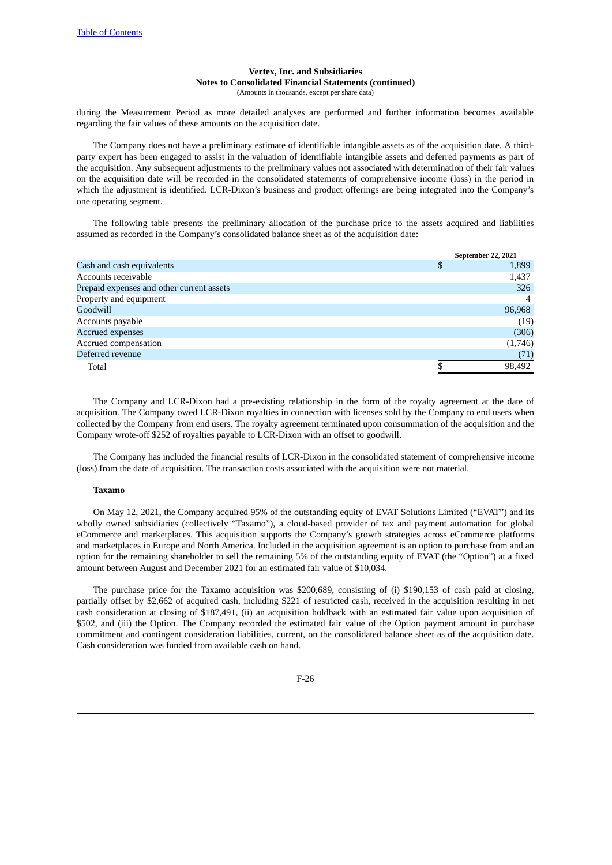during the Measurement Period as more detailed analyses are performed and further information becomes available regarding the fair values of these amounts on the acquisition date.

The Company does not have a preliminary estimate of identifiable intangible assets as of the acquisition date. A thirdparty expert has been engaged to assist in the valuation of identifiable intangible assets and deferred payments as part of the acquisition. Any subsequent adjustments to the preliminary values not associated with determination of their fair values on the acquisition date will be recorded in the consolidated statements of comprehensive income (loss) in the period in which the adjustment is identified. LCR-Dixon's business and product offerings are being integrated into the Company's one operating segment.

The following table presents the preliminary allocation of the purchase price to the assets acquired and liabilities assumed as recorded in the Company's consolidated balance sheet as of the acquisition date:

|                                           | <b>September 22, 2021</b> |
|-------------------------------------------|---------------------------|
| Cash and cash equivalents                 | 1,899                     |
| Accounts receivable                       | 1,437                     |
| Prepaid expenses and other current assets | 326                       |
| Property and equipment                    | 4                         |
| Goodwill                                  | 96,968                    |
| Accounts payable                          | (19)                      |
| <b>Accrued expenses</b>                   | (306)                     |
| Accrued compensation                      | (1,746)                   |
| Deferred revenue                          | (71)                      |
| Total                                     | 98.492                    |
|                                           |                           |

The Company and LCR-Dixon had a pre-existing relationship in the form of the royalty agreement at the date of acquisition. The Company owed LCR-Dixon royalties in connection with licenses sold by the Company to end users when collected by the Company from end users. The royalty agreement terminated upon consummation of the acquisition and the Company wrote-off \$252 of royalties payable to LCR-Dixon with an offset to goodwill.

The Company has included the financial results of LCR-Dixon in the consolidated statement of comprehensive income (loss) from the date of acquisition. The transaction costs associated with the acquisition were not material.

# **Taxamo**

On May 12, 2021, the Company acquired 95% of the outstanding equity of EVAT Solutions Limited ("EVAT") and its wholly owned subsidiaries (collectively "Taxamo"), a cloud-based provider of tax and payment automation for global eCommerce and marketplaces. This acquisition supports the Company's growth strategies across eCommerce platforms and marketplaces in Europe and North America. Included in the acquisition agreement is an option to purchase from and an option for the remaining shareholder to sell the remaining 5% of the outstanding equity of EVAT (the "Option") at a fixed amount between August and December 2021 for an estimated fair value of \$10,034.

The purchase price for the Taxamo acquisition was \$200,689, consisting of (i) \$190,153 of cash paid at closing, partially offset by \$2,662 of acquired cash, including \$221 of restricted cash, received in the acquisition resulting in net cash consideration at closing of \$187,491, (ii) an acquisition holdback with an estimated fair value upon acquisition of \$502, and (iii) the Option. The Company recorded the estimated fair value of the Option payment amount in purchase commitment and contingent consideration liabilities, current, on the consolidated balance sheet as of the acquisition date. Cash consideration was funded from available cash on hand.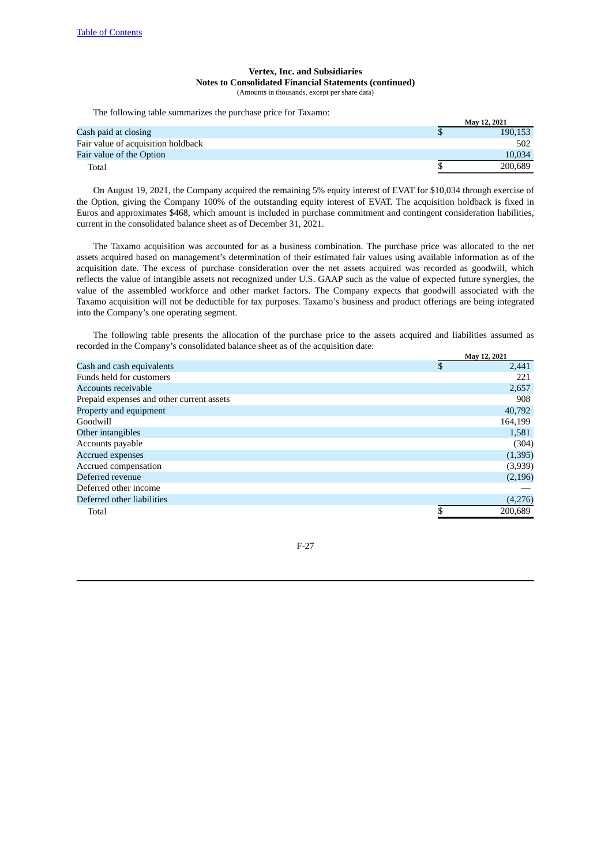The following table summarizes the purchase price for Taxamo:

| May 12, 2021 |
|--------------|
| 190.153      |
| 502          |
| 10.034       |
| 200.689      |
|              |

On August 19, 2021, the Company acquired the remaining 5% equity interest of EVAT for \$10,034 through exercise of the Option, giving the Company 100% of the outstanding equity interest of EVAT. The acquisition holdback is fixed in Euros and approximates \$468, which amount is included in purchase commitment and contingent consideration liabilities, current in the consolidated balance sheet as of December 31, 2021.

The Taxamo acquisition was accounted for as a business combination. The purchase price was allocated to the net assets acquired based on management's determination of their estimated fair values using available information as of the acquisition date. The excess of purchase consideration over the net assets acquired was recorded as goodwill, which reflects the value of intangible assets not recognized under U.S. GAAP such as the value of expected future synergies, the value of the assembled workforce and other market factors. The Company expects that goodwill associated with the Taxamo acquisition will not be deductible for tax purposes. Taxamo's business and product offerings are being integrated into the Company's one operating segment.

The following table presents the allocation of the purchase price to the assets acquired and liabilities assumed as recorded in the Company's consolidated balance sheet as of the acquisition date: **May 12, 2021**

|                                           | MM 14, 2021 |
|-------------------------------------------|-------------|
| Cash and cash equivalents                 | \$<br>2,441 |
| Funds held for customers                  | 221         |
| <b>Accounts receivable</b>                | 2,657       |
| Prepaid expenses and other current assets | 908         |
| Property and equipment                    | 40,792      |
| Goodwill                                  | 164,199     |
| Other intangibles                         | 1,581       |
| Accounts payable                          | (304)       |
| Accrued expenses                          | (1,395)     |
| Accrued compensation                      | (3,939)     |
| Deferred revenue                          | (2, 196)    |
| Deferred other income                     |             |
| Deferred other liabilities                | (4,276)     |
| Total                                     | 200,689     |
|                                           |             |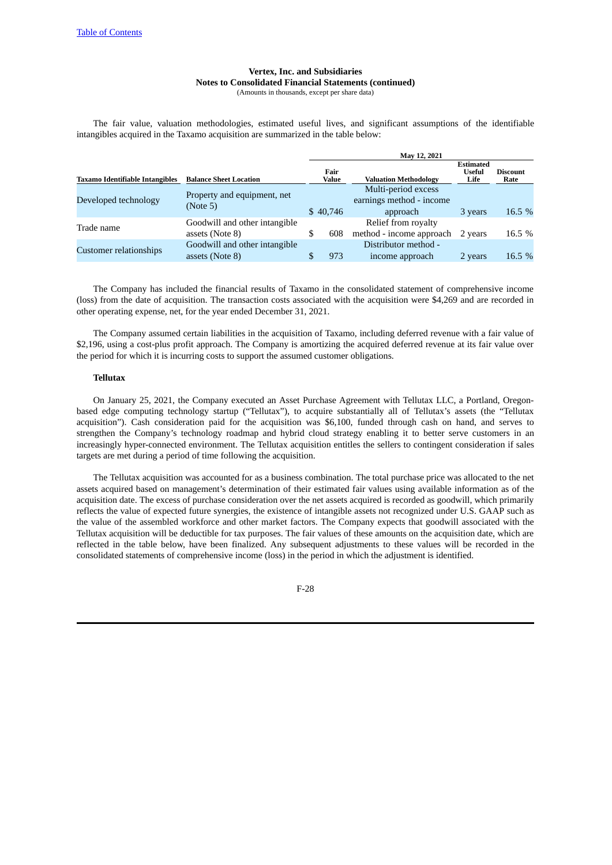The fair value, valuation methodologies, estimated useful lives, and significant assumptions of the identifiable intangibles acquired in the Taxamo acquisition are summarized in the table below:

|                                        |                                                  |     |               | May 12, 2021                                                |                                           |                         |
|----------------------------------------|--------------------------------------------------|-----|---------------|-------------------------------------------------------------|-------------------------------------------|-------------------------|
| <b>Taxamo Identifiable Intangibles</b> | <b>Balance Sheet Location</b>                    |     | Fair<br>Value | <b>Valuation Methodology</b>                                | <b>Estimated</b><br><b>Useful</b><br>Life | <b>Discount</b><br>Rate |
| Developed technology                   | Property and equipment, net<br>(Note 5)          |     | \$40,746      | Multi-period excess<br>earnings method - income<br>approach | 3 years                                   | 16.5 %                  |
| Trade name                             | Goodwill and other intangible<br>assets (Note 8) | \$. | 608           | Relief from royalty<br>method - income approach             | 2 years                                   | 16.5 %                  |
| <b>Customer relationships</b>          | Goodwill and other intangible<br>assets (Note 8) |     | 973           | Distributor method -<br>income approach                     | 2 years                                   | 16.5 %                  |

The Company has included the financial results of Taxamo in the consolidated statement of comprehensive income (loss) from the date of acquisition. The transaction costs associated with the acquisition were \$4,269 and are recorded in other operating expense, net, for the year ended December 31, 2021.

The Company assumed certain liabilities in the acquisition of Taxamo, including deferred revenue with a fair value of \$2,196, using a cost-plus profit approach. The Company is amortizing the acquired deferred revenue at its fair value over the period for which it is incurring costs to support the assumed customer obligations.

# **Tellutax**

On January 25, 2021, the Company executed an Asset Purchase Agreement with Tellutax LLC, a Portland, Oregonbased edge computing technology startup ("Tellutax"), to acquire substantially all of Tellutax's assets (the "Tellutax acquisition"). Cash consideration paid for the acquisition was \$6,100, funded through cash on hand, and serves to strengthen the Company's technology roadmap and hybrid cloud strategy enabling it to better serve customers in an increasingly hyper-connected environment. The Tellutax acquisition entitles the sellers to contingent consideration if sales targets are met during a period of time following the acquisition.

The Tellutax acquisition was accounted for as a business combination. The total purchase price was allocated to the net assets acquired based on management's determination of their estimated fair values using available information as of the acquisition date. The excess of purchase consideration over the net assets acquired is recorded as goodwill, which primarily reflects the value of expected future synergies, the existence of intangible assets not recognized under U.S. GAAP such as the value of the assembled workforce and other market factors. The Company expects that goodwill associated with the Tellutax acquisition will be deductible for tax purposes. The fair values of these amounts on the acquisition date, which are reflected in the table below, have been finalized. Any subsequent adjustments to these values will be recorded in the consolidated statements of comprehensive income (loss) in the period in which the adjustment is identified.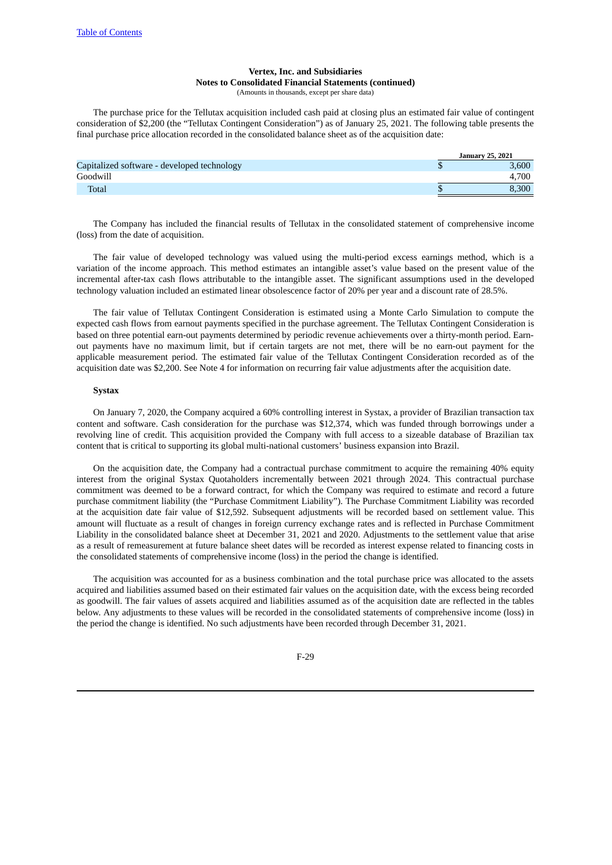The purchase price for the Tellutax acquisition included cash paid at closing plus an estimated fair value of contingent consideration of \$2,200 (the "Tellutax Contingent Consideration") as of January 25, 2021. The following table presents the final purchase price allocation recorded in the consolidated balance sheet as of the acquisition date:

|                                             | <b>January 25, 2021</b> |
|---------------------------------------------|-------------------------|
| Capitalized software - developed technology | 3.600                   |
| Goodwill                                    | 4.700                   |
| Total                                       | 8.300                   |

The Company has included the financial results of Tellutax in the consolidated statement of comprehensive income (loss) from the date of acquisition.

The fair value of developed technology was valued using the multi-period excess earnings method, which is a variation of the income approach. This method estimates an intangible asset's value based on the present value of the incremental after-tax cash flows attributable to the intangible asset. The significant assumptions used in the developed technology valuation included an estimated linear obsolescence factor of 20% per year and a discount rate of 28.5%.

The fair value of Tellutax Contingent Consideration is estimated using a Monte Carlo Simulation to compute the expected cash flows from earnout payments specified in the purchase agreement. The Tellutax Contingent Consideration is based on three potential earn-out payments determined by periodic revenue achievements over a thirty-month period. Earnout payments have no maximum limit, but if certain targets are not met, there will be no earn-out payment for the applicable measurement period. The estimated fair value of the Tellutax Contingent Consideration recorded as of the acquisition date was \$2,200. See Note 4 for information on recurring fair value adjustments after the acquisition date.

# **Systax**

On January 7, 2020, the Company acquired a 60% controlling interest in Systax, a provider of Brazilian transaction tax content and software. Cash consideration for the purchase was \$12,374, which was funded through borrowings under a revolving line of credit. This acquisition provided the Company with full access to a sizeable database of Brazilian tax content that is critical to supporting its global multi-national customers' business expansion into Brazil.

On the acquisition date, the Company had a contractual purchase commitment to acquire the remaining 40% equity interest from the original Systax Quotaholders incrementally between 2021 through 2024. This contractual purchase commitment was deemed to be a forward contract, for which the Company was required to estimate and record a future purchase commitment liability (the "Purchase Commitment Liability"). The Purchase Commitment Liability was recorded at the acquisition date fair value of \$12,592. Subsequent adjustments will be recorded based on settlement value. This amount will fluctuate as a result of changes in foreign currency exchange rates and is reflected in Purchase Commitment Liability in the consolidated balance sheet at December 31, 2021 and 2020. Adjustments to the settlement value that arise as a result of remeasurement at future balance sheet dates will be recorded as interest expense related to financing costs in the consolidated statements of comprehensive income (loss) in the period the change is identified.

The acquisition was accounted for as a business combination and the total purchase price was allocated to the assets acquired and liabilities assumed based on their estimated fair values on the acquisition date, with the excess being recorded as goodwill. The fair values of assets acquired and liabilities assumed as of the acquisition date are reflected in the tables below. Any adjustments to these values will be recorded in the consolidated statements of comprehensive income (loss) in the period the change is identified. No such adjustments have been recorded through December 31, 2021.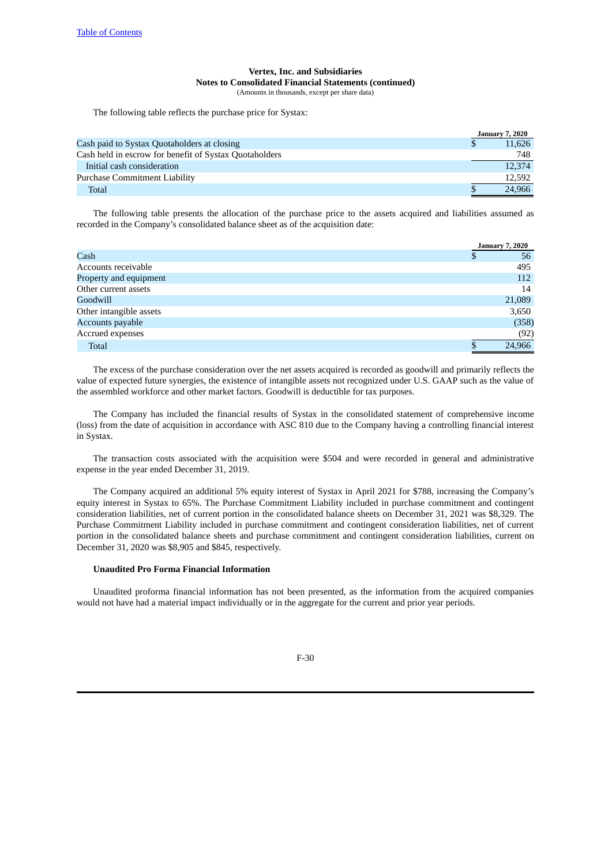The following table reflects the purchase price for Systax:

|                                                        | <b>January 7, 2020</b> |
|--------------------------------------------------------|------------------------|
| Cash paid to Systax Quotaholders at closing            | 11,626                 |
| Cash held in escrow for benefit of Systax Quotaholders | 748                    |
| Initial cash consideration                             | 12,374                 |
| <b>Purchase Commitment Liability</b>                   | 12,592                 |
| Total                                                  | 24,966                 |

The following table presents the allocation of the purchase price to the assets acquired and liabilities assumed as recorded in the Company's consolidated balance sheet as of the acquisition date:

|                         | <b>January 7, 2020</b> |
|-------------------------|------------------------|
| Cash                    | 56<br>Φ                |
| Accounts receivable     | 495                    |
| Property and equipment  | 112                    |
| Other current assets    | 14                     |
| Goodwill                | 21,089                 |
| Other intangible assets | 3,650                  |
| Accounts payable        | (358)                  |
| Accrued expenses        | (92)                   |
| Total                   | 24,966<br>¢<br>Φ       |

The excess of the purchase consideration over the net assets acquired is recorded as goodwill and primarily reflects the value of expected future synergies, the existence of intangible assets not recognized under U.S. GAAP such as the value of the assembled workforce and other market factors. Goodwill is deductible for tax purposes.

The Company has included the financial results of Systax in the consolidated statement of comprehensive income (loss) from the date of acquisition in accordance with ASC 810 due to the Company having a controlling financial interest in Systax.

The transaction costs associated with the acquisition were \$504 and were recorded in general and administrative expense in the year ended December 31, 2019.

The Company acquired an additional 5% equity interest of Systax in April 2021 for \$788, increasing the Company's equity interest in Systax to 65%. The Purchase Commitment Liability included in purchase commitment and contingent consideration liabilities, net of current portion in the consolidated balance sheets on December 31, 2021 was \$8,329. The Purchase Commitment Liability included in purchase commitment and contingent consideration liabilities, net of current portion in the consolidated balance sheets and purchase commitment and contingent consideration liabilities, current on December 31, 2020 was \$8,905 and \$845, respectively.

# **Unaudited Pro Forma Financial Information**

Unaudited proforma financial information has not been presented, as the information from the acquired companies would not have had a material impact individually or in the aggregate for the current and prior year periods.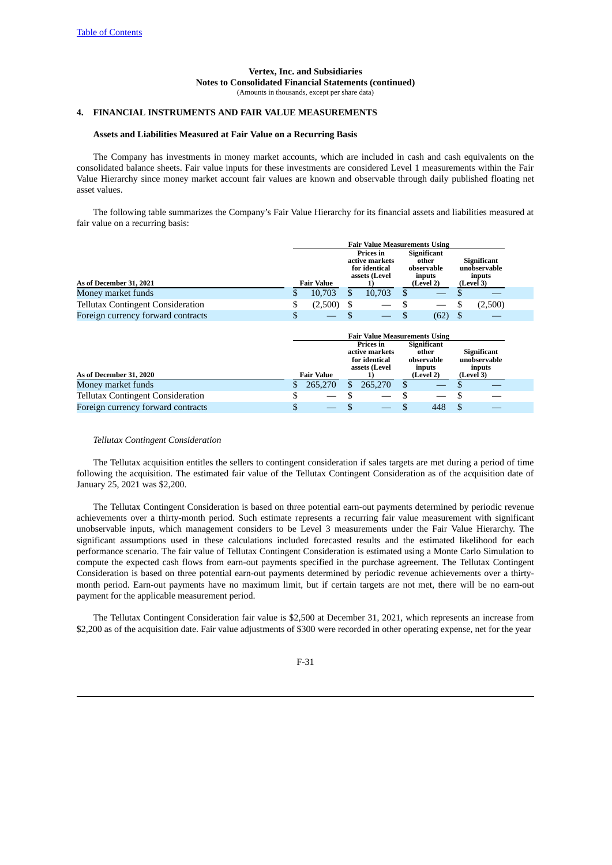# **4. FINANCIAL INSTRUMENTS AND FAIR VALUE MEASUREMENTS**

#### **Assets and Liabilities Measured at Fair Value on a Recurring Basis**

The Company has investments in money market accounts, which are included in cash and cash equivalents on the consolidated balance sheets. Fair value inputs for these investments are considered Level 1 measurements within the Fair Value Hierarchy since money market account fair values are known and observable through daily published floating net asset values.

The following table summarizes the Company's Fair Value Hierarchy for its financial assets and liabilities measured at fair value on a recurring basis:

|                                          |    | <b>Fair Value Measurements Using</b> |                                                               |                                 |                                                     |           |                                              |           |  |
|------------------------------------------|----|--------------------------------------|---------------------------------------------------------------|---------------------------------|-----------------------------------------------------|-----------|----------------------------------------------|-----------|--|
|                                          |    |                                      | Prices in<br>active markets<br>for identical<br>assets (Level |                                 | <b>Significant</b><br>other<br>observable<br>inputs |           | <b>Significant</b><br>unobservable<br>inputs |           |  |
| As of December 31, 2021                  |    | <b>Fair Value</b>                    |                                                               |                                 |                                                     | (Level 2) |                                              | (Level 3) |  |
| Money market funds                       | J. | 10.703                               |                                                               | 10.703                          |                                                     |           |                                              |           |  |
| <b>Tellutax Contingent Consideration</b> | \$ | (2,500)                              |                                                               | $\hspace{0.1mm}-\hspace{0.1mm}$ |                                                     |           |                                              | (2,500)   |  |
| Foreign currency forward contracts       |    |                                      |                                                               |                                 |                                                     | (62)      |                                              |           |  |

|                                          | <b>Fair Value Measurements Using</b> |                                                                                                                      |         |  |           |                                              |  |  |
|------------------------------------------|--------------------------------------|----------------------------------------------------------------------------------------------------------------------|---------|--|-----------|----------------------------------------------|--|--|
|                                          |                                      | <b>Significant</b><br>Prices in<br>active markets<br>other<br>for identical<br>observable<br>assets (Level<br>inputs |         |  |           | <b>Significant</b><br>unobservable<br>inputs |  |  |
| As of December 31, 2020                  | <b>Fair Value</b>                    |                                                                                                                      |         |  | (Level 2) | (Level 3)                                    |  |  |
| Money market funds                       | 265,270                              |                                                                                                                      | 265,270 |  |           |                                              |  |  |
| <b>Tellutax Contingent Consideration</b> |                                      |                                                                                                                      |         |  |           |                                              |  |  |
| Foreign currency forward contracts       |                                      |                                                                                                                      |         |  | 448       |                                              |  |  |

#### *Tellutax Contingent Consideration*

The Tellutax acquisition entitles the sellers to contingent consideration if sales targets are met during a period of time following the acquisition. The estimated fair value of the Tellutax Contingent Consideration as of the acquisition date of January 25, 2021 was \$2,200.

The Tellutax Contingent Consideration is based on three potential earn-out payments determined by periodic revenue achievements over a thirty-month period. Such estimate represents a recurring fair value measurement with significant unobservable inputs, which management considers to be Level 3 measurements under the Fair Value Hierarchy. The significant assumptions used in these calculations included forecasted results and the estimated likelihood for each performance scenario. The fair value of Tellutax Contingent Consideration is estimated using a Monte Carlo Simulation to compute the expected cash flows from earn-out payments specified in the purchase agreement. The Tellutax Contingent Consideration is based on three potential earn-out payments determined by periodic revenue achievements over a thirtymonth period. Earn-out payments have no maximum limit, but if certain targets are not met, there will be no earn-out payment for the applicable measurement period.

The Tellutax Contingent Consideration fair value is \$2,500 at December 31, 2021, which represents an increase from \$2,200 as of the acquisition date. Fair value adjustments of \$300 were recorded in other operating expense, net for the year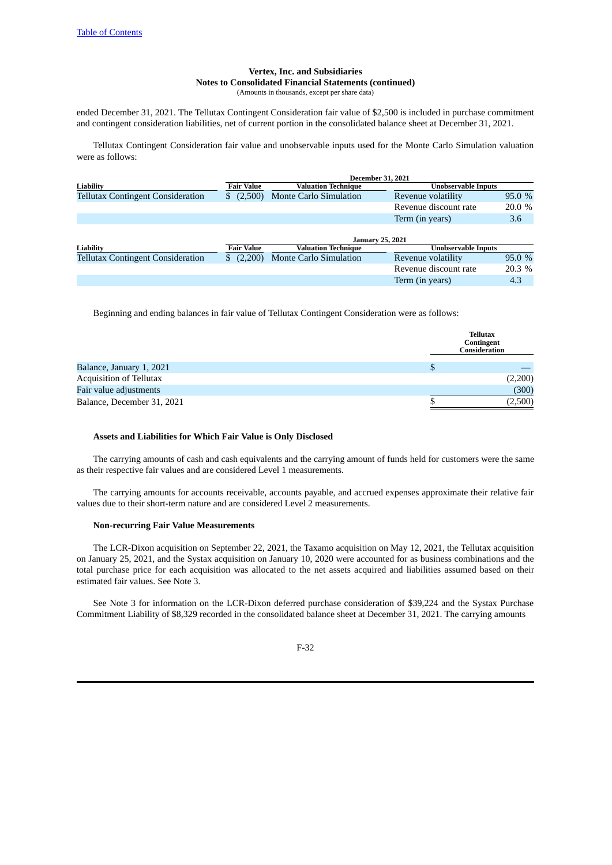ended December 31, 2021. The Tellutax Contingent Consideration fair value of \$2,500 is included in purchase commitment and contingent consideration liabilities, net of current portion in the consolidated balance sheet at December 31, 2021.

Tellutax Contingent Consideration fair value and unobservable inputs used for the Monte Carlo Simulation valuation were as follows:

| <b>December 31, 2021</b> |                               |                            |                                                       |  |  |  |  |
|--------------------------|-------------------------------|----------------------------|-------------------------------------------------------|--|--|--|--|
| <b>Fair Value</b>        | Valuation Technique           | <b>Unobservable Inputs</b> |                                                       |  |  |  |  |
| (2,500)<br>S             | <b>Monte Carlo Simulation</b> | Revenue volatility         | 95.0%                                                 |  |  |  |  |
|                          |                               | Revenue discount rate      | 20.0 %                                                |  |  |  |  |
|                          |                               | Term (in years)            | 3.6                                                   |  |  |  |  |
|                          |                               |                            |                                                       |  |  |  |  |
|                          |                               |                            |                                                       |  |  |  |  |
|                          |                               |                            |                                                       |  |  |  |  |
| (2,200)<br>S             | <b>Monte Carlo Simulation</b> | Revenue volatility         | 95.0%                                                 |  |  |  |  |
|                          |                               | Revenue discount rate      | 20.3 %                                                |  |  |  |  |
|                          |                               | Term (in years)            | 4.3                                                   |  |  |  |  |
|                          | <b>Fair Value</b>             | Valuation Technique        | <b>January 25, 2021</b><br><b>Unobservable Inputs</b> |  |  |  |  |

Beginning and ending balances in fair value of Tellutax Contingent Consideration were as follows:

|                                | Tellutax<br>Contingent<br><b>Consideration</b> |
|--------------------------------|------------------------------------------------|
| Balance, January 1, 2021       |                                                |
| <b>Acquisition of Tellutax</b> | (2,200)                                        |
| Fair value adjustments         | (300)                                          |
| Balance, December 31, 2021     | (2,500)                                        |

# **Assets and Liabilities for Which Fair Value is Only Disclosed**

The carrying amounts of cash and cash equivalents and the carrying amount of funds held for customers were the same as their respective fair values and are considered Level 1 measurements.

The carrying amounts for accounts receivable, accounts payable, and accrued expenses approximate their relative fair values due to their short-term nature and are considered Level 2 measurements.

# **Non-recurring Fair Value Measurements**

The LCR-Dixon acquisition on September 22, 2021, the Taxamo acquisition on May 12, 2021, the Tellutax acquisition on January 25, 2021, and the Systax acquisition on January 10, 2020 were accounted for as business combinations and the total purchase price for each acquisition was allocated to the net assets acquired and liabilities assumed based on their estimated fair values. See Note 3.

See Note 3 for information on the LCR-Dixon deferred purchase consideration of \$39,224 and the Systax Purchase Commitment Liability of \$8,329 recorded in the consolidated balance sheet at December 31, 2021. The carrying amounts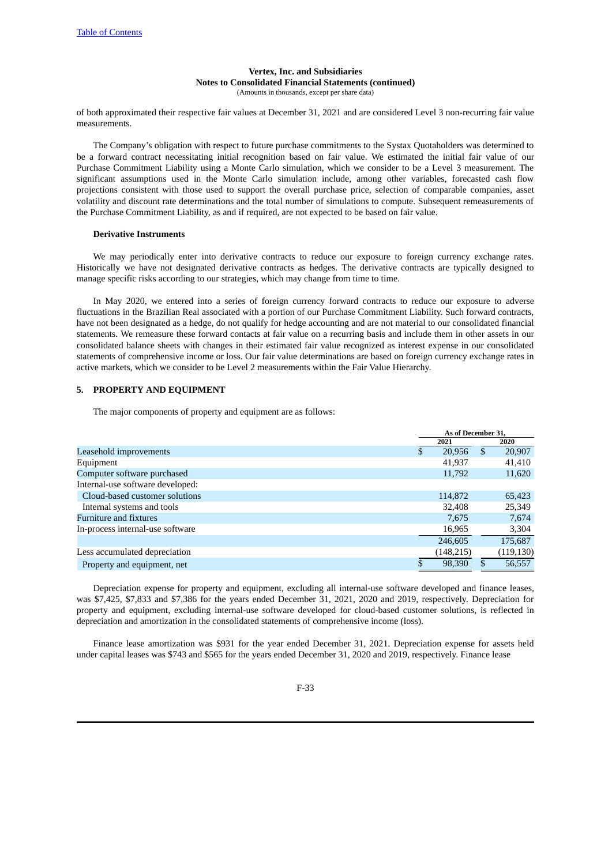of both approximated their respective fair values at December 31, 2021 and are considered Level 3 non-recurring fair value measurements.

The Company's obligation with respect to future purchase commitments to the Systax Quotaholders was determined to be a forward contract necessitating initial recognition based on fair value. We estimated the initial fair value of our Purchase Commitment Liability using a Monte Carlo simulation, which we consider to be a Level 3 measurement. The significant assumptions used in the Monte Carlo simulation include, among other variables, forecasted cash flow projections consistent with those used to support the overall purchase price, selection of comparable companies, asset volatility and discount rate determinations and the total number of simulations to compute. Subsequent remeasurements of the Purchase Commitment Liability, as and if required, are not expected to be based on fair value.

# **Derivative Instruments**

We may periodically enter into derivative contracts to reduce our exposure to foreign currency exchange rates. Historically we have not designated derivative contracts as hedges. The derivative contracts are typically designed to manage specific risks according to our strategies, which may change from time to time.

In May 2020, we entered into a series of foreign currency forward contracts to reduce our exposure to adverse fluctuations in the Brazilian Real associated with a portion of our Purchase Commitment Liability. Such forward contracts, have not been designated as a hedge, do not qualify for hedge accounting and are not material to our consolidated financial statements. We remeasure these forward contacts at fair value on a recurring basis and include them in other assets in our consolidated balance sheets with changes in their estimated fair value recognized as interest expense in our consolidated statements of comprehensive income or loss. Our fair value determinations are based on foreign currency exchange rates in active markets, which we consider to be Level 2 measurements within the Fair Value Hierarchy.

# **5. PROPERTY AND EQUIPMENT**

The major components of property and equipment are as follows:

|                                  |    | As of December 31. |     |            |  |
|----------------------------------|----|--------------------|-----|------------|--|
|                                  |    | 2021               |     | 2020       |  |
| Leasehold improvements           | S  | 20,956             | \$  | 20,907     |  |
| Equipment                        |    | 41,937             |     | 41,410     |  |
| Computer software purchased      |    | 11,792             |     | 11,620     |  |
| Internal-use software developed: |    |                    |     |            |  |
| Cloud-based customer solutions   |    | 114,872            |     | 65,423     |  |
| Internal systems and tools       |    | 32,408             |     | 25,349     |  |
| Furniture and fixtures           |    | 7,675              |     | 7,674      |  |
| In-process internal-use software |    | 16,965             |     | 3,304      |  |
|                                  |    | 246,605            |     | 175,687    |  |
| Less accumulated depreciation    |    | (148, 215)         |     | (119, 130) |  |
| Property and equipment, net      | \$ | 98,390             | \$. | 56,557     |  |

Depreciation expense for property and equipment, excluding all internal-use software developed and finance leases, was \$7,425, \$7,833 and \$7,386 for the years ended December 31, 2021, 2020 and 2019, respectively. Depreciation for property and equipment, excluding internal-use software developed for cloud-based customer solutions, is reflected in depreciation and amortization in the consolidated statements of comprehensive income (loss).

Finance lease amortization was \$931 for the year ended December 31, 2021. Depreciation expense for assets held under capital leases was \$743 and \$565 for the years ended December 31, 2020 and 2019, respectively. Finance lease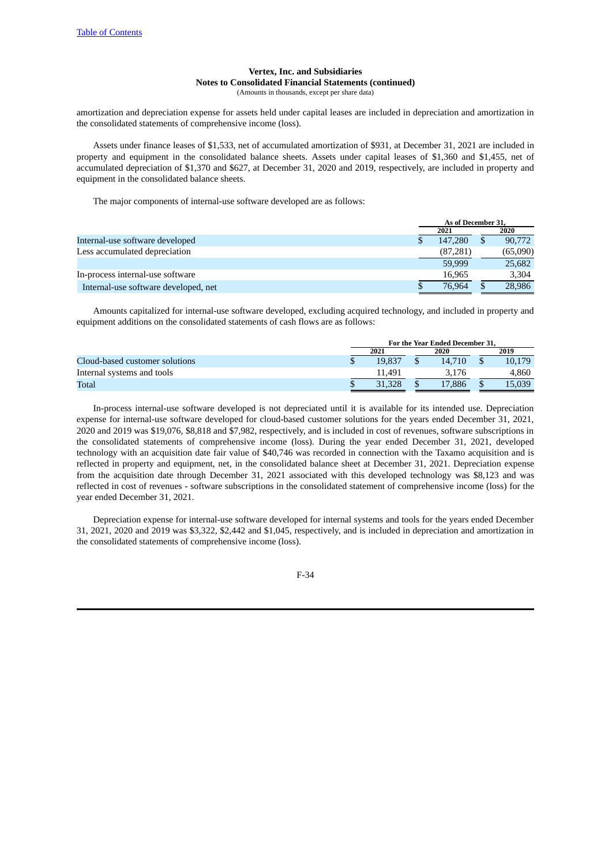amortization and depreciation expense for assets held under capital leases are included in depreciation and amortization in the consolidated statements of comprehensive income (loss).

Assets under finance leases of \$1,533, net of accumulated amortization of \$931, at December 31, 2021 are included in property and equipment in the consolidated balance sheets. Assets under capital leases of \$1,360 and \$1,455, net of accumulated depreciation of \$1,370 and \$627, at December 31, 2020 and 2019, respectively, are included in property and equipment in the consolidated balance sheets.

The major components of internal-use software developed are as follows:

|                                      | As of December 31. |  |          |  |
|--------------------------------------|--------------------|--|----------|--|
|                                      | 2021               |  | 2020     |  |
| Internal-use software developed      | 147,280            |  | 90,772   |  |
| Less accumulated depreciation        | (87,281)           |  | (65,090) |  |
|                                      | 59,999             |  | 25,682   |  |
| In-process internal-use software     | 16.965             |  | 3,304    |  |
| Internal-use software developed, net | 76.964             |  | 28,986   |  |

Amounts capitalized for internal-use software developed, excluding acquired technology, and included in property and equipment additions on the consolidated statements of cash flows are as follows:

|                                | For the Year Ended December 31, |  |        |  |        |  |  |
|--------------------------------|---------------------------------|--|--------|--|--------|--|--|
|                                | 2021                            |  | 2020   |  | 2019   |  |  |
| Cloud-based customer solutions | 19.837                          |  | 14.710 |  | 10.179 |  |  |
| Internal systems and tools     | 11.491                          |  | 3.176  |  | 4.860  |  |  |
| Total                          | 31.328                          |  | 17.886 |  | 15.039 |  |  |

In-process internal-use software developed is not depreciated until it is available for its intended use. Depreciation expense for internal-use software developed for cloud-based customer solutions for the years ended December 31, 2021, 2020 and 2019 was \$19,076, \$8,818 and \$7,982, respectively, and is included in cost of revenues, software subscriptions in the consolidated statements of comprehensive income (loss). During the year ended December 31, 2021, developed technology with an acquisition date fair value of \$40,746 was recorded in connection with the Taxamo acquisition and is reflected in property and equipment, net, in the consolidated balance sheet at December 31, 2021. Depreciation expense from the acquisition date through December 31, 2021 associated with this developed technology was \$8,123 and was reflected in cost of revenues - software subscriptions in the consolidated statement of comprehensive income (loss) for the year ended December 31, 2021.

Depreciation expense for internal-use software developed for internal systems and tools for the years ended December 31, 2021, 2020 and 2019 was \$3,322, \$2,442 and \$1,045, respectively, and is included in depreciation and amortization in the consolidated statements of comprehensive income (loss).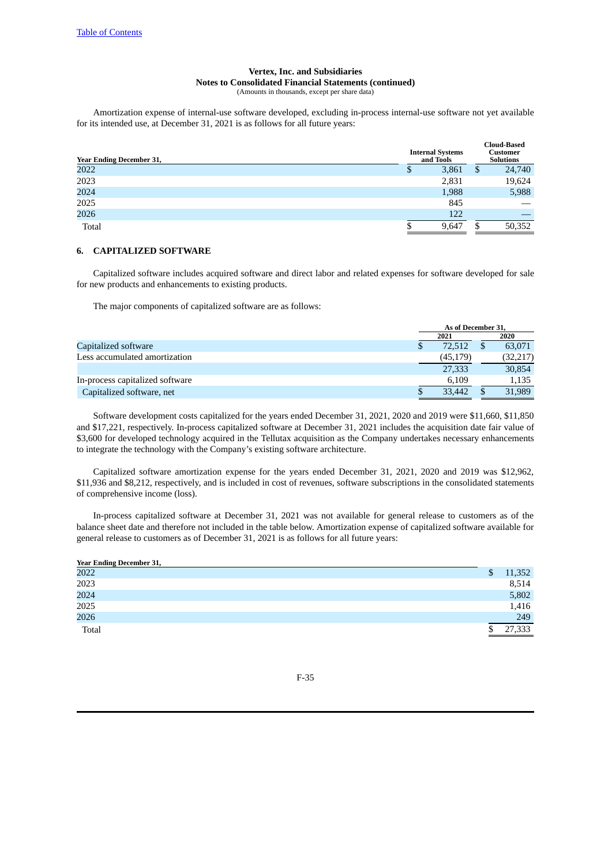Amortization expense of internal-use software developed, excluding in-process internal-use software not yet available for its intended use, at December 31, 2021 is as follows for all future years:

| <b>Year Ending December 31,</b> | <b>Internal Systems</b><br>and Tools |      | <b>Cloud-Based</b><br><b>Customer</b><br><b>Solutions</b> |  |
|---------------------------------|--------------------------------------|------|-----------------------------------------------------------|--|
| 2022                            | \$<br>3,861                          | - \$ | 24,740                                                    |  |
| 2023                            | 2,831                                |      | 19,624                                                    |  |
| 2024                            | 1,988                                |      | 5,988                                                     |  |
| 2025                            | 845                                  |      |                                                           |  |
| 2026                            | 122                                  |      |                                                           |  |
| Total                           | 9.647                                | £.   | 50,352                                                    |  |
|                                 |                                      |      |                                                           |  |

# **6. CAPITALIZED SOFTWARE**

Capitalized software includes acquired software and direct labor and related expenses for software developed for sale for new products and enhancements to existing products.

The major components of capitalized software are as follows:

|                                 | As of December 31. |           |  |          |
|---------------------------------|--------------------|-----------|--|----------|
|                                 |                    | 2021      |  | 2020     |
| Capitalized software            |                    | 72,512    |  | 63,071   |
| Less accumulated amortization   |                    | (45, 179) |  | (32,217) |
|                                 |                    | 27,333    |  | 30,854   |
| In-process capitalized software |                    | 6.109     |  | 1,135    |
| Capitalized software, net       |                    | 33.442    |  | 31,989   |

Software development costs capitalized for the years ended December 31, 2021, 2020 and 2019 were \$11,660, \$11,850 and \$17,221, respectively. In-process capitalized software at December 31, 2021 includes the acquisition date fair value of \$3,600 for developed technology acquired in the Tellutax acquisition as the Company undertakes necessary enhancements to integrate the technology with the Company's existing software architecture.

Capitalized software amortization expense for the years ended December 31, 2021, 2020 and 2019 was \$12,962, \$11,936 and \$8,212, respectively, and is included in cost of revenues, software subscriptions in the consolidated statements of comprehensive income (loss).

In-process capitalized software at December 31, 2021 was not available for general release to customers as of the balance sheet date and therefore not included in the table below. Amortization expense of capitalized software available for general release to customers as of December 31, 2021 is as follows for all future years:

| <b>Year Ending December 31,</b> |              |
|---------------------------------|--------------|
| 2022                            | \$<br>11,352 |
| 2023                            | 8,514        |
| 2024                            | 5,802        |
| 2025                            | 1,416        |
| 2026                            | 249          |
| Total                           | 27,333       |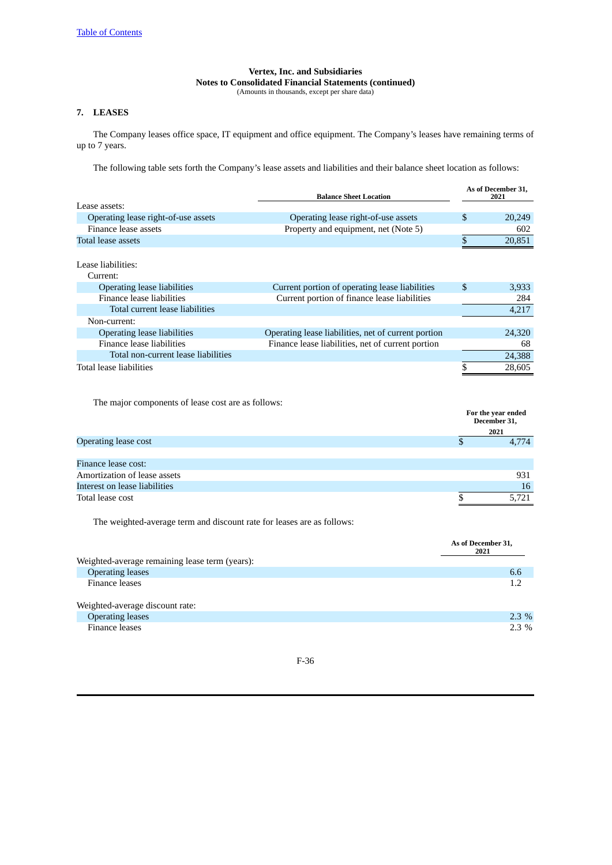# **7. LEASES**

The Company leases office space, IT equipment and office equipment. The Company's leases have remaining terms of up to 7 years.

The following table sets forth the Company's lease assets and liabilities and their balance sheet location as follows:

|                                     | <b>Balance Sheet Location</b>                       |     | As of December 31,<br>2021 |
|-------------------------------------|-----------------------------------------------------|-----|----------------------------|
| Lease assets:                       |                                                     |     |                            |
| Operating lease right-of-use assets | Operating lease right-of-use assets                 | \$  | 20,249                     |
| Finance lease assets                | Property and equipment, net (Note 5)                |     | 602                        |
| Total lease assets                  |                                                     |     | 20,851                     |
| Lease liabilities:                  |                                                     |     |                            |
| Current:                            |                                                     |     |                            |
| <b>Operating lease liabilities</b>  | Current portion of operating lease liabilities      | \$. | 3,933                      |
| Finance lease liabilities           | Current portion of finance lease liabilities        |     | 284                        |
| Total current lease liabilities     |                                                     |     | 4,217                      |
| Non-current:                        |                                                     |     |                            |
| <b>Operating lease liabilities</b>  | Operating lease liabilities, net of current portion |     | 24,320                     |
| Finance lease liabilities           | Finance lease liabilities, net of current portion   |     | 68                         |
| Total non-current lease liabilities |                                                     |     | 24,388                     |
| Total lease liabilities             |                                                     |     | 28.605                     |

The major components of lease cost are as follows:

| The major components or rease cost are as ronows. |                                    |       |
|---------------------------------------------------|------------------------------------|-------|
|                                                   | For the year ended<br>December 31. |       |
|                                                   |                                    | 2021  |
| Operating lease cost                              |                                    | 4,774 |
|                                                   |                                    |       |
| Finance lease cost:                               |                                    |       |
| Amortization of lease assets                      |                                    | 931   |
| Interest on lease liabilities                     |                                    | 16    |
| Total lease cost                                  |                                    | 5,721 |

The weighted-average term and discount rate for leases are as follows:

|                                                | As of December 31,<br>2021 |
|------------------------------------------------|----------------------------|
| Weighted-average remaining lease term (years): |                            |
| <b>Operating leases</b>                        | 6.6                        |
| Finance leases                                 | 1.2                        |
| Weighted-average discount rate:                |                            |
| <b>Operating leases</b>                        | $2.3\%$                    |
| Finance leases                                 | $2.3\%$                    |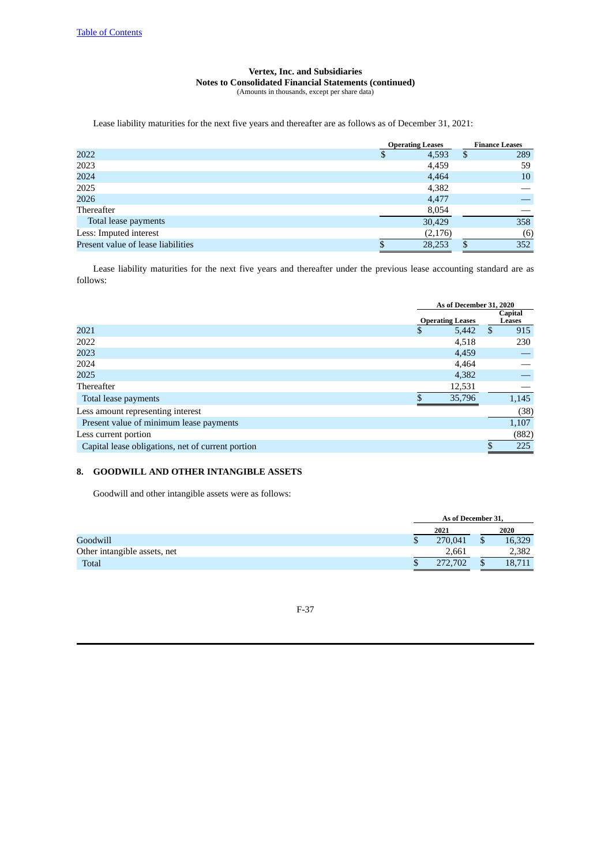# Lease liability maturities for the next five years and thereafter are as follows as of December 31, 2021:

|                                    |    | <b>Operating Leases</b> |    | <b>Finance Leases</b> |
|------------------------------------|----|-------------------------|----|-----------------------|
| 2022                               | \$ | 4,593                   | S. | 289                   |
| 2023                               |    | 4,459                   |    | 59                    |
| 2024                               |    | 4,464                   |    | 10                    |
| 2025                               |    | 4,382                   |    |                       |
| 2026                               |    | 4,477                   |    |                       |
| Thereafter                         |    | 8,054                   |    |                       |
| Total lease payments               |    | 30,429                  |    | 358                   |
| Less: Imputed interest             |    | (2,176)                 |    | (6)                   |
| Present value of lease liabilities | Ъ  | 28,253                  | \$ | 352                   |

Lease liability maturities for the next five years and thereafter under the previous lease accounting standard are as follows:

|                                                   |                         | As of December 31, 2020 |                   |  |
|---------------------------------------------------|-------------------------|-------------------------|-------------------|--|
|                                                   | <b>Operating Leases</b> |                         | Capital<br>Leases |  |
| 2021                                              | \$                      | <sup>\$</sup><br>5,442  | 915               |  |
| 2022                                              |                         | 4,518                   | 230               |  |
| 2023                                              |                         | 4,459                   |                   |  |
| 2024                                              |                         | 4,464                   |                   |  |
| 2025                                              |                         | 4,382                   |                   |  |
| Thereafter                                        |                         | 12,531                  |                   |  |
| Total lease payments                              |                         | 35,796                  | 1,145             |  |
| Less amount representing interest                 |                         |                         | (38)              |  |
| Present value of minimum lease payments           |                         |                         | 1,107             |  |
| Less current portion                              |                         |                         | (882)             |  |
| Capital lease obligations, net of current portion |                         | S                       | 225               |  |

# **8. GOODWILL AND OTHER INTANGIBLE ASSETS**

Goodwill and other intangible assets were as follows:

|                              |   | As of December 31, |  |        |  |
|------------------------------|---|--------------------|--|--------|--|
|                              |   | 2021               |  | 2020   |  |
| Goodwill                     | Ψ | 270,041            |  | 16,329 |  |
| Other intangible assets, net |   | 2,661              |  | 2,382  |  |
| <b>Total</b>                 |   | 272,702            |  | 18,711 |  |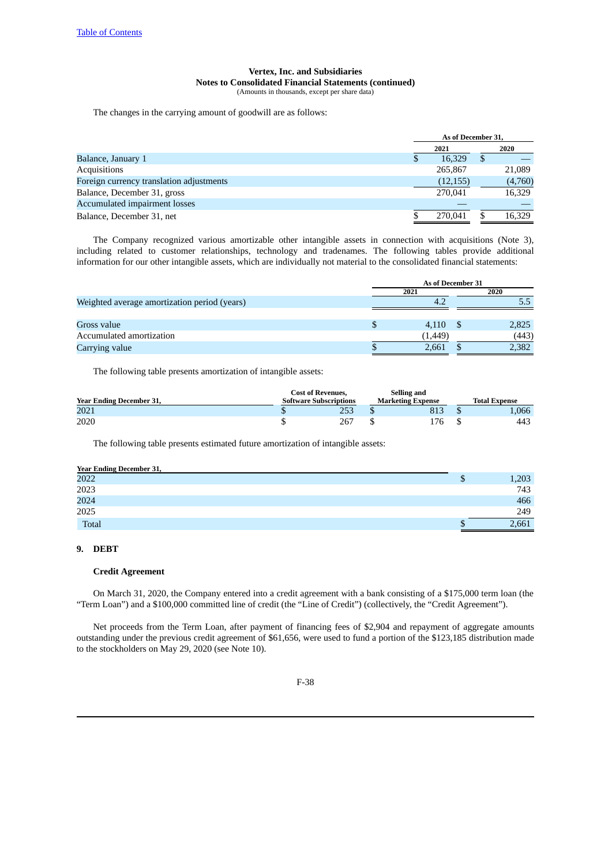The changes in the carrying amount of goodwill are as follows:

|                                          | As of December 31, |    |         |  |
|------------------------------------------|--------------------|----|---------|--|
|                                          | 2021               |    | 2020    |  |
| Balance, January 1                       | 16,329             | \$ |         |  |
| Acquisitions                             | 265,867            |    | 21,089  |  |
| Foreign currency translation adjustments | (12, 155)          |    | (4,760) |  |
| Balance, December 31, gross              | 270,041            |    | 16,329  |  |
| Accumulated impairment losses            |                    |    |         |  |
| Balance, December 31, net                | 270,041            | S  | 16,329  |  |
|                                          |                    |    |         |  |

The Company recognized various amortizable other intangible assets in connection with acquisitions (Note 3), including related to customer relationships, technology and tradenames. The following tables provide additional information for our other intangible assets, which are individually not material to the consolidated financial statements:

|                                              |    | As of December 31 |  |       |  |
|----------------------------------------------|----|-------------------|--|-------|--|
|                                              |    | 2021              |  | 2020  |  |
| Weighted average amortization period (years) |    |                   |  |       |  |
|                                              |    |                   |  |       |  |
| Gross value                                  | JЭ | 4,110             |  | 2,825 |  |
| Accumulated amortization                     |    | (1,449)           |  | (443) |  |
| Carrying value                               |    | 2,661             |  | 2,382 |  |

The following table presents amortization of intangible assets:

|                                 | Cost of Revenues.             | Selling and              |                      |
|---------------------------------|-------------------------------|--------------------------|----------------------|
| <b>Year Ending December 31,</b> | <b>Software Subscriptions</b> | <b>Marketing Expense</b> | <b>Total Expense</b> |
| 2021                            | 253                           | 813                      | .066                 |
| 2020                            | 267                           | 176                      | 443                  |

The following table presents estimated future amortization of intangible assets:

| <b>Year Ending December 31,</b> |       |
|---------------------------------|-------|
| 2022                            | 1,203 |
| 2023                            | 743   |
| 2024                            | 466   |
| 2025                            | 249   |
| Total                           | 2,661 |

# **9. DEBT**

# **Credit Agreement**

On March 31, 2020, the Company entered into a credit agreement with a bank consisting of a \$175,000 term loan (the "Term Loan") and a \$100,000 committed line of credit (the "Line of Credit") (collectively, the "Credit Agreement").

Net proceeds from the Term Loan, after payment of financing fees of \$2,904 and repayment of aggregate amounts outstanding under the previous credit agreement of \$61,656, were used to fund a portion of the \$123,185 distribution made to the stockholders on May 29, 2020 (see Note 10).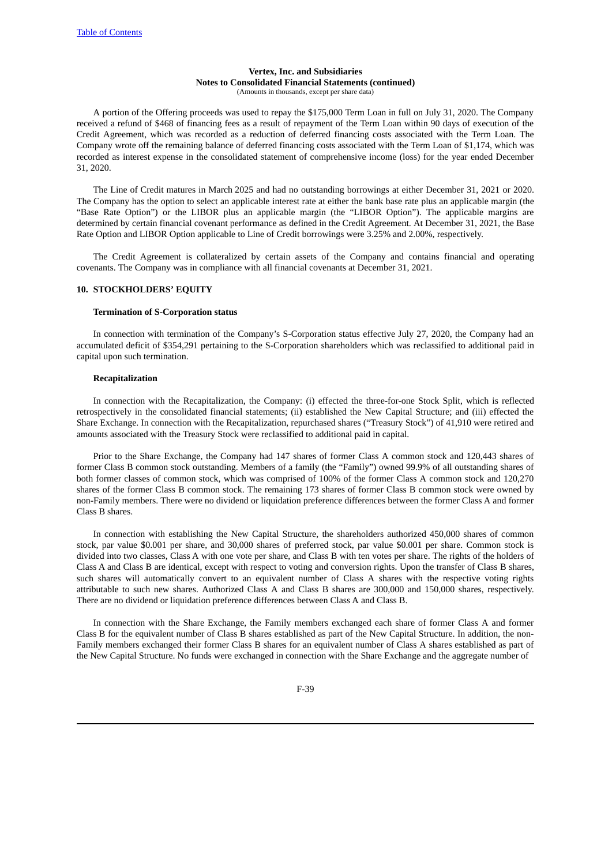A portion of the Offering proceeds was used to repay the \$175,000 Term Loan in full on July 31, 2020. The Company received a refund of \$468 of financing fees as a result of repayment of the Term Loan within 90 days of execution of the Credit Agreement, which was recorded as a reduction of deferred financing costs associated with the Term Loan. The Company wrote off the remaining balance of deferred financing costs associated with the Term Loan of \$1,174, which was recorded as interest expense in the consolidated statement of comprehensive income (loss) for the year ended December 31, 2020.

The Line of Credit matures in March 2025 and had no outstanding borrowings at either December 31, 2021 or 2020. The Company has the option to select an applicable interest rate at either the bank base rate plus an applicable margin (the "Base Rate Option") or the LIBOR plus an applicable margin (the "LIBOR Option"). The applicable margins are determined by certain financial covenant performance as defined in the Credit Agreement. At December 31, 2021, the Base Rate Option and LIBOR Option applicable to Line of Credit borrowings were 3.25% and 2.00%, respectively.

The Credit Agreement is collateralized by certain assets of the Company and contains financial and operating covenants. The Company was in compliance with all financial covenants at December 31, 2021.

# **10. STOCKHOLDERS' EQUITY**

# **Termination of S-Corporation status**

In connection with termination of the Company's S-Corporation status effective July 27, 2020, the Company had an accumulated deficit of \$354,291 pertaining to the S-Corporation shareholders which was reclassified to additional paid in capital upon such termination.

#### **Recapitalization**

In connection with the Recapitalization, the Company: (i) effected the three-for-one Stock Split, which is reflected retrospectively in the consolidated financial statements; (ii) established the New Capital Structure; and (iii) effected the Share Exchange. In connection with the Recapitalization, repurchased shares ("Treasury Stock") of 41,910 were retired and amounts associated with the Treasury Stock were reclassified to additional paid in capital.

Prior to the Share Exchange, the Company had 147 shares of former Class A common stock and 120,443 shares of former Class B common stock outstanding. Members of a family (the "Family") owned 99.9% of all outstanding shares of both former classes of common stock, which was comprised of 100% of the former Class A common stock and 120,270 shares of the former Class B common stock. The remaining 173 shares of former Class B common stock were owned by non-Family members. There were no dividend or liquidation preference differences between the former Class A and former Class B shares.

In connection with establishing the New Capital Structure, the shareholders authorized 450,000 shares of common stock, par value \$0.001 per share, and 30,000 shares of preferred stock, par value \$0.001 per share. Common stock is divided into two classes, Class A with one vote per share, and Class B with ten votes per share. The rights of the holders of Class A and Class B are identical, except with respect to voting and conversion rights. Upon the transfer of Class B shares, such shares will automatically convert to an equivalent number of Class A shares with the respective voting rights attributable to such new shares. Authorized Class A and Class B shares are 300,000 and 150,000 shares, respectively. There are no dividend or liquidation preference differences between Class A and Class B.

In connection with the Share Exchange, the Family members exchanged each share of former Class A and former Class B for the equivalent number of Class B shares established as part of the New Capital Structure. In addition, the non-Family members exchanged their former Class B shares for an equivalent number of Class A shares established as part of the New Capital Structure. No funds were exchanged in connection with the Share Exchange and the aggregate number of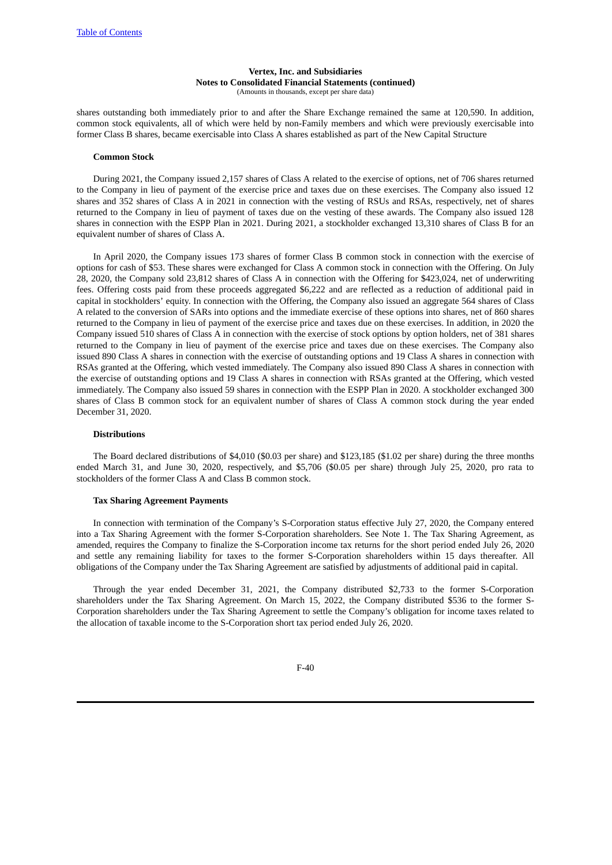shares outstanding both immediately prior to and after the Share Exchange remained the same at 120,590. In addition, common stock equivalents, all of which were held by non-Family members and which were previously exercisable into former Class B shares, became exercisable into Class A shares established as part of the New Capital Structure

#### **Common Stock**

During 2021, the Company issued 2,157 shares of Class A related to the exercise of options, net of 706 shares returned to the Company in lieu of payment of the exercise price and taxes due on these exercises. The Company also issued 12 shares and 352 shares of Class A in 2021 in connection with the vesting of RSUs and RSAs, respectively, net of shares returned to the Company in lieu of payment of taxes due on the vesting of these awards. The Company also issued 128 shares in connection with the ESPP Plan in 2021. During 2021, a stockholder exchanged 13,310 shares of Class B for an equivalent number of shares of Class A.

In April 2020, the Company issues 173 shares of former Class B common stock in connection with the exercise of options for cash of \$53. These shares were exchanged for Class A common stock in connection with the Offering. On July 28, 2020, the Company sold 23,812 shares of Class A in connection with the Offering for \$423,024, net of underwriting fees. Offering costs paid from these proceeds aggregated \$6,222 and are reflected as a reduction of additional paid in capital in stockholders' equity. In connection with the Offering, the Company also issued an aggregate 564 shares of Class A related to the conversion of SARs into options and the immediate exercise of these options into shares, net of 860 shares returned to the Company in lieu of payment of the exercise price and taxes due on these exercises. In addition, in 2020 the Company issued 510 shares of Class A in connection with the exercise of stock options by option holders, net of 381 shares returned to the Company in lieu of payment of the exercise price and taxes due on these exercises. The Company also issued 890 Class A shares in connection with the exercise of outstanding options and 19 Class A shares in connection with RSAs granted at the Offering, which vested immediately. The Company also issued 890 Class A shares in connection with the exercise of outstanding options and 19 Class A shares in connection with RSAs granted at the Offering, which vested immediately. The Company also issued 59 shares in connection with the ESPP Plan in 2020. A stockholder exchanged 300 shares of Class B common stock for an equivalent number of shares of Class A common stock during the year ended December 31, 2020.

#### **Distributions**

The Board declared distributions of \$4,010 (\$0.03 per share) and \$123,185 (\$1.02 per share) during the three months ended March 31, and June 30, 2020, respectively, and \$5,706 (\$0.05 per share) through July 25, 2020, pro rata to stockholders of the former Class A and Class B common stock.

#### **Tax Sharing Agreement Payments**

In connection with termination of the Company's S-Corporation status effective July 27, 2020, the Company entered into a Tax Sharing Agreement with the former S-Corporation shareholders. See Note 1. The Tax Sharing Agreement, as amended, requires the Company to finalize the S-Corporation income tax returns for the short period ended July 26, 2020 and settle any remaining liability for taxes to the former S-Corporation shareholders within 15 days thereafter. All obligations of the Company under the Tax Sharing Agreement are satisfied by adjustments of additional paid in capital.

Through the year ended December 31, 2021, the Company distributed \$2,733 to the former S-Corporation shareholders under the Tax Sharing Agreement. On March 15, 2022, the Company distributed \$536 to the former S-Corporation shareholders under the Tax Sharing Agreement to settle the Company's obligation for income taxes related to the allocation of taxable income to the S-Corporation short tax period ended July 26, 2020.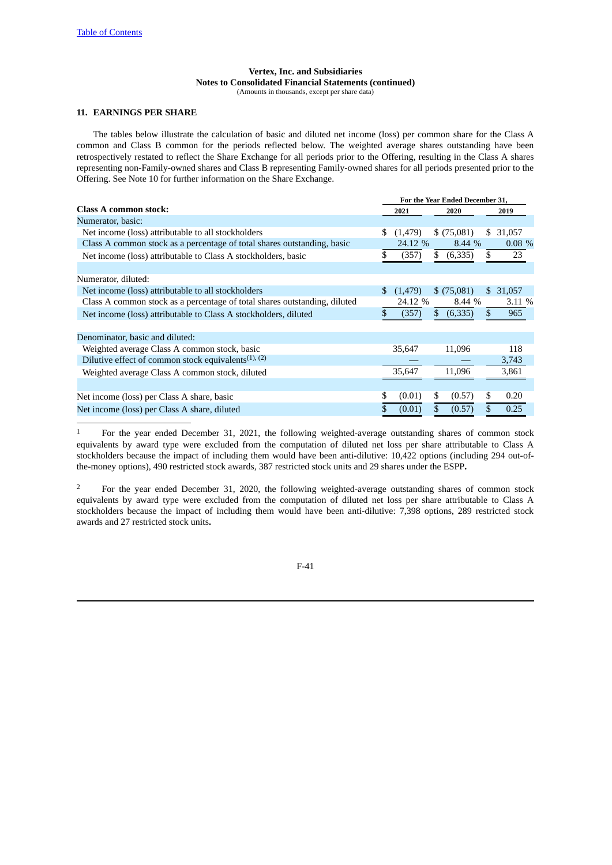# **11. EARNINGS PER SHARE**

The tables below illustrate the calculation of basic and diluted net income (loss) per common share for the Class A common and Class B common for the periods reflected below. The weighted average shares outstanding have been retrospectively restated to reflect the Share Exchange for all periods prior to the Offering, resulting in the Class A shares representing non-Family-owned shares and Class B representing Family-owned shares for all periods presented prior to the Offering. See Note 10 for further information on the Share Exchange.

|                                                                           | For the Year Ended December 31, |          |    |            |     |           |
|---------------------------------------------------------------------------|---------------------------------|----------|----|------------|-----|-----------|
| Class A common stock:                                                     |                                 | 2021     |    | 2020       |     | 2019      |
| Numerator, basic:                                                         |                                 |          |    |            |     |           |
| Net income (loss) attributable to all stockholders                        |                                 | (1, 479) |    | \$(75,081) | \$. | 31,057    |
| Class A common stock as a percentage of total shares outstanding, basic   |                                 | 24.12 %  |    | 8.44 %     |     | $0.08 \%$ |
| Net income (loss) attributable to Class A stockholders, basic             | \$                              | (357)    | \$ | (6,335)    | \$  | 23        |
|                                                                           |                                 |          |    |            |     |           |
| Numerator, diluted:                                                       |                                 |          |    |            |     |           |
| Net income (loss) attributable to all stockholders                        | \$.                             | (1, 479) |    | \$(75,081) | S.  | 31,057    |
| Class A common stock as a percentage of total shares outstanding, diluted |                                 | 24.12 %  |    | 8.44%      |     | 3.11 %    |
| Net income (loss) attributable to Class A stockholders, diluted           | \$                              | (357)    | \$ | (6,335)    | \$  | 965       |
|                                                                           |                                 |          |    |            |     |           |
| Denominator, basic and diluted:                                           |                                 |          |    |            |     |           |
| Weighted average Class A common stock, basic                              |                                 | 35,647   |    | 11,096     |     | 118       |
| Dilutive effect of common stock equivalents $(1)$ , $(2)$                 |                                 |          |    |            |     | 3,743     |
| Weighted average Class A common stock, diluted                            |                                 | 35,647   |    | 11.096     |     | 3,861     |
|                                                                           |                                 |          |    |            |     |           |
| Net income (loss) per Class A share, basic                                | \$                              | (0.01)   | \$ | (0.57)     | S   | 0.20      |
| Net income (loss) per Class A share, diluted                              |                                 | (0.01)   | \$ | (0.57)     |     | 0.25      |

<sup>1</sup> For the year ended December 31, 2021, the following weighted-average outstanding shares of common stock equivalents by award type were excluded from the computation of diluted net loss per share attributable to Class A stockholders because the impact of including them would have been anti-dilutive: 10,422 options (including 294 out-ofthe-money options), 490 restricted stock awards, 387 restricted stock units and 29 shares under the ESPP**.**

<sup>2</sup> For the year ended December 31, 2020, the following weighted-average outstanding shares of common stock equivalents by award type were excluded from the computation of diluted net loss per share attributable to Class A stockholders because the impact of including them would have been anti-dilutive: 7,398 options, 289 restricted stock awards and 27 restricted stock units**.**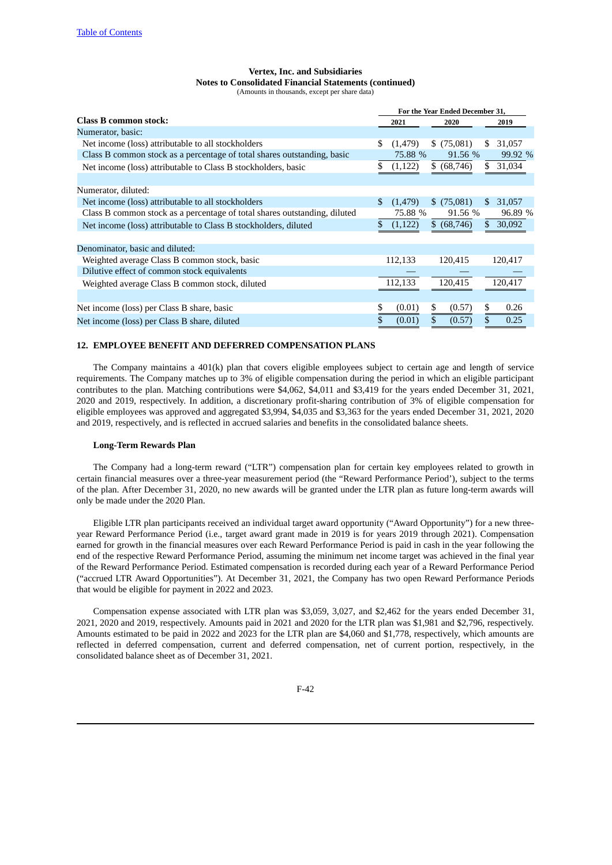# **Vertex, Inc. and Subsidiaries Notes to Consolidated Financial Statements (continued)**

(Amounts in thousands, except per share data)

|                                                                           | For the Year Ended December 31, |          |         |             |         |         |
|---------------------------------------------------------------------------|---------------------------------|----------|---------|-------------|---------|---------|
| <b>Class B common stock:</b>                                              |                                 | 2021     |         | 2020        |         | 2019    |
| Numerator, basic:                                                         |                                 |          |         |             |         |         |
| Net income (loss) attributable to all stockholders                        | \$.                             | (1, 479) |         | \$(75,081)  | \$.     | 31,057  |
| Class B common stock as a percentage of total shares outstanding, basic   |                                 | 75.88 %  |         | 91.56 %     |         | 99.92 % |
| Net income (loss) attributable to Class B stockholders, basic             |                                 | (1, 122) |         | \$ (68,746) | \$      | 31,034  |
|                                                                           |                                 |          |         |             |         |         |
| Numerator, diluted:                                                       |                                 |          |         |             |         |         |
| Net income (loss) attributable to all stockholders                        | S                               | (1, 479) | S.      | (75,081)    | S.      | 31,057  |
| Class B common stock as a percentage of total shares outstanding, diluted |                                 | 75.88 %  |         | 91.56 %     |         | 96.89 % |
| Net income (loss) attributable to Class B stockholders, diluted           |                                 | (1, 122) | \$      | (68,746)    | \$      | 30,092  |
|                                                                           |                                 |          |         |             |         |         |
| Denominator, basic and diluted:                                           |                                 |          |         |             |         |         |
| Weighted average Class B common stock, basic                              |                                 | 112,133  |         | 120,415     |         | 120,417 |
| Dilutive effect of common stock equivalents                               |                                 |          |         |             |         |         |
| Weighted average Class B common stock, diluted                            | 112.133                         |          | 120.415 |             | 120.417 |         |
|                                                                           |                                 |          |         |             |         |         |
| Net income (loss) per Class B share, basic                                |                                 | (0.01)   | \$      | (0.57)      | \$      | 0.26    |
| Net income (loss) per Class B share, diluted                              |                                 | (0.01)   | \$      | (0.57)      | \$      | 0.25    |

# **12. EMPLOYEE BENEFIT AND DEFERRED COMPENSATION PLANS**

The Company maintains a 401(k) plan that covers eligible employees subject to certain age and length of service requirements. The Company matches up to 3% of eligible compensation during the period in which an eligible participant contributes to the plan. Matching contributions were \$4,062, \$4,011 and \$3,419 for the years ended December 31, 2021, 2020 and 2019, respectively. In addition, a discretionary profit-sharing contribution of 3% of eligible compensation for eligible employees was approved and aggregated \$3,994, \$4,035 and \$3,363 for the years ended December 31, 2021, 2020 and 2019, respectively, and is reflected in accrued salaries and benefits in the consolidated balance sheets.

#### **Long-Term Rewards Plan**

The Company had a long-term reward ("LTR") compensation plan for certain key employees related to growth in certain financial measures over a three-year measurement period (the "Reward Performance Period'), subject to the terms of the plan. After December 31, 2020, no new awards will be granted under the LTR plan as future long-term awards will only be made under the 2020 Plan.

Eligible LTR plan participants received an individual target award opportunity ("Award Opportunity") for a new threeyear Reward Performance Period (i.e., target award grant made in 2019 is for years 2019 through 2021). Compensation earned for growth in the financial measures over each Reward Performance Period is paid in cash in the year following the end of the respective Reward Performance Period, assuming the minimum net income target was achieved in the final year of the Reward Performance Period. Estimated compensation is recorded during each year of a Reward Performance Period ("accrued LTR Award Opportunities"). At December 31, 2021, the Company has two open Reward Performance Periods that would be eligible for payment in 2022 and 2023.

Compensation expense associated with LTR plan was \$3,059, 3,027, and \$2,462 for the years ended December 31, 2021, 2020 and 2019, respectively. Amounts paid in 2021 and 2020 for the LTR plan was \$1,981 and \$2,796, respectively. Amounts estimated to be paid in 2022 and 2023 for the LTR plan are \$4,060 and \$1,778, respectively, which amounts are reflected in deferred compensation, current and deferred compensation, net of current portion, respectively, in the consolidated balance sheet as of December 31, 2021.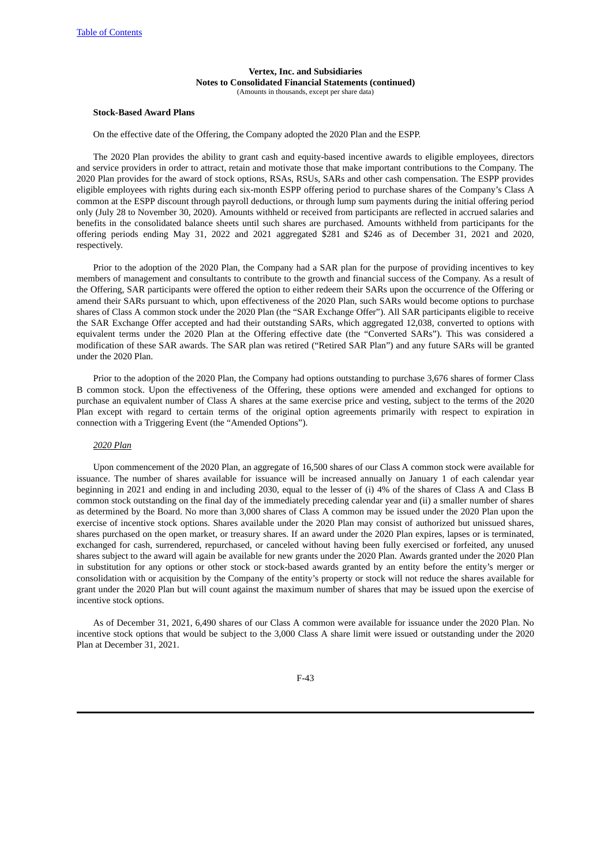### **Stock-Based Award Plans**

On the effective date of the Offering, the Company adopted the 2020 Plan and the ESPP.

The 2020 Plan provides the ability to grant cash and equity-based incentive awards to eligible employees, directors and service providers in order to attract, retain and motivate those that make important contributions to the Company. The 2020 Plan provides for the award of stock options, RSAs, RSUs, SARs and other cash compensation. The ESPP provides eligible employees with rights during each six-month ESPP offering period to purchase shares of the Company's Class A common at the ESPP discount through payroll deductions, or through lump sum payments during the initial offering period only (July 28 to November 30, 2020). Amounts withheld or received from participants are reflected in accrued salaries and benefits in the consolidated balance sheets until such shares are purchased. Amounts withheld from participants for the offering periods ending May 31, 2022 and 2021 aggregated \$281 and \$246 as of December 31, 2021 and 2020, respectively.

Prior to the adoption of the 2020 Plan, the Company had a SAR plan for the purpose of providing incentives to key members of management and consultants to contribute to the growth and financial success of the Company. As a result of the Offering, SAR participants were offered the option to either redeem their SARs upon the occurrence of the Offering or amend their SARs pursuant to which, upon effectiveness of the 2020 Plan, such SARs would become options to purchase shares of Class A common stock under the 2020 Plan (the "SAR Exchange Offer"). All SAR participants eligible to receive the SAR Exchange Offer accepted and had their outstanding SARs, which aggregated 12,038, converted to options with equivalent terms under the 2020 Plan at the Offering effective date (the "Converted SARs"). This was considered a modification of these SAR awards. The SAR plan was retired ("Retired SAR Plan") and any future SARs will be granted under the 2020 Plan.

Prior to the adoption of the 2020 Plan, the Company had options outstanding to purchase 3,676 shares of former Class B common stock. Upon the effectiveness of the Offering, these options were amended and exchanged for options to purchase an equivalent number of Class A shares at the same exercise price and vesting, subject to the terms of the 2020 Plan except with regard to certain terms of the original option agreements primarily with respect to expiration in connection with a Triggering Event (the "Amended Options").

#### *2020 Plan*

Upon commencement of the 2020 Plan, an aggregate of 16,500 shares of our Class A common stock were available for issuance. The number of shares available for issuance will be increased annually on January 1 of each calendar year beginning in 2021 and ending in and including 2030, equal to the lesser of (i) 4% of the shares of Class A and Class B common stock outstanding on the final day of the immediately preceding calendar year and (ii) a smaller number of shares as determined by the Board. No more than 3,000 shares of Class A common may be issued under the 2020 Plan upon the exercise of incentive stock options. Shares available under the 2020 Plan may consist of authorized but unissued shares, shares purchased on the open market, or treasury shares. If an award under the 2020 Plan expires, lapses or is terminated, exchanged for cash, surrendered, repurchased, or canceled without having been fully exercised or forfeited, any unused shares subject to the award will again be available for new grants under the 2020 Plan. Awards granted under the 2020 Plan in substitution for any options or other stock or stock-based awards granted by an entity before the entity's merger or consolidation with or acquisition by the Company of the entity's property or stock will not reduce the shares available for grant under the 2020 Plan but will count against the maximum number of shares that may be issued upon the exercise of incentive stock options.

As of December 31, 2021, 6,490 shares of our Class A common were available for issuance under the 2020 Plan. No incentive stock options that would be subject to the 3,000 Class A share limit were issued or outstanding under the 2020 Plan at December 31, 2021.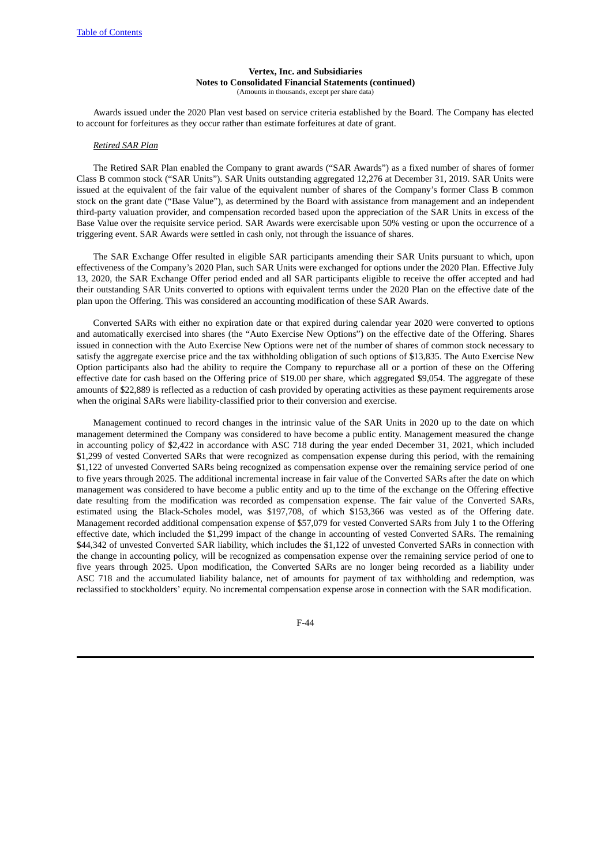Awards issued under the 2020 Plan vest based on service criteria established by the Board. The Company has elected to account for forfeitures as they occur rather than estimate forfeitures at date of grant.

#### *Retired SAR Plan*

The Retired SAR Plan enabled the Company to grant awards ("SAR Awards") as a fixed number of shares of former Class B common stock ("SAR Units"). SAR Units outstanding aggregated 12,276 at December 31, 2019. SAR Units were issued at the equivalent of the fair value of the equivalent number of shares of the Company's former Class B common stock on the grant date ("Base Value"), as determined by the Board with assistance from management and an independent third-party valuation provider, and compensation recorded based upon the appreciation of the SAR Units in excess of the Base Value over the requisite service period. SAR Awards were exercisable upon 50% vesting or upon the occurrence of a triggering event. SAR Awards were settled in cash only, not through the issuance of shares.

The SAR Exchange Offer resulted in eligible SAR participants amending their SAR Units pursuant to which, upon effectiveness of the Company's 2020 Plan, such SAR Units were exchanged for options under the 2020 Plan. Effective July 13, 2020, the SAR Exchange Offer period ended and all SAR participants eligible to receive the offer accepted and had their outstanding SAR Units converted to options with equivalent terms under the 2020 Plan on the effective date of the plan upon the Offering. This was considered an accounting modification of these SAR Awards.

Converted SARs with either no expiration date or that expired during calendar year 2020 were converted to options and automatically exercised into shares (the "Auto Exercise New Options") on the effective date of the Offering. Shares issued in connection with the Auto Exercise New Options were net of the number of shares of common stock necessary to satisfy the aggregate exercise price and the tax withholding obligation of such options of \$13,835. The Auto Exercise New Option participants also had the ability to require the Company to repurchase all or a portion of these on the Offering effective date for cash based on the Offering price of \$19.00 per share, which aggregated \$9,054. The aggregate of these amounts of \$22,889 is reflected as a reduction of cash provided by operating activities as these payment requirements arose when the original SARs were liability-classified prior to their conversion and exercise.

Management continued to record changes in the intrinsic value of the SAR Units in 2020 up to the date on which management determined the Company was considered to have become a public entity. Management measured the change in accounting policy of \$2,422 in accordance with ASC 718 during the year ended December 31, 2021, which included \$1,299 of vested Converted SARs that were recognized as compensation expense during this period, with the remaining \$1,122 of unvested Converted SARs being recognized as compensation expense over the remaining service period of one to five years through 2025. The additional incremental increase in fair value of the Converted SARs after the date on which management was considered to have become a public entity and up to the time of the exchange on the Offering effective date resulting from the modification was recorded as compensation expense. The fair value of the Converted SARs, estimated using the Black-Scholes model, was \$197,708, of which \$153,366 was vested as of the Offering date. Management recorded additional compensation expense of \$57,079 for vested Converted SARs from July 1 to the Offering effective date, which included the \$1,299 impact of the change in accounting of vested Converted SARs. The remaining \$44,342 of unvested Converted SAR liability, which includes the \$1,122 of unvested Converted SARs in connection with the change in accounting policy, will be recognized as compensation expense over the remaining service period of one to five years through 2025. Upon modification, the Converted SARs are no longer being recorded as a liability under ASC 718 and the accumulated liability balance, net of amounts for payment of tax withholding and redemption, was reclassified to stockholders' equity. No incremental compensation expense arose in connection with the SAR modification.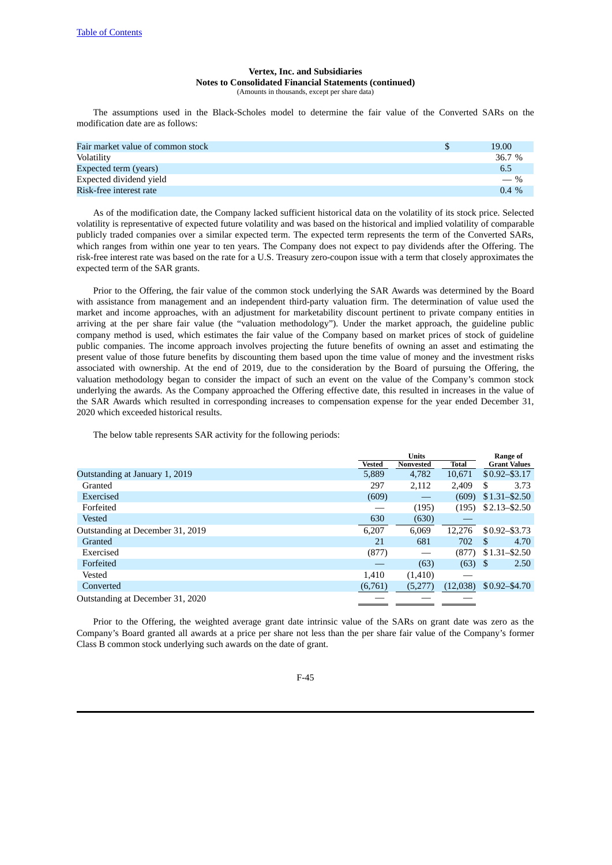The assumptions used in the Black-Scholes model to determine the fair value of the Converted SARs on the modification date are as follows:

| Fair market value of common stock | 19.00    |
|-----------------------------------|----------|
| Volatility                        | 36.7 %   |
| Expected term (years)             | 6.5      |
| Expected dividend yield           | $-$ %    |
| Risk-free interest rate           | $0.4 \%$ |

As of the modification date, the Company lacked sufficient historical data on the volatility of its stock price. Selected volatility is representative of expected future volatility and was based on the historical and implied volatility of comparable publicly traded companies over a similar expected term. The expected term represents the term of the Converted SARs, which ranges from within one year to ten years. The Company does not expect to pay dividends after the Offering. The risk-free interest rate was based on the rate for a U.S. Treasury zero-coupon issue with a term that closely approximates the expected term of the SAR grants.

Prior to the Offering, the fair value of the common stock underlying the SAR Awards was determined by the Board with assistance from management and an independent third-party valuation firm. The determination of value used the market and income approaches, with an adjustment for marketability discount pertinent to private company entities in arriving at the per share fair value (the "valuation methodology"). Under the market approach, the guideline public company method is used, which estimates the fair value of the Company based on market prices of stock of guideline public companies. The income approach involves projecting the future benefits of owning an asset and estimating the present value of those future benefits by discounting them based upon the time value of money and the investment risks associated with ownership. At the end of 2019, due to the consideration by the Board of pursuing the Offering, the valuation methodology began to consider the impact of such an event on the value of the Company's common stock underlying the awards. As the Company approached the Offering effective date, this resulted in increases in the value of the SAR Awards which resulted in corresponding increases to compensation expense for the year ended December 31, 2020 which exceeded historical results.

The below table represents SAR activity for the following periods:

|                                  | <b>Vested</b> | <b>Units</b><br><b>Nonvested</b> | Total    | Range of<br><b>Grant Values</b> |
|----------------------------------|---------------|----------------------------------|----------|---------------------------------|
| Outstanding at January 1, 2019   | 5,889         | 4,782                            | 10,671   | $$0.92 - $3.17$                 |
| Granted                          | 297           | 2,112                            | 2.409    | \$<br>3.73                      |
| Exercised                        | (609)         |                                  | (609)    | $$1.31 - $2.50$                 |
| Forfeited                        |               | (195)                            | (195)    | $$2.13 - $2.50$                 |
| <b>Vested</b>                    | 630           | (630)                            |          |                                 |
| Outstanding at December 31, 2019 | 6.207         | 6.069                            | 12.276   | $$0.92 - $3.73$                 |
| Granted                          | 21            | 681                              | 702      | \$.<br>4.70                     |
| Exercised                        | (877)         |                                  | (877)    | $$1.31 - $2.50$                 |
| Forfeited                        |               | (63)                             | (63)     | 2.50<br>- \$                    |
| Vested                           | 1.410         | (1,410)                          |          |                                 |
| Converted                        | (6,761)       | (5,277)                          | (12,038) | $$0.92 - $4.70$                 |
| Outstanding at December 31, 2020 |               |                                  |          |                                 |

Prior to the Offering, the weighted average grant date intrinsic value of the SARs on grant date was zero as the Company's Board granted all awards at a price per share not less than the per share fair value of the Company's former Class B common stock underlying such awards on the date of grant.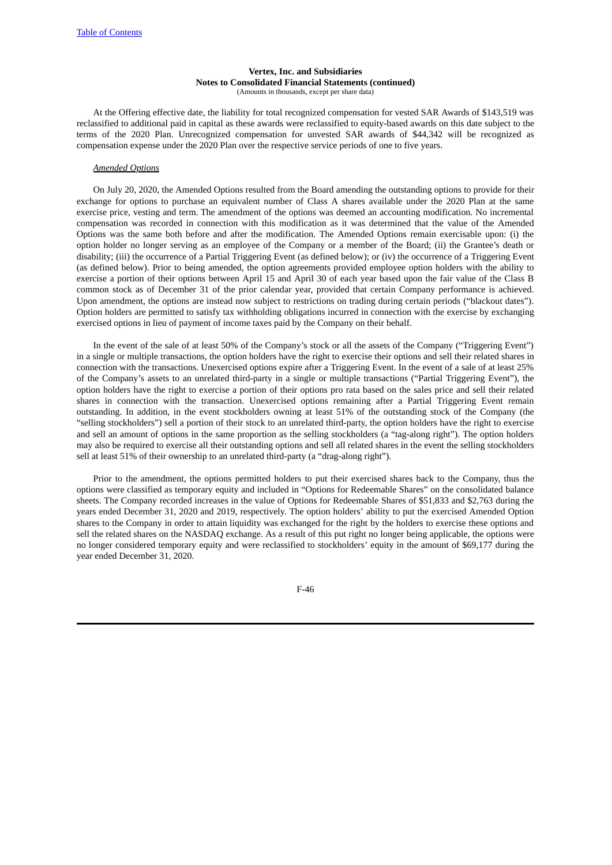At the Offering effective date, the liability for total recognized compensation for vested SAR Awards of \$143,519 was reclassified to additional paid in capital as these awards were reclassified to equity-based awards on this date subject to the terms of the 2020 Plan. Unrecognized compensation for unvested SAR awards of \$44,342 will be recognized as compensation expense under the 2020 Plan over the respective service periods of one to five years.

#### *Amended Options*

On July 20, 2020, the Amended Options resulted from the Board amending the outstanding options to provide for their exchange for options to purchase an equivalent number of Class A shares available under the 2020 Plan at the same exercise price, vesting and term. The amendment of the options was deemed an accounting modification. No incremental compensation was recorded in connection with this modification as it was determined that the value of the Amended Options was the same both before and after the modification. The Amended Options remain exercisable upon: (i) the option holder no longer serving as an employee of the Company or a member of the Board; (ii) the Grantee's death or disability; (iii) the occurrence of a Partial Triggering Event (as defined below); or (iv) the occurrence of a Triggering Event (as defined below). Prior to being amended, the option agreements provided employee option holders with the ability to exercise a portion of their options between April 15 and April 30 of each year based upon the fair value of the Class B common stock as of December 31 of the prior calendar year, provided that certain Company performance is achieved. Upon amendment, the options are instead now subject to restrictions on trading during certain periods ("blackout dates"). Option holders are permitted to satisfy tax withholding obligations incurred in connection with the exercise by exchanging exercised options in lieu of payment of income taxes paid by the Company on their behalf.

In the event of the sale of at least 50% of the Company's stock or all the assets of the Company ("Triggering Event") in a single or multiple transactions, the option holders have the right to exercise their options and sell their related shares in connection with the transactions. Unexercised options expire after a Triggering Event. In the event of a sale of at least 25% of the Company's assets to an unrelated third-party in a single or multiple transactions ("Partial Triggering Event"), the option holders have the right to exercise a portion of their options pro rata based on the sales price and sell their related shares in connection with the transaction. Unexercised options remaining after a Partial Triggering Event remain outstanding. In addition, in the event stockholders owning at least 51% of the outstanding stock of the Company (the "selling stockholders") sell a portion of their stock to an unrelated third-party, the option holders have the right to exercise and sell an amount of options in the same proportion as the selling stockholders (a "tag-along right"). The option holders may also be required to exercise all their outstanding options and sell all related shares in the event the selling stockholders sell at least 51% of their ownership to an unrelated third-party (a "drag-along right").

Prior to the amendment, the options permitted holders to put their exercised shares back to the Company, thus the options were classified as temporary equity and included in "Options for Redeemable Shares" on the consolidated balance sheets. The Company recorded increases in the value of Options for Redeemable Shares of \$51,833 and \$2,763 during the years ended December 31, 2020 and 2019, respectively. The option holders' ability to put the exercised Amended Option shares to the Company in order to attain liquidity was exchanged for the right by the holders to exercise these options and sell the related shares on the NASDAQ exchange. As a result of this put right no longer being applicable, the options were no longer considered temporary equity and were reclassified to stockholders' equity in the amount of \$69,177 during the year ended December 31, 2020.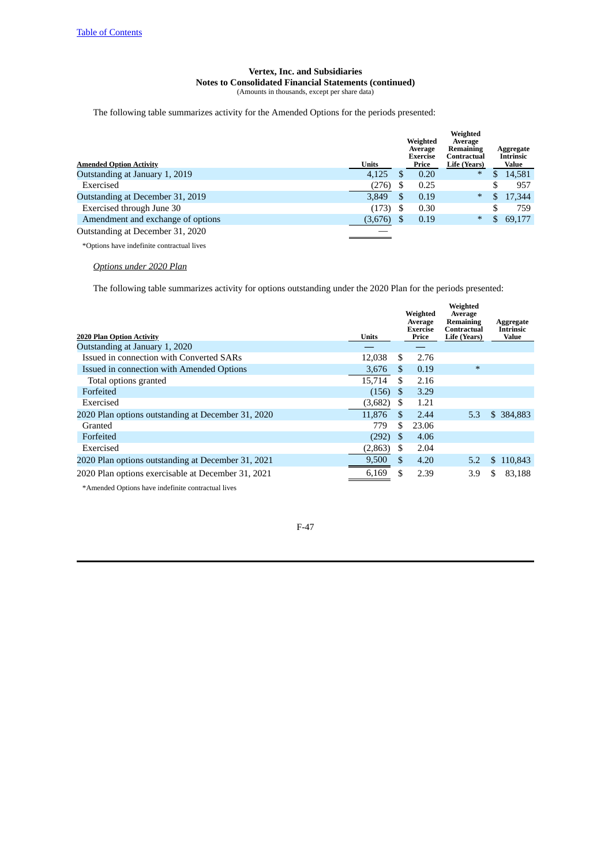The following table summarizes activity for the Amended Options for the periods presented:

| <b>Amended Option Activity</b>    | <b>Units</b> |    | Weighted<br>Average<br><b>Exercise</b><br>Price | Weighted<br>Average<br>Remaining<br>Contractual<br>Life (Years) |   | Aggregate<br><b>Intrinsic</b><br>Value |
|-----------------------------------|--------------|----|-------------------------------------------------|-----------------------------------------------------------------|---|----------------------------------------|
| Outstanding at January 1, 2019    | 4,125        | S  | 0.20                                            | $\ast$                                                          | S | 14,581                                 |
| Exercised                         | (276)        | \$ | 0.25                                            |                                                                 | S | 957                                    |
| Outstanding at December 31, 2019  | 3,849        | S  | 0.19                                            | $*$                                                             |   | 17,344                                 |
| Exercised through June 30         | (173)        |    | 0.30                                            |                                                                 | S | 759                                    |
| Amendment and exchange of options | (3,676)      |    | 0.19                                            | $\ast$                                                          | S | 69,177                                 |
| Outstanding at December 31, 2020  |              |    |                                                 |                                                                 |   |                                        |

\*Options have indefinite contractual lives

# *Options under 2020 Plan*

The following table summarizes activity for options outstanding under the 2020 Plan for the periods presented:

| 2020 Plan Option Activity                          | Units   |     | Weighted<br>Average<br>Exercise<br>Price | Weighted<br>Average<br>Remaining<br>Contractual<br>Life (Years) | Aggregate<br><b>Intrinsic</b><br>Value |
|----------------------------------------------------|---------|-----|------------------------------------------|-----------------------------------------------------------------|----------------------------------------|
| Outstanding at January 1, 2020                     |         |     |                                          |                                                                 |                                        |
| Issued in connection with Converted SARs           | 12,038  | \$. | 2.76                                     |                                                                 |                                        |
| Issued in connection with Amended Options          | 3,676   | \$. | 0.19                                     | $*$                                                             |                                        |
| Total options granted                              | 15.714  | \$. | 2.16                                     |                                                                 |                                        |
| Forfeited                                          | (156)   | \$  | 3.29                                     |                                                                 |                                        |
| Exercised                                          | (3,682) | S.  | 1.21                                     |                                                                 |                                        |
| 2020 Plan options outstanding at December 31, 2020 | 11.876  | S.  | 2.44                                     | 5.3                                                             | \$384,883                              |
| Granted                                            | 779     | \$. | 23.06                                    |                                                                 |                                        |
| Forfeited                                          | (292)   | - S | 4.06                                     |                                                                 |                                        |
| Exercised                                          | (2,863) | S   | 2.04                                     |                                                                 |                                        |
| 2020 Plan options outstanding at December 31, 2021 | 9,500   | S.  | 4.20                                     | 5.2                                                             | \$110,843                              |
| 2020 Plan options exercisable at December 31, 2021 | 6,169   | \$  | 2.39                                     | 3.9                                                             | 83.188<br>S                            |

\*Amended Options have indefinite contractual lives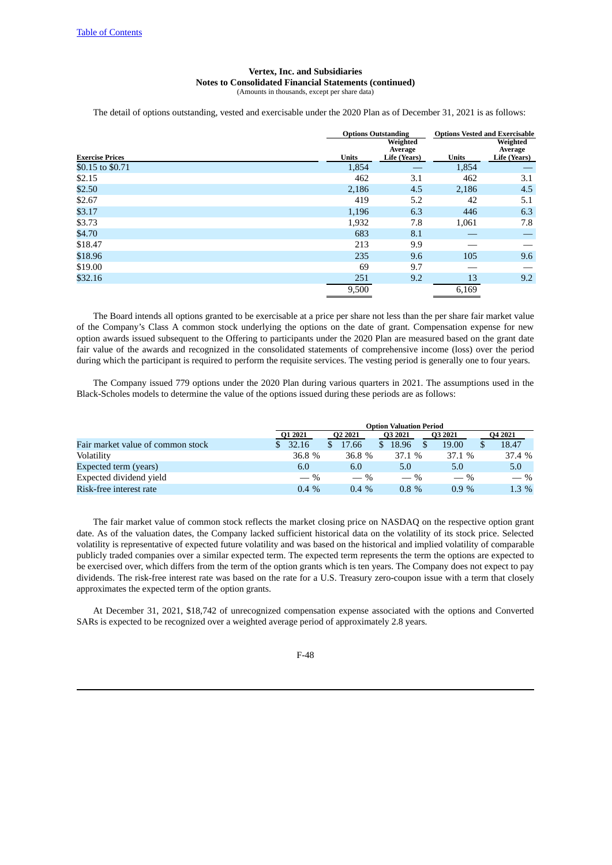The detail of options outstanding, vested and exercisable under the 2020 Plan as of December 31, 2021 is as follows:

|                        |              | <b>Options Outstanding</b><br>Weighted | <b>Options Vested and Exercisable</b><br>Weighted |                         |  |
|------------------------|--------------|----------------------------------------|---------------------------------------------------|-------------------------|--|
| <b>Exercise Prices</b> | <b>Units</b> | Average<br>Life (Years)                | <b>Units</b>                                      | Average<br>Life (Years) |  |
| \$0.15 to \$0.71       | 1,854        |                                        | 1,854                                             |                         |  |
| \$2.15                 | 462          | 3.1                                    | 462                                               | 3.1                     |  |
| \$2.50                 | 2,186        | 4.5                                    | 2,186                                             | 4.5                     |  |
| \$2.67                 | 419          | 5.2                                    | 42                                                | 5.1                     |  |
| \$3.17                 | 1,196        | 6.3                                    | 446                                               | 6.3                     |  |
| \$3.73                 | 1,932        | 7.8                                    | 1,061                                             | 7.8                     |  |
| \$4.70                 | 683          | 8.1                                    |                                                   |                         |  |
| \$18.47                | 213          | 9.9                                    |                                                   |                         |  |
| \$18.96                | 235          | 9.6                                    | 105                                               | 9.6                     |  |
| \$19.00                | 69           | 9.7                                    |                                                   |                         |  |
| \$32.16                | 251          | 9.2                                    | 13                                                | 9.2                     |  |
|                        | 9,500        |                                        | 6,169                                             |                         |  |

The Board intends all options granted to be exercisable at a price per share not less than the per share fair market value of the Company's Class A common stock underlying the options on the date of grant. Compensation expense for new option awards issued subsequent to the Offering to participants under the 2020 Plan are measured based on the grant date fair value of the awards and recognized in the consolidated statements of comprehensive income (loss) over the period during which the participant is required to perform the requisite services. The vesting period is generally one to four years.

The Company issued 779 options under the 2020 Plan during various quarters in 2021. The assumptions used in the Black-Scholes models to determine the value of the options issued during these periods are as follows:

|                                   | <b>Option Valuation Period</b> |  |                                 |  |         |  |                     |  |         |
|-----------------------------------|--------------------------------|--|---------------------------------|--|---------|--|---------------------|--|---------|
|                                   | Q1 2021                        |  | Q <sub>2</sub> 20 <sub>21</sub> |  | Q3 2021 |  | O <sub>3</sub> 2021 |  | Q4 2021 |
| Fair market value of common stock | 32.16                          |  | 17.66                           |  | 18.96   |  | 19.00               |  | 18.47   |
| Volatility                        | 36.8%                          |  | 36.8 %                          |  | 37.1 %  |  | 37.1 %              |  | 37.4 %  |
| Expected term (years)             | 6.0                            |  | 6.0                             |  | 5.0     |  | 5.0                 |  | 5.0     |
| Expected dividend yield           | $-$ %                          |  | $-$ %                           |  | $-$ %   |  | $-$ %               |  | $-$ %   |
| Risk-free interest rate           | $0.4\%$                        |  | $0.4\%$                         |  | $0.8\%$ |  | $0.9\%$             |  | $1.3\%$ |

The fair market value of common stock reflects the market closing price on NASDAQ on the respective option grant date. As of the valuation dates, the Company lacked sufficient historical data on the volatility of its stock price. Selected volatility is representative of expected future volatility and was based on the historical and implied volatility of comparable publicly traded companies over a similar expected term. The expected term represents the term the options are expected to be exercised over, which differs from the term of the option grants which is ten years. The Company does not expect to pay dividends. The risk-free interest rate was based on the rate for a U.S. Treasury zero-coupon issue with a term that closely approximates the expected term of the option grants.

At December 31, 2021, \$18,742 of unrecognized compensation expense associated with the options and Converted SARs is expected to be recognized over a weighted average period of approximately 2.8 years.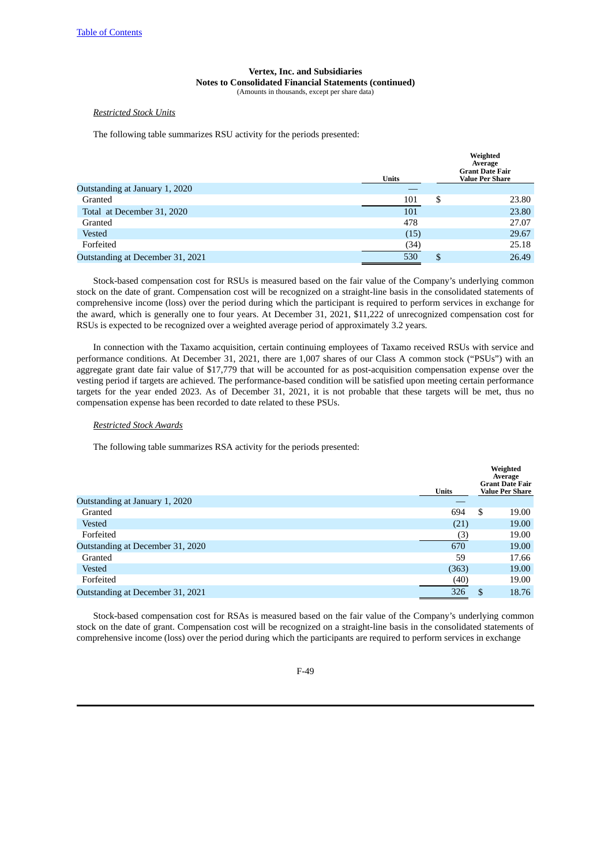### *Restricted Stock Units*

The following table summarizes RSU activity for the periods presented:

|                                  | <b>Units</b> |    | Weighted<br>Average<br><b>Grant Date Fair</b><br><b>Value Per Share</b> |
|----------------------------------|--------------|----|-------------------------------------------------------------------------|
| Outstanding at January 1, 2020   |              |    |                                                                         |
| Granted                          | 101          | S  | 23.80                                                                   |
| Total at December 31, 2020       | 101          |    | 23.80                                                                   |
| Granted                          | 478          |    | 27.07                                                                   |
| Vested                           | (15)         |    | 29.67                                                                   |
| Forfeited                        | (34)         |    | 25.18                                                                   |
| Outstanding at December 31, 2021 | 530          | \$ | 26.49                                                                   |

Stock-based compensation cost for RSUs is measured based on the fair value of the Company's underlying common stock on the date of grant. Compensation cost will be recognized on a straight-line basis in the consolidated statements of comprehensive income (loss) over the period during which the participant is required to perform services in exchange for the award, which is generally one to four years. At December 31, 2021, \$11,222 of unrecognized compensation cost for RSUs is expected to be recognized over a weighted average period of approximately 3.2 years.

In connection with the Taxamo acquisition, certain continuing employees of Taxamo received RSUs with service and performance conditions. At December 31, 2021, there are 1,007 shares of our Class A common stock ("PSUs") with an aggregate grant date fair value of \$17,779 that will be accounted for as post-acquisition compensation expense over the vesting period if targets are achieved. The performance-based condition will be satisfied upon meeting certain performance targets for the year ended 2023. As of December 31, 2021, it is not probable that these targets will be met, thus no compensation expense has been recorded to date related to these PSUs.

### *Restricted Stock Awards*

The following table summarizes RSA activity for the periods presented:

|                                  | <b>Units</b> |               | Weighted<br>Average<br><b>Grant Date Fair</b><br><b>Value Per Share</b> |
|----------------------------------|--------------|---------------|-------------------------------------------------------------------------|
| Outstanding at January 1, 2020   |              |               |                                                                         |
| Granted                          | 694          | \$            | 19.00                                                                   |
| <b>Vested</b>                    | (21)         |               | 19.00                                                                   |
| Forfeited                        | (3)          |               | 19.00                                                                   |
| Outstanding at December 31, 2020 | 670          |               | 19.00                                                                   |
| Granted                          | 59           |               | 17.66                                                                   |
| <b>Vested</b>                    | (363)        |               | 19.00                                                                   |
| Forfeited                        | (40)         |               | 19.00                                                                   |
| Outstanding at December 31, 2021 | 326          | <sup>\$</sup> | 18.76                                                                   |
|                                  |              |               |                                                                         |

Stock-based compensation cost for RSAs is measured based on the fair value of the Company's underlying common stock on the date of grant. Compensation cost will be recognized on a straight-line basis in the consolidated statements of comprehensive income (loss) over the period during which the participants are required to perform services in exchange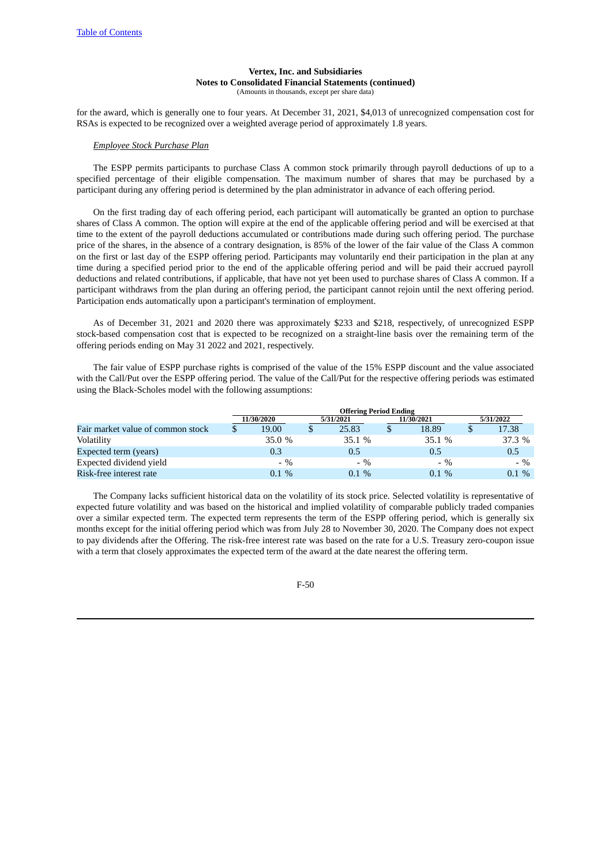for the award, which is generally one to four years. At December 31, 2021, \$4,013 of unrecognized compensation cost for RSAs is expected to be recognized over a weighted average period of approximately 1.8 years.

### *Employee Stock Purchase Plan*

The ESPP permits participants to purchase Class A common stock primarily through payroll deductions of up to a specified percentage of their eligible compensation. The maximum number of shares that may be purchased by a participant during any offering period is determined by the plan administrator in advance of each offering period.

On the first trading day of each offering period, each participant will automatically be granted an option to purchase shares of Class A common. The option will expire at the end of the applicable offering period and will be exercised at that time to the extent of the payroll deductions accumulated or contributions made during such offering period. The purchase price of the shares, in the absence of a contrary designation, is 85% of the lower of the fair value of the Class A common on the first or last day of the ESPP offering period. Participants may voluntarily end their participation in the plan at any time during a specified period prior to the end of the applicable offering period and will be paid their accrued payroll deductions and related contributions, if applicable, that have not yet been used to purchase shares of Class A common. If a participant withdraws from the plan during an offering period, the participant cannot rejoin until the next offering period. Participation ends automatically upon a participant's termination of employment.

As of December 31, 2021 and 2020 there was approximately \$233 and \$218, respectively, of unrecognized ESPP stock-based compensation cost that is expected to be recognized on a straight-line basis over the remaining term of the offering periods ending on May 31 2022 and 2021, respectively.

The fair value of ESPP purchase rights is comprised of the value of the 15% ESPP discount and the value associated with the Call/Put over the ESPP offering period. The value of the Call/Put for the respective offering periods was estimated using the Black-Scholes model with the following assumptions:

|                                   | <b>Offering Period Ending</b> |            |  |           |  |            |  |           |  |  |
|-----------------------------------|-------------------------------|------------|--|-----------|--|------------|--|-----------|--|--|
|                                   |                               | 11/30/2020 |  | 5/31/2021 |  | 11/30/2021 |  | 5/31/2022 |  |  |
| Fair market value of common stock |                               | 19.00      |  | 25.83     |  | 18.89      |  | 17.38     |  |  |
| Volatility                        |                               | 35.0 $%$   |  | 35.1%     |  | 35.1%      |  | 37.3 %    |  |  |
| Expected term (years)             |                               | 0.3        |  | 0.5       |  | 0.5        |  | 0.5       |  |  |
| Expected dividend yield           |                               | $-$ %      |  | $-$ %     |  | $-$ %      |  | $-$ %     |  |  |
| Risk-free interest rate           |                               | $0.1 \%$   |  | $0.1 \%$  |  | $0.1 \%$   |  | $0.1 \%$  |  |  |

The Company lacks sufficient historical data on the volatility of its stock price. Selected volatility is representative of expected future volatility and was based on the historical and implied volatility of comparable publicly traded companies over a similar expected term. The expected term represents the term of the ESPP offering period, which is generally six months except for the initial offering period which was from July 28 to November 30, 2020. The Company does not expect to pay dividends after the Offering. The risk-free interest rate was based on the rate for a U.S. Treasury zero-coupon issue with a term that closely approximates the expected term of the award at the date nearest the offering term.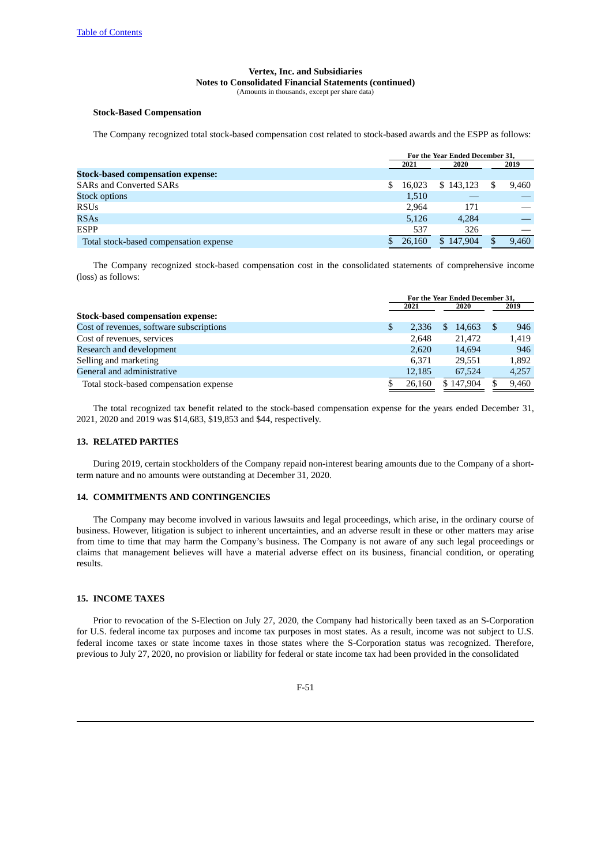### **Stock-Based Compensation**

The Company recognized total stock-based compensation cost related to stock-based awards and the ESPP as follows:

|                                          | For the Year Ended December 31,<br>2021<br>2020<br>\$143,123<br>16.023<br>S<br>1,510<br>2.964<br>171<br>4,284<br>5,126<br>537<br>326 |           |  |       |
|------------------------------------------|--------------------------------------------------------------------------------------------------------------------------------------|-----------|--|-------|
|                                          |                                                                                                                                      |           |  | 2019  |
| <b>Stock-based compensation expense:</b> |                                                                                                                                      |           |  |       |
| <b>SARs and Converted SARs</b>           |                                                                                                                                      |           |  | 9,460 |
| <b>Stock options</b>                     |                                                                                                                                      |           |  |       |
| <b>RSUs</b>                              |                                                                                                                                      |           |  |       |
| RSAs                                     |                                                                                                                                      |           |  |       |
| <b>ESPP</b>                              |                                                                                                                                      |           |  |       |
| Total stock-based compensation expense   | 26,160                                                                                                                               | \$147,904 |  | 9,460 |

The Company recognized stock-based compensation cost in the consolidated statements of comprehensive income (loss) as follows:

|                                          | For the Year Ended December 31. |        |             |      |       |
|------------------------------------------|---------------------------------|--------|-------------|------|-------|
|                                          |                                 | 2021   | 2020        | 2019 |       |
| <b>Stock-based compensation expense:</b> |                                 |        |             |      |       |
| Cost of revenues, software subscriptions | S                               | 2.336  | S<br>14,663 | -S   | 946   |
| Cost of revenues, services               |                                 | 2.648  | 21,472      |      | 1.419 |
| Research and development                 |                                 | 2,620  | 14,694      |      | 946   |
| Selling and marketing                    |                                 | 6.371  | 29.551      |      | 1.892 |
| General and administrative               |                                 | 12.185 | 67.524      |      | 4,257 |
| Total stock-based compensation expense   |                                 | 26.160 | \$147,904   |      | 9.460 |
|                                          |                                 |        |             |      |       |

The total recognized tax benefit related to the stock-based compensation expense for the years ended December 31, 2021, 2020 and 2019 was \$14,683, \$19,853 and \$44, respectively.

# **13. RELATED PARTIES**

During 2019, certain stockholders of the Company repaid non-interest bearing amounts due to the Company of a shortterm nature and no amounts were outstanding at December 31, 2020.

## **14. COMMITMENTS AND CONTINGENCIES**

The Company may become involved in various lawsuits and legal proceedings, which arise, in the ordinary course of business. However, litigation is subject to inherent uncertainties, and an adverse result in these or other matters may arise from time to time that may harm the Company's business. The Company is not aware of any such legal proceedings or claims that management believes will have a material adverse effect on its business, financial condition, or operating results.

### **15. INCOME TAXES**

Prior to revocation of the S-Election on July 27, 2020, the Company had historically been taxed as an S-Corporation for U.S. federal income tax purposes and income tax purposes in most states. As a result, income was not subject to U.S. federal income taxes or state income taxes in those states where the S-Corporation status was recognized. Therefore, previous to July 27, 2020, no provision or liability for federal or state income tax had been provided in the consolidated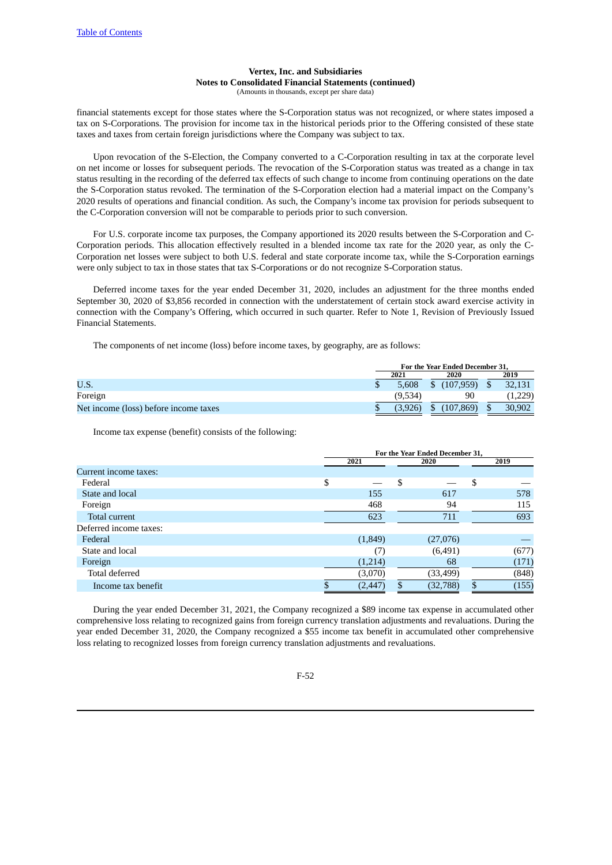financial statements except for those states where the S-Corporation status was not recognized, or where states imposed a tax on S-Corporations. The provision for income tax in the historical periods prior to the Offering consisted of these state taxes and taxes from certain foreign jurisdictions where the Company was subject to tax.

Upon revocation of the S-Election, the Company converted to a C-Corporation resulting in tax at the corporate level on net income or losses for subsequent periods. The revocation of the S-Corporation status was treated as a change in tax status resulting in the recording of the deferred tax effects of such change to income from continuing operations on the date the S-Corporation status revoked. The termination of the S-Corporation election had a material impact on the Company's 2020 results of operations and financial condition. As such, the Company's income tax provision for periods subsequent to the C-Corporation conversion will not be comparable to periods prior to such conversion.

For U.S. corporate income tax purposes, the Company apportioned its 2020 results between the S-Corporation and C-Corporation periods. This allocation effectively resulted in a blended income tax rate for the 2020 year, as only the C-Corporation net losses were subject to both U.S. federal and state corporate income tax, while the S-Corporation earnings were only subject to tax in those states that tax S-Corporations or do not recognize S-Corporation status.

Deferred income taxes for the year ended December 31, 2020, includes an adjustment for the three months ended September 30, 2020 of \$3,856 recorded in connection with the understatement of certain stock award exercise activity in connection with the Company's Offering, which occurred in such quarter. Refer to Note 1, Revision of Previously Issued Financial Statements.

The components of net income (loss) before income taxes, by geography, are as follows:

|                                       | For the Year Ended December 31. |              |            |  |                    |
|---------------------------------------|---------------------------------|--------------|------------|--|--------------------|
|                                       | 2021                            |              | 2020       |  | 2019               |
| U.S.                                  | 5.608                           | $\mathbb{S}$ | (107, 959) |  | 32.131             |
| Foreign                               | (9.534)                         |              | 90         |  | <sub>1</sub> ,229) |
| Net income (loss) before income taxes | (3.926)                         |              | (107, 869) |  | 30,902             |

Income tax expense (benefit) consists of the following:

| For the Year Ended December 31, |          |   |           |    |       |
|---------------------------------|----------|---|-----------|----|-------|
|                                 | 2021     |   | 2020      |    | 2019  |
|                                 |          |   |           |    |       |
| \$                              |          | S |           | \$ |       |
|                                 | 155      |   | 617       |    | 578   |
|                                 | 468      |   | 94        |    | 115   |
|                                 | 623      |   | 711       |    | 693   |
|                                 |          |   |           |    |       |
|                                 | (1,849)  |   | (27,076)  |    |       |
|                                 |          |   | (6, 491)  |    | (677) |
|                                 | (1,214)  |   | 68        |    | (171) |
|                                 | (3,070)  |   | (33, 499) |    | (848) |
|                                 | (2, 447) |   | (32, 788) | \$ | (155) |
|                                 |          |   |           |    |       |

During the year ended December 31, 2021, the Company recognized a \$89 income tax expense in accumulated other comprehensive loss relating to recognized gains from foreign currency translation adjustments and revaluations. During the year ended December 31, 2020, the Company recognized a \$55 income tax benefit in accumulated other comprehensive loss relating to recognized losses from foreign currency translation adjustments and revaluations.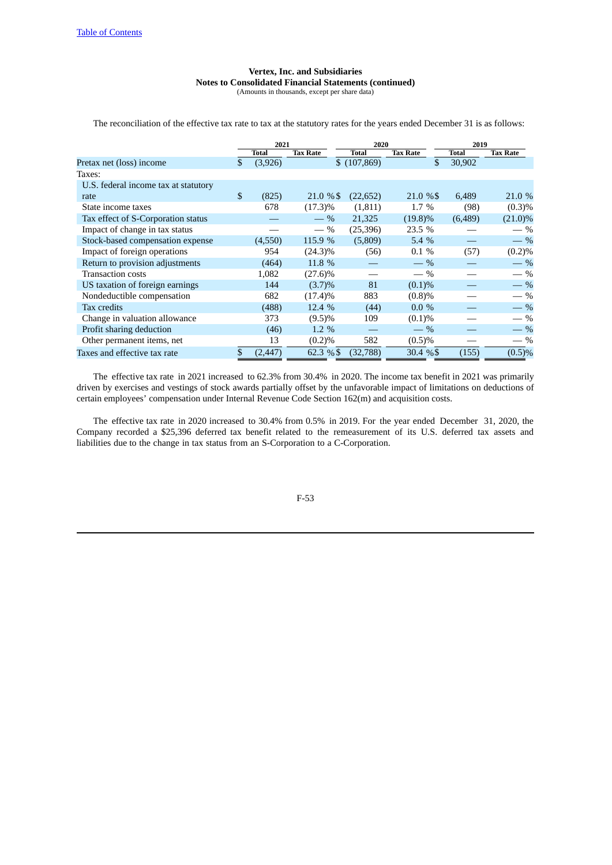|                                      |               | 2021         |                 | 2020         |                 | 2019         |                 |  |
|--------------------------------------|---------------|--------------|-----------------|--------------|-----------------|--------------|-----------------|--|
|                                      |               | <b>Total</b> | <b>Tax Rate</b> | Total        | <b>Tax Rate</b> | <b>Total</b> | <b>Tax Rate</b> |  |
| Pretax net (loss) income             | S             | (3,926)      |                 | \$(107, 869) | \$              | 30,902       |                 |  |
| Taxes:                               |               |              |                 |              |                 |              |                 |  |
| U.S. federal income tax at statutory |               |              |                 |              |                 |              |                 |  |
| rate                                 | <sup>\$</sup> | (825)        | 21.0 % \$       | (22, 652)    | 21.0 %\$        | 6,489        | 21.0 %          |  |
| State income taxes                   |               | 678          | $(17.3)\%$      | (1,811)      | $1.7\%$         | (98)         | (0.3)%          |  |
| Tax effect of S-Corporation status   |               |              | $-$ %           | 21,325       | $(19.8)\%$      | (6,489)      | $(21.0)\%$      |  |
| Impact of change in tax status       |               |              | $-$ %           | (25,396)     | 23.5 %          |              | $-$ %           |  |
| Stock-based compensation expense     |               | (4,550)      | 115.9 %         | (5,809)      | 5.4 %           |              | $-$ %           |  |
| Impact of foreign operations         |               | 954          | $(24.3)\%$      | (56)         | $0.1 \%$        | (57)         | (0.2)%          |  |
| Return to provision adjustments      |               | (464)        | 11.8 %          |              | $-$ %           |              | $-$ %           |  |
| <b>Transaction costs</b>             |               | 1,082        | $(27.6)\%$      |              | $-$ %           |              | $-$ %           |  |
| US taxation of foreign earnings      |               | 144          | $(3.7)\%$       | 81           | (0.1)%          |              | $-$ %           |  |
| Nondeductible compensation           |               | 682          | $(17.4)\%$      | 883          | (0.8)%          |              | $-$ %           |  |
| Tax credits                          |               | (488)        | 12.4 %          | (44)         | $0.0\%$         |              | $-$ %           |  |
| Change in valuation allowance        |               | 373          | $(9.5)\%$       | 109          | (0.1)%          |              | $-$ %           |  |
| Profit sharing deduction             |               | (46)         | 1.2 %           |              | $-$ %           |              | $-$ %           |  |
| Other permanent items, net           |               | 13           | (0.2)%          | 582          | $(0.5)\%$       |              | $-$ %           |  |
| Taxes and effective tax rate         | \$            | (2, 447)     | 62.3 % \$       | (32, 788)    | 30.4 %\$        | (155)        | $(0.5)\%$       |  |

The reconciliation of the effective tax rate to tax at the statutory rates for the years ended December 31 is as follows:

The effective tax rate in 2021 increased to 62.3% from 30.4% in 2020. The income tax benefit in 2021 was primarily driven by exercises and vestings of stock awards partially offset by the unfavorable impact of limitations on deductions of certain employees' compensation under Internal Revenue Code Section 162(m) and acquisition costs.

The effective tax rate in 2020 increased to 30.4% from 0.5% in 2019. For the year ended December 31, 2020, the Company recorded a \$25,396 deferred tax benefit related to the remeasurement of its U.S. deferred tax assets and liabilities due to the change in tax status from an S-Corporation to a C-Corporation.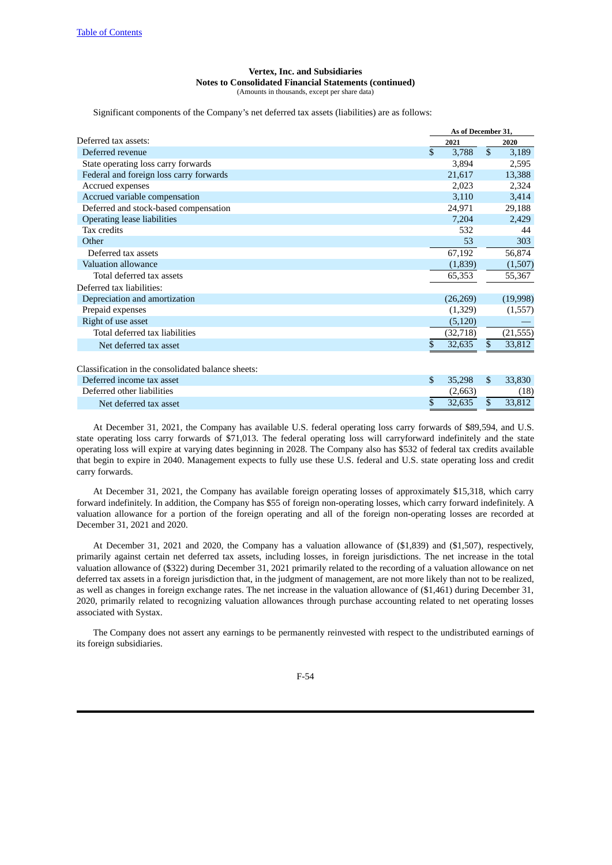Significant components of the Company's net deferred tax assets (liabilities) are as follows:

|                                                    | As of December 31. |                |           |
|----------------------------------------------------|--------------------|----------------|-----------|
| Deferred tax assets:                               | 2021               |                | 2020      |
| Deferred revenue                                   | \$<br>3,788        | $\mathfrak{S}$ | 3,189     |
| State operating loss carry forwards                | 3,894              |                | 2,595     |
| Federal and foreign loss carry forwards            | 21,617             |                | 13,388    |
| Accrued expenses                                   | 2,023              |                | 2,324     |
| Accrued variable compensation                      | 3,110              |                | 3,414     |
| Deferred and stock-based compensation              | 24,971             |                | 29,188    |
| Operating lease liabilities                        | 7,204              |                | 2,429     |
| Tax credits                                        | 532                |                | 44        |
| Other                                              | 53                 |                | 303       |
| Deferred tax assets                                | 67,192             |                | 56,874    |
| Valuation allowance                                | (1,839)            |                | (1,507)   |
| Total deferred tax assets                          | 65,353             |                | 55,367    |
| Deferred tax liabilities:                          |                    |                |           |
| Depreciation and amortization                      | (26, 269)          |                | (19,998)  |
| Prepaid expenses                                   | (1,329)            |                | (1,557)   |
| Right of use asset                                 | (5, 120)           |                |           |
| Total deferred tax liabilities                     | (32, 718)          |                | (21, 555) |
| Net deferred tax asset                             | \$<br>32,635       | \$             | 33,812    |
|                                                    |                    |                |           |
| Classification in the consolidated balance sheets: |                    |                |           |
| Deferred income tax asset                          | \$<br>35,298       | $\mathbb{S}$   | 33,830    |
| Deferred other liabilities                         | (2,663)            |                | (18)      |
| Net deferred tax asset                             | \$<br>32,635       | \$             | 33,812    |

At December 31, 2021, the Company has available U.S. federal operating loss carry forwards of \$89,594, and U.S. state operating loss carry forwards of \$71,013. The federal operating loss will carryforward indefinitely and the state operating loss will expire at varying dates beginning in 2028. The Company also has \$532 of federal tax credits available that begin to expire in 2040. Management expects to fully use these U.S. federal and U.S. state operating loss and credit carry forwards.

At December 31, 2021, the Company has available foreign operating losses of approximately \$15,318, which carry forward indefinitely. In addition, the Company has \$55 of foreign non-operating losses, which carry forward indefinitely. A valuation allowance for a portion of the foreign operating and all of the foreign non-operating losses are recorded at December 31, 2021 and 2020.

At December 31, 2021 and 2020, the Company has a valuation allowance of (\$1,839) and (\$1,507), respectively, primarily against certain net deferred tax assets, including losses, in foreign jurisdictions. The net increase in the total valuation allowance of (\$322) during December 31, 2021 primarily related to the recording of a valuation allowance on net deferred tax assets in a foreign jurisdiction that, in the judgment of management, are not more likely than not to be realized, as well as changes in foreign exchange rates. The net increase in the valuation allowance of (\$1,461) during December 31, 2020, primarily related to recognizing valuation allowances through purchase accounting related to net operating losses associated with Systax.

The Company does not assert any earnings to be permanently reinvested with respect to the undistributed earnings of its foreign subsidiaries.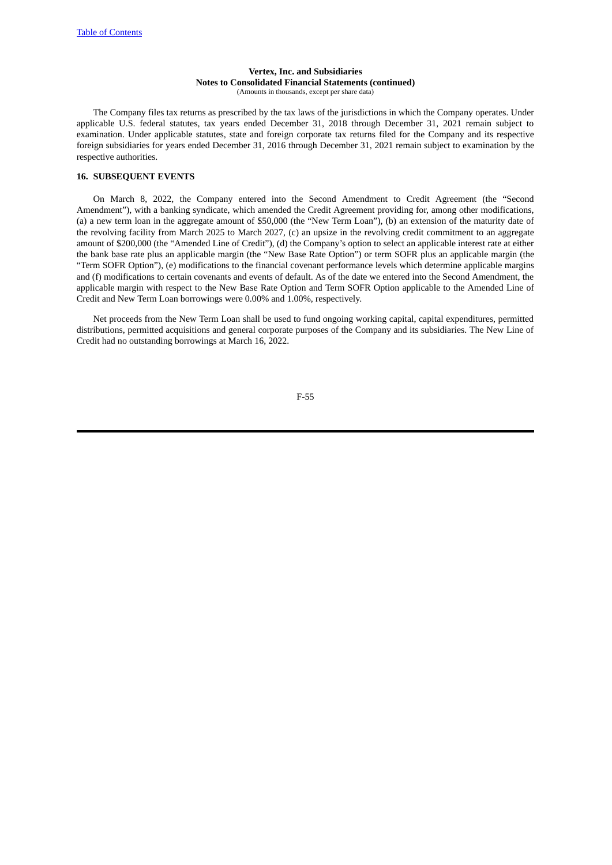The Company files tax returns as prescribed by the tax laws of the jurisdictions in which the Company operates. Under applicable U.S. federal statutes, tax years ended December 31, 2018 through December 31, 2021 remain subject to examination. Under applicable statutes, state and foreign corporate tax returns filed for the Company and its respective foreign subsidiaries for years ended December 31, 2016 through December 31, 2021 remain subject to examination by the respective authorities.

### **16. SUBSEQUENT EVENTS**

On March 8, 2022, the Company entered into the Second Amendment to Credit Agreement (the "Second Amendment"), with a banking syndicate, which amended the Credit Agreement providing for, among other modifications, (a) a new term loan in the aggregate amount of \$50,000 (the "New Term Loan"), (b) an extension of the maturity date of the revolving facility from March 2025 to March 2027, (c) an upsize in the revolving credit commitment to an aggregate amount of \$200,000 (the "Amended Line of Credit"), (d) the Company's option to select an applicable interest rate at either the bank base rate plus an applicable margin (the "New Base Rate Option") or term SOFR plus an applicable margin (the "Term SOFR Option"), (e) modifications to the financial covenant performance levels which determine applicable margins and (f) modifications to certain covenants and events of default. As of the date we entered into the Second Amendment, the applicable margin with respect to the New Base Rate Option and Term SOFR Option applicable to the Amended Line of Credit and New Term Loan borrowings were 0.00% and 1.00%, respectively.

Net proceeds from the New Term Loan shall be used to fund ongoing working capital, capital expenditures, permitted distributions, permitted acquisitions and general corporate purposes of the Company and its subsidiaries. The New Line of Credit had no outstanding borrowings at March 16, 2022.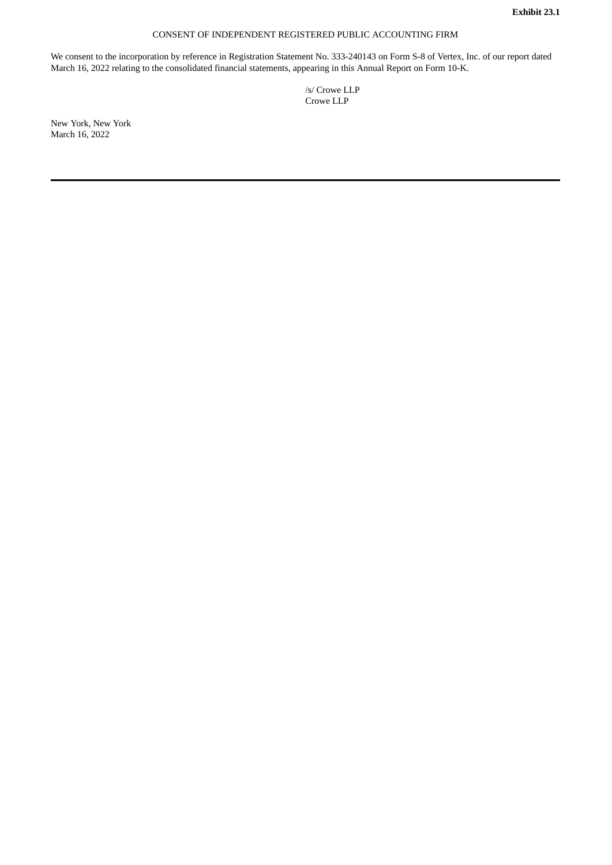# CONSENT OF INDEPENDENT REGISTERED PUBLIC ACCOUNTING FIRM

We consent to the incorporation by reference in Registration Statement No. 333-240143 on Form S-8 of Vertex, Inc. of our report dated March 16, 2022 relating to the consolidated financial statements, appearing in this Annual Report on Form 10-K.

> /s/ Crowe LLP Crowe LLP

New York, New York March 16, 2022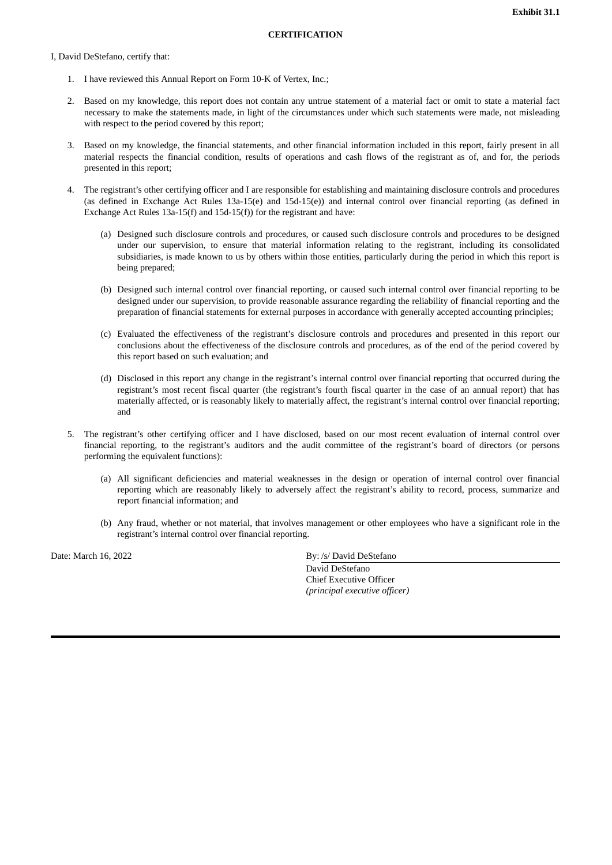### I, David DeStefano, certify that:

- 1. I have reviewed this Annual Report on Form 10-K of Vertex, Inc.;
- 2. Based on my knowledge, this report does not contain any untrue statement of a material fact or omit to state a material fact necessary to make the statements made, in light of the circumstances under which such statements were made, not misleading with respect to the period covered by this report;
- 3. Based on my knowledge, the financial statements, and other financial information included in this report, fairly present in all material respects the financial condition, results of operations and cash flows of the registrant as of, and for, the periods presented in this report;
- 4. The registrant's other certifying officer and I are responsible for establishing and maintaining disclosure controls and procedures (as defined in Exchange Act Rules 13a-15(e) and 15d-15(e)) and internal control over financial reporting (as defined in Exchange Act Rules 13a-15(f) and 15d-15(f)) for the registrant and have:
	- (a) Designed such disclosure controls and procedures, or caused such disclosure controls and procedures to be designed under our supervision, to ensure that material information relating to the registrant, including its consolidated subsidiaries, is made known to us by others within those entities, particularly during the period in which this report is being prepared;
	- (b) Designed such internal control over financial reporting, or caused such internal control over financial reporting to be designed under our supervision, to provide reasonable assurance regarding the reliability of financial reporting and the preparation of financial statements for external purposes in accordance with generally accepted accounting principles;
	- (c) Evaluated the effectiveness of the registrant's disclosure controls and procedures and presented in this report our conclusions about the effectiveness of the disclosure controls and procedures, as of the end of the period covered by this report based on such evaluation; and
	- (d) Disclosed in this report any change in the registrant's internal control over financial reporting that occurred during the registrant's most recent fiscal quarter (the registrant's fourth fiscal quarter in the case of an annual report) that has materially affected, or is reasonably likely to materially affect, the registrant's internal control over financial reporting; and
- 5. The registrant's other certifying officer and I have disclosed, based on our most recent evaluation of internal control over financial reporting, to the registrant's auditors and the audit committee of the registrant's board of directors (or persons performing the equivalent functions):
	- (a) All significant deficiencies and material weaknesses in the design or operation of internal control over financial reporting which are reasonably likely to adversely affect the registrant's ability to record, process, summarize and report financial information; and
	- (b) Any fraud, whether or not material, that involves management or other employees who have a significant role in the registrant's internal control over financial reporting.

Date: March 16, 2022 By: /s/ David DeStefano

David DeStefano Chief Executive Officer *(principal executive officer)*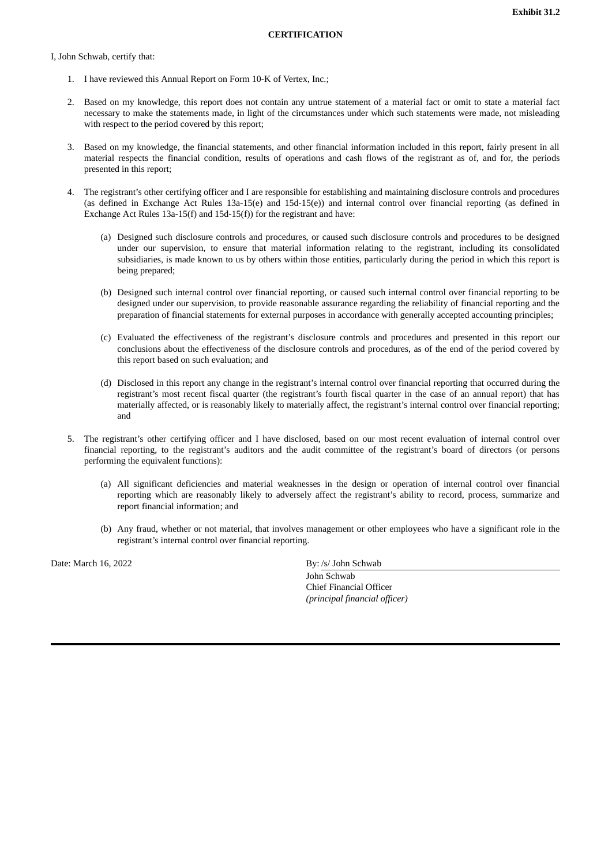### I, John Schwab, certify that:

- 1. I have reviewed this Annual Report on Form 10-K of Vertex, Inc.;
- 2. Based on my knowledge, this report does not contain any untrue statement of a material fact or omit to state a material fact necessary to make the statements made, in light of the circumstances under which such statements were made, not misleading with respect to the period covered by this report;
- 3. Based on my knowledge, the financial statements, and other financial information included in this report, fairly present in all material respects the financial condition, results of operations and cash flows of the registrant as of, and for, the periods presented in this report;
- 4. The registrant's other certifying officer and I are responsible for establishing and maintaining disclosure controls and procedures (as defined in Exchange Act Rules 13a-15(e) and 15d-15(e)) and internal control over financial reporting (as defined in Exchange Act Rules 13a-15(f) and 15d-15(f)) for the registrant and have:
	- (a) Designed such disclosure controls and procedures, or caused such disclosure controls and procedures to be designed under our supervision, to ensure that material information relating to the registrant, including its consolidated subsidiaries, is made known to us by others within those entities, particularly during the period in which this report is being prepared;
	- (b) Designed such internal control over financial reporting, or caused such internal control over financial reporting to be designed under our supervision, to provide reasonable assurance regarding the reliability of financial reporting and the preparation of financial statements for external purposes in accordance with generally accepted accounting principles;
	- (c) Evaluated the effectiveness of the registrant's disclosure controls and procedures and presented in this report our conclusions about the effectiveness of the disclosure controls and procedures, as of the end of the period covered by this report based on such evaluation; and
	- (d) Disclosed in this report any change in the registrant's internal control over financial reporting that occurred during the registrant's most recent fiscal quarter (the registrant's fourth fiscal quarter in the case of an annual report) that has materially affected, or is reasonably likely to materially affect, the registrant's internal control over financial reporting; and
- 5. The registrant's other certifying officer and I have disclosed, based on our most recent evaluation of internal control over financial reporting, to the registrant's auditors and the audit committee of the registrant's board of directors (or persons performing the equivalent functions):
	- (a) All significant deficiencies and material weaknesses in the design or operation of internal control over financial reporting which are reasonably likely to adversely affect the registrant's ability to record, process, summarize and report financial information; and
	- (b) Any fraud, whether or not material, that involves management or other employees who have a significant role in the registrant's internal control over financial reporting.

Date: March 16, 2022 By: /s/ John Schwab

John Schwab Chief Financial Officer *(principal financial officer)*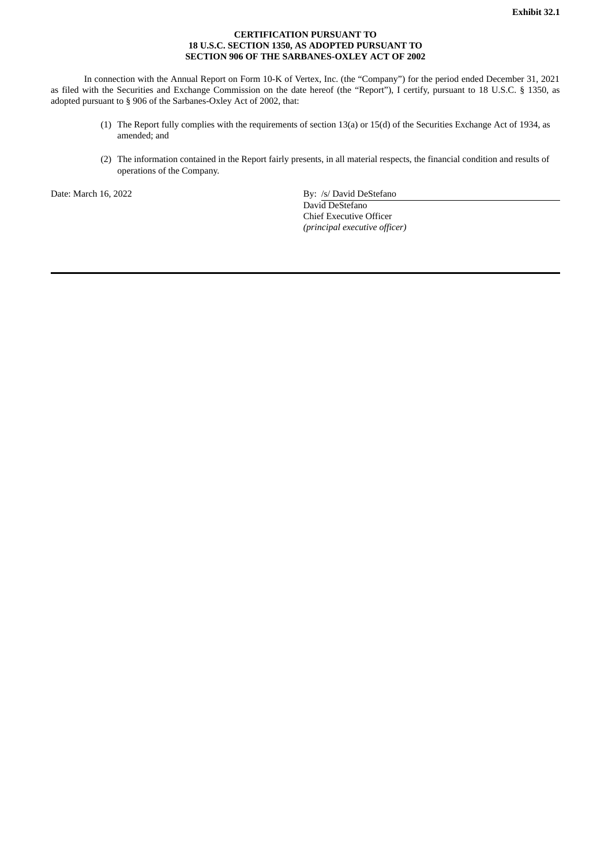# **CERTIFICATION PURSUANT TO 18 U.S.C. SECTION 1350, AS ADOPTED PURSUANT TO SECTION 906 OF THE SARBANES-OXLEY ACT OF 2002**

In connection with the Annual Report on Form 10-K of Vertex, Inc. (the "Company") for the period ended December 31, 2021 as filed with the Securities and Exchange Commission on the date hereof (the "Report"), I certify, pursuant to 18 U.S.C. § 1350, as adopted pursuant to § 906 of the Sarbanes-Oxley Act of 2002, that:

- (1) The Report fully complies with the requirements of section 13(a) or 15(d) of the Securities Exchange Act of 1934, as amended; and
- (2) The information contained in the Report fairly presents, in all material respects, the financial condition and results of operations of the Company.

Date: March 16, 2022 By: /s/ David DeStefano David DeStefano Chief Executive Officer *(principal executive officer)*